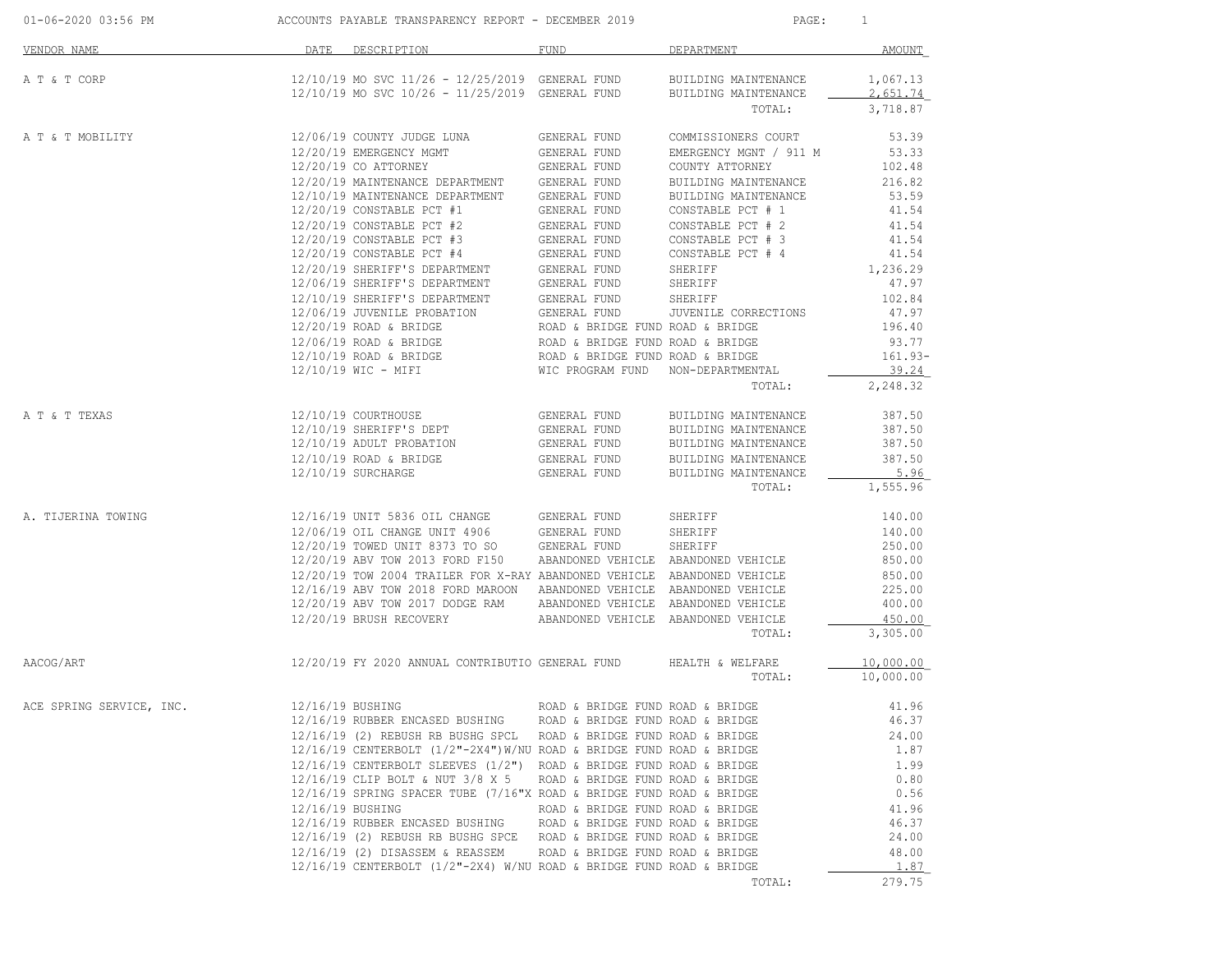| 01-06-2020 03:56 PM      | ACCOUNTS PAYABLE TRANSPARENCY REPORT - DECEMBER 2019                                                                                         | PAGE:                                                                                                                                        | $\overline{1}$                               |                      |
|--------------------------|----------------------------------------------------------------------------------------------------------------------------------------------|----------------------------------------------------------------------------------------------------------------------------------------------|----------------------------------------------|----------------------|
| VENDOR NAME              | DESCRIPTION<br>DATE                                                                                                                          | FUND                                                                                                                                         | DEPARTMENT                                   | AMOUNT               |
| A T & T CORP             | $12/10/19$ MO SVC $11/26 - 12/25/2019$ GENERAL FUND<br>12/10/19 MO SVC 10/26 - 11/25/2019 GENERAL FUND                                       |                                                                                                                                              | BUILDING MAINTENANCE<br>BUILDING MAINTENANCE | 1,067.13<br>2,651.74 |
|                          |                                                                                                                                              |                                                                                                                                              | TOTAL:                                       | 3,718.87             |
| A T & T MOBILITY         | 12/06/19 COUNTY JUDGE LUNA                                                                                                                   | GENERAL FUND                                                                                                                                 | COMMISSIONERS COURT                          | 53.39                |
|                          | 12/20/19 EMERGENCY MGMT                                                                                                                      | GENERAL FUND                                                                                                                                 | EMERGENCY MGNT / 911 M                       | 53.33                |
|                          | 12/20/19 CO ATTORNEY                                                                                                                         | GENERAL FUND                                                                                                                                 | COUNTY ATTORNEY                              | 102.48               |
|                          | 12/20/19 MAINTENANCE DEPARTMENT GENERAL FUND                                                                                                 |                                                                                                                                              | BUILDING MAINTENANCE                         | 216.82               |
|                          | 12/10/19 MAINTENANCE DEPARTMENT GENERAL FUND                                                                                                 |                                                                                                                                              | BUILDING MAINTENANCE                         | 53.59                |
|                          | $12/20/19$ CONSTABLE PCT #1                                                                                                                  | GENERAL FUND                                                                                                                                 | CONSTABLE PCT # 1                            | 41.54                |
|                          | 12/20/19 CONSTABLE PCT #2<br>$12/20/19$ CONSTABLE PCT #3                                                                                     | GENERAL FUND                                                                                                                                 | CONSTABLE PCT # 2                            | 41.54<br>41.54       |
|                          | 12/20/19 CONSTABLE PCT #4                                                                                                                    | GENERAL FUND<br>GENERAL FUND                                                                                                                 | CONSTABLE PCT # 3<br>CONSTABLE PCT # 4       | 41.54                |
|                          | 12/20/19 SHERIFF'S DEPARTMENT                                                                                                                | GENERAL FUND<br>GENERAL FUND                                                                                                                 | SHERIFF                                      | 1,236.29             |
|                          | 12/06/19 SHERIFF'S DEPARTMENT                                                                                                                | GENERAL FUND                                                                                                                                 | SHERIFF                                      | 47.97                |
|                          | 12/10/19 SHERIFF'S DEPARTMENT                                                                                                                | GENERAL FUND                                                                                                                                 | SHERIFF                                      | 102.84               |
|                          | 12/06/19 JUVENILE PROBATION GENERAL FUND                                                                                                     |                                                                                                                                              | JUVENILE CORRECTIONS                         | 47.97                |
|                          | $12/20/19$ ROAD & BRIDGE                                                                                                                     |                                                                                                                                              |                                              | 196.40               |
|                          | 12/06/19 ROAD & BRIDGE                                                                                                                       | ROAD & BRIDGE FUND ROAD & BRIDGE<br>ROAD & BRIDGE FUND ROAD & BRIDGE<br>ROAD & BRIDGE FUND ROAD & BRIDGE<br>WIC PROGRAM FUND NON-DEPARTMENTA |                                              | 93.77                |
|                          | 12/10/19 ROAD & BRIDGE                                                                                                                       |                                                                                                                                              |                                              | $161.93-$            |
|                          | 12/10/19 WIC - MIFI                                                                                                                          | WIC PROGRAM FUND                                                                                                                             | NON-DEPARTMENTAL                             | 39.24                |
|                          |                                                                                                                                              |                                                                                                                                              | TOTAL:                                       | 2,248.32             |
| A T & T TEXAS            | 12/10/19 COURTHOUSE                                                                                                                          | GENERAL FUND                                                                                                                                 | BUILDING MAINTENANCE                         | 387.50               |
|                          | 12/10/19 SHERIFF'S DEPT                                                                                                                      | GENERAL FUND                                                                                                                                 | BUILDING MAINTENANCE                         | 387.50               |
|                          | 12/10/19 ADULT PROBATION                                                                                                                     | GENERAL FUND                                                                                                                                 | BUILDING MAINTENANCE                         | 387.50               |
|                          | 12/10/19 ROAD & BRIDGE                                                                                                                       | GENERAL FUND                                                                                                                                 | BUILDING MAINTENANCE                         | 387.50               |
|                          | 12/10/19 SURCHARGE                                                                                                                           | GENERAL FUND                                                                                                                                 | BUILDING MAINTENANCE                         | 5.96                 |
|                          |                                                                                                                                              |                                                                                                                                              | TOTAL:                                       | 1,555.96             |
| A. TIJERINA TOWING       | 12/16/19 UNIT 5836 OIL CHANGE GENERAL FUND<br>12/06/19 OIL CHANGE UNIT 4906 GENERAL FUND                                                     |                                                                                                                                              | SHERIFF                                      | 140.00               |
|                          |                                                                                                                                              |                                                                                                                                              | SHERIFF                                      | 140.00               |
|                          | 12/20/19 TOWED UNIT 8373 TO SO GENERAL FUND                                                                                                  |                                                                                                                                              | SHERIFF                                      | 250.00               |
|                          | 12/20/19 ABV TOW 2013 FORD F150 ABANDONED VEHICLE ABANDONED VEHICLE                                                                          |                                                                                                                                              |                                              | 850.00               |
|                          | 12/20/19 TOW 2004 TRAILER FOR X-RAY ABANDONED VEHICLE ABANDONED VEHICLE                                                                      |                                                                                                                                              |                                              | 850.00               |
|                          | 12/16/19 ABV TOW 2018 FORD MAROON ABANDONED VEHICLE ABANDONED VEHICLE<br>12/20/19 ABV TOW 2017 DODGE RAM ABANDONED VEHICLE ABANDONED VEHICLE |                                                                                                                                              |                                              | 225.00<br>400.00     |
|                          | 12/20/19 BRUSH RECOVERY                                                                                                                      | ABANDONED VEHICLE ABANDONED VEHICLE                                                                                                          |                                              | 450.00               |
|                          |                                                                                                                                              |                                                                                                                                              | TOTAL:                                       | 3,305.00             |
| AACOG/ART                | 12/20/19 FY 2020 ANNUAL CONTRIBUTIO GENERAL FUND HEALTH & WELFARE                                                                            |                                                                                                                                              |                                              | 10,000.00            |
|                          |                                                                                                                                              |                                                                                                                                              | TOTAL:                                       | 10,000.00            |
| ACE SPRING SERVICE, INC. | 12/16/19 BUSHING                                                                                                                             |                                                                                                                                              | ROAD & BRIDGE FUND ROAD & BRIDGE             | 41.96                |
|                          | 12/16/19 RUBBER ENCASED BUSHING ROAD & BRIDGE FUND ROAD & BRIDGE                                                                             |                                                                                                                                              |                                              | 46.37                |
|                          | 12/16/19 (2) REBUSH RB BUSHG SPCL ROAD & BRIDGE FUND ROAD & BRIDGE                                                                           |                                                                                                                                              |                                              | 24.00                |
|                          | $12/16/19$ CENTERBOLT $(1/2"$ -2X4")W/NU ROAD & BRIDGE FUND ROAD & BRIDGE                                                                    |                                                                                                                                              |                                              | 1.87                 |
|                          | 12/16/19 CENTERBOLT SLEEVES (1/2") ROAD & BRIDGE FUND ROAD & BRIDGE                                                                          |                                                                                                                                              |                                              | 1.99                 |
|                          | 12/16/19 CLIP BOLT & NUT 3/8 X 5                                                                                                             | ROAD & BRIDGE FUND ROAD & BRIDGE                                                                                                             |                                              | 0.80                 |
|                          | 12/16/19 SPRING SPACER TUBE (7/16"X ROAD & BRIDGE FUND ROAD & BRIDGE                                                                         |                                                                                                                                              |                                              | 0.56                 |
|                          | 12/16/19 BUSHING<br>12/16/19 RUBBER ENCASED BUSHING ROAD & BRIDGE FUND ROAD & BRIDGE                                                         | ROAD & BRIDGE FUND ROAD & BRIDGE                                                                                                             |                                              | 41.96                |
|                          | 12/16/19 (2) REBUSH RB BUSHG SPCE ROAD & BRIDGE FUND ROAD & BRIDGE                                                                           |                                                                                                                                              |                                              | 46.37<br>24.00       |
|                          | 12/16/19 (2) DISASSEM & REASSEM                                                                                                              | ROAD & BRIDGE FUND ROAD & BRIDGE                                                                                                             |                                              | 48.00                |
|                          | $12/16/19$ CENTERBOLT ( $1/2$ "-2X4) W/NU ROAD & BRIDGE FUND ROAD & BRIDGE                                                                   |                                                                                                                                              |                                              | 1.87                 |
|                          |                                                                                                                                              |                                                                                                                                              | TOTAL:                                       | 279.75               |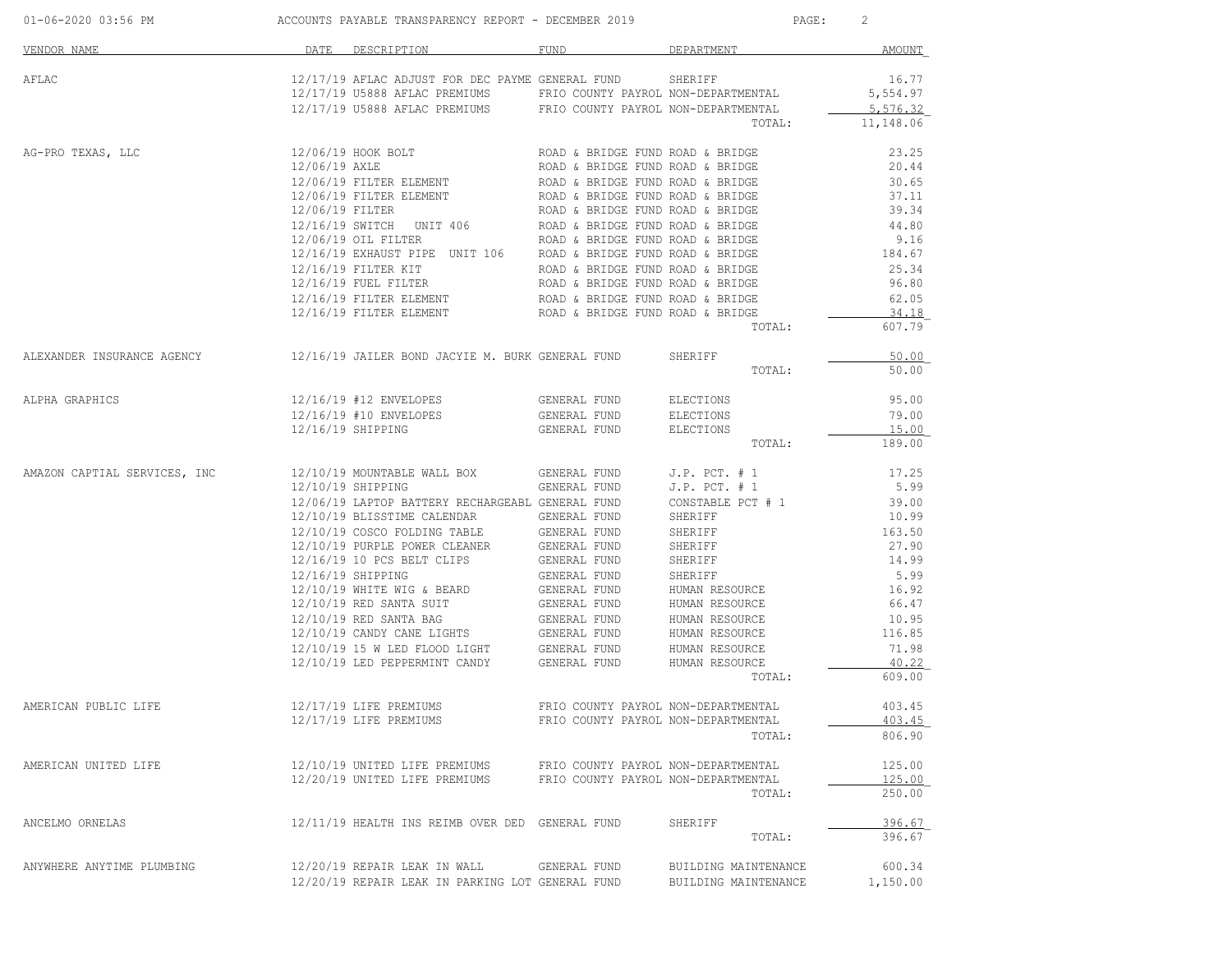| 01-06-2020 03:56 PM                                                         |               | ACCOUNTS PAYABLE TRANSPARENCY REPORT - DECEMBER 2019                                                                                                                                                                                                                                                                                                                                                                                                                                                                                                                                                                   |                                                                                                                                                                                  |                                                                                                                                                                                                                                          | PAGE:<br>2                                                                                                                           |  |  |
|-----------------------------------------------------------------------------|---------------|------------------------------------------------------------------------------------------------------------------------------------------------------------------------------------------------------------------------------------------------------------------------------------------------------------------------------------------------------------------------------------------------------------------------------------------------------------------------------------------------------------------------------------------------------------------------------------------------------------------------|----------------------------------------------------------------------------------------------------------------------------------------------------------------------------------|------------------------------------------------------------------------------------------------------------------------------------------------------------------------------------------------------------------------------------------|--------------------------------------------------------------------------------------------------------------------------------------|--|--|
| VENDOR NAME                                                                 | DATE          | DESCRIPTION                                                                                                                                                                                                                                                                                                                                                                                                                                                                                                                                                                                                            | FUND                                                                                                                                                                             | DEPARTMENT                                                                                                                                                                                                                               | AMOUNT                                                                                                                               |  |  |
| AFLAC                                                                       |               | 12/17/19 AFLAC ADJUST FOR DEC PAYME GENERAL FUND<br>12/17/19 U5888 AFLAC PREMIUMS FRIO COUNTY PAYROL NON-DEPARTMENTAL<br>12/17/19 U5888 AFLAC PREMIUMS FRIO COUNTY PAYROL NON-DEPARTMENTAL                                                                                                                                                                                                                                                                                                                                                                                                                             |                                                                                                                                                                                  | SHERIFF<br>TOTAL:                                                                                                                                                                                                                        | 16.77<br>5,554.97<br>5,576.32<br>11,148.06                                                                                           |  |  |
| AG-PRO TEXAS, LLC                                                           | 12/06/19 AXLE | 12/06/19 HOOK BOLT<br>12/06/19 FILTER ELEMENT<br>12/06/19 FILTER ELEMENT<br>12/06/19 FILTER ELEMENT<br>12/06/19 FILTER ELEMENT<br>12/06/19 FILTER ROAD & BRIDGE FUND ROAD & BRIDGE<br>12/16/19 SWITCH UNIT 406<br>12/06/19 OIL FILTER ROAD & BRIDGE FUND ROAD & BRIDGE<br>$12/16/19$ FUEL FILTER<br>12/16/19 FILTER ELEMENT                                                                                                                                                                                                                                                                                            | ROAD & BRIDGE FUND ROAD & BRIDGE<br>ROAD & BRIDGE FUND ROAD & BRIDGE<br>ROAD & BRIDGE FUND ROAD & BRIDGE<br>ROAD & BRIDGE FUND ROAD & BRIDGE<br>ROAD & BRIDGE FUND ROAD & BRIDGE |                                                                                                                                                                                                                                          | 23.25<br>20.44<br>30.65<br>37.11<br>39.34<br>44.80<br>9.16<br>184.67<br>25.34<br>96.80<br>62.05                                      |  |  |
|                                                                             |               | $12/16/19$ FILTER ELEMENT ROAD & BRIDGE FUND ROAD & BRIDGE                                                                                                                                                                                                                                                                                                                                                                                                                                                                                                                                                             |                                                                                                                                                                                  | TOTAL:                                                                                                                                                                                                                                   | 34.18<br>607.79                                                                                                                      |  |  |
| ALEXANDER INSURANCE AGENCY 12/16/19 JAILER BOND JACYIE M. BURK GENERAL FUND |               |                                                                                                                                                                                                                                                                                                                                                                                                                                                                                                                                                                                                                        |                                                                                                                                                                                  | SHERIFF<br>TOTAL:                                                                                                                                                                                                                        | 50.00<br>50.00                                                                                                                       |  |  |
| ALPHA GRAPHICS                                                              |               | 12/16/19 #12 ENVELOPES<br>12/16/19 #10 ENVELOPES<br>12/16/19 SHIPPING                                                                                                                                                                                                                                                                                                                                                                                                                                                                                                                                                  | GENERAL FUND<br>GENERAL FUND<br>GENERAL FUND                                                                                                                                     | ELECTIONS<br>ELECTIONS<br>ELECTIONS<br>TOTAL:                                                                                                                                                                                            | 95.00<br>79.00<br>15.00<br>189.00                                                                                                    |  |  |
| AMAZON CAPTIAL SERVICES, INC                                                |               | 12/10/19 MOUNTABLE WALL BOX<br>12/10/19 SHIPPING<br>12/06/19 LAPTOP BATTERY RECHARGEABL GENERAL FUND<br>12/10/19 BLISSTIME CALENDAR GENERAL FUND<br>12/10/19 COSCO FOLDING TABLE GENERAL FUND<br>12/10/19 COSCO FOLDING TABLE<br>12/10/19 PURPLE POWER CLEANER<br>12/16/19 10 PCS BELT CLIPS<br>12/16/19 SHIPPING<br>$12/10/19$ WHITE WIG & BEARD<br>12/10/19 RED SANTA SUIT<br>$12/10/19 \begin{tabular}{lcccccc} RED SANTA BAG & & & GENERAL FUND \\ 12/10/19 & CANDY CANE LIGHTS & & & GENERAL FUND \\ \end{tabular}$<br>$12/10/19$ 15 W LED FLOOD LIGHT GENERAL FUND<br>12/10/19 LED PEPPERMINT CANDY GENERAL FUND | GENERAL FUND<br>GENERAL FUND<br>GENERAL FUND<br>GENERAL FUND<br>GENERAL FUND<br>GENERAL FUND<br>GENERAL FUND<br>GENERAL FUND<br>GENERAL FUND                                     | $J.P.$ PCT. $# 1$<br>$J.P.$ PCT. $# 1$<br>CONSTABLE PCT # 1<br>SHERIFF<br>SHERIFF<br>SHERIFF<br>SHERIFF<br>SHERIFF<br>HUMAN RESOURCE<br>HUMAN RESOURCE<br>HUMAN RESOURCE<br>HUMAN RESOURCE<br>HUMAN RESOURCE<br>HUMAN RESOURCE<br>TOTAL: | 17.25<br>5.99<br>39.00<br>10.99<br>163.50<br>27.90<br>14.99<br>5.99<br>16.92<br>66.47<br>10.95<br>116.85<br>71.98<br>40.22<br>609.00 |  |  |
| AMERICAN PUBLIC LIFE                                                        |               | 12/17/19 LIFE PREMIUMS<br>12/17/19 LIFE PREMIUMS                                                                                                                                                                                                                                                                                                                                                                                                                                                                                                                                                                       | FRIO COUNTY PAYROL NON-DEPARTMENTAL                                                                                                                                              | FRIO COUNTY PAYROL NON-DEPARTMENTAL<br>TOTAL:                                                                                                                                                                                            | 403.45<br>403.45<br>806.90                                                                                                           |  |  |
| AMERICAN UNITED LIFE                                                        |               | 12/10/19 UNITED LIFE PREMIUMS<br>12/20/19 UNITED LIFE PREMIUMS                                                                                                                                                                                                                                                                                                                                                                                                                                                                                                                                                         | FRIO COUNTY PAYROL NON-DEPARTMENTAL<br>FRIO COUNTY PAYROL NON-DEPARTMENTAL                                                                                                       | TOTAL:                                                                                                                                                                                                                                   | 125.00<br>125.00<br>250.00                                                                                                           |  |  |
| ANCELMO ORNELAS                                                             |               | 12/11/19 HEALTH INS REIMB OVER DED GENERAL FUND                                                                                                                                                                                                                                                                                                                                                                                                                                                                                                                                                                        |                                                                                                                                                                                  | SHERIFF<br>TOTAL:                                                                                                                                                                                                                        | 396.67<br>396.67                                                                                                                     |  |  |
| ANYWHERE ANYTIME PLUMBING                                                   |               | 12/20/19 REPAIR LEAK IN WALL<br>12/20/19 REPAIR LEAK IN PARKING LOT GENERAL FUND                                                                                                                                                                                                                                                                                                                                                                                                                                                                                                                                       | GENERAL FUND                                                                                                                                                                     | BUILDING MAINTENANCE<br>BUILDING MAINTENANCE                                                                                                                                                                                             | 600.34<br>1,150.00                                                                                                                   |  |  |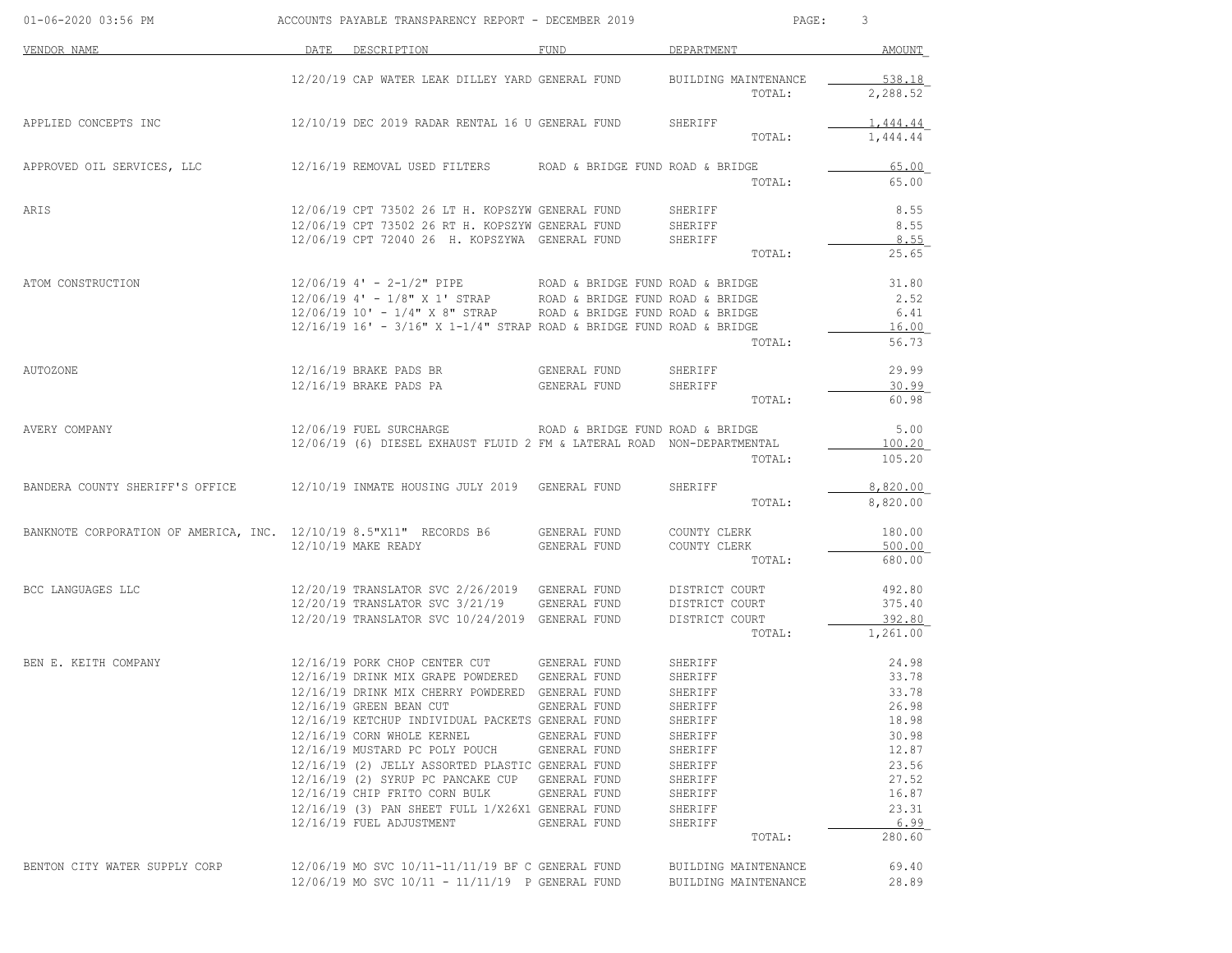| DEPARTMENT<br>DATE<br>DESCRIPTION<br>FUND<br>12/20/19 CAP WATER LEAK DILLEY YARD GENERAL FUND<br>BUILDING MAINTENANCE<br>TOTAL:<br>12/10/19 DEC 2019 RADAR RENTAL 16 U GENERAL FUND<br>SHERIFF<br>TOTAL:<br>12/16/19 REMOVAL USED FILTERS<br>ROAD & BRIDGE FUND ROAD & BRIDGE<br>TOTAL:<br>12/06/19 CPT 73502 26 LT H. KOPSZYW GENERAL FUND<br>SHERIFF<br>12/06/19 CPT 73502 26 RT H. KOPSZYW GENERAL FUND<br>SHERIFF<br>12/06/19 CPT 72040 26 H. KOPSZYWA GENERAL FUND<br>8.55<br>SHERIFF<br>TOTAL:<br>$12/06/19$ 4' - 2-1/2" PIPE<br>ROAD & BRIDGE FUND ROAD & BRIDGE<br>12/06/19 4' - 1/8" X 1' STRAP<br>ROAD & BRIDGE FUND ROAD & BRIDGE<br>$12/06/19$ $10'$ - $1/4"$ X 8" STRAP<br>6.41<br>ROAD & BRIDGE FUND ROAD & BRIDGE<br>$12/16/19$ 16' - $3/16$ " X 1-1/4" STRAP ROAD & BRIDGE FUND ROAD & BRIDGE<br>16.00<br>56.73<br>TOTAL:<br>12/16/19 BRAKE PADS BR<br>GENERAL FUND<br>SHERIFF<br>12/16/19 BRAKE PADS PA<br>30.99<br>GENERAL FUND<br>SHERIFF<br>TOTAL:<br>12/06/19 FUEL SURCHARGE<br>5.00<br>AVERY COMPANY<br>ROAD & BRIDGE FUND ROAD & BRIDGE<br>12/06/19 (6) DIESEL EXHAUST FLUID 2 FM & LATERAL ROAD NON-DEPARTMENTAL<br>TOTAL:<br>12/10/19 INMATE HOUSING JULY 2019<br>GENERAL FUND<br>SHERIFF<br>TOTAL:<br>BANKNOTE CORPORATION OF AMERICA, INC. 12/10/19 8.5"X11" RECORDS B6<br>GENERAL FUND<br>COUNTY CLERK<br>12/10/19 MAKE READY<br>GENERAL FUND<br>COUNTY CLERK<br>TOTAL:<br>12/20/19 TRANSLATOR SVC 2/26/2019<br>GENERAL FUND<br>DISTRICT COURT<br>375.40<br>12/20/19 TRANSLATOR SVC 3/21/19<br>GENERAL FUND<br>DISTRICT COURT<br>12/20/19 TRANSLATOR SVC 10/24/2019 GENERAL FUND<br>392.80<br>DISTRICT COURT<br>TOTAL:<br>12/16/19 PORK CHOP CENTER CUT<br>GENERAL FUND<br>24.98<br>BEN E. KEITH COMPANY<br>SHERIFF<br>33.78<br>12/16/19 DRINK MIX GRAPE POWDERED<br>GENERAL FUND<br>SHERIFF<br>12/16/19 DRINK MIX CHERRY POWDERED<br>GENERAL FUND<br>SHERIFF<br>12/16/19 GREEN BEAN CUT<br>GENERAL FUND<br>SHERIFF<br>12/16/19 KETCHUP INDIVIDUAL PACKETS GENERAL FUND<br>SHERIFF<br>12/16/19 CORN WHOLE KERNEL<br>GENERAL FUND<br>SHERIFF<br>12/16/19 MUSTARD PC POLY POUCH<br>GENERAL FUND<br>SHERIFF<br>12/16/19 (2) JELLY ASSORTED PLASTIC GENERAL FUND<br>SHERIFF<br>12/16/19 (2) SYRUP PC PANCAKE CUP<br>GENERAL FUND<br>27.52<br>SHERIFF<br>16.87<br>12/16/19 CHIP FRITO CORN BULK<br>GENERAL FUND<br>SHERIFF<br>23.31<br>12/16/19 (3) PAN SHEET FULL 1/X26X1 GENERAL FUND<br>SHERIFF<br>12/16/19 FUEL ADJUSTMENT<br>GENERAL FUND<br>SHERIFF<br>TOTAL:<br>12/06/19 MO SVC 10/11-11/11/19 BF C GENERAL FUND<br>BUILDING MAINTENANCE<br>12/06/19 MO SVC 10/11 - 11/11/19 P GENERAL FUND<br>BUILDING MAINTENANCE | 01-06-2020 03:56 PM             | ACCOUNTS PAYABLE TRANSPARENCY REPORT - DECEMBER 2019 |  | PAGE: | 3                           |
|---------------------------------------------------------------------------------------------------------------------------------------------------------------------------------------------------------------------------------------------------------------------------------------------------------------------------------------------------------------------------------------------------------------------------------------------------------------------------------------------------------------------------------------------------------------------------------------------------------------------------------------------------------------------------------------------------------------------------------------------------------------------------------------------------------------------------------------------------------------------------------------------------------------------------------------------------------------------------------------------------------------------------------------------------------------------------------------------------------------------------------------------------------------------------------------------------------------------------------------------------------------------------------------------------------------------------------------------------------------------------------------------------------------------------------------------------------------------------------------------------------------------------------------------------------------------------------------------------------------------------------------------------------------------------------------------------------------------------------------------------------------------------------------------------------------------------------------------------------------------------------------------------------------------------------------------------------------------------------------------------------------------------------------------------------------------------------------------------------------------------------------------------------------------------------------------------------------------------------------------------------------------------------------------------------------------------------------------------------------------------------------------------------------------------------------------------------------------------------------------------------------------------------------------------------------------------------------------------------------------------------------------------|---------------------------------|------------------------------------------------------|--|-------|-----------------------------|
|                                                                                                                                                                                                                                                                                                                                                                                                                                                                                                                                                                                                                                                                                                                                                                                                                                                                                                                                                                                                                                                                                                                                                                                                                                                                                                                                                                                                                                                                                                                                                                                                                                                                                                                                                                                                                                                                                                                                                                                                                                                                                                                                                                                                                                                                                                                                                                                                                                                                                                                                                                                                                                                   | VENDOR NAME                     |                                                      |  |       | AMOUNT                      |
|                                                                                                                                                                                                                                                                                                                                                                                                                                                                                                                                                                                                                                                                                                                                                                                                                                                                                                                                                                                                                                                                                                                                                                                                                                                                                                                                                                                                                                                                                                                                                                                                                                                                                                                                                                                                                                                                                                                                                                                                                                                                                                                                                                                                                                                                                                                                                                                                                                                                                                                                                                                                                                                   |                                 |                                                      |  |       | 538.18<br>2,288.52          |
|                                                                                                                                                                                                                                                                                                                                                                                                                                                                                                                                                                                                                                                                                                                                                                                                                                                                                                                                                                                                                                                                                                                                                                                                                                                                                                                                                                                                                                                                                                                                                                                                                                                                                                                                                                                                                                                                                                                                                                                                                                                                                                                                                                                                                                                                                                                                                                                                                                                                                                                                                                                                                                                   | APPLIED CONCEPTS INC            |                                                      |  |       | <u>1,444.44</u><br>1,444.44 |
|                                                                                                                                                                                                                                                                                                                                                                                                                                                                                                                                                                                                                                                                                                                                                                                                                                                                                                                                                                                                                                                                                                                                                                                                                                                                                                                                                                                                                                                                                                                                                                                                                                                                                                                                                                                                                                                                                                                                                                                                                                                                                                                                                                                                                                                                                                                                                                                                                                                                                                                                                                                                                                                   | APPROVED OIL SERVICES, LLC      |                                                      |  |       | 65.00                       |
|                                                                                                                                                                                                                                                                                                                                                                                                                                                                                                                                                                                                                                                                                                                                                                                                                                                                                                                                                                                                                                                                                                                                                                                                                                                                                                                                                                                                                                                                                                                                                                                                                                                                                                                                                                                                                                                                                                                                                                                                                                                                                                                                                                                                                                                                                                                                                                                                                                                                                                                                                                                                                                                   |                                 |                                                      |  |       | 65.00                       |
|                                                                                                                                                                                                                                                                                                                                                                                                                                                                                                                                                                                                                                                                                                                                                                                                                                                                                                                                                                                                                                                                                                                                                                                                                                                                                                                                                                                                                                                                                                                                                                                                                                                                                                                                                                                                                                                                                                                                                                                                                                                                                                                                                                                                                                                                                                                                                                                                                                                                                                                                                                                                                                                   | ARIS                            |                                                      |  |       | 8.55                        |
|                                                                                                                                                                                                                                                                                                                                                                                                                                                                                                                                                                                                                                                                                                                                                                                                                                                                                                                                                                                                                                                                                                                                                                                                                                                                                                                                                                                                                                                                                                                                                                                                                                                                                                                                                                                                                                                                                                                                                                                                                                                                                                                                                                                                                                                                                                                                                                                                                                                                                                                                                                                                                                                   |                                 |                                                      |  |       | 8.55                        |
|                                                                                                                                                                                                                                                                                                                                                                                                                                                                                                                                                                                                                                                                                                                                                                                                                                                                                                                                                                                                                                                                                                                                                                                                                                                                                                                                                                                                                                                                                                                                                                                                                                                                                                                                                                                                                                                                                                                                                                                                                                                                                                                                                                                                                                                                                                                                                                                                                                                                                                                                                                                                                                                   |                                 |                                                      |  |       | 25.65                       |
|                                                                                                                                                                                                                                                                                                                                                                                                                                                                                                                                                                                                                                                                                                                                                                                                                                                                                                                                                                                                                                                                                                                                                                                                                                                                                                                                                                                                                                                                                                                                                                                                                                                                                                                                                                                                                                                                                                                                                                                                                                                                                                                                                                                                                                                                                                                                                                                                                                                                                                                                                                                                                                                   | ATOM CONSTRUCTION               |                                                      |  |       | 31.80                       |
|                                                                                                                                                                                                                                                                                                                                                                                                                                                                                                                                                                                                                                                                                                                                                                                                                                                                                                                                                                                                                                                                                                                                                                                                                                                                                                                                                                                                                                                                                                                                                                                                                                                                                                                                                                                                                                                                                                                                                                                                                                                                                                                                                                                                                                                                                                                                                                                                                                                                                                                                                                                                                                                   |                                 |                                                      |  |       | 2.52                        |
|                                                                                                                                                                                                                                                                                                                                                                                                                                                                                                                                                                                                                                                                                                                                                                                                                                                                                                                                                                                                                                                                                                                                                                                                                                                                                                                                                                                                                                                                                                                                                                                                                                                                                                                                                                                                                                                                                                                                                                                                                                                                                                                                                                                                                                                                                                                                                                                                                                                                                                                                                                                                                                                   |                                 |                                                      |  |       |                             |
|                                                                                                                                                                                                                                                                                                                                                                                                                                                                                                                                                                                                                                                                                                                                                                                                                                                                                                                                                                                                                                                                                                                                                                                                                                                                                                                                                                                                                                                                                                                                                                                                                                                                                                                                                                                                                                                                                                                                                                                                                                                                                                                                                                                                                                                                                                                                                                                                                                                                                                                                                                                                                                                   |                                 |                                                      |  |       |                             |
|                                                                                                                                                                                                                                                                                                                                                                                                                                                                                                                                                                                                                                                                                                                                                                                                                                                                                                                                                                                                                                                                                                                                                                                                                                                                                                                                                                                                                                                                                                                                                                                                                                                                                                                                                                                                                                                                                                                                                                                                                                                                                                                                                                                                                                                                                                                                                                                                                                                                                                                                                                                                                                                   |                                 |                                                      |  |       |                             |
|                                                                                                                                                                                                                                                                                                                                                                                                                                                                                                                                                                                                                                                                                                                                                                                                                                                                                                                                                                                                                                                                                                                                                                                                                                                                                                                                                                                                                                                                                                                                                                                                                                                                                                                                                                                                                                                                                                                                                                                                                                                                                                                                                                                                                                                                                                                                                                                                                                                                                                                                                                                                                                                   | AUTOZONE                        |                                                      |  |       | 29.99                       |
|                                                                                                                                                                                                                                                                                                                                                                                                                                                                                                                                                                                                                                                                                                                                                                                                                                                                                                                                                                                                                                                                                                                                                                                                                                                                                                                                                                                                                                                                                                                                                                                                                                                                                                                                                                                                                                                                                                                                                                                                                                                                                                                                                                                                                                                                                                                                                                                                                                                                                                                                                                                                                                                   |                                 |                                                      |  |       | 60.98                       |
|                                                                                                                                                                                                                                                                                                                                                                                                                                                                                                                                                                                                                                                                                                                                                                                                                                                                                                                                                                                                                                                                                                                                                                                                                                                                                                                                                                                                                                                                                                                                                                                                                                                                                                                                                                                                                                                                                                                                                                                                                                                                                                                                                                                                                                                                                                                                                                                                                                                                                                                                                                                                                                                   |                                 |                                                      |  |       |                             |
|                                                                                                                                                                                                                                                                                                                                                                                                                                                                                                                                                                                                                                                                                                                                                                                                                                                                                                                                                                                                                                                                                                                                                                                                                                                                                                                                                                                                                                                                                                                                                                                                                                                                                                                                                                                                                                                                                                                                                                                                                                                                                                                                                                                                                                                                                                                                                                                                                                                                                                                                                                                                                                                   |                                 |                                                      |  |       | 100.20                      |
|                                                                                                                                                                                                                                                                                                                                                                                                                                                                                                                                                                                                                                                                                                                                                                                                                                                                                                                                                                                                                                                                                                                                                                                                                                                                                                                                                                                                                                                                                                                                                                                                                                                                                                                                                                                                                                                                                                                                                                                                                                                                                                                                                                                                                                                                                                                                                                                                                                                                                                                                                                                                                                                   |                                 |                                                      |  |       | 105.20                      |
|                                                                                                                                                                                                                                                                                                                                                                                                                                                                                                                                                                                                                                                                                                                                                                                                                                                                                                                                                                                                                                                                                                                                                                                                                                                                                                                                                                                                                                                                                                                                                                                                                                                                                                                                                                                                                                                                                                                                                                                                                                                                                                                                                                                                                                                                                                                                                                                                                                                                                                                                                                                                                                                   | BANDERA COUNTY SHERIFF'S OFFICE |                                                      |  |       | 8,820.00                    |
|                                                                                                                                                                                                                                                                                                                                                                                                                                                                                                                                                                                                                                                                                                                                                                                                                                                                                                                                                                                                                                                                                                                                                                                                                                                                                                                                                                                                                                                                                                                                                                                                                                                                                                                                                                                                                                                                                                                                                                                                                                                                                                                                                                                                                                                                                                                                                                                                                                                                                                                                                                                                                                                   |                                 |                                                      |  |       | 8,820.00                    |
|                                                                                                                                                                                                                                                                                                                                                                                                                                                                                                                                                                                                                                                                                                                                                                                                                                                                                                                                                                                                                                                                                                                                                                                                                                                                                                                                                                                                                                                                                                                                                                                                                                                                                                                                                                                                                                                                                                                                                                                                                                                                                                                                                                                                                                                                                                                                                                                                                                                                                                                                                                                                                                                   |                                 |                                                      |  |       | 180.00                      |
|                                                                                                                                                                                                                                                                                                                                                                                                                                                                                                                                                                                                                                                                                                                                                                                                                                                                                                                                                                                                                                                                                                                                                                                                                                                                                                                                                                                                                                                                                                                                                                                                                                                                                                                                                                                                                                                                                                                                                                                                                                                                                                                                                                                                                                                                                                                                                                                                                                                                                                                                                                                                                                                   |                                 |                                                      |  |       | 500.00                      |
|                                                                                                                                                                                                                                                                                                                                                                                                                                                                                                                                                                                                                                                                                                                                                                                                                                                                                                                                                                                                                                                                                                                                                                                                                                                                                                                                                                                                                                                                                                                                                                                                                                                                                                                                                                                                                                                                                                                                                                                                                                                                                                                                                                                                                                                                                                                                                                                                                                                                                                                                                                                                                                                   |                                 |                                                      |  |       | 680.00                      |
|                                                                                                                                                                                                                                                                                                                                                                                                                                                                                                                                                                                                                                                                                                                                                                                                                                                                                                                                                                                                                                                                                                                                                                                                                                                                                                                                                                                                                                                                                                                                                                                                                                                                                                                                                                                                                                                                                                                                                                                                                                                                                                                                                                                                                                                                                                                                                                                                                                                                                                                                                                                                                                                   | BCC LANGUAGES LLC               |                                                      |  |       | 492.80                      |
|                                                                                                                                                                                                                                                                                                                                                                                                                                                                                                                                                                                                                                                                                                                                                                                                                                                                                                                                                                                                                                                                                                                                                                                                                                                                                                                                                                                                                                                                                                                                                                                                                                                                                                                                                                                                                                                                                                                                                                                                                                                                                                                                                                                                                                                                                                                                                                                                                                                                                                                                                                                                                                                   |                                 |                                                      |  |       |                             |
|                                                                                                                                                                                                                                                                                                                                                                                                                                                                                                                                                                                                                                                                                                                                                                                                                                                                                                                                                                                                                                                                                                                                                                                                                                                                                                                                                                                                                                                                                                                                                                                                                                                                                                                                                                                                                                                                                                                                                                                                                                                                                                                                                                                                                                                                                                                                                                                                                                                                                                                                                                                                                                                   |                                 |                                                      |  |       | 1,261.00                    |
|                                                                                                                                                                                                                                                                                                                                                                                                                                                                                                                                                                                                                                                                                                                                                                                                                                                                                                                                                                                                                                                                                                                                                                                                                                                                                                                                                                                                                                                                                                                                                                                                                                                                                                                                                                                                                                                                                                                                                                                                                                                                                                                                                                                                                                                                                                                                                                                                                                                                                                                                                                                                                                                   |                                 |                                                      |  |       |                             |
|                                                                                                                                                                                                                                                                                                                                                                                                                                                                                                                                                                                                                                                                                                                                                                                                                                                                                                                                                                                                                                                                                                                                                                                                                                                                                                                                                                                                                                                                                                                                                                                                                                                                                                                                                                                                                                                                                                                                                                                                                                                                                                                                                                                                                                                                                                                                                                                                                                                                                                                                                                                                                                                   |                                 |                                                      |  |       |                             |
|                                                                                                                                                                                                                                                                                                                                                                                                                                                                                                                                                                                                                                                                                                                                                                                                                                                                                                                                                                                                                                                                                                                                                                                                                                                                                                                                                                                                                                                                                                                                                                                                                                                                                                                                                                                                                                                                                                                                                                                                                                                                                                                                                                                                                                                                                                                                                                                                                                                                                                                                                                                                                                                   |                                 |                                                      |  |       | 33.78                       |
|                                                                                                                                                                                                                                                                                                                                                                                                                                                                                                                                                                                                                                                                                                                                                                                                                                                                                                                                                                                                                                                                                                                                                                                                                                                                                                                                                                                                                                                                                                                                                                                                                                                                                                                                                                                                                                                                                                                                                                                                                                                                                                                                                                                                                                                                                                                                                                                                                                                                                                                                                                                                                                                   |                                 |                                                      |  |       | 26.98                       |
|                                                                                                                                                                                                                                                                                                                                                                                                                                                                                                                                                                                                                                                                                                                                                                                                                                                                                                                                                                                                                                                                                                                                                                                                                                                                                                                                                                                                                                                                                                                                                                                                                                                                                                                                                                                                                                                                                                                                                                                                                                                                                                                                                                                                                                                                                                                                                                                                                                                                                                                                                                                                                                                   |                                 |                                                      |  |       | 18.98                       |
|                                                                                                                                                                                                                                                                                                                                                                                                                                                                                                                                                                                                                                                                                                                                                                                                                                                                                                                                                                                                                                                                                                                                                                                                                                                                                                                                                                                                                                                                                                                                                                                                                                                                                                                                                                                                                                                                                                                                                                                                                                                                                                                                                                                                                                                                                                                                                                                                                                                                                                                                                                                                                                                   |                                 |                                                      |  |       | 30.98                       |
|                                                                                                                                                                                                                                                                                                                                                                                                                                                                                                                                                                                                                                                                                                                                                                                                                                                                                                                                                                                                                                                                                                                                                                                                                                                                                                                                                                                                                                                                                                                                                                                                                                                                                                                                                                                                                                                                                                                                                                                                                                                                                                                                                                                                                                                                                                                                                                                                                                                                                                                                                                                                                                                   |                                 |                                                      |  |       | 12.87                       |
|                                                                                                                                                                                                                                                                                                                                                                                                                                                                                                                                                                                                                                                                                                                                                                                                                                                                                                                                                                                                                                                                                                                                                                                                                                                                                                                                                                                                                                                                                                                                                                                                                                                                                                                                                                                                                                                                                                                                                                                                                                                                                                                                                                                                                                                                                                                                                                                                                                                                                                                                                                                                                                                   |                                 |                                                      |  |       | 23.56                       |
|                                                                                                                                                                                                                                                                                                                                                                                                                                                                                                                                                                                                                                                                                                                                                                                                                                                                                                                                                                                                                                                                                                                                                                                                                                                                                                                                                                                                                                                                                                                                                                                                                                                                                                                                                                                                                                                                                                                                                                                                                                                                                                                                                                                                                                                                                                                                                                                                                                                                                                                                                                                                                                                   |                                 |                                                      |  |       |                             |
|                                                                                                                                                                                                                                                                                                                                                                                                                                                                                                                                                                                                                                                                                                                                                                                                                                                                                                                                                                                                                                                                                                                                                                                                                                                                                                                                                                                                                                                                                                                                                                                                                                                                                                                                                                                                                                                                                                                                                                                                                                                                                                                                                                                                                                                                                                                                                                                                                                                                                                                                                                                                                                                   |                                 |                                                      |  |       |                             |
|                                                                                                                                                                                                                                                                                                                                                                                                                                                                                                                                                                                                                                                                                                                                                                                                                                                                                                                                                                                                                                                                                                                                                                                                                                                                                                                                                                                                                                                                                                                                                                                                                                                                                                                                                                                                                                                                                                                                                                                                                                                                                                                                                                                                                                                                                                                                                                                                                                                                                                                                                                                                                                                   |                                 |                                                      |  |       | 6.99                        |
|                                                                                                                                                                                                                                                                                                                                                                                                                                                                                                                                                                                                                                                                                                                                                                                                                                                                                                                                                                                                                                                                                                                                                                                                                                                                                                                                                                                                                                                                                                                                                                                                                                                                                                                                                                                                                                                                                                                                                                                                                                                                                                                                                                                                                                                                                                                                                                                                                                                                                                                                                                                                                                                   |                                 |                                                      |  |       | 280.60                      |
|                                                                                                                                                                                                                                                                                                                                                                                                                                                                                                                                                                                                                                                                                                                                                                                                                                                                                                                                                                                                                                                                                                                                                                                                                                                                                                                                                                                                                                                                                                                                                                                                                                                                                                                                                                                                                                                                                                                                                                                                                                                                                                                                                                                                                                                                                                                                                                                                                                                                                                                                                                                                                                                   | BENTON CITY WATER SUPPLY CORP   |                                                      |  |       | 69.40                       |
|                                                                                                                                                                                                                                                                                                                                                                                                                                                                                                                                                                                                                                                                                                                                                                                                                                                                                                                                                                                                                                                                                                                                                                                                                                                                                                                                                                                                                                                                                                                                                                                                                                                                                                                                                                                                                                                                                                                                                                                                                                                                                                                                                                                                                                                                                                                                                                                                                                                                                                                                                                                                                                                   |                                 |                                                      |  |       | 28.89                       |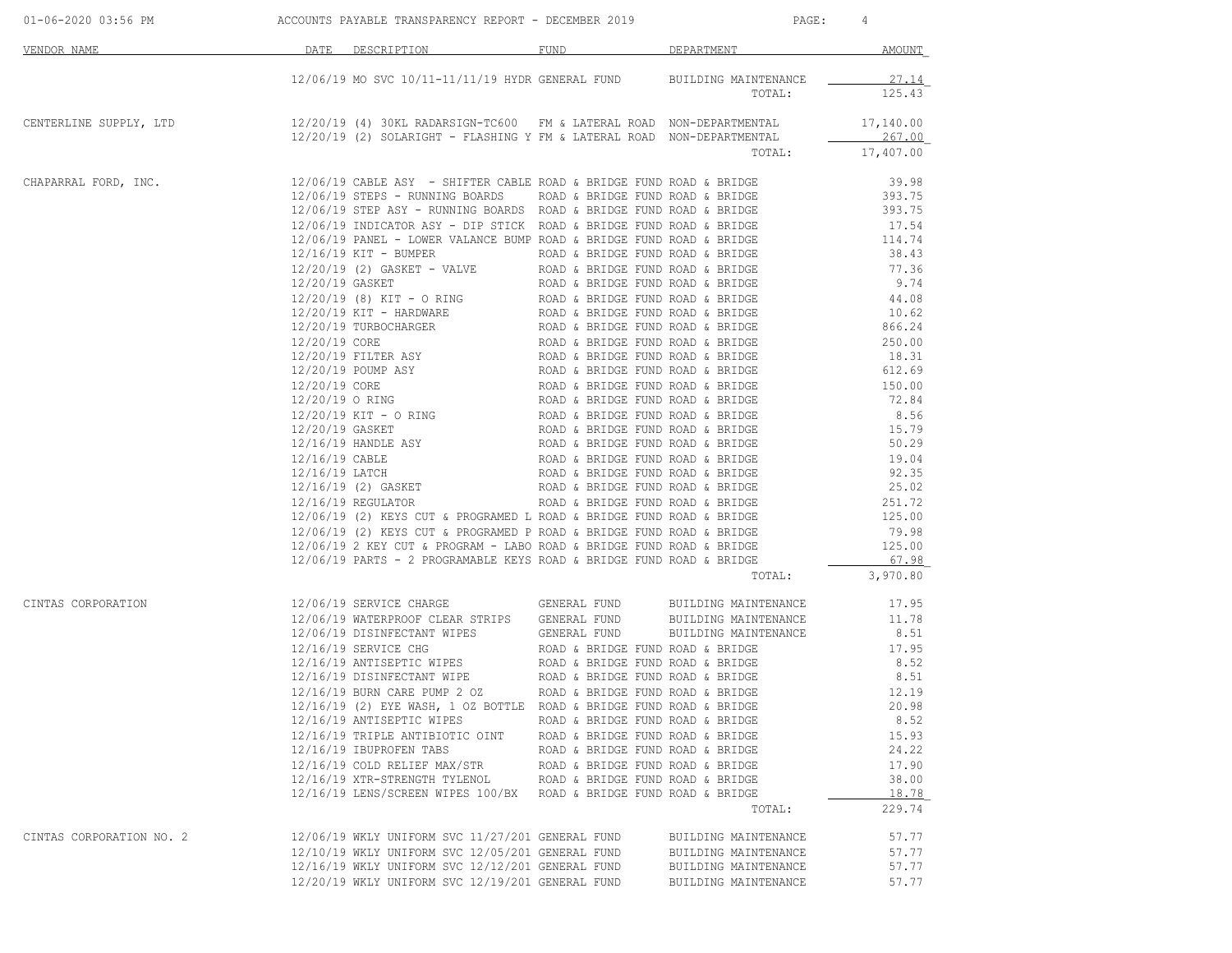|                          | 01-06-2020 03:56 PM ACCOUNTS PAYABLE TRANSPARENCY REPORT - DECEMBER 2019                                                                                                                                                                               |                                  | PAGE: 4                       |           |
|--------------------------|--------------------------------------------------------------------------------------------------------------------------------------------------------------------------------------------------------------------------------------------------------|----------------------------------|-------------------------------|-----------|
| VENDOR NAME              | DATE DESCRIPTION                                                                                                                                                                                                                                       |                                  | FUND <u>DEPARTMENT</u> AMOUNT |           |
|                          | 12/06/19 MO SVC 10/11-11/11/19 HYDR GENERAL FUND BUILDING MAINTENANCE                                                                                                                                                                                  |                                  |                               | 27.14     |
|                          |                                                                                                                                                                                                                                                        |                                  | TOTAL:                        | 125.43    |
|                          | CENTERLINE SUPPLY, LTD $12/20/19$ (4) 30KL RADARSIGN-TC600 FM & LATERAL ROAD NON-DEPARTMENTAL<br>$12/20/19$ (2) SOLARIGHT - FLASHING Y FM & LATERAL ROAD NON-DEPARTMENTAL                                                                              |                                  |                               | 17,140.00 |
|                          |                                                                                                                                                                                                                                                        |                                  |                               | 267.00    |
|                          |                                                                                                                                                                                                                                                        |                                  | TOTAL: 17,407.00              |           |
|                          | CHAPARRAL FORD, INC. $12/06/19$ CABLE ASY - SHIFTER CABLE ROAD & BRIDGE FUND ROAD & BRIDGE 39.98<br>12/06/19 STEPS - RUNNING BOARDS      ROAD & BRIDGE FUND ROAD & BRIDGE 393.75<br>12/06/19 STEP ASY - RUNNING BOARDS ROAD & BRIDG                    |                                  |                               |           |
|                          |                                                                                                                                                                                                                                                        |                                  |                               |           |
|                          |                                                                                                                                                                                                                                                        |                                  |                               |           |
|                          |                                                                                                                                                                                                                                                        |                                  |                               |           |
|                          |                                                                                                                                                                                                                                                        |                                  |                               |           |
|                          |                                                                                                                                                                                                                                                        |                                  |                               |           |
|                          |                                                                                                                                                                                                                                                        |                                  |                               |           |
|                          |                                                                                                                                                                                                                                                        |                                  |                               |           |
|                          |                                                                                                                                                                                                                                                        |                                  |                               |           |
|                          |                                                                                                                                                                                                                                                        |                                  |                               |           |
|                          |                                                                                                                                                                                                                                                        |                                  |                               |           |
|                          |                                                                                                                                                                                                                                                        |                                  |                               |           |
|                          |                                                                                                                                                                                                                                                        |                                  |                               |           |
|                          |                                                                                                                                                                                                                                                        |                                  |                               |           |
|                          |                                                                                                                                                                                                                                                        |                                  |                               |           |
|                          |                                                                                                                                                                                                                                                        |                                  |                               |           |
|                          |                                                                                                                                                                                                                                                        |                                  |                               |           |
|                          |                                                                                                                                                                                                                                                        |                                  |                               |           |
|                          |                                                                                                                                                                                                                                                        |                                  |                               |           |
|                          |                                                                                                                                                                                                                                                        |                                  |                               |           |
|                          |                                                                                                                                                                                                                                                        |                                  |                               |           |
|                          |                                                                                                                                                                                                                                                        |                                  |                               |           |
|                          |                                                                                                                                                                                                                                                        |                                  |                               |           |
|                          | 12/06/19 PARTS - 2 PROGRAMABLE KEYS ROAD & BRIDGE FUND ROAD & BRIDGE                                                                                                                                                                                   |                                  |                               | 67.98     |
|                          |                                                                                                                                                                                                                                                        |                                  | TOTAL:                        | 3,970.80  |
| CINTAS CORPORATION       |                                                                                                                                                                                                                                                        |                                  |                               |           |
|                          | 12/06/19 MATERPROOF CLEAR STRIPS<br>12/06/19 MATERPROOF CLEAR STRIPS<br>12/06/19 MATERPROOF CLEAR STRIPS<br>12/16/19 SERVICE CHG<br>12/16/19 SERVICE CHG<br>12/16/19 ANTISEPTIC WIPES<br>12/16/19 DISINFECTANT WIPE<br>12/16/19 DISINFECTANT WIPE<br>1 |                                  |                               |           |
|                          |                                                                                                                                                                                                                                                        |                                  |                               |           |
|                          |                                                                                                                                                                                                                                                        |                                  |                               |           |
|                          |                                                                                                                                                                                                                                                        |                                  |                               |           |
|                          |                                                                                                                                                                                                                                                        |                                  |                               |           |
|                          | 12/16/19 (2) EYE WASH, 1 OZ BOTTLE ROAD & BRIDGE FUND ROAD & BRIDGE 20.98                                                                                                                                                                              |                                  |                               |           |
|                          | 12/16/19 ANTISEPTIC WIPES ROAD & BRIDGE FUND ROAD & BRIDGE                                                                                                                                                                                             |                                  |                               | 8.52      |
|                          | 12/16/19 TRIPLE ANTIBIOTIC OINT ROAD & BRIDGE FUND ROAD & BRIDGE                                                                                                                                                                                       |                                  |                               | 15.93     |
|                          | 12/16/19 IBUPROFEN TABS                                                                                                                                                                                                                                | ROAD & BRIDGE FUND ROAD & BRIDGE |                               | 24.22     |
|                          | 12/16/19 COLD RELIEF MAX/STR ROAD & BRIDGE FUND ROAD & BRIDGE 12/16/19 XTR-STRENGTH TYLENOL ROAD & BRIDGE FUND ROAD & BRIDGE                                                                                                                           |                                  |                               | 17.90     |
|                          |                                                                                                                                                                                                                                                        |                                  |                               | 38.00     |
|                          | 12/16/19 LENS/SCREEN WIPES 100/BX ROAD & BRIDGE FUND ROAD & BRIDGE                                                                                                                                                                                     |                                  |                               | 18.78     |
|                          |                                                                                                                                                                                                                                                        |                                  | TOTAL:                        | 229.74    |
| CINTAS CORPORATION NO. 2 | 12/06/19 WKLY UNIFORM SVC 11/27/201 GENERAL FUND                                                                                                                                                                                                       |                                  | BUILDING MAINTENANCE          | 57.77     |
|                          | 12/10/19 WKLY UNIFORM SVC 12/05/201 GENERAL FUND                                                                                                                                                                                                       |                                  | BUILDING MAINTENANCE          | 57.77     |
|                          | 12/16/19 WKLY UNIFORM SVC 12/12/201 GENERAL FUND                                                                                                                                                                                                       |                                  | BUILDING MAINTENANCE          | 57.77     |
|                          | 12/20/19 WKLY UNIFORM SVC 12/19/201 GENERAL FUND                                                                                                                                                                                                       |                                  | BUILDING MAINTENANCE          | 57.77     |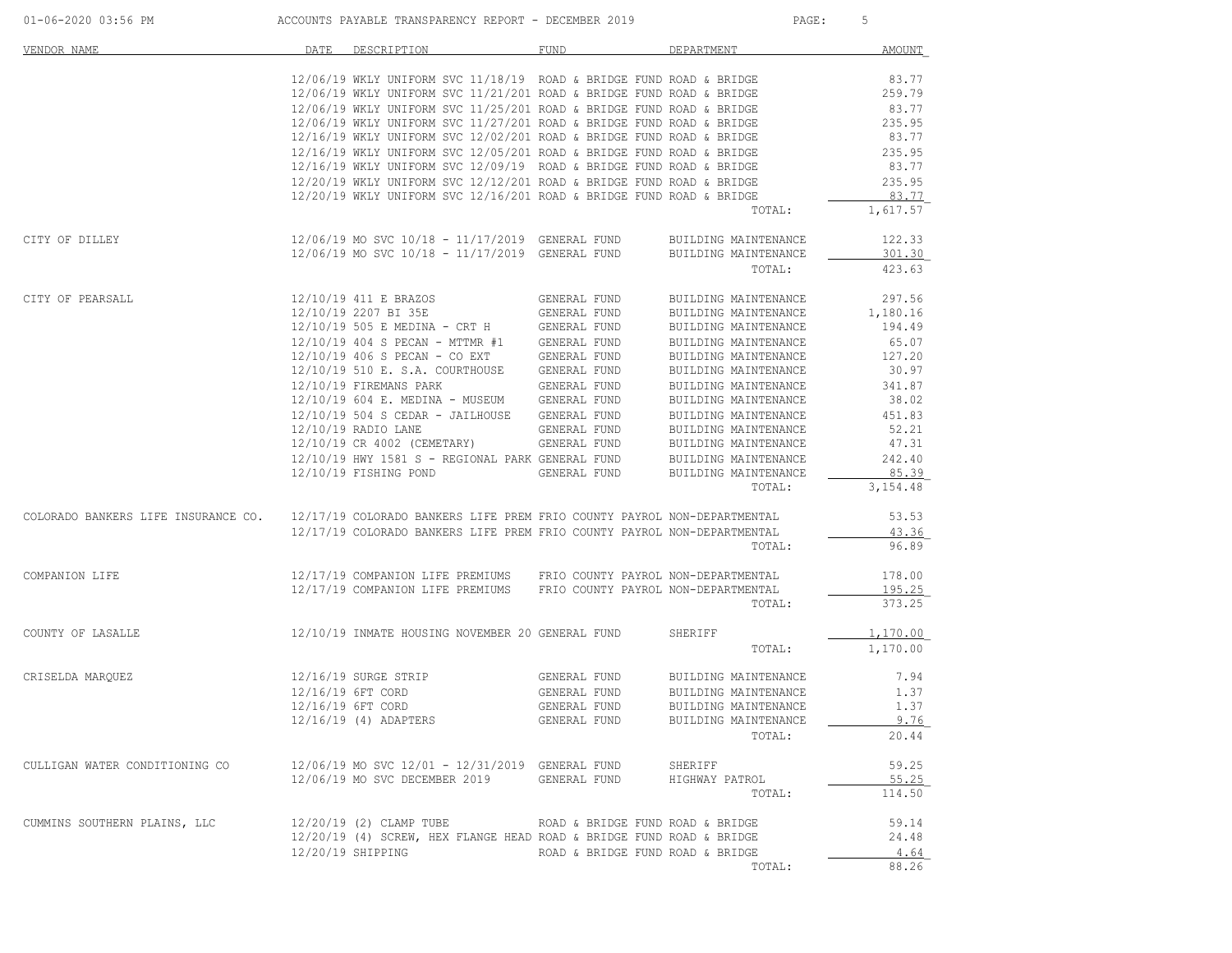| 01-06-2020 03:56 PM                 | ACCOUNTS PAYABLE TRANSPARENCY REPORT - DECEMBER 2019                                                                                      |                                  | PAGE:                             | 5             |
|-------------------------------------|-------------------------------------------------------------------------------------------------------------------------------------------|----------------------------------|-----------------------------------|---------------|
| VENDOR NAME                         | DATE DESCRIPTION                                                                                                                          | FUND                             | DEPARTMENT                        | <b>AMOUNT</b> |
|                                     | $12/06/19$ WKLY UNIFORM SVC $11/18/19$ ROAD & BRIDGE FUND ROAD & BRIDGE                                                                   |                                  |                                   | 83.77         |
|                                     | $12/06/19$ WKLY UNIFORM SVC $11/21/201$ ROAD & BRIDGE FUND ROAD & BRIDGE                                                                  |                                  |                                   | 259.79        |
|                                     | $12/06/19$ WKLY UNIFORM SVC $11/25/201$ ROAD & BRIDGE FUND ROAD & BRIDGE                                                                  |                                  |                                   | 83.77         |
|                                     | $12/06/19$ WKLY UNIFORM SVC $11/27/201$ ROAD & BRIDGE FUND ROAD & BRIDGE                                                                  |                                  |                                   | 235.95        |
|                                     | $12/16/19$ WKLY UNIFORM SVC $12/02/201$ ROAD & BRIDGE FUND ROAD & BRIDGE                                                                  |                                  |                                   | 83.77         |
|                                     | $12/16/19$ WKLY UNIFORM SVC $12/05/201$ ROAD & BRIDGE FUND ROAD & BRIDGE                                                                  |                                  |                                   | 235.95        |
|                                     | $12/16/19$ WKLY UNIFORM SVC $12/09/19$ ROAD & BRIDGE FUND ROAD & BRIDGE                                                                   |                                  |                                   | 83.77         |
|                                     | $12/20/19$ WKLY UNIFORM SVC $12/12/201$ ROAD & BRIDGE FUND ROAD & BRIDGE                                                                  |                                  |                                   | 235.95        |
|                                     | $12/20/19$ WKLY UNIFORM SVC $12/16/201$ ROAD & BRIDGE FUND ROAD & BRIDGE                                                                  |                                  |                                   | 83.77         |
|                                     |                                                                                                                                           |                                  | TOTAL:                            | 1,617.57      |
| CITY OF DILLEY                      | 12/06/19 MO SVC 10/18 - 11/17/2019 GENERAL FUND                                                                                           |                                  | BUILDING MAINTENANCE              | 122.33        |
|                                     | $12/06/19$ MO SVC $10/18$ - $11/17/2019$ GENERAL FUND                                                                                     |                                  | BUILDING MAINTENANCE              | 301.30        |
|                                     |                                                                                                                                           |                                  | TOTAL:                            | 423.63        |
| CITY OF PEARSALL                    | 12/10/19 411 E BRAZOS                                                                                                                     | GENERAL FUND                     | BUILDING MAINTENANCE              | 297.56        |
|                                     | $12/10/19 2207 \text{ BI } 35E$ GENERAL FUND<br>$12/10/19 505 \text{ E}$ MEDINA - CRT H GENERAL FUND                                      |                                  | BUILDING MAINTENANCE              | 1,180.16      |
|                                     |                                                                                                                                           |                                  | BUILDING MAINTENANCE              | 194.49        |
|                                     | $12/10/19$ 404 S PECAN - MTTMR #1 GENERAL FUND                                                                                            |                                  | BUILDING MAINTENANCE              | 65.07         |
|                                     | $12/10/19$ 406 S PECAN - CO EXT GENERAL FUND                                                                                              |                                  | BUILDING MAINTENANCE              | 127.20        |
|                                     | 12/10/19 510 E. S.A. COURTHOUSE GENERAL FUND                                                                                              |                                  | BUILDING MAINTENANCE              | 30.97         |
|                                     | $12/10/19 \mbox{ FIREMANS} \mbox{ PARK} \mbox{ GENERAL FUND} \label{eq:2}$ 12/10/19 604 E. MEDINA – MUSEUM GENERAL FUND                   |                                  | BUILDING MAINTENANCE              | 341.87        |
|                                     |                                                                                                                                           |                                  | BUILDING MAINTENANCE              | 38.02         |
|                                     | 12/10/19 504 S CEDAR - JAILHOUSE GENERAL FUND                                                                                             |                                  | BUILDING MAINTENANCE              | 451.83        |
|                                     | 12/10/19 RADIO LANE                                                                                                                       | GENERAL FUND                     | BUILDING MAINTENANCE              | 52.21         |
|                                     | $12/10/19$ CR $4002$ (CEMETARY) GENERAL FUND BUILDING MAINTENANCE $12/10/19$ HWY 1581 S - REGIONAL PARK GENERAL FUND BUILDING MAINTENANCE |                                  |                                   | 47.31         |
|                                     |                                                                                                                                           |                                  |                                   | 242.40        |
|                                     | 12/10/19 FISHING POND                                                                                                                     | GENERAL FUND                     | BUILDING MAINTENANCE              | 85.39         |
|                                     |                                                                                                                                           |                                  | TOTAL:                            | 3,154.48      |
| COLORADO BANKERS LIFE INSURANCE CO. | 12/17/19 COLORADO BANKERS LIFE PREM FRIO COUNTY PAYROL NON-DEPARTMENTAL                                                                   |                                  |                                   | 53.53         |
|                                     | 12/17/19 COLORADO BANKERS LIFE PREM FRIO COUNTY PAYROL NON-DEPARTMENTAL                                                                   |                                  |                                   | 43.36         |
|                                     |                                                                                                                                           |                                  | TOTAL:                            | 96.89         |
| COMPANION LIFE                      | 12/17/19 COMPANION LIFE PREMIUMS FRIO COUNTY PAYROL NON-DEPARTMENTAL                                                                      |                                  |                                   | 178.00        |
|                                     | 12/17/19 COMPANION LIFE PREMIUMS FRIO COUNTY PAYROL NON-DEPARTMENTAL                                                                      |                                  |                                   | 195.25        |
|                                     |                                                                                                                                           |                                  | TOTAL:                            | 373.25        |
| COUNTY OF LASALLE                   | 12/10/19 INMATE HOUSING NOVEMBER 20 GENERAL FUND                                                                                          |                                  | SHERIFF                           | 1,170.00      |
|                                     |                                                                                                                                           |                                  | TOTAL:                            | 1,170.00      |
| CRISELDA MARQUEZ                    | 12/16/19 SURGE STRIP                                                                                                                      |                                  | GENERAL FUND BUILDING MAINTENANCE | 7.94          |
|                                     | 12/16/19 6FT CORD                                                                                                                         | GENERAL FUND                     | BUILDING MAINTENANCE              | 1.37          |
|                                     | 12/16/19 6FT CORD                                                                                                                         | GENERAL FUND                     | BUILDING MAINTENANCE              | 1.37          |
|                                     | 12/16/19 (4) ADAPTERS                                                                                                                     | GENERAL FUND                     | BUILDING MAINTENANCE              | 9.76          |
|                                     |                                                                                                                                           |                                  | TOTAL:                            | 20.44         |
| CULLIGAN WATER CONDITIONING CO      | 12/06/19 MO SVC 12/01 - 12/31/2019 GENERAL FUND                                                                                           |                                  | SHERIFF                           | 59.25         |
|                                     | 12/06/19 MO SVC DECEMBER 2019 GENERAL FUND                                                                                                |                                  | HIGHWAY PATROL                    | 55.25         |
|                                     |                                                                                                                                           |                                  | TOTAL:                            | 114.50        |
| CUMMINS SOUTHERN PLAINS, LLC        | 12/20/19 (2) CLAMP TUBE                                                                                                                   | ROAD & BRIDGE FUND ROAD & BRIDGE |                                   | 59.14         |
|                                     | 12/20/19 (4) SCREW, HEX FLANGE HEAD ROAD & BRIDGE FUND ROAD & BRIDGE                                                                      |                                  |                                   | 24.48         |
|                                     | 12/20/19 SHIPPING                                                                                                                         | ROAD & BRIDGE FUND ROAD & BRIDGE |                                   | 4.64          |
|                                     |                                                                                                                                           |                                  | TOTAL:                            | 88.26         |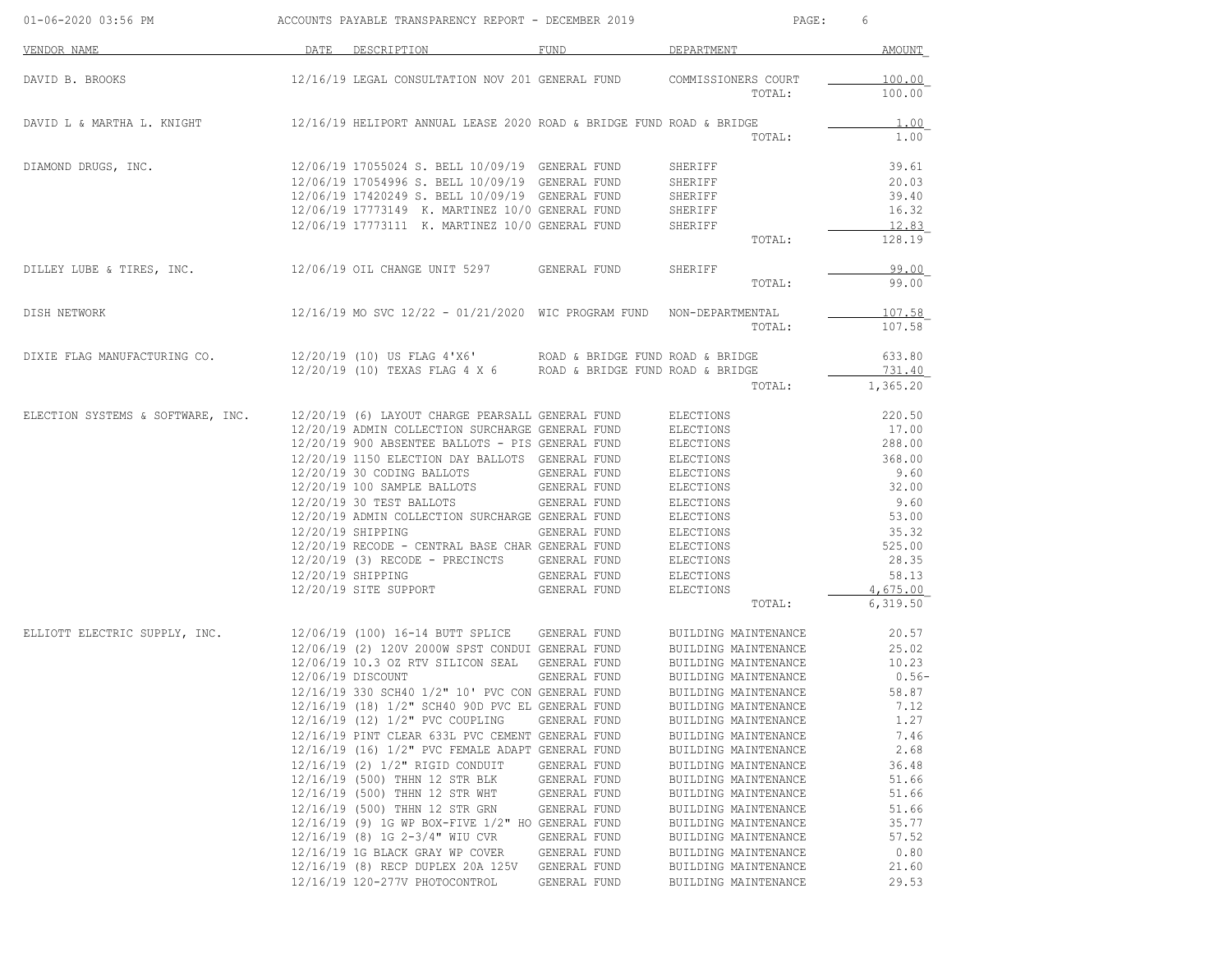| 01-06-2020 03:56 PM               | ACCOUNTS PAYABLE TRANSPARENCY REPORT - DECEMBER 2019 |                                                                                                                                                                                                                                                                                                                                                                                                                                                                                                                                                                                                                                                                                                                                                         |                                                                                                                                                                              | 6<br>PAGE:                                                                                                                                                                                                                                                                                                                                                                                                                                   |                                                                                                                                                             |  |
|-----------------------------------|------------------------------------------------------|---------------------------------------------------------------------------------------------------------------------------------------------------------------------------------------------------------------------------------------------------------------------------------------------------------------------------------------------------------------------------------------------------------------------------------------------------------------------------------------------------------------------------------------------------------------------------------------------------------------------------------------------------------------------------------------------------------------------------------------------------------|------------------------------------------------------------------------------------------------------------------------------------------------------------------------------|----------------------------------------------------------------------------------------------------------------------------------------------------------------------------------------------------------------------------------------------------------------------------------------------------------------------------------------------------------------------------------------------------------------------------------------------|-------------------------------------------------------------------------------------------------------------------------------------------------------------|--|
| VENDOR NAME                       | DATE                                                 | DESCRIPTION                                                                                                                                                                                                                                                                                                                                                                                                                                                                                                                                                                                                                                                                                                                                             | FUND                                                                                                                                                                         | DEPARTMENT                                                                                                                                                                                                                                                                                                                                                                                                                                   | AMOUNT                                                                                                                                                      |  |
| DAVID B. BROOKS                   |                                                      | 12/16/19 LEGAL CONSULTATION NOV 201 GENERAL FUND                                                                                                                                                                                                                                                                                                                                                                                                                                                                                                                                                                                                                                                                                                        |                                                                                                                                                                              | COMMISSIONERS COURT<br>TOTAL:                                                                                                                                                                                                                                                                                                                                                                                                                | 100.00<br>100.00                                                                                                                                            |  |
| DAVID L & MARTHA L. KNIGHT        |                                                      | 12/16/19 HELIPORT ANNUAL LEASE 2020 ROAD & BRIDGE FUND ROAD & BRIDGE                                                                                                                                                                                                                                                                                                                                                                                                                                                                                                                                                                                                                                                                                    |                                                                                                                                                                              | TOTAL:                                                                                                                                                                                                                                                                                                                                                                                                                                       | 1.00<br>1.00                                                                                                                                                |  |
| DIAMOND DRUGS, INC.               |                                                      | 12/06/19 17055024 S. BELL 10/09/19 GENERAL FUND<br>12/06/19 17054996 S. BELL 10/09/19 GENERAL FUND<br>12/06/19 17420249 S. BELL 10/09/19 GENERAL FUND<br>12/06/19 17773149 K. MARTINEZ 10/0 GENERAL FUND<br>12/06/19 17773111 K. MARTINEZ 10/0 GENERAL FUND                                                                                                                                                                                                                                                                                                                                                                                                                                                                                             |                                                                                                                                                                              | SHERIFF<br>SHERIFF<br>SHERIFF<br>SHERIFF<br>SHERIFF<br>TOTAL:                                                                                                                                                                                                                                                                                                                                                                                | 39.61<br>20.03<br>39.40<br>16.32<br>12.83<br>128.19                                                                                                         |  |
| DILLEY LUBE & TIRES, INC.         |                                                      | 12/06/19 OIL CHANGE UNIT 5297                                                                                                                                                                                                                                                                                                                                                                                                                                                                                                                                                                                                                                                                                                                           | GENERAL FUND                                                                                                                                                                 | SHERIFF<br>TOTAL:                                                                                                                                                                                                                                                                                                                                                                                                                            | 99.00<br>99.00                                                                                                                                              |  |
| DISH NETWORK                      |                                                      | $12/16/19$ MO SVC $12/22 - 01/21/2020$ WIC PROGRAM FUND                                                                                                                                                                                                                                                                                                                                                                                                                                                                                                                                                                                                                                                                                                 |                                                                                                                                                                              | NON-DEPARTMENTAL<br>TOTAL:                                                                                                                                                                                                                                                                                                                                                                                                                   | 107.58<br>107.58                                                                                                                                            |  |
| DIXIE FLAG MANUFACTURING CO.      |                                                      | 12/20/19 (10) US FLAG 4'X6' ROAD & BRIDGE FUND ROAD & BRIDGE<br>12/20/19 (10) TEXAS FLAG 4 X 6 ROAD & BRIDGE FUND ROAD & BRIDGE                                                                                                                                                                                                                                                                                                                                                                                                                                                                                                                                                                                                                         |                                                                                                                                                                              | TOTAL:                                                                                                                                                                                                                                                                                                                                                                                                                                       | 633.80<br>731.40<br>1,365.20                                                                                                                                |  |
| ELECTION SYSTEMS & SOFTWARE, INC. |                                                      | 12/20/19 (6) LAYOUT CHARGE PEARSALL GENERAL FUND<br>12/20/19 ADMIN COLLECTION SURCHARGE GENERAL FUND<br>12/20/19 900 ABSENTEE BALLOTS - PIS GENERAL FUND<br>12/20/19 1150 ELECTION DAY BALLOTS GENERAL FUND<br>12/20/19 30 CODING BALLOTS<br>12/20/19 100 SAMPLE BALLOTS<br>12/20/19 30 TEST BALLOTS<br>12/20/19 ADMIN COLLECTION SURCHARGE GENERAL FUND<br>12/20/19 SHIPPING<br>12/20/19 RECODE - CENTRAL BASE CHAR GENERAL FUND<br>12/20/19 (3) RECODE - PRECINCTS GENERAL FUND<br>12/20/19 SHIPPING<br>12/20/19 SITE SUPPORT                                                                                                                                                                                                                         | GENERAL FUND<br>GENERAL FUND<br>GENERAL FUND<br>GENERAL FUND<br>GENERAL FUND<br>GENERAL FUND                                                                                 | ELECTIONS<br>ELECTIONS<br>ELECTIONS<br>ELECTIONS<br>ELECTIONS<br>ELECTIONS<br>ELECTIONS<br>ELECTIONS<br>ELECTIONS<br>ELECTIONS<br>ELECTIONS<br>ELECTIONS<br>ELECTIONS<br>TOTAL:                                                                                                                                                                                                                                                              | 220.50<br>17.00<br>288.00<br>368.00<br>9.60<br>32.00<br>9.60<br>53.00<br>35.32<br>525.00<br>28.35<br>58.13<br>4,675.00<br>6,319.50                          |  |
| ELLIOTT ELECTRIC SUPPLY, INC.     |                                                      | 12/06/19 (100) 16-14 BUTT SPLICE GENERAL FUND<br>12/06/19 (2) 120V 2000W SPST CONDUI GENERAL FUND<br>12/06/19 10.3 OZ RTV SILICON SEAL<br>12/06/19 DISCOUNT<br>12/16/19 330 SCH40 1/2" 10' PVC CON GENERAL FUND<br>12/16/19 (18) 1/2" SCH40 90D PVC EL GENERAL FUND<br>12/16/19 (12) 1/2" PVC COUPLING<br>12/16/19 PINT CLEAR 633L PVC CEMENT GENERAL FUND<br>12/16/19 (16) 1/2" PVC FEMALE ADAPT GENERAL FUND<br>12/16/19 (2) 1/2" RIGID CONDUIT<br>12/16/19 (500) THHN 12 STR BLK<br>12/16/19 (500) THHN 12 STR WHT<br>12/16/19 (500) THHN 12 STR GRN<br>12/16/19 (9) 1G WP BOX-FIVE 1/2" HO GENERAL FUND<br>12/16/19 (8) 1G 2-3/4" WIU CVR<br>12/16/19 1G BLACK GRAY WP COVER<br>12/16/19 (8) RECP DUPLEX 20A 125V<br>12/16/19 120-277V PHOTOCONTROL | GENERAL FUND<br>GENERAL FUND<br>GENERAL FUND<br>GENERAL FUND<br>GENERAL FUND<br>GENERAL FUND<br>GENERAL FUND<br>GENERAL FUND<br>GENERAL FUND<br>GENERAL FUND<br>GENERAL FUND | BUILDING MAINTENANCE<br>BUILDING MAINTENANCE<br>BUILDING MAINTENANCE<br>BUILDING MAINTENANCE<br>BUILDING MAINTENANCE<br>BUILDING MAINTENANCE<br>BUILDING MAINTENANCE<br>BUILDING MAINTENANCE<br>BUILDING MAINTENANCE<br>BUILDING MAINTENANCE<br>BUILDING MAINTENANCE<br>BUILDING MAINTENANCE<br>BUILDING MAINTENANCE<br>BUILDING MAINTENANCE<br>BUILDING MAINTENANCE<br>BUILDING MAINTENANCE<br>BUILDING MAINTENANCE<br>BUILDING MAINTENANCE | 20.57<br>25.02<br>10.23<br>$0.56-$<br>58.87<br>7.12<br>1.27<br>7.46<br>2.68<br>36.48<br>51.66<br>51.66<br>51.66<br>35.77<br>57.52<br>0.80<br>21.60<br>29.53 |  |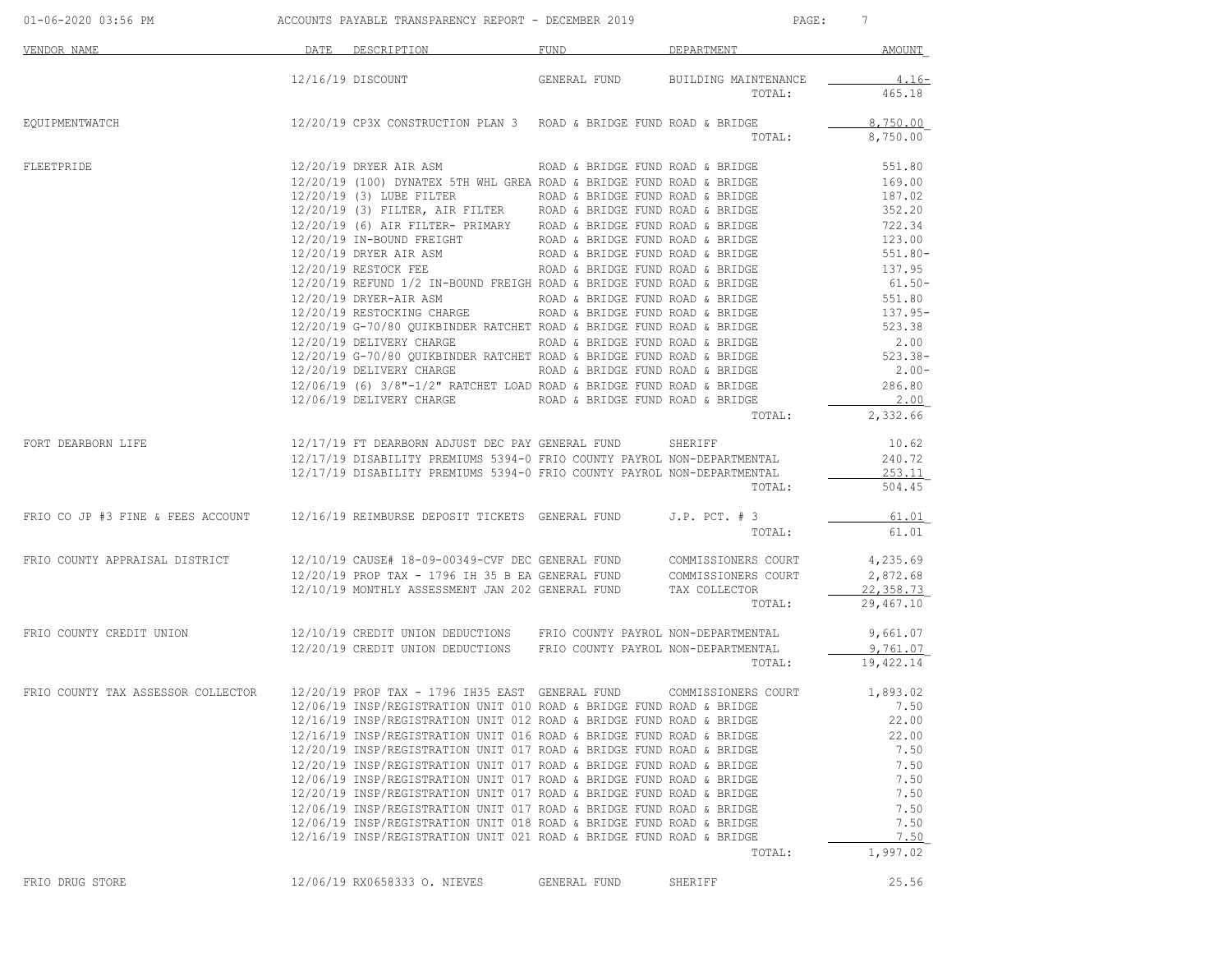| 01-06-2020 03:56 PM                                                                                    | ACCOUNTS PAYABLE TRANSPARENCY REPORT - DECEMBER 2019                                                                                                                                        |                                  | PAGE:                                                                          | $7\phantom{.0}$ |
|--------------------------------------------------------------------------------------------------------|---------------------------------------------------------------------------------------------------------------------------------------------------------------------------------------------|----------------------------------|--------------------------------------------------------------------------------|-----------------|
| <b>VENDOR NAME</b>                                                                                     | DATE DESCRIPTION                                                                                                                                                                            | FUND                             | DEPARTMENT                                                                     | <b>AMOUNT</b>   |
|                                                                                                        | 12/16/19 DISCOUNT                                                                                                                                                                           | GENERAL FUND                     | BUILDING MAINTENANCE                                                           | 4.16-           |
|                                                                                                        |                                                                                                                                                                                             |                                  | TOTAL:                                                                         | 465.18          |
| EQUIPMENTWATCH                                                                                         | $12/20/19$ CP3X CONSTRUCTION PLAN 3 ROAD & BRIDGE FUND ROAD & BRIDGE                                                                                                                        |                                  |                                                                                | 8,750.00        |
|                                                                                                        |                                                                                                                                                                                             |                                  | TOTAL:                                                                         | 8,750.00        |
| FLEETPRIDE                                                                                             | 12/20/19 DRYER AIR ASM                                                                                                                                                                      | ROAD & BRIDGE FUND ROAD & BRIDGE |                                                                                | 551.80          |
|                                                                                                        | 12/20/19 (100) DYNATEX 5TH WHL GREA ROAD & BRIDGE FUND ROAD & BRIDGE                                                                                                                        |                                  |                                                                                | 169.00          |
|                                                                                                        | 12/20/19 (3) LUBE FILTER                                                                                                                                                                    | ROAD & BRIDGE FUND ROAD & BRIDGE |                                                                                | 187.02          |
|                                                                                                        |                                                                                                                                                                                             |                                  |                                                                                | 352.20          |
|                                                                                                        | 12/20/19 (6) AIR FILTER- PRIMARY ROAD & BRIDGE FUND ROAD & BRIDGE                                                                                                                           |                                  |                                                                                | 722.34          |
|                                                                                                        | 12/20/19 IN-BOUND FREIGHT                                                                                                                                                                   |                                  | ROAD & BRIDGE FUND ROAD & BRIDGE<br>ROAD & BRIDGE FUND ROAD & BRIDGE           | 123.00          |
|                                                                                                        | 12/20/19 DRYER AIR ASM                                                                                                                                                                      | ROAD & BRIDGE FUND ROAD & BRIDGE |                                                                                | 551.80-         |
|                                                                                                        | $12/20/19$ RESTOCK FEE ROAD & BRIDGE FUND ROAD & BRIDGE                                                                                                                                     |                                  |                                                                                | 137.95          |
|                                                                                                        | 12/20/19 REFUND 1/2 IN-BOUND FREIGH ROAD & BRIDGE FUND ROAD & BRIDGE                                                                                                                        |                                  |                                                                                | $61.50 -$       |
|                                                                                                        | 12/20/19 DRYER-AIR ASM                                                                                                                                                                      |                                  | ND FREIGH ROAD & BRIDGE FUND ROAD & BRIDGE<br>ROAD & BRIDGE FUND ROAD & BRIDGE | 551.80          |
|                                                                                                        | 12/20/19 RESTOCKING CHARGE                                                                                                                                                                  | ROAD & BRIDGE FUND ROAD & BRIDGE |                                                                                | 137.95-         |
|                                                                                                        | 12/20/19 G-70/80 QUIKBINDER RATCHET ROAD & BRIDGE FUND ROAD & BRIDGE                                                                                                                        |                                  |                                                                                | 523.38          |
|                                                                                                        | 12/20/19 DELIVERY CHARGE                                                                                                                                                                    |                                  | ROAD & BRIDGE FUND ROAD & BRIDGE<br>ROAD & BRIDGE FUND ROAD & BRIDGE           | 2.00            |
|                                                                                                        | 12/20/19 G-70/80 OUIKBINDER RATCHET ROAD & BRIDGE FUND ROAD & BRIDGE                                                                                                                        |                                  |                                                                                | 523.38-         |
|                                                                                                        | 12/20/19 DELIVERY CHARGE                                                                                                                                                                    |                                  | ROAD & BRIDGE FUND ROAD & BRIDGE                                               | $2.00-$         |
|                                                                                                        | $12/06/19$ (6) $3/8$ "- $1/2$ " RATCHET LOAD ROAD & BRIDGE FUND ROAD & BRIDGE                                                                                                               |                                  |                                                                                | 286.80          |
|                                                                                                        | 12/06/19 DELIVERY CHARGE TO ROAD & BRIDGE FUND ROAD & BRIDGE                                                                                                                                |                                  |                                                                                | 2.00            |
|                                                                                                        |                                                                                                                                                                                             |                                  | TOTAL:                                                                         | 2,332.66        |
|                                                                                                        |                                                                                                                                                                                             |                                  |                                                                                |                 |
| FORT DEARBORN LIFE                                                                                     | 12/17/19 FT DEARBORN ADJUST DEC PAY GENERAL FUND                                                                                                                                            |                                  | SHERIFF                                                                        | 10.62           |
|                                                                                                        | 12/17/19 DISABILITY PREMIUMS 5394-0 FRIO COUNTY PAYROL NON-DEPARTMENTAL                                                                                                                     |                                  |                                                                                | 240.72          |
|                                                                                                        | 12/17/19 DISABILITY PREMIUMS 5394-0 FRIO COUNTY PAYROL NON-DEPARTMENTAL                                                                                                                     |                                  |                                                                                | 253.11          |
|                                                                                                        |                                                                                                                                                                                             |                                  | TOTAL:                                                                         | 504.45          |
| FRIO CO JP #3 FINE & FEES ACCOUNT 12/16/19 REIMBURSE DEPOSIT TICKETS GENERAL FUND                      |                                                                                                                                                                                             |                                  | $J.P.$ PCT. $# 3$                                                              | 61.01           |
|                                                                                                        |                                                                                                                                                                                             |                                  | TOTAL:                                                                         | 61.01           |
| FRIO COUNTY APPRAISAL DISTRICT                                                                         | 12/10/19 CAUSE# 18-09-00349-CVF DEC GENERAL FUND COMMISSIONERS COURT                                                                                                                        |                                  |                                                                                | 4,235.69        |
|                                                                                                        |                                                                                                                                                                                             |                                  |                                                                                | 2,872.68        |
|                                                                                                        | $12/20/19$ PROP TAX - 1796 IH 35 B EA GENERAL FUND COMMISSIONERS COURT $12/10/19$ MONTHLY ASSESSMENT JAN 202 GENERAL FUND TAX COLLECTOR<br>12/10/19 MONTHLY ASSESSMENT JAN 202 GENERAL FUND |                                  | TAX COLLECTOR                                                                  | 22,358.73       |
|                                                                                                        |                                                                                                                                                                                             |                                  | TOTAL:                                                                         | 29,467.10       |
| FRIO COUNTY CREDIT UNION                                                                               | 12/10/19 CREDIT UNION DEDUCTIONS FRIO COUNTY PAYROL NON-DEPARTMENTAL                                                                                                                        |                                  |                                                                                | 9,661.07        |
|                                                                                                        | 12/20/19 CREDIT UNION DEDUCTIONS FRIO COUNTY PAYROL NON-DEPARTMENTAL                                                                                                                        |                                  |                                                                                | 9,761.07        |
|                                                                                                        |                                                                                                                                                                                             |                                  | TOTAL:                                                                         | 19,422.14       |
| FRIO COUNTY TAX ASSESSOR COLLECTOR 12/20/19 PROP TAX - 1796 IH35 EAST GENERAL FUND COMMISSIONERS COURT |                                                                                                                                                                                             |                                  |                                                                                | 1,893.02        |
|                                                                                                        | 12/06/19 INSP/REGISTRATION UNIT 010 ROAD & BRIDGE FUND ROAD & BRIDGE                                                                                                                        |                                  |                                                                                | 7.50            |
|                                                                                                        | 12/16/19 INSP/REGISTRATION UNIT 012 ROAD & BRIDGE FUND ROAD & BRIDGE                                                                                                                        |                                  |                                                                                | 22.00           |
|                                                                                                        | 12/16/19 INSP/REGISTRATION UNIT 016 ROAD & BRIDGE FUND ROAD & BRIDGE                                                                                                                        |                                  |                                                                                | 22.00           |
|                                                                                                        | 12/20/19 INSP/REGISTRATION UNIT 017 ROAD & BRIDGE FUND ROAD & BRIDGE                                                                                                                        |                                  |                                                                                | 7.50            |
|                                                                                                        |                                                                                                                                                                                             |                                  |                                                                                |                 |
|                                                                                                        | 12/20/19 INSP/REGISTRATION UNIT 017 ROAD & BRIDGE FUND ROAD & BRIDGE<br>12/06/19 INSP/REGISTRATION UNIT 017 ROAD & BRIDGE FUND ROAD & BRIDGE                                                |                                  |                                                                                | 7.50<br>7.50    |
|                                                                                                        | 12/20/19 INSP/REGISTRATION UNIT 017 ROAD & BRIDGE FUND ROAD & BRIDGE                                                                                                                        |                                  |                                                                                | 7.50            |
|                                                                                                        |                                                                                                                                                                                             |                                  |                                                                                |                 |
|                                                                                                        | 12/06/19 INSP/REGISTRATION UNIT 017 ROAD & BRIDGE FUND ROAD & BRIDGE<br>12/06/19 INSP/REGISTRATION UNIT 018 ROAD & BRIDGE FUND ROAD & BRIDGE                                                |                                  |                                                                                | 7.50<br>7.50    |
|                                                                                                        | 12/16/19 INSP/REGISTRATION UNIT 021 ROAD & BRIDGE FUND ROAD & BRIDGE                                                                                                                        |                                  |                                                                                | 7.50            |
|                                                                                                        |                                                                                                                                                                                             |                                  | TOTAL:                                                                         | 1,997.02        |
|                                                                                                        |                                                                                                                                                                                             |                                  |                                                                                |                 |
| FRIO DRUG STORE                                                                                        | 12/06/19 RX0658333 O. NIEVES                                                                                                                                                                | GENERAL FUND                     | SHERIFF                                                                        | 25.56           |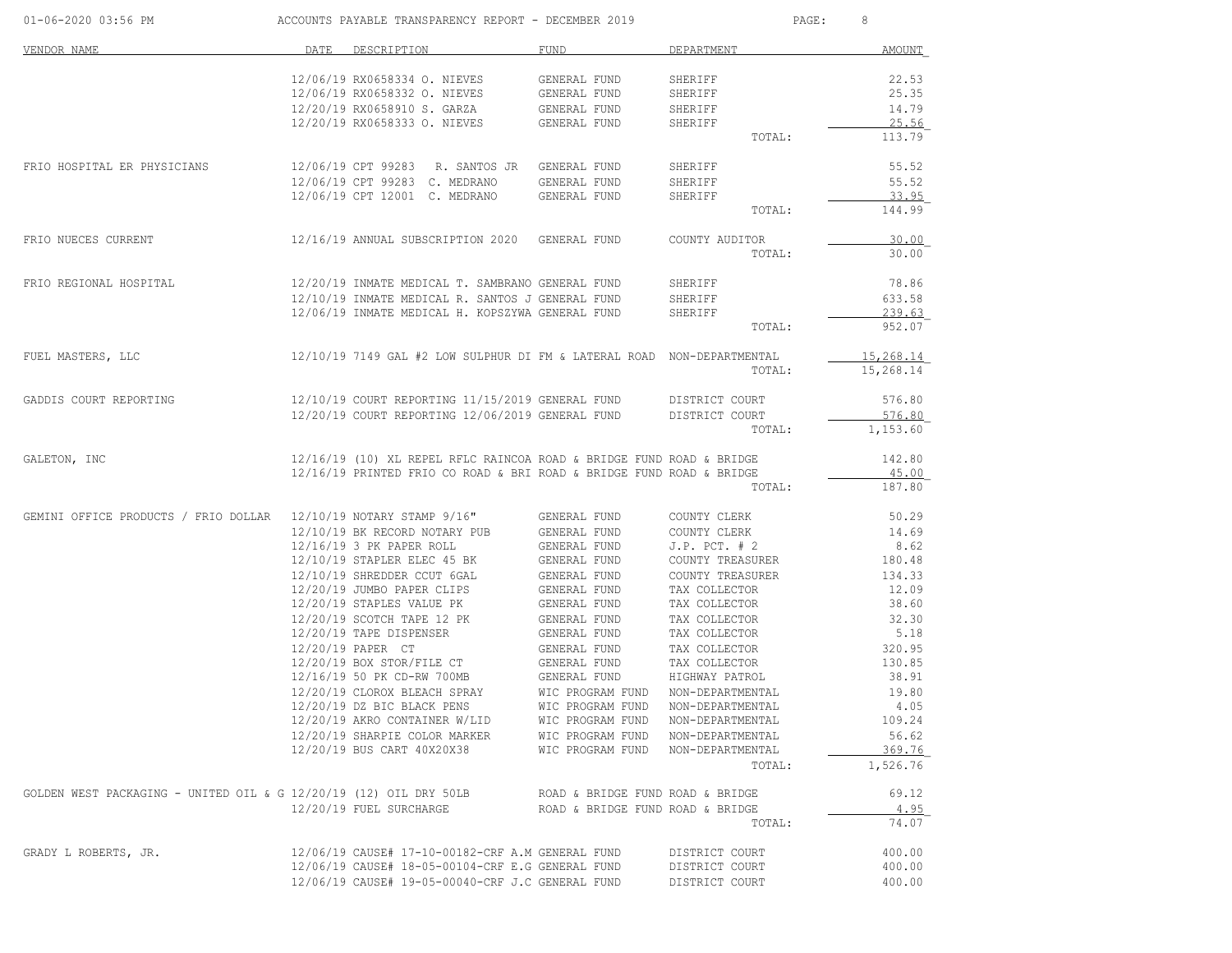| 01-06-2020 03:56 PM                                               |      | ACCOUNTS PAYABLE TRANSPARENCY REPORT - DECEMBER 2019                   |                                      | PAGE:                                | 8               |
|-------------------------------------------------------------------|------|------------------------------------------------------------------------|--------------------------------------|--------------------------------------|-----------------|
| VENDOR NAME                                                       | DATE | DESCRIPTION                                                            | FUND                                 | DEPARTMENT                           | <b>AMOUNT</b>   |
|                                                                   |      | 12/06/19 RX0658334 O. NIEVES                                           | GENERAL FUND                         | SHERIFF                              | 22.53           |
|                                                                   |      | 12/06/19 RX0658332 O. NIEVES                                           | GENERAL FUND                         | SHERIFF                              | 25.35           |
|                                                                   |      | 12/20/19 RX0658910 S. GARZA                                            | GENERAL FUND                         | SHERIFF                              | 14.79           |
|                                                                   |      | 12/20/19 RX0658333 O. NIEVES                                           | GENERAL FUND                         | SHERIFF                              | 25.56           |
|                                                                   |      |                                                                        |                                      | TOTAL:                               | 113.79          |
| FRIO HOSPITAL ER PHYSICIANS                                       |      | 12/06/19 CPT 99283 R. SANTOS JR GENERAL FUND                           |                                      | SHERIFF                              | 55.52           |
|                                                                   |      | 12/06/19 CPT 99283 C. MEDRANO                                          | GENERAL FUND                         | SHERIFF                              | 55.52           |
|                                                                   |      | 12/06/19 CPT 12001 C. MEDRANO                                          | GENERAL FUND                         | SHERIFF                              | 33.95           |
|                                                                   |      |                                                                        |                                      | TOTAL:                               | 144.99          |
| FRIO NUECES CURRENT                                               |      | 12/16/19 ANNUAL SUBSCRIPTION 2020 GENERAL FUND                         |                                      | COUNTY AUDITOR                       | 30.00           |
|                                                                   |      |                                                                        |                                      | TOTAL:                               | 30.00           |
| FRIO REGIONAL HOSPITAL                                            |      | 12/20/19 INMATE MEDICAL T. SAMBRANO GENERAL FUND                       |                                      | SHERIFF                              | 78.86           |
|                                                                   |      | 12/10/19 INMATE MEDICAL R. SANTOS J GENERAL FUND                       |                                      | SHERIFF                              | 633.58          |
|                                                                   |      | 12/06/19 INMATE MEDICAL H. KOPSZYWA GENERAL FUND                       |                                      | SHERIFF                              | 239.63          |
|                                                                   |      |                                                                        |                                      | TOTAL:                               | 952.07          |
| FUEL MASTERS, LLC                                                 |      | 12/10/19 7149 GAL #2 LOW SULPHUR DI FM & LATERAL ROAD NON-DEPARTMENTAL |                                      |                                      | 15,268.14       |
|                                                                   |      |                                                                        |                                      | TOTAL:                               | 15,268.14       |
| GADDIS COURT REPORTING                                            |      | 12/10/19 COURT REPORTING 11/15/2019 GENERAL FUND DISTRICT COURT        |                                      |                                      | 576.80          |
|                                                                   |      | 12/20/19 COURT REPORTING 12/06/2019 GENERAL FUND                       |                                      | DISTRICT COURT                       | 576.80          |
|                                                                   |      |                                                                        |                                      | TOTAL:                               | 1,153.60        |
| GALETON, INC                                                      |      | 12/16/19 (10) XL REPEL RFLC RAINCOA ROAD & BRIDGE FUND ROAD & BRIDGE   |                                      |                                      | 142.80          |
|                                                                   |      | 12/16/19 PRINTED FRIO CO ROAD & BRI ROAD & BRIDGE FUND ROAD & BRIDGE   |                                      |                                      | 45.00           |
|                                                                   |      |                                                                        |                                      | TOTAL:                               | 187.80          |
| GEMINI OFFICE PRODUCTS / FRIO DOLLAR 12/10/19 NOTARY STAMP 9/16"  |      |                                                                        | GENERAL FUND                         | COUNTY CLERK                         | 50.29           |
|                                                                   |      | 12/10/19 BK RECORD NOTARY PUB                                          | GENERAL FUND                         | COUNTY CLERK                         | 14.69           |
|                                                                   |      | 12/16/19 3 PK PAPER ROLL                                               | GENERAL FUND                         | $J.P.$ PCT. $# 2$                    | 8.62            |
|                                                                   |      | 12/10/19 STAPLER ELEC 45 BK                                            | GENERAL FUND                         | COUNTY TREASURER                     | 180.48          |
|                                                                   |      | 12/10/19 SHREDDER CCUT 6GAL<br>12/20/19 JUMBO PAPER CLIPS              | GENERAL FUND<br>GENERAL FUND         | COUNTY TREASURER<br>TAX COLLECTOR    | 134.33<br>12.09 |
|                                                                   |      | 12/20/19 STAPLES VALUE PK                                              | GENERAL FUND                         | TAX COLLECTOR                        | 38.60           |
|                                                                   |      | 12/20/19 SCOTCH TAPE 12 PK                                             | GENERAL FUND                         | TAX COLLECTOR                        | 32.30           |
|                                                                   |      | 12/20/19 TAPE DISPENSER                                                | GENERAL FUND                         | TAX COLLECTOR                        | 5.18            |
|                                                                   |      | 12/20/19 PAPER CT                                                      | GENERAL FUND                         | TAX COLLECTOR                        | 320.95          |
|                                                                   |      | 12/20/19 BOX STOR/FILE CT                                              | GENERAL FUND                         | TAX COLLECTOR                        | 130.85          |
|                                                                   |      | 12/16/19 50 PK CD-RW 700MB                                             | GENERAL FUND                         | HIGHWAY PATROL                       | 38.91           |
|                                                                   |      | 12/20/19 CLOROX BLEACH SPRAY                                           | WIC PROGRAM FUND                     | NON-DEPARTMENTAL                     | 19.80           |
|                                                                   |      | 12/20/19 DZ BIC BLACK PENS                                             | WIC PROGRAM FUND                     | NON-DEPARTMENTAL                     | 4.05            |
|                                                                   |      | 12/20/19 AKRO CONTAINER W/LID                                          | WIC PROGRAM FUND                     | NON-DEPARTMENTAL                     | 109.24          |
|                                                                   |      | 12/20/19 SHARPIE COLOR MARKER<br>12/20/19 BUS CART 40X20X38            | WIC PROGRAM FUND<br>WIC PROGRAM FUND | NON-DEPARTMENTAL<br>NON-DEPARTMENTAL | 56.62<br>369.76 |
|                                                                   |      |                                                                        |                                      | TOTAL:                               | 1,526.76        |
|                                                                   |      |                                                                        |                                      |                                      |                 |
| GOLDEN WEST PACKAGING - UNITED OIL & G 12/20/19 (12) OIL DRY 50LB |      |                                                                        | ROAD & BRIDGE FUND ROAD & BRIDGE     |                                      | 69.12           |
|                                                                   |      | 12/20/19 FUEL SURCHARGE                                                | ROAD & BRIDGE FUND ROAD & BRIDGE     | TOTAL:                               | 4.95<br>74.07   |
|                                                                   |      |                                                                        |                                      |                                      |                 |
| GRADY L ROBERTS, JR.                                              |      | 12/06/19 CAUSE# 17-10-00182-CRF A.M GENERAL FUND                       |                                      | DISTRICT COURT                       | 400.00          |
|                                                                   |      | 12/06/19 CAUSE# 18-05-00104-CRF E.G GENERAL FUND                       |                                      | DISTRICT COURT                       | 400.00          |
|                                                                   |      | 12/06/19 CAUSE# 19-05-00040-CRF J.C GENERAL FUND                       |                                      | DISTRICT COURT                       | 400.00          |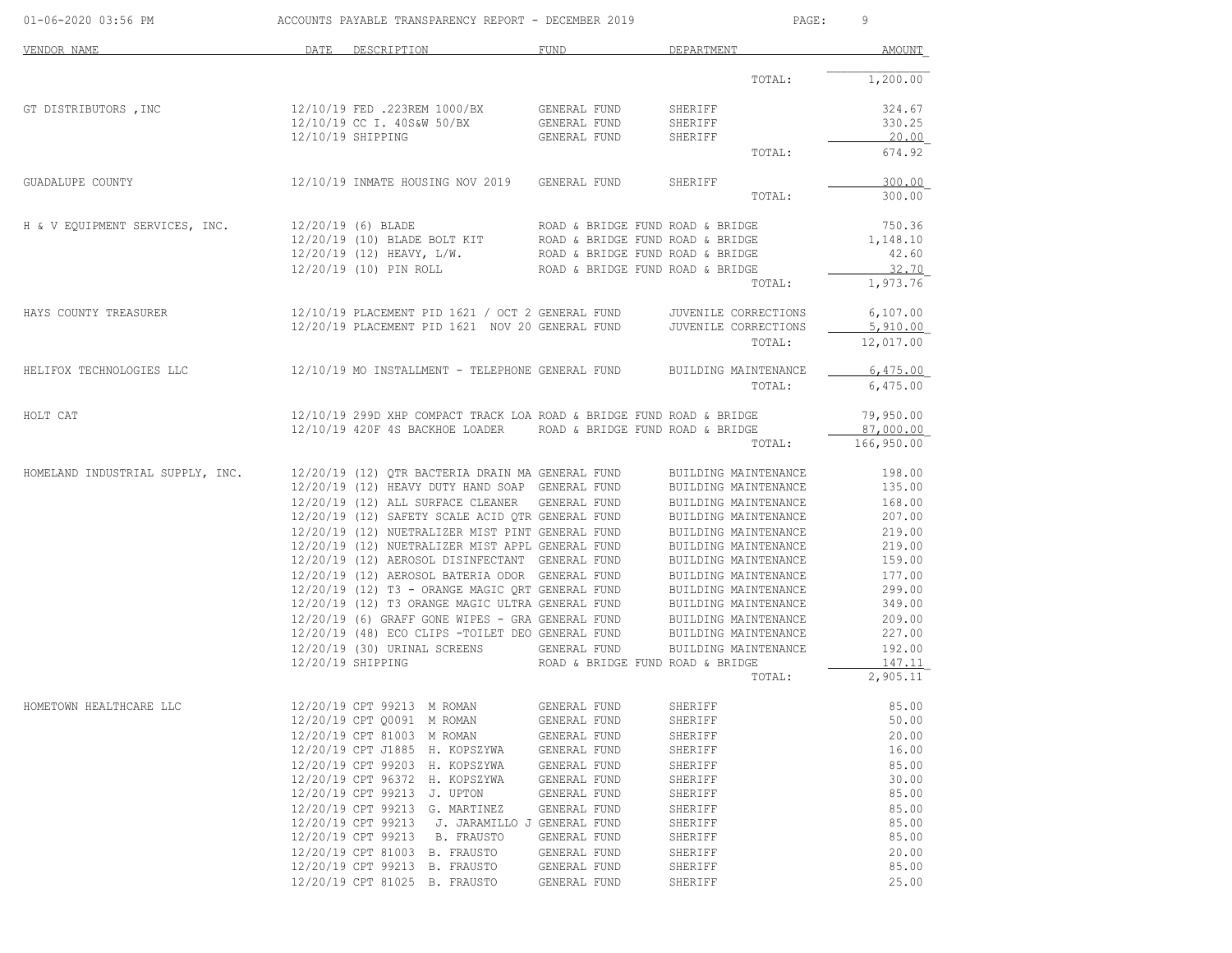| 01-06-2020 03:56 PM                                                                                                                                                                                                                                                                                                                                                                                                                               | ACCOUNTS PAYABLE TRANSPARENCY REPORT - DECEMBER 2019 |                                                                                                                                                                                                                                            |                              | PAGE:<br>9                                               |                                |  |
|---------------------------------------------------------------------------------------------------------------------------------------------------------------------------------------------------------------------------------------------------------------------------------------------------------------------------------------------------------------------------------------------------------------------------------------------------|------------------------------------------------------|--------------------------------------------------------------------------------------------------------------------------------------------------------------------------------------------------------------------------------------------|------------------------------|----------------------------------------------------------|--------------------------------|--|
| VENDOR NAME                                                                                                                                                                                                                                                                                                                                                                                                                                       | DATE                                                 | DESCRIPTION                                                                                                                                                                                                                                | FUND                         | DEPARTMENT                                               | AMOUNT                         |  |
|                                                                                                                                                                                                                                                                                                                                                                                                                                                   |                                                      |                                                                                                                                                                                                                                            |                              | TOTAL:                                                   | 1,200.00                       |  |
| GT DISTRIBUTORS , INC $12/10/19$ FED .223REM 1000/BX GENERAL FUND                                                                                                                                                                                                                                                                                                                                                                                 |                                                      |                                                                                                                                                                                                                                            |                              | SHERIFF                                                  | 324.67                         |  |
|                                                                                                                                                                                                                                                                                                                                                                                                                                                   |                                                      | 12/10/19 CC I. 40S&W 50/BX GENERAL FUND<br>12/10/19 SHIPPING GENERAL FUND                                                                                                                                                                  |                              | SHERIFF<br>SHERIFF                                       | 330.25<br>20.00                |  |
|                                                                                                                                                                                                                                                                                                                                                                                                                                                   |                                                      |                                                                                                                                                                                                                                            |                              | TOTAL:                                                   | 674.92                         |  |
| GUADALUPE COUNTY $12/10/19$ INMATE HOUSING NOV 2019 GENERAL FUND                                                                                                                                                                                                                                                                                                                                                                                  |                                                      |                                                                                                                                                                                                                                            |                              | SHERIFF                                                  | 300.00                         |  |
|                                                                                                                                                                                                                                                                                                                                                                                                                                                   |                                                      |                                                                                                                                                                                                                                            |                              | TOTAL:                                                   | 300.00                         |  |
| $\begin{tabular}{lllllllllllll} \textsc{H} & $\&$V$ EQUIPMENT SERVICES, INC. & $\color{red}12/20/19$ & $\color{red}(6)$ BLADE & $BCLT$ & $KOD & $\color{red}(6)$ BLADE BOLT KIT & $ROAD & $\color{red}(8)$ BRIDGE FUND ROAD & $\color{red}(8)$ BRIDGE FUND ROAD & $BRIDGE & $1,148.10 & $12/20/19$ & $\color{red}(10)$ BLADE BOLT KIT & $ROAD & $\color{red}(8)$ BRIDGE FUND ROAD & $BRIDGE & $1,148.10 & $12/20/19$ & $\color{red}(10)$ PIN ROL$ |                                                      |                                                                                                                                                                                                                                            |                              |                                                          |                                |  |
|                                                                                                                                                                                                                                                                                                                                                                                                                                                   |                                                      |                                                                                                                                                                                                                                            |                              |                                                          |                                |  |
|                                                                                                                                                                                                                                                                                                                                                                                                                                                   |                                                      |                                                                                                                                                                                                                                            |                              |                                                          |                                |  |
|                                                                                                                                                                                                                                                                                                                                                                                                                                                   |                                                      |                                                                                                                                                                                                                                            |                              | TOTAL:                                                   | 1,973.76                       |  |
|                                                                                                                                                                                                                                                                                                                                                                                                                                                   |                                                      |                                                                                                                                                                                                                                            |                              |                                                          | 6,107.00                       |  |
| HAYS COUNTY TREASURER 12/10/19 PLACEMENT PID 1621 / OCT 2 GENERAL FUND JUVENILE CORRECTIONS<br>12/20/19 PLACEMENT PID 1621 NOV 20 GENERAL FUND JUVENILE CORRECTIONS                                                                                                                                                                                                                                                                               |                                                      |                                                                                                                                                                                                                                            |                              |                                                          | 5,910.00                       |  |
|                                                                                                                                                                                                                                                                                                                                                                                                                                                   |                                                      |                                                                                                                                                                                                                                            |                              | TOTAL:                                                   | 12,017.00                      |  |
| HELIFOX TECHNOLOGIES LLC<br>12/10/19 MO INSTALLMENT - TELEPHONE GENERAL FUND BUILDING MAINTENANCE                                                                                                                                                                                                                                                                                                                                                 |                                                      |                                                                                                                                                                                                                                            |                              |                                                          | 6,475.00                       |  |
|                                                                                                                                                                                                                                                                                                                                                                                                                                                   |                                                      |                                                                                                                                                                                                                                            |                              | TOTAL:                                                   | 6,475.00                       |  |
| HOLT CAT                                                                                                                                                                                                                                                                                                                                                                                                                                          |                                                      | 12/10/19 299D XHP COMPACT TRACK LOA ROAD & BRIDGE FUND ROAD & BRIDGE                                                                                                                                                                       |                              |                                                          | 79,950.00                      |  |
|                                                                                                                                                                                                                                                                                                                                                                                                                                                   |                                                      | 12/10/19 420F 4S BACKHOE LOADER ROAD & BRIDGE FUND ROAD & BRIDGE                                                                                                                                                                           |                              |                                                          | 87,000.00<br>TOTAL: 166,950.00 |  |
|                                                                                                                                                                                                                                                                                                                                                                                                                                                   |                                                      |                                                                                                                                                                                                                                            |                              |                                                          |                                |  |
| ${\small \hbox{HOMELAND INDUSTRIAL SUPPLY,\quad INC.\quad$12/20/19$ (12) QTR BACTERIA DRAIN MA GENERAL FUND\n    12/20/19$ (12) HERAY DUTY HAND SOAP GENERAL FUND\n    12/20/19$ (12) ALL SURFACE CLEANER GENERAL FUND\n    12/20/19$ (12) ALL SURFACE CLEANER GENERRAL FUND\n    12/20/19$ (12) SAFFTY SCALE ACID QTR GENERAL FUND\n    207.00\n    12/20/19$ (12) NUETRALIZER MIST PINT GENERAL FUND\n    219.00$                               |                                                      |                                                                                                                                                                                                                                            |                              |                                                          |                                |  |
|                                                                                                                                                                                                                                                                                                                                                                                                                                                   |                                                      |                                                                                                                                                                                                                                            |                              |                                                          |                                |  |
|                                                                                                                                                                                                                                                                                                                                                                                                                                                   |                                                      |                                                                                                                                                                                                                                            |                              |                                                          |                                |  |
|                                                                                                                                                                                                                                                                                                                                                                                                                                                   |                                                      |                                                                                                                                                                                                                                            |                              |                                                          |                                |  |
|                                                                                                                                                                                                                                                                                                                                                                                                                                                   |                                                      | 12/20/19 (12) NUETRALIZER MIST APPL GENERAL FUND                                                                                                                                                                                           |                              | BUILDING MAINTENANCE                                     | 219.00                         |  |
|                                                                                                                                                                                                                                                                                                                                                                                                                                                   |                                                      | 12/20/19 (12) AEROSOL DISINFECTANT GENERAL FUND                                                                                                                                                                                            |                              | BUILDING MAINTENANCE                                     | 159.00                         |  |
|                                                                                                                                                                                                                                                                                                                                                                                                                                                   |                                                      |                                                                                                                                                                                                                                            |                              | BUILDING MAINTENANCE 177.00<br>BUILDING MAINTENANCE      | 299.00                         |  |
|                                                                                                                                                                                                                                                                                                                                                                                                                                                   |                                                      |                                                                                                                                                                                                                                            |                              | BUILDING MAINTENANCE 349.00                              |                                |  |
|                                                                                                                                                                                                                                                                                                                                                                                                                                                   |                                                      | 12/20/19 (12) AEROSOL BATERIA ODOR GENERAL FUND<br>12/20/19 (12) AEROSOL BATERIA ODOR GENERAL FUND<br>12/20/19 (12) T3 - ORANGE MAGIC QRT GENERAL FUND<br>12/20/19 (6) GRAFF GONE WIPES - GRA GENERAL FUND<br>12/20/19 (48) ECO CLIPS -TOI |                              | BUILDING MAINTENANCE<br>BUILDING MAINTENANCE             | 209.00                         |  |
|                                                                                                                                                                                                                                                                                                                                                                                                                                                   |                                                      |                                                                                                                                                                                                                                            |                              |                                                          | 227.00                         |  |
|                                                                                                                                                                                                                                                                                                                                                                                                                                                   |                                                      | 12/20/19 (30) URINAL SCREENS GENERAL FUND<br>12/20/19 SHIPPING                                                                                                                                                                             |                              | BUILDING MAINTENANCE<br>ROAD & BRIDGE FUND ROAD & BRIDGE | 192.00<br>147.11               |  |
|                                                                                                                                                                                                                                                                                                                                                                                                                                                   |                                                      |                                                                                                                                                                                                                                            |                              | TOTAL:                                                   | 2,905.11                       |  |
| HOMETOWN HEALTHCARE LLC                                                                                                                                                                                                                                                                                                                                                                                                                           |                                                      |                                                                                                                                                                                                                                            |                              | SHERIFF                                                  | 85.00                          |  |
|                                                                                                                                                                                                                                                                                                                                                                                                                                                   |                                                      | 12/20/19 CPT Q0091 M ROMAN                                                                                                                                                                                                                 | GENERAL FUND                 | SHERIFF                                                  | 50.00                          |  |
|                                                                                                                                                                                                                                                                                                                                                                                                                                                   |                                                      | 12/20/19 CPT 81003<br>M ROMAN                                                                                                                                                                                                              | GENERAL FUND                 | SHERIFF                                                  | 20.00                          |  |
|                                                                                                                                                                                                                                                                                                                                                                                                                                                   |                                                      | 12/20/19 CPT J1885<br>H. KOPSZYWA                                                                                                                                                                                                          | GENERAL FUND                 | SHERIFF                                                  | 16.00                          |  |
|                                                                                                                                                                                                                                                                                                                                                                                                                                                   |                                                      | 12/20/19 CPT 99203<br>H. KOPSZYWA<br>12/20/19 CPT 96372<br>H. KOPSZYWA                                                                                                                                                                     | GENERAL FUND<br>GENERAL FUND | SHERIFF<br>SHERIFF                                       | 85.00<br>30.00                 |  |
|                                                                                                                                                                                                                                                                                                                                                                                                                                                   |                                                      | 12/20/19 CPT 99213<br>J. UPTON                                                                                                                                                                                                             | GENERAL FUND                 | SHERIFF                                                  | 85.00                          |  |
|                                                                                                                                                                                                                                                                                                                                                                                                                                                   |                                                      | 12/20/19 CPT 99213<br>G. MARTINEZ                                                                                                                                                                                                          | GENERAL FUND                 | SHERIFF                                                  | 85.00                          |  |
|                                                                                                                                                                                                                                                                                                                                                                                                                                                   |                                                      | 12/20/19 CPT 99213<br>J. JARAMILLO J                                                                                                                                                                                                       | GENERAL FUND                 | SHERIFF                                                  | 85.00                          |  |
|                                                                                                                                                                                                                                                                                                                                                                                                                                                   |                                                      | 12/20/19 CPT 99213<br>B. FRAUSTO                                                                                                                                                                                                           | GENERAL FUND                 | SHERIFF                                                  | 85.00                          |  |
|                                                                                                                                                                                                                                                                                                                                                                                                                                                   |                                                      | 12/20/19 CPT 81003<br>B. FRAUSTO                                                                                                                                                                                                           | GENERAL FUND                 | SHERIFF                                                  | 20.00                          |  |
|                                                                                                                                                                                                                                                                                                                                                                                                                                                   |                                                      | 12/20/19 CPT 99213 B. FRAUSTO<br>12/20/19 CPT 81025 B. FRAUSTO                                                                                                                                                                             | GENERAL FUND<br>GENERAL FUND | SHERIFF<br>SHERIFF                                       | 85.00<br>25.00                 |  |
|                                                                                                                                                                                                                                                                                                                                                                                                                                                   |                                                      |                                                                                                                                                                                                                                            |                              |                                                          |                                |  |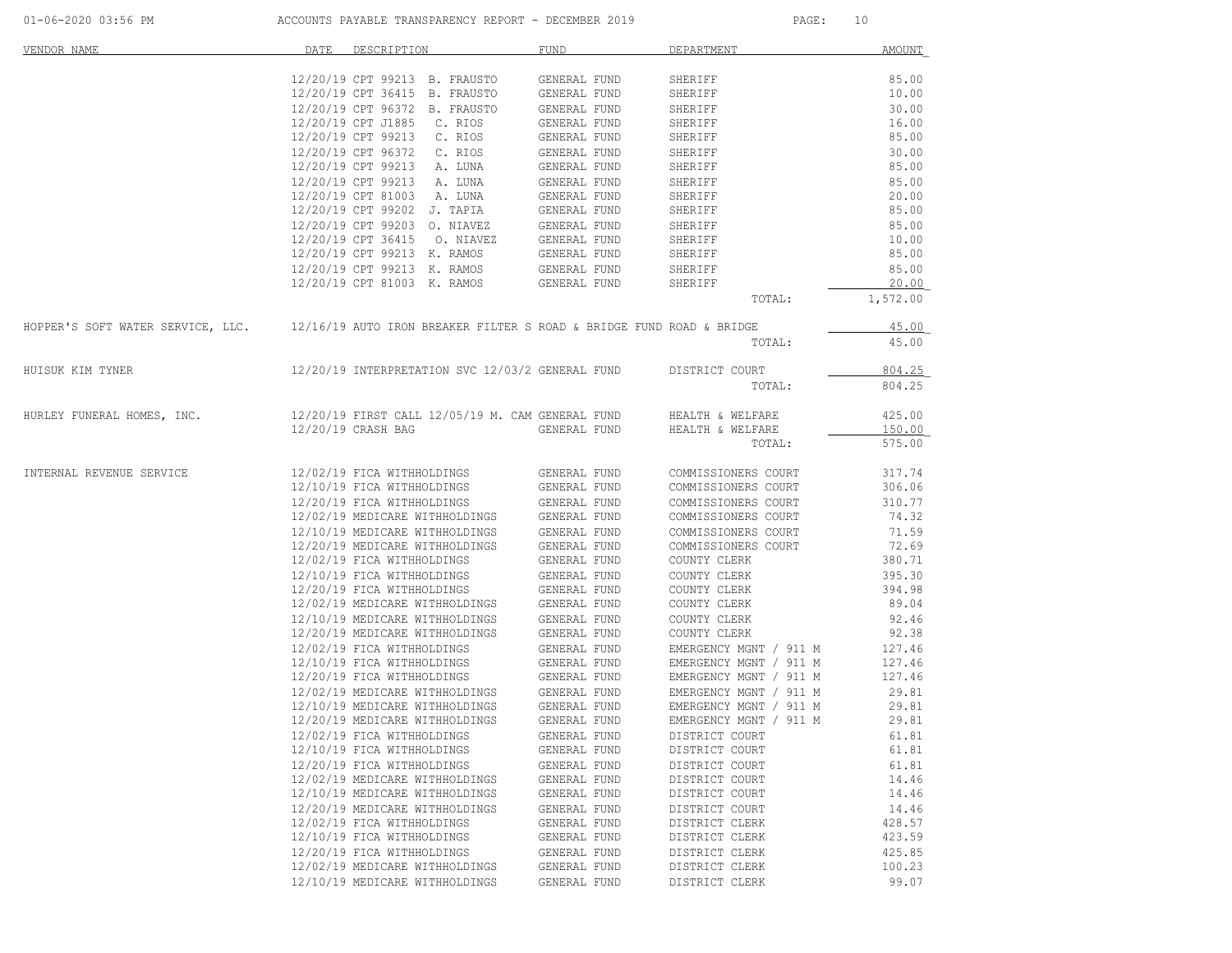| VENDOR NAME                                                                                            | DATE<br>DESCRIPTION            |                                                                                                                                                          | <b>FUND</b>                  | DEPARTMENT                                                                                            | AMOUNT   |
|--------------------------------------------------------------------------------------------------------|--------------------------------|----------------------------------------------------------------------------------------------------------------------------------------------------------|------------------------------|-------------------------------------------------------------------------------------------------------|----------|
|                                                                                                        |                                |                                                                                                                                                          |                              |                                                                                                       |          |
|                                                                                                        |                                | 12/20/19 CPT 99213 B. FRAUSTO                                                                                                                            | GENERAL FUND                 | SHERIFF                                                                                               | 85.00    |
|                                                                                                        | 12/20/19 CPT 36415 B. FRAUSTO  |                                                                                                                                                          | GENERAL FUND                 | SHERIFF                                                                                               | 10.00    |
|                                                                                                        | 12/20/19 CPT 96372 B. FRAUSTO  |                                                                                                                                                          | GENERAL FUND                 | SHERIFF                                                                                               | 30.00    |
|                                                                                                        | 12/20/19 CPT J1885 C. RIOS     |                                                                                                                                                          | GENERAL FUND                 | SHERIFF                                                                                               | 16.00    |
|                                                                                                        | 12/20/19 CPT 99213 C. RIOS     |                                                                                                                                                          | GENERAL FUND                 | SHERIFF                                                                                               | 85.00    |
|                                                                                                        |                                | 12/20/19 CPT 96372 C. RIOS                                                                                                                               | GENERAL FUND                 | SHERIFF                                                                                               | 30.00    |
|                                                                                                        | 12/20/19 CPT 99213 A. LUNA     |                                                                                                                                                          | GENERAL FUND                 | SHERIFF                                                                                               | 85.00    |
|                                                                                                        | 12/20/19 CPT 99213 A. LUNA     |                                                                                                                                                          | GENERAL FUND                 | SHERIFF                                                                                               | 85.00    |
|                                                                                                        |                                | 12/20/19 CPT 81003 A. LUNA<br>10/00/10 CPT 99202 J. TAPIA                                                                                                | GENERAL FUND                 | SHERIFF                                                                                               | 20.00    |
|                                                                                                        | 12/20/19 CPT 99202 J. TAPIA    |                                                                                                                                                          | GENERAL FUND                 | SHERIFF                                                                                               | 85.00    |
|                                                                                                        |                                | 12/20/19 CPT 99203 O. NIAVEZ                                                                                                                             | GENERAL FUND                 | SHERIFF                                                                                               | 85.00    |
|                                                                                                        |                                | 12/20/19 CPT 36415 0. NIAVEZ                                                                                                                             | GENERAL FUND                 | SHERIFF                                                                                               | 10.00    |
|                                                                                                        |                                | 12/20/19 CPT 99213 K. RAMOS                                                                                                                              | GENERAL FUND                 | SHERIFF                                                                                               | 85.00    |
|                                                                                                        |                                |                                                                                                                                                          |                              | $12/20/19$ CPT 99213 K. RAMOS GENERAL FUND SHERIFF $12/20/19$ CPT 81003 K. RAMOS GENERAL FUND SHERIFF | 85.00    |
|                                                                                                        |                                |                                                                                                                                                          |                              |                                                                                                       | 20.00    |
|                                                                                                        |                                |                                                                                                                                                          |                              | TOTAL:                                                                                                | 1,572.00 |
| HOPPER'S SOFT WATER SERVICE, LLC. 12/16/19 AUTO IRON BREAKER FILTER S ROAD & BRIDGE FUND ROAD & BRIDGE |                                |                                                                                                                                                          |                              |                                                                                                       | 45.00    |
|                                                                                                        |                                |                                                                                                                                                          |                              | TOTAL:                                                                                                | 45.00    |
|                                                                                                        |                                |                                                                                                                                                          |                              |                                                                                                       |          |
| HUISUK KIM TYNER                                                                                       |                                | 12/20/19 INTERPRETATION SVC 12/03/2 GENERAL FUND DISTRICT COURT                                                                                          |                              |                                                                                                       | 804.25   |
|                                                                                                        |                                |                                                                                                                                                          |                              | TOTAL:                                                                                                | 804.25   |
| HURLEY FUNERAL HOMES, INC. 12/20/19 FIRST CALL 12/05/19 M. CAM GENERAL FUND HEALTH & WELFARE           |                                |                                                                                                                                                          |                              |                                                                                                       | 425.00   |
|                                                                                                        | 12/20/19 CRASH BAG             |                                                                                                                                                          |                              | GENERAL FUND HEALTH & WELFARE                                                                         | 150.00   |
|                                                                                                        |                                |                                                                                                                                                          |                              | TOTAL:                                                                                                | 575.00   |
|                                                                                                        |                                |                                                                                                                                                          |                              |                                                                                                       |          |
| INTERNAL REVENUE SERVICE                                                                               | 12/02/19 FICA WITHHOLDINGS     |                                                                                                                                                          | GENERAL FUND                 | COMMISSIONERS COURT                                                                                   | 317.74   |
|                                                                                                        |                                | 12/10/19 FICA WITHHOLDINGS                                                                                                                               | GENERAL FUND                 | COMMISSIONERS COURT                                                                                   | 306.06   |
|                                                                                                        |                                | 12/20/19 FICA WITHHOLDINGS                                                                                                                               | GENERAL FUND                 | COMMISSIONERS COURT                                                                                   | 310.77   |
|                                                                                                        |                                | 12/02/19 MEDICARE WITHHOLDINGS GENERAL FUND                                                                                                              |                              | COMMISSIONERS COURT                                                                                   | 74.32    |
|                                                                                                        |                                | $12/10/19 \text{ MEDICARE WITHHOLDINGS} \hspace{1.5cm} \text{GENERAL FUND} \\ 12/20/19 \text{ MEDICARE WITHHOLDINGS} \hspace{1.5cm} \text{GENERAL FUND}$ |                              | COMMISSIONERS COURT                                                                                   | 71.59    |
|                                                                                                        |                                |                                                                                                                                                          |                              | COMMISSIONERS COURT                                                                                   | 72.69    |
|                                                                                                        | 12/02/19 FICA WITHHOLDINGS     |                                                                                                                                                          | GENERAL FUND                 | COUNTY CLERK                                                                                          | 380.71   |
|                                                                                                        | 12/10/19 FICA WITHHOLDINGS     |                                                                                                                                                          | GENERAL FUND                 | COUNTY CLERK                                                                                          | 395.30   |
|                                                                                                        | 12/20/19 FICA WITHHOLDINGS     |                                                                                                                                                          | GENERAL FUND                 | COUNTY CLERK                                                                                          | 394.98   |
|                                                                                                        |                                | 12/02/19 MEDICARE WITHHOLDINGS                                                                                                                           | GENERAL FUND                 | COUNTY CLERK                                                                                          | 89.04    |
|                                                                                                        |                                | 12/10/19 MEDICARE WITHHOLDINGS                                                                                                                           | GENERAL FUND                 | COUNTY CLERK                                                                                          | 92.46    |
|                                                                                                        |                                | 12/20/19 MEDICARE WITHHOLDINGS                                                                                                                           | GENERAL FUND                 | COUNTY CLERK                                                                                          | 92.38    |
|                                                                                                        |                                | 12/02/19 FICA WITHHOLDINGS                                                                                                                               | GENERAL FUND                 | EMERGENCY MGNT / 911 M                                                                                | 127.46   |
|                                                                                                        |                                |                                                                                                                                                          | GENERAL FUND                 | EMERGENCY MGNT / 911 M                                                                                | 127.46   |
|                                                                                                        |                                | 12/10/19 FICA WITHHOLDINGS<br>12/20/19 FICA WITHHOLDINGS                                                                                                 | GENERAL FUND                 | EMERGENCY MGNT / 911 M                                                                                | 127.46   |
|                                                                                                        |                                | 12/02/19 MEDICARE WITHHOLDINGS                                                                                                                           | GENERAL FUND                 | EMERGENCY MGNT / 911 M                                                                                | 29.81    |
|                                                                                                        |                                | 12/10/19 MEDICARE WITHHOLDINGS                                                                                                                           | GENERAL FUND                 | EMERGENCY MGNT / 911 M                                                                                | 29.81    |
|                                                                                                        | 12/20/19 MEDICARE WITHHOLDINGS |                                                                                                                                                          | GENERAL FUND                 | EMERGENCY MGNT / 911 M                                                                                | 29.81    |
|                                                                                                        | 12/02/19 FICA WITHHOLDINGS     |                                                                                                                                                          | GENERAL FUND                 | DISTRICT COURT                                                                                        | 61.81    |
|                                                                                                        | 12/10/19 FICA WITHHOLDINGS     |                                                                                                                                                          | GENERAL FUND                 | DISTRICT COURT                                                                                        | 61.81    |
|                                                                                                        | 12/20/19 FICA WITHHOLDINGS     |                                                                                                                                                          |                              | DISTRICT COURT                                                                                        | 61.81    |
|                                                                                                        | 12/02/19 MEDICARE WITHHOLDINGS |                                                                                                                                                          | GENERAL FUND<br>GENERAL FUND |                                                                                                       | 14.46    |
|                                                                                                        | 12/10/19 MEDICARE WITHHOLDINGS |                                                                                                                                                          |                              | DISTRICT COURT                                                                                        | 14.46    |
|                                                                                                        |                                |                                                                                                                                                          | GENERAL FUND                 | DISTRICT COURT                                                                                        |          |
|                                                                                                        | 12/20/19 MEDICARE WITHHOLDINGS |                                                                                                                                                          | GENERAL FUND                 | DISTRICT COURT                                                                                        | 14.46    |
|                                                                                                        | 12/02/19 FICA WITHHOLDINGS     |                                                                                                                                                          | <b>GENERAL FUND</b>          | DISTRICT CLERK                                                                                        | 428.57   |
|                                                                                                        | 12/10/19 FICA WITHHOLDINGS     |                                                                                                                                                          | GENERAL FUND                 | DISTRICT CLERK                                                                                        | 423.59   |
|                                                                                                        | 12/20/19 FICA WITHHOLDINGS     |                                                                                                                                                          | GENERAL FUND                 | DISTRICT CLERK                                                                                        | 425.85   |
|                                                                                                        | 12/02/19 MEDICARE WITHHOLDINGS |                                                                                                                                                          | GENERAL FUND                 | DISTRICT CLERK                                                                                        | 100.23   |
|                                                                                                        | 12/10/19 MEDICARE WITHHOLDINGS |                                                                                                                                                          | GENERAL FUND                 | DISTRICT CLERK                                                                                        | 99.07    |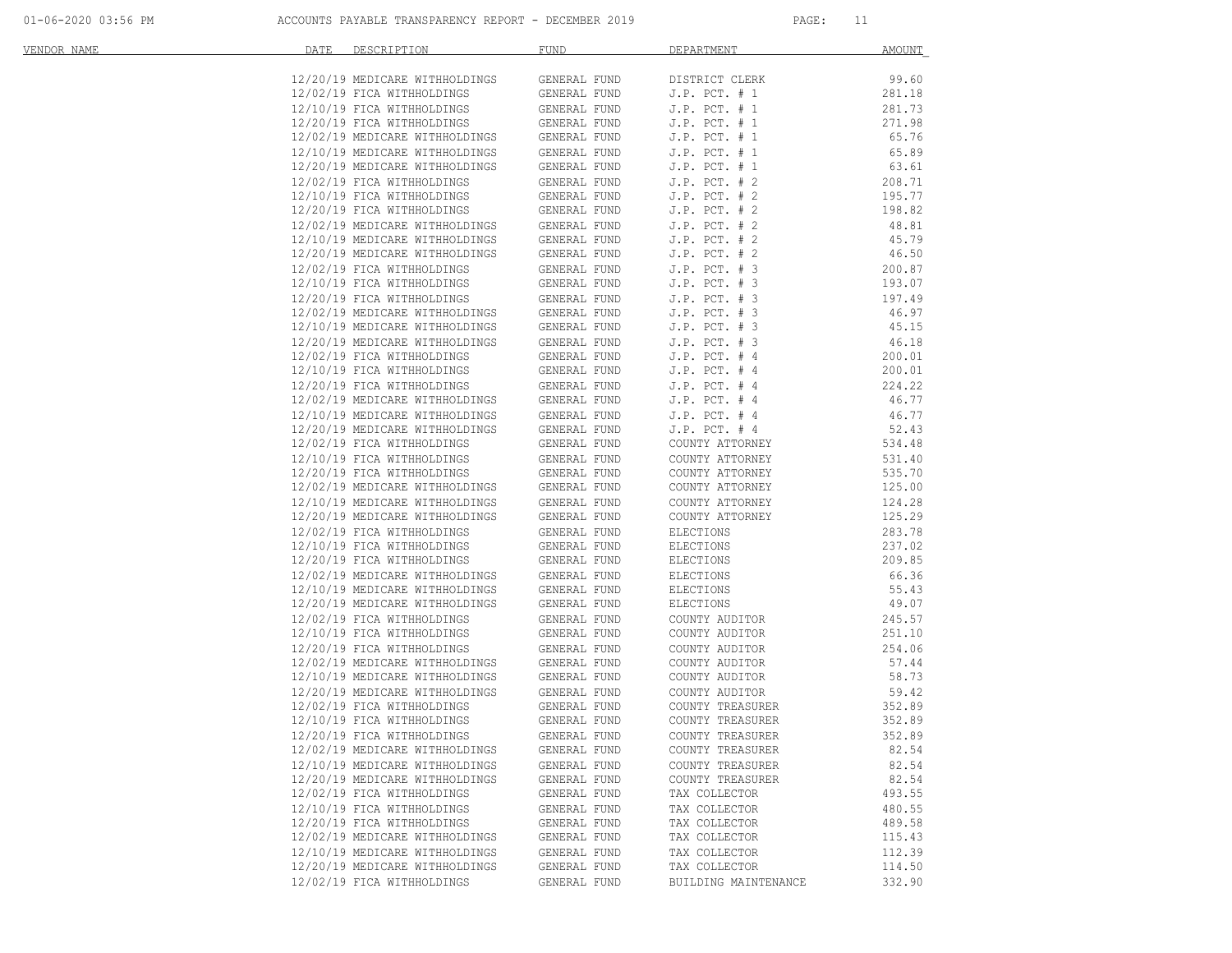| VENDOR NAME | DATE | DESCRIPTION                                                  | FUND                         | DEPARTMENT                        | <u>AMOUNT</u>   |
|-------------|------|--------------------------------------------------------------|------------------------------|-----------------------------------|-----------------|
|             |      | 12/20/19 MEDICARE WITHHOLDINGS                               | GENERAL FUND                 | DISTRICT CLERK                    | 99.60           |
|             |      | 12/02/19 FICA WITHHOLDINGS                                   | GENERAL FUND                 | $J.P.$ PCT. # 1                   | 281.18          |
|             |      | 12/10/19 FICA WITHHOLDINGS                                   | GENERAL FUND                 | $J.P.$ PCT. $# 1$                 | 281.73          |
|             |      | 12/20/19 FICA WITHHOLDINGS                                   | GENERAL FUND                 | $J.P.$ PCT. $# 1$                 | 271.98          |
|             |      | 12/02/19 MEDICARE WITHHOLDINGS                               | GENERAL FUND                 | $J.P.$ PCT. $# 1$                 | 65.76           |
|             |      | 12/10/19 MEDICARE WITHHOLDINGS                               | GENERAL FUND                 | $J.P.$ PCT. $# 1$                 | 65.89           |
|             |      | 12/20/19 MEDICARE WITHHOLDINGS                               | GENERAL FUND                 | $J.P.$ PCT. $# 1$                 | 63.61           |
|             |      | 12/02/19 FICA WITHHOLDINGS                                   | GENERAL FUND                 | $J.P.$ PCT. $# 2$                 | 208.71          |
|             |      | 12/10/19 FICA WITHHOLDINGS                                   | GENERAL FUND                 | $J.P.$ PCT. $# 2$                 | 195.77          |
|             |      | 12/20/19 FICA WITHHOLDINGS                                   | GENERAL FUND                 | $J.P.$ PCT. $# 2$                 | 198.82          |
|             |      | 12/02/19 MEDICARE WITHHOLDINGS                               | GENERAL FUND                 | $J.P.$ PCT. $# 2$                 | 48.81           |
|             |      | 12/10/19 MEDICARE WITHHOLDINGS                               | GENERAL FUND                 | $J.P.$ PCT. $# 2$                 | 45.79           |
|             |      | 12/20/19 MEDICARE WITHHOLDINGS                               | GENERAL FUND                 | $J.P.$ PCT. $# 2$                 | 46.50           |
|             |      | 12/02/19 FICA WITHHOLDINGS                                   | GENERAL FUND                 | $J.P.$ PCT. $# 3$                 | 200.87          |
|             |      | 12/10/19 FICA WITHHOLDINGS                                   | GENERAL FUND                 | $J.P.$ PCT. $# 3$                 | 193.07          |
|             |      | 12/20/19 FICA WITHHOLDINGS                                   | GENERAL FUND                 | J.P. PCT. # 3                     | 197.49          |
|             |      | 12/02/19 MEDICARE WITHHOLDINGS                               | GENERAL FUND                 | $J.P.$ PCT. $# 3$                 | 46.97           |
|             |      | 12/10/19 MEDICARE WITHHOLDINGS                               | GENERAL FUND                 | $J.P.$ PCT. $# 3$                 | 45.15           |
|             |      | 12/20/19 MEDICARE WITHHOLDINGS                               | GENERAL FUND                 | $J.P.$ PCT. $# 3$                 | 46.18           |
|             |      | 12/02/19 FICA WITHHOLDINGS                                   | GENERAL FUND                 | $J.P.$ PCT. $# 4$                 | 200.01          |
|             |      | 12/10/19 FICA WITHHOLDINGS                                   | GENERAL FUND                 | $J.P.$ PCT. $#4$                  | 200.01          |
|             |      | 12/20/19 FICA WITHHOLDINGS                                   | GENERAL FUND                 | $J.P.$ PCT. $# 4$                 | 224.22          |
|             |      | 12/02/19 MEDICARE WITHHOLDINGS                               | GENERAL FUND                 | $J.P.$ PCT. $#4$                  | 46.77           |
|             |      | 12/10/19 MEDICARE WITHHOLDINGS                               | GENERAL FUND                 | $J.P.$ PCT. $# 4$                 | 46.77           |
|             |      | 12/20/19 MEDICARE WITHHOLDINGS                               | GENERAL FUND                 | $J.P.$ PCT. $# 4$                 | 52.43           |
|             |      | 12/02/19 FICA WITHHOLDINGS                                   | GENERAL FUND                 | COUNTY ATTORNEY                   | 534.48          |
|             |      | 12/10/19 FICA WITHHOLDINGS                                   | GENERAL FUND                 | COUNTY ATTORNEY                   | 531.40          |
|             |      | 12/20/19 FICA WITHHOLDINGS                                   | GENERAL FUND                 | COUNTY ATTORNEY                   | 535.70          |
|             |      | 12/02/19 MEDICARE WITHHOLDINGS                               | GENERAL FUND                 | COUNTY ATTORNEY                   | 125.00          |
|             |      | 12/10/19 MEDICARE WITHHOLDINGS                               | GENERAL FUND                 | COUNTY ATTORNEY                   | 124.28          |
|             |      | 12/20/19 MEDICARE WITHHOLDINGS                               | GENERAL FUND                 | COUNTY ATTORNEY                   | 125.29          |
|             |      | 12/02/19 FICA WITHHOLDINGS                                   | GENERAL FUND                 | ELECTIONS                         | 283.78          |
|             |      | 12/10/19 FICA WITHHOLDINGS                                   | GENERAL FUND                 | <b>ELECTIONS</b>                  | 237.02          |
|             |      | 12/20/19 FICA WITHHOLDINGS                                   | GENERAL FUND                 | ELECTIONS                         | 209.85          |
|             |      | 12/02/19 MEDICARE WITHHOLDINGS                               | GENERAL FUND                 | ELECTIONS                         | 66.36           |
|             |      | 12/10/19 MEDICARE WITHHOLDINGS                               | GENERAL FUND                 | ELECTIONS                         | 55.43           |
|             |      | 12/20/19 MEDICARE WITHHOLDINGS                               | GENERAL FUND                 | ELECTIONS                         | 49.07           |
|             |      | 12/02/19 FICA WITHHOLDINGS                                   | GENERAL FUND                 | COUNTY AUDITOR                    | 245.57          |
|             |      | 12/10/19 FICA WITHHOLDINGS                                   | GENERAL FUND                 | COUNTY AUDITOR                    | 251.10          |
|             |      | 12/20/19 FICA WITHHOLDINGS                                   | GENERAL FUND                 | COUNTY AUDITOR                    | 254.06          |
|             |      | 12/02/19 MEDICARE WITHHOLDINGS                               | GENERAL FUND                 | COUNTY AUDITOR                    | 57.44           |
|             |      | 12/10/19 MEDICARE WITHHOLDINGS                               | GENERAL FUND                 | COUNTY AUDITOR                    | 58.73           |
|             |      | 12/20/19 MEDICARE WITHHOLDINGS                               | GENERAL FUND                 | COUNTY AUDITOR                    | 59.42           |
|             |      | 12/02/19 FICA WITHHOLDINGS                                   | GENERAL FUND                 | COUNTY TREASURER                  | 352.89          |
|             |      | 12/10/19 FICA WITHHOLDINGS                                   | GENERAL FUND                 | COUNTY TREASURER                  | 352.89          |
|             |      | 12/20/19 FICA WITHHOLDINGS                                   | GENERAL FUND                 | COUNTY TREASURER                  | 352.89          |
|             |      | 12/02/19 MEDICARE WITHHOLDINGS                               | GENERAL FUND                 | COUNTY TREASURER                  | 82.54           |
|             |      | 12/10/19 MEDICARE WITHHOLDINGS                               | GENERAL FUND                 | COUNTY TREASURER                  | 82.54           |
|             |      | 12/20/19 MEDICARE WITHHOLDINGS<br>12/02/19 FICA WITHHOLDINGS | GENERAL FUND<br>GENERAL FUND | COUNTY TREASURER<br>TAX COLLECTOR | 82.54<br>493.55 |
|             |      |                                                              | <b>GENERAL FUND</b>          |                                   | 480.55          |
|             |      | 12/10/19 FICA WITHHOLDINGS<br>12/20/19 FICA WITHHOLDINGS     |                              | TAX COLLECTOR<br>TAX COLLECTOR    | 489.58          |
|             |      | 12/02/19 MEDICARE WITHHOLDINGS                               | GENERAL FUND<br>GENERAL FUND | TAX COLLECTOR                     | 115.43          |
|             |      | 12/10/19 MEDICARE WITHHOLDINGS                               | GENERAL FUND                 | TAX COLLECTOR                     | 112.39          |
|             |      | 12/20/19 MEDICARE WITHHOLDINGS                               | GENERAL FUND                 | TAX COLLECTOR                     | 114.50          |
|             |      | 12/02/19 FICA WITHHOLDINGS                                   | GENERAL FUND                 | BUILDING MAINTENANCE              | 332.90          |
|             |      |                                                              |                              |                                   |                 |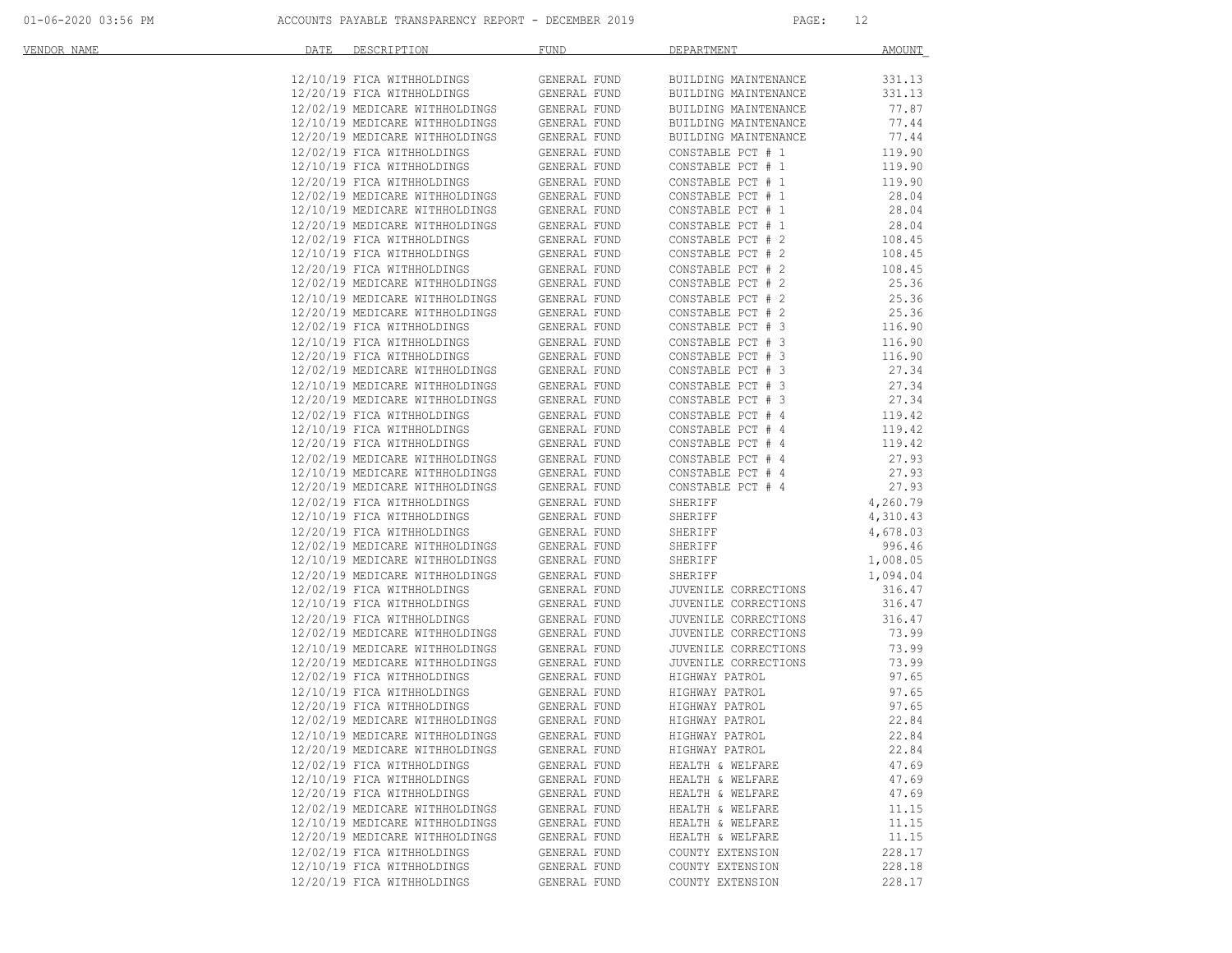| VENDOR NAME | DATE | DESCRIPTION <b>DESCRIPTION</b>                                   | <b>FUND</b>                  | DEPARTMENT                             | AMOUNT           |
|-------------|------|------------------------------------------------------------------|------------------------------|----------------------------------------|------------------|
|             |      | 12/10/19 FICA WITHHOLDINGS                                       | GENERAL FUND                 | BUILDING MAINTENANCE                   | 331.13           |
|             |      | 12/20/19 FICA WITHHOLDINGS                                       | GENERAL FUND                 | BUILDING MAINTENANCE                   | 331.13           |
|             |      | 12/02/19 MEDICARE WITHHOLDINGS                                   | GENERAL FUND                 | BUILDING MAINTENANCE                   | 77.87            |
|             |      | 12/10/19 MEDICARE WITHHOLDINGS                                   | GENERAL FUND                 | BUILDING MAINTENANCE                   | 77.44            |
|             |      | 12/20/19 MEDICARE WITHHOLDINGS                                   | GENERAL FUND                 | BUILDING MAINTENANCE                   | 77.44            |
|             |      | 12/02/19 FICA WITHHOLDINGS                                       | GENERAL FUND                 | CONSTABLE PCT # 1                      | 119.90           |
|             |      | 12/10/19 FICA WITHHOLDINGS                                       | GENERAL FUND                 | CONSTABLE PCT # 1                      | 119.90           |
|             |      | 12/20/19 FICA WITHHOLDINGS                                       | GENERAL FUND                 | CONSTABLE PCT # 1                      | 119.90           |
|             |      | 12/02/19 MEDICARE WITHHOLDINGS                                   | GENERAL FUND                 | CONSTABLE PCT # 1                      | 28.04            |
|             |      | 12/10/19 MEDICARE WITHHOLDINGS                                   | GENERAL FUND                 | CONSTABLE PCT # 1                      | 28.04            |
|             |      | 12/20/19 MEDICARE WITHHOLDINGS                                   | GENERAL FUND                 | CONSTABLE PCT # 1                      | 28.04            |
|             |      | 12/02/19 FICA WITHHOLDINGS                                       | GENERAL FUND                 | CONSTABLE PCT # 2                      | 108.45           |
|             |      | 12/10/19 FICA WITHHOLDINGS                                       | GENERAL FUND                 | CONSTABLE PCT # 2                      | 108.45           |
|             |      | 12/20/19 FICA WITHHOLDINGS                                       | GENERAL FUND                 | CONSTABLE PCT # 2                      | 108.45           |
|             |      | 12/02/19 MEDICARE WITHHOLDINGS                                   | GENERAL FUND                 | CONSTABLE PCT # 2                      | 25.36            |
|             |      | 12/10/19 MEDICARE WITHHOLDINGS                                   | GENERAL FUND                 | CONSTABLE PCT # 2<br>CONSTABLE PCT # 2 | 25.36            |
|             |      | 12/20/19 MEDICARE WITHHOLDINGS                                   | GENERAL FUND                 |                                        | 25.36            |
|             |      | 12/02/19 FICA WITHHOLDINGS                                       | GENERAL FUND                 | CONSTABLE PCT # 3                      | 116.90           |
|             |      | 12/10/19 FICA WITHHOLDINGS                                       | GENERAL FUND                 | CONSTABLE PCT # 3                      | 116.90           |
|             |      | 12/20/19 FICA WITHHOLDINGS                                       | GENERAL FUND                 | CONSTABLE PCT # 3                      | 116.90           |
|             |      | 12/02/19 MEDICARE WITHHOLDINGS                                   | GENERAL FUND                 | CONSTABLE PCT # 3<br>CONSTABLE PCT # 3 | 27.34            |
|             |      | 12/10/19 MEDICARE WITHHOLDINGS<br>12/20/19 MEDICARE WITHHOLDINGS | GENERAL FUND<br>GENERAL FUND | CONSTABLE PCT # 3                      | 27.34<br>27.34   |
|             |      | 12/02/19 FICA WITHHOLDINGS                                       |                              |                                        |                  |
|             |      | 12/10/19 FICA WITHHOLDINGS                                       | GENERAL FUND<br>GENERAL FUND | CONSTABLE PCT # 4<br>CONSTABLE PCT # 4 | 119.42<br>119.42 |
|             |      | 12/20/19 FICA WITHHOLDINGS                                       | GENERAL FUND                 | CONSTABLE PCT # 4                      | 119.42           |
|             |      | 12/02/19 MEDICARE WITHHOLDINGS                                   | GENERAL FUND                 | CONSTABLE PCT # 4                      | 27.93            |
|             |      | 12/10/19 MEDICARE WITHHOLDINGS                                   | GENERAL FUND                 | CONSTABLE PCT # 4                      | 27.93            |
|             |      | 12/20/19 MEDICARE WITHHOLDINGS                                   | GENERAL FUND                 | CONSTABLE PCT # 4                      | 27.93            |
|             |      | 12/02/19 FICA WITHHOLDINGS                                       | GENERAL FUND                 | SHERIFF                                | 4,260.79         |
|             |      | 12/10/19 FICA WITHHOLDINGS                                       | GENERAL FUND                 | SHERIFF                                | 4,310.43         |
|             |      | 12/20/19 FICA WITHHOLDINGS                                       | GENERAL FUND                 | SHERIFF                                | 4,678.03         |
|             |      | 12/02/19 MEDICARE WITHHOLDINGS                                   | GENERAL FUND                 | SHERIFF                                | 996.46           |
|             |      | 12/10/19 MEDICARE WITHHOLDINGS                                   | GENERAL FUND                 | SHERIFF                                | 1,008.05         |
|             |      | 12/20/19 MEDICARE WITHHOLDINGS                                   | GENERAL FUND                 | SHERIFF                                | 1,094.04         |
|             |      | 12/02/19 FICA WITHHOLDINGS                                       | GENERAL FUND                 | JUVENILE CORRECTIONS                   | 316.47           |
|             |      | 12/10/19 FICA WITHHOLDINGS                                       | GENERAL FUND                 | JUVENILE CORRECTIONS                   | 316.47           |
|             |      | 12/20/19 FICA WITHHOLDINGS                                       | GENERAL FUND                 | JUVENILE CORRECTIONS                   | 316.47           |
|             |      | 12/02/19 MEDICARE WITHHOLDINGS<br>12/10/19 MEDICARE WITHHOLDINGS | GENERAL FUND                 | JUVENILE CORRECTIONS                   | 73.99            |
|             |      |                                                                  | GENERAL FUND                 | JUVENILE CORRECTIONS                   | 73.99            |
|             |      | 12/20/19 MEDICARE WITHHOLDINGS                                   | GENERAL FUND                 | JUVENILE CORRECTIONS                   | 73.99            |
|             |      | 12/02/19 FICA WITHHOLDINGS                                       | GENERAL FUND                 | HIGHWAY PATROL                         | 97.65            |
|             |      | 12/10/19 FICA WITHHOLDINGS                                       | GENERAL FUND                 | HIGHWAY PATROL                         | 97.65            |
|             |      | 12/20/19 FICA WITHHOLDINGS                                       | GENERAL FUND                 | HIGHWAY PATROL                         | 97.65            |
|             |      | 12/02/19 MEDICARE WITHHOLDINGS                                   | GENERAL FUND                 | HIGHWAY PATROL                         | 22.84            |
|             |      | 12/10/19 MEDICARE WITHHOLDINGS                                   | GENERAL FUND                 | HIGHWAY PATROL                         | 22.84            |
|             |      | 12/20/19 MEDICARE WITHHOLDINGS                                   | GENERAL FUND                 | HIGHWAY PATROL                         | 22.84            |
|             |      | 12/02/19 FICA WITHHOLDINGS                                       | GENERAL FUND                 | HEALTH & WELFARE                       | 47.69            |
|             |      | 12/10/19 FICA WITHHOLDINGS                                       | GENERAL FUND                 | HEALTH & WELFARE                       | 47.69            |
|             |      | 12/20/19 FICA WITHHOLDINGS                                       | GENERAL FUND                 | HEALTH & WELFARE                       | 47.69            |
|             |      | 12/02/19 MEDICARE WITHHOLDINGS                                   | GENERAL FUND                 | HEALTH & WELFARE                       | 11.15            |
|             |      | 12/10/19 MEDICARE WITHHOLDINGS                                   | GENERAL FUND                 | HEALTH & WELFARE                       | 11.15            |
|             |      | 12/20/19 MEDICARE WITHHOLDINGS                                   | GENERAL FUND                 | HEALTH & WELFARE                       | 11.15            |
|             |      | 12/02/19 FICA WITHHOLDINGS<br>12/10/19 FICA WITHHOLDINGS         | GENERAL FUND                 | COUNTY EXTENSION                       | 228.17<br>228.18 |
|             |      | 12/20/19 FICA WITHHOLDINGS                                       | GENERAL FUND<br>GENERAL FUND | COUNTY EXTENSION<br>COUNTY EXTENSION   | 228.17           |
|             |      |                                                                  |                              |                                        |                  |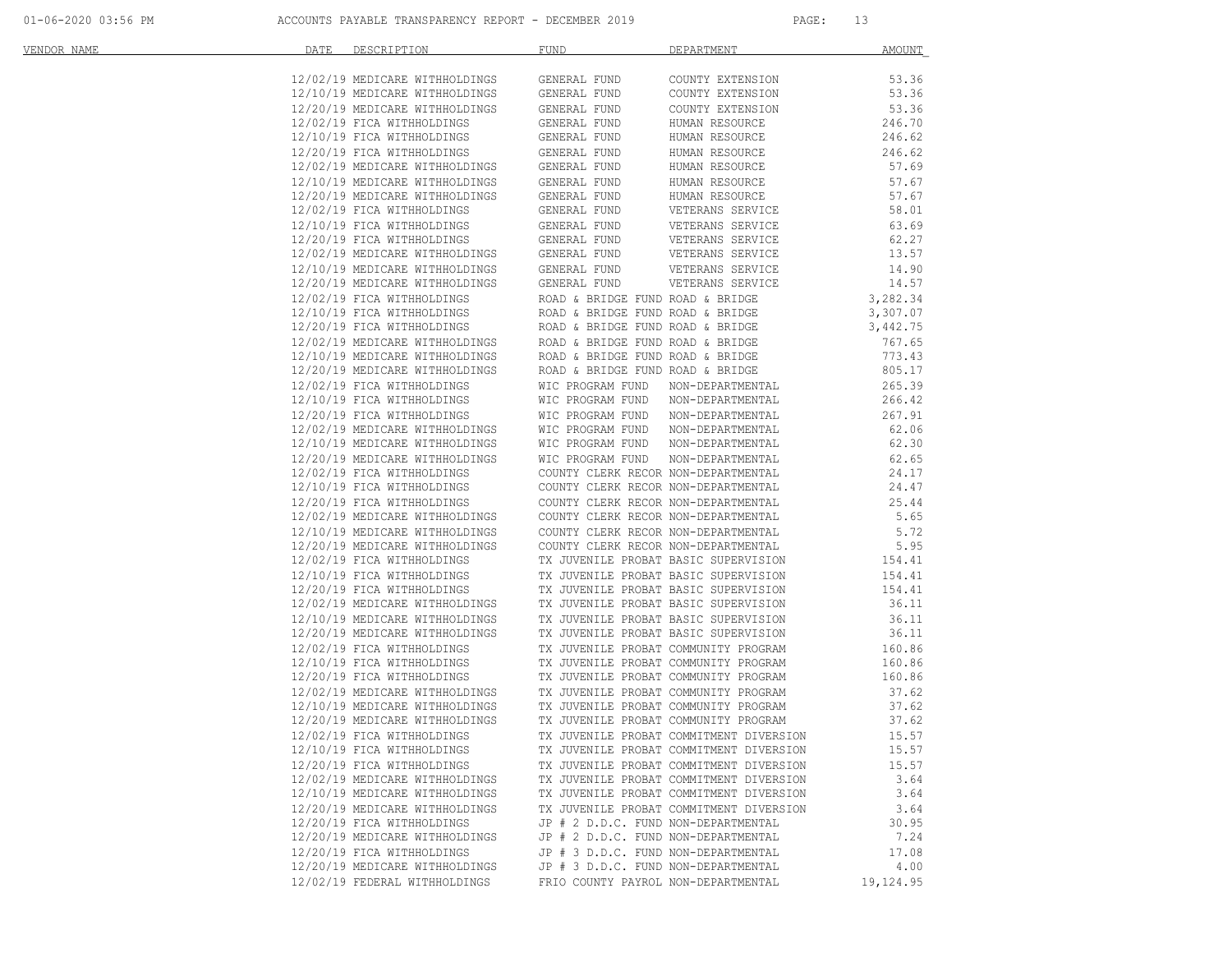| VENDOR NAME | DATE | DESCRIPTION                                                                                                                                                                                                    | <b>FUND</b>                          | DEPARTMENT                                                                 | <b>AMOUNT</b>        |
|-------------|------|----------------------------------------------------------------------------------------------------------------------------------------------------------------------------------------------------------------|--------------------------------------|----------------------------------------------------------------------------|----------------------|
|             |      | 12/02/19 MEDICARE WITHHOLDINGS                                                                                                                                                                                 | GENERAL FUND                         | COUNTY EXTENSION                                                           | 53.36                |
|             |      | 12/10/19 MEDICARE WITHHOLDINGS                                                                                                                                                                                 | GENERAL FUND                         | COUNTY EXTENSION                                                           | 53.36                |
|             |      | 12/20/19 MEDICARE WITHHOLDINGS                                                                                                                                                                                 | GENERAL FUND                         | COUNTY EXTENSION                                                           | 53.36                |
|             |      | 12/02/19 FICA WITHHOLDINGS                                                                                                                                                                                     | GENERAL FUND                         | HUMAN RESOURCE                                                             | 246.70               |
|             |      | 12/10/19 FICA WITHHOLDINGS                                                                                                                                                                                     | GENERAL FUND                         | HUMAN RESOURCE                                                             | 246.62               |
|             |      | 12/20/19 FICA WITHHOLDINGS                                                                                                                                                                                     | GENERAL FUND                         | HUMAN RESOURCE                                                             | 246.62               |
|             |      | 12/02/19 MEDICARE WITHHOLDINGS                                                                                                                                                                                 | GENERAL FUND                         | HUMAN RESOURCE                                                             | 57.69                |
|             |      | 12/10/19 MEDICARE WITHHOLDINGS                                                                                                                                                                                 | GENERAL FUND                         | HUMAN RESOURCE                                                             | 57.67                |
|             |      | 12/20/19 MEDICARE WITHHOLDINGS                                                                                                                                                                                 | GENERAL FUND                         | HUMAN RESOURCE                                                             | 57.67                |
|             |      | 12/02/19 FICA WITHHOLDINGS                                                                                                                                                                                     | GENERAL FUND                         | VETERANS SERVICE                                                           | 58.01                |
|             |      | 12/10/19 FICA WITHHOLDINGS                                                                                                                                                                                     | GENERAL FUND                         | VETERANS SERVICE<br>VETERANS SERVICE                                       | 63.69                |
|             |      | 12/20/19 FICA WITHHOLDINGS                                                                                                                                                                                     | GENERAL FUND                         |                                                                            | 62.27                |
|             |      | 12/02/19 MEDICARE WITHHOLDINGS                                                                                                                                                                                 | GENERAL FUND                         | VETERANS SERVICE<br>VETERANS SERVICE                                       | 13.57                |
|             |      | 12/10/19 MEDICARE WITHHOLDINGS                                                                                                                                                                                 | GENERAL FUND                         |                                                                            | 14.90                |
|             |      | 12/20/19 MEDICARE WITHHOLDINGS                                                                                                                                                                                 | GENERAL FUND                         | VETERANS SERVICE                                                           | 14.57                |
|             |      | 12/02/19 FICA WITHHOLDINGS                                                                                                                                                                                     | ROAD & BRIDGE FUND ROAD & BRIDGE     |                                                                            | 3,282.34<br>3,307.07 |
|             |      | 12/10/19 FICA WITHHOLDINGS                                                                                                                                                                                     | ROAD & BRIDGE FUND ROAD & BRIDGE     |                                                                            |                      |
|             |      | 12/20/19 FICA WITHHOLDINGS                                                                                                                                                                                     | ROAD & BRIDGE FUND ROAD & BRIDGE     |                                                                            | 3,442.75             |
|             |      | 12/02/19 MEDICARE WITHHOLDINGS                                                                                                                                                                                 | ROAD & BRIDGE FUND ROAD & BRIDGE     |                                                                            | 767.65               |
|             |      | 12/10/19 MEDICARE WITHHOLDINGS                                                                                                                                                                                 |                                      | ROAD & BRIDGE FUND ROAD & BRIDGE                                           | 773.43               |
|             |      | 12/20/19 MEDICARE WITHHOLDINGS                                                                                                                                                                                 | ROAD & BRIDGE FUND ROAD & BRIDGE     |                                                                            | 805.17               |
|             |      | 12/02/19 FICA WITHHOLDINGS                                                                                                                                                                                     |                                      | WIC PROGRAM FUND NON-DEPARTMENTAL                                          | 265.39               |
|             |      | 12/10/19 FICA WITHHOLDINGS                                                                                                                                                                                     |                                      | WIC PROGRAM FUND NON-DEPARTMENTAL                                          | 266.42               |
|             |      | 12/20/19 FICA WITHHOLDINGS                                                                                                                                                                                     | WIC PROGRAM FUND NON-DEPARTMENTAL    |                                                                            | 267.91               |
|             |      | 12/02/19 MEDICARE WITHHOLDINGS<br>12/10/19 MEDICARE WITHHOLDINGS<br>12/10/19 MEDICARE WITHHOLDINGS                                                                                                             |                                      | WIC PROGRAM FUND NON-DEPARTMENTAL<br>WIC PROGRAM FUND NON-DEPARTMENTAL     | 62.06<br>62.30       |
|             |      | 12/20/19 MEDICARE WITHHOLDINGS                                                                                                                                                                                 |                                      |                                                                            | 62.65                |
|             |      | 12/02/19 FICA WITHHOLDINGS                                                                                                                                                                                     | WIC PROGRAM FUND                     | NON-DEPARTMENTAL<br>COUNTY CLERK RECOR NON-DEPARTMENTAL                    | 24.17                |
|             |      | 12/10/19 FICA WITHHOLDINGS                                                                                                                                                                                     |                                      | COUNTY CLERK RECOR NON-DEPARTMENTAL                                        | 24.47                |
|             |      | 12/20/19 FICA WITHHOLDINGS                                                                                                                                                                                     |                                      | COUNTY CLERK RECOR NON-DEPARTMENTAL                                        | 25.44                |
|             |      | 12/02/19 MEDICARE WITHHOLDINGS                                                                                                                                                                                 |                                      | COUNTY CLERK RECOR NON-DEPARTMENTAL                                        | 5.65                 |
|             |      | 12/10/19 MEDICARE WITHHOLDINGS                                                                                                                                                                                 |                                      |                                                                            | 5.72                 |
|             |      | 12/20/19 MEDICARE WITHHOLDINGS                                                                                                                                                                                 |                                      | COUNTY CLERK RECOR NON-DEPARTMENTAL<br>COUNTY CLERK RECOR NON-DEPARTMENTAL | 5.95                 |
|             |      | 12/02/19 FICA WITHHOLDINGS                                                                                                                                                                                     |                                      | TX JUVENILE PROBAT BASIC SUPERVISION                                       | 154.41               |
|             |      | 12/10/19 FICA WITHHOLDINGS                                                                                                                                                                                     |                                      | TX JUVENILE PROBAT BASIC SUPERVISION                                       | 154.41               |
|             |      | 12/20/19 FICA WITHHOLDINGS                                                                                                                                                                                     |                                      | TX JUVENILE PROBAT BASIC SUPERVISION                                       | 154.41               |
|             |      | 12/02/19 MEDICARE WITHHOLDINGS                                                                                                                                                                                 |                                      | TX JUVENILE PROBAT BASIC SUPERVISION                                       | 36.11                |
|             |      | 12/10/19 MEDICARE WITHHOLDINGS                                                                                                                                                                                 |                                      | TX JUVENILE PROBAT BASIC SUPERVISION                                       | 36.11                |
|             |      | 12/20/19 MEDICARE WITHHOLDINGS                                                                                                                                                                                 |                                      | TX JUVENILE PROBAT BASIC SUPERVISION                                       | 36.11                |
|             |      | 12/02/19 FICA WITHHOLDINGS                                                                                                                                                                                     |                                      | TX JUVENILE PROBAT COMMUNITY PROGRAM                                       | 160.86               |
|             |      | 12/10/19 FICA WITHHOLDINGS                                                                                                                                                                                     | TX JUVENILE PROBAT COMMUNITY PROGRAM |                                                                            | 160.86               |
|             |      | 12/20/19 FICA WITHHOLDINGS                                                                                                                                                                                     |                                      | TX JUVENILE PROBAT COMMUNITY PROGRAM                                       | 160.86               |
|             |      |                                                                                                                                                                                                                | TX JUVENILE PROBAT COMMUNITY PROGRAM |                                                                            | 37.62                |
|             |      | $12/02/19 \mbox{ MEDICARE WITHHOLDINGS} \qquad \mbox{TX JUVENILE PROBAT COMMUNITP PROGRAPH 12/10/19 MEDICARE WITHHOLDINGS} \qquad \mbox{TX JUVENILE PROBAT COMMUNITP PROGRAPH 12/10/19 MEDICARE WITHHOLDINGS}$ |                                      |                                                                            | 37.62                |
|             |      | 12/20/19 MEDICARE WITHHOLDINGS                                                                                                                                                                                 | TX JUVENILE PROBAT COMMUNITY PROGRAM |                                                                            | 37.62                |
|             |      | 12/02/19 FICA WITHHOLDINGS                                                                                                                                                                                     |                                      | TX JUVENILE PROBAT COMMITMENT DIVERSION                                    | 15.57                |
|             |      | 12/10/19 FICA WITHHOLDINGS                                                                                                                                                                                     |                                      | TX JUVENILE PROBAT COMMITMENT DIVERSION                                    | 15.57                |
|             |      | 12/20/19 FICA WITHHOLDINGS                                                                                                                                                                                     |                                      | TX JUVENILE PROBAT COMMITMENT DIVERSION                                    | 15.57                |
|             |      | 12/02/19 MEDICARE WITHHOLDINGS                                                                                                                                                                                 |                                      | TX JUVENILE PROBAT COMMITMENT DIVERSION                                    | 3.64                 |
|             |      | 12/10/19 MEDICARE WITHHOLDINGS                                                                                                                                                                                 |                                      | TX JUVENILE PROBAT COMMITMENT DIVERSION                                    | 3.64                 |
|             |      | 12/20/19 MEDICARE WITHHOLDINGS                                                                                                                                                                                 |                                      | TX JUVENILE PROBAT COMMITMENT DIVERSION                                    | 3.64                 |
|             |      | 12/20/19 FICA WITHHOLDINGS                                                                                                                                                                                     | JP # 2 D.D.C. FUND NON-DEPARTMENTAL  |                                                                            | 30.95                |
|             |      | 12/20/19 MEDICARE WITHHOLDINGS                                                                                                                                                                                 | JP # 2 D.D.C. FUND NON-DEPARTMENTAL  |                                                                            | 7.24                 |
|             |      | 12/20/19 FICA WITHHOLDINGS                                                                                                                                                                                     | JP # 3 D.D.C. FUND NON-DEPARTMENTAL  |                                                                            | 17.08                |
|             |      | 12/20/19 MEDICARE WITHHOLDINGS                                                                                                                                                                                 | JP # 3 D.D.C. FUND NON-DEPARTMENTAL  |                                                                            | 4.00                 |
|             |      | 12/02/19 FEDERAL WITHHOLDINGS                                                                                                                                                                                  | FRIO COUNTY PAYROL NON-DEPARTMENTAL  |                                                                            | 19,124.95            |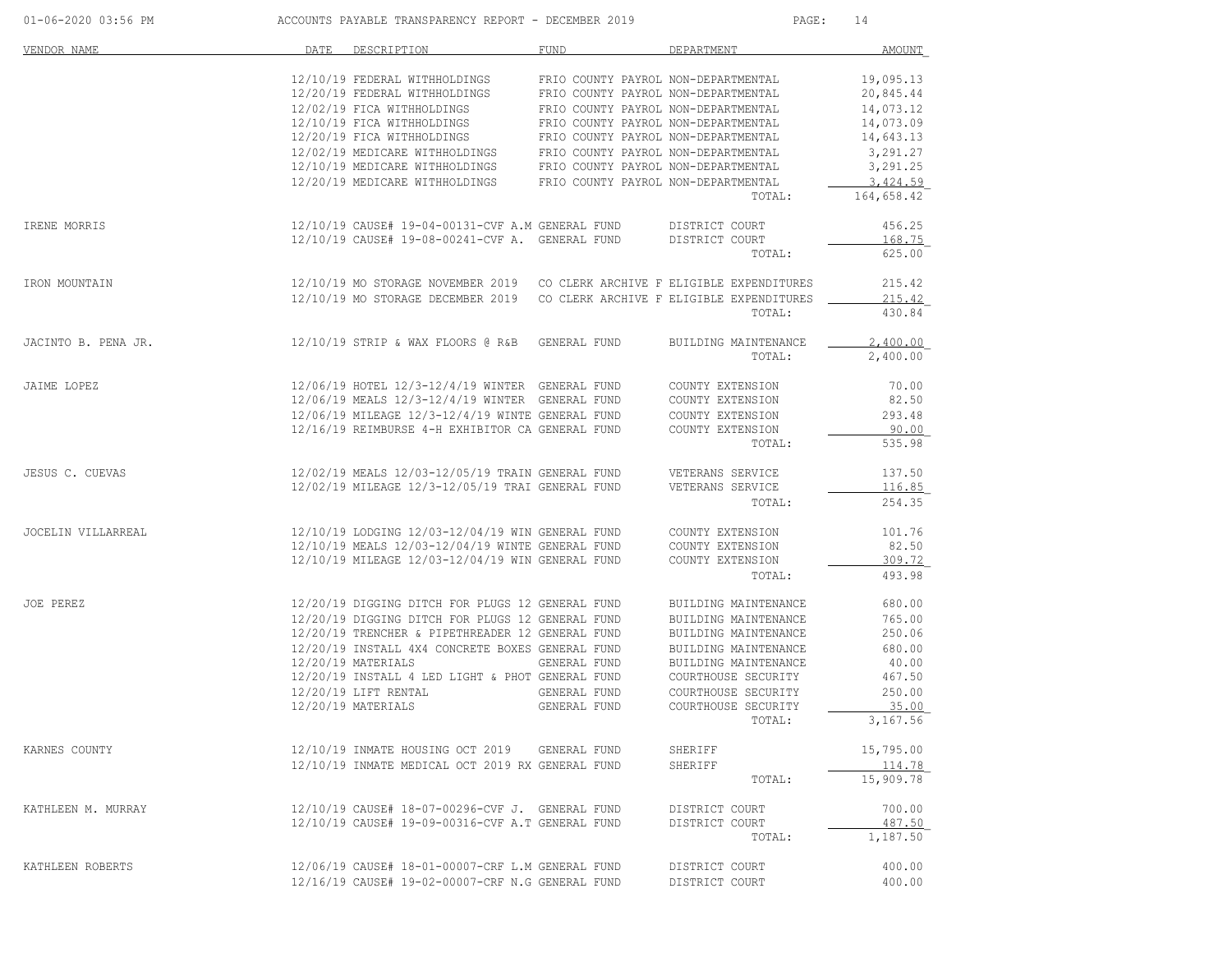| 01-06-2020 03:56 PM |      | ACCOUNTS PAYABLE TRANSPARENCY REPORT - DECEMBER 2019                       |                                     | PAGE:                                      | 14                      |
|---------------------|------|----------------------------------------------------------------------------|-------------------------------------|--------------------------------------------|-------------------------|
| VENDOR NAME         | DATE | DESCRIPTION                                                                | FUND                                | DEPARTMENT                                 | AMOUNT                  |
|                     |      | 12/10/19 FEDERAL WITHHOLDINGS                                              | FRIO COUNTY PAYROL NON-DEPARTMENTAL |                                            | 19,095.13               |
|                     |      | 12/20/19 FEDERAL WITHHOLDINGS                                              | FRIO COUNTY PAYROL NON-DEPARTMENTAL |                                            | 20,845.44               |
|                     |      | 12/02/19 FICA WITHHOLDINGS                                                 | FRIO COUNTY PAYROL NON-DEPARTMENTAL |                                            | 14,073.12               |
|                     |      | 12/10/19 FICA WITHHOLDINGS                                                 | FRIO COUNTY PAYROL NON-DEPARTMENTAL |                                            | 14,073.09               |
|                     |      | 12/20/19 FICA WITHHOLDINGS                                                 | FRIO COUNTY PAYROL NON-DEPARTMENTAL |                                            | 14,643.13               |
|                     |      | 12/02/19 MEDICARE WITHHOLDINGS                                             | FRIO COUNTY PAYROL NON-DEPARTMENTAL |                                            | 3,291.27                |
|                     |      | 12/10/19 MEDICARE WITHHOLDINGS                                             | FRIO COUNTY PAYROL NON-DEPARTMENTAL |                                            | 3,291.25                |
|                     |      | 12/20/19 MEDICARE WITHHOLDINGS                                             | FRIO COUNTY PAYROL NON-DEPARTMENTAL | TOTAL:                                     | 3, 424.59<br>164,658.42 |
|                     |      |                                                                            |                                     |                                            |                         |
| IRENE MORRIS        |      | 12/10/19 CAUSE# 19-04-00131-CVF A.M GENERAL FUND                           |                                     | DISTRICT COURT                             | 456.25                  |
|                     |      | 12/10/19 CAUSE# 19-08-00241-CVF A. GENERAL FUND                            |                                     | DISTRICT COURT                             | 168.75                  |
|                     |      |                                                                            |                                     | TOTAL:                                     | 625.00                  |
| IRON MOUNTAIN       |      | 12/10/19 MO STORAGE NOVEMBER 2019 CO CLERK ARCHIVE F ELIGIBLE EXPENDITURES |                                     |                                            | 215.42                  |
|                     |      | 12/10/19 MO STORAGE DECEMBER 2019 CO CLERK ARCHIVE F ELIGIBLE EXPENDITURES |                                     |                                            | 215.42                  |
|                     |      |                                                                            |                                     | TOTAL:                                     | 430.84                  |
| JACINTO B. PENA JR. |      | 12/10/19 STRIP & WAX FLOORS @ R&B GENERAL FUND                             |                                     | BUILDING MAINTENANCE                       | 2.400.00                |
|                     |      |                                                                            |                                     | TOTAL:                                     | 2,400.00                |
| JAIME LOPEZ         |      | 12/06/19 HOTEL 12/3-12/4/19 WINTER GENERAL FUND                            |                                     | COUNTY EXTENSION                           | 70.00                   |
|                     |      | 12/06/19 MEALS 12/3-12/4/19 WINTER GENERAL FUND                            |                                     | COUNTY EXTENSION                           | 82.50                   |
|                     |      | 12/06/19 MILEAGE 12/3-12/4/19 WINTE GENERAL FUND                           |                                     | COUNTY EXTENSION                           | 293.48                  |
|                     |      | 12/16/19 REIMBURSE 4-H EXHIBITOR CA GENERAL FUND                           |                                     | COUNTY EXTENSION                           | 90.00                   |
|                     |      |                                                                            |                                     | TOTAL:                                     | 535.98                  |
| JESUS C. CUEVAS     |      | 12/02/19 MEALS 12/03-12/05/19 TRAIN GENERAL FUND                           |                                     | VETERANS SERVICE                           | 137.50                  |
|                     |      | 12/02/19 MILEAGE 12/3-12/05/19 TRAI GENERAL FUND                           |                                     | VETERANS SERVICE                           | 116.85                  |
|                     |      |                                                                            |                                     | TOTAL:                                     | 254.35                  |
| JOCELIN VILLARREAL  |      | 12/10/19 LODGING 12/03-12/04/19 WIN GENERAL FUND                           |                                     | COUNTY EXTENSION                           | 101.76                  |
|                     |      | 12/10/19 MEALS 12/03-12/04/19 WINTE GENERAL FUND                           |                                     | COUNTY EXTENSION                           | 82.50                   |
|                     |      | 12/10/19 MILEAGE 12/03-12/04/19 WIN GENERAL FUND                           |                                     | COUNTY EXTENSION                           | 309.72                  |
|                     |      |                                                                            |                                     | TOTAL:                                     | 493.98                  |
| JOE PEREZ           |      | 12/20/19 DIGGING DITCH FOR PLUGS 12 GENERAL FUND                           |                                     | BUILDING MAINTENANCE                       | 680.00                  |
|                     |      | 12/20/19 DIGGING DITCH FOR PLUGS 12 GENERAL FUND                           |                                     | BUILDING MAINTENANCE                       | 765.00                  |
|                     |      | 12/20/19 TRENCHER & PIPETHREADER 12 GENERAL FUND                           |                                     | BUILDING MAINTENANCE                       | 250.06                  |
|                     |      | 12/20/19 INSTALL 4X4 CONCRETE BOXES GENERAL FUND                           |                                     | BUILDING MAINTENANCE                       | 680.00                  |
|                     |      | 12/20/19 MATERIALS                                                         | GENERAL FUND                        | BUILDING MAINTENANCE                       | 40.00                   |
|                     |      | 12/20/19 INSTALL 4 LED LIGHT & PHOT GENERAL FUND<br>12/20/19 LIFT RENTAL   |                                     | COURTHOUSE SECURITY                        | 467.50<br>250.00        |
|                     |      | $12/20/19$ MATERIALS                                                       | GENERAL FUND<br>GENERAL FUND        | COURTHOUSE SECURITY<br>COURTHOUSE SECURITY | 35.00                   |
|                     |      |                                                                            |                                     | TOTAL:                                     | 3,167.56                |
| KARNES COUNTY       |      | 12/10/19 INMATE HOUSING OCT 2019 GENERAL FUND                              |                                     | SHERIFF                                    | 15,795.00               |
|                     |      | 12/10/19 INMATE MEDICAL OCT 2019 RX GENERAL FUND                           |                                     | SHERIFF                                    | 114.78                  |
|                     |      |                                                                            |                                     | TOTAL:                                     | 15,909.78               |
| KATHLEEN M. MURRAY  |      | 12/10/19 CAUSE# 18-07-00296-CVF J. GENERAL FUND                            |                                     | DISTRICT COURT                             | 700.00                  |
|                     |      | 12/10/19 CAUSE# 19-09-00316-CVF A.T GENERAL FUND                           |                                     | DISTRICT COURT                             | 487.50                  |
|                     |      |                                                                            |                                     | TOTAL:                                     | 1,187.50                |
| KATHLEEN ROBERTS    |      | 12/06/19 CAUSE# 18-01-00007-CRF L.M GENERAL FUND                           |                                     | DISTRICT COURT                             | 400.00                  |
|                     |      | 12/16/19 CAUSE# 19-02-00007-CRF N.G GENERAL FUND                           |                                     | DISTRICT COURT                             | 400.00                  |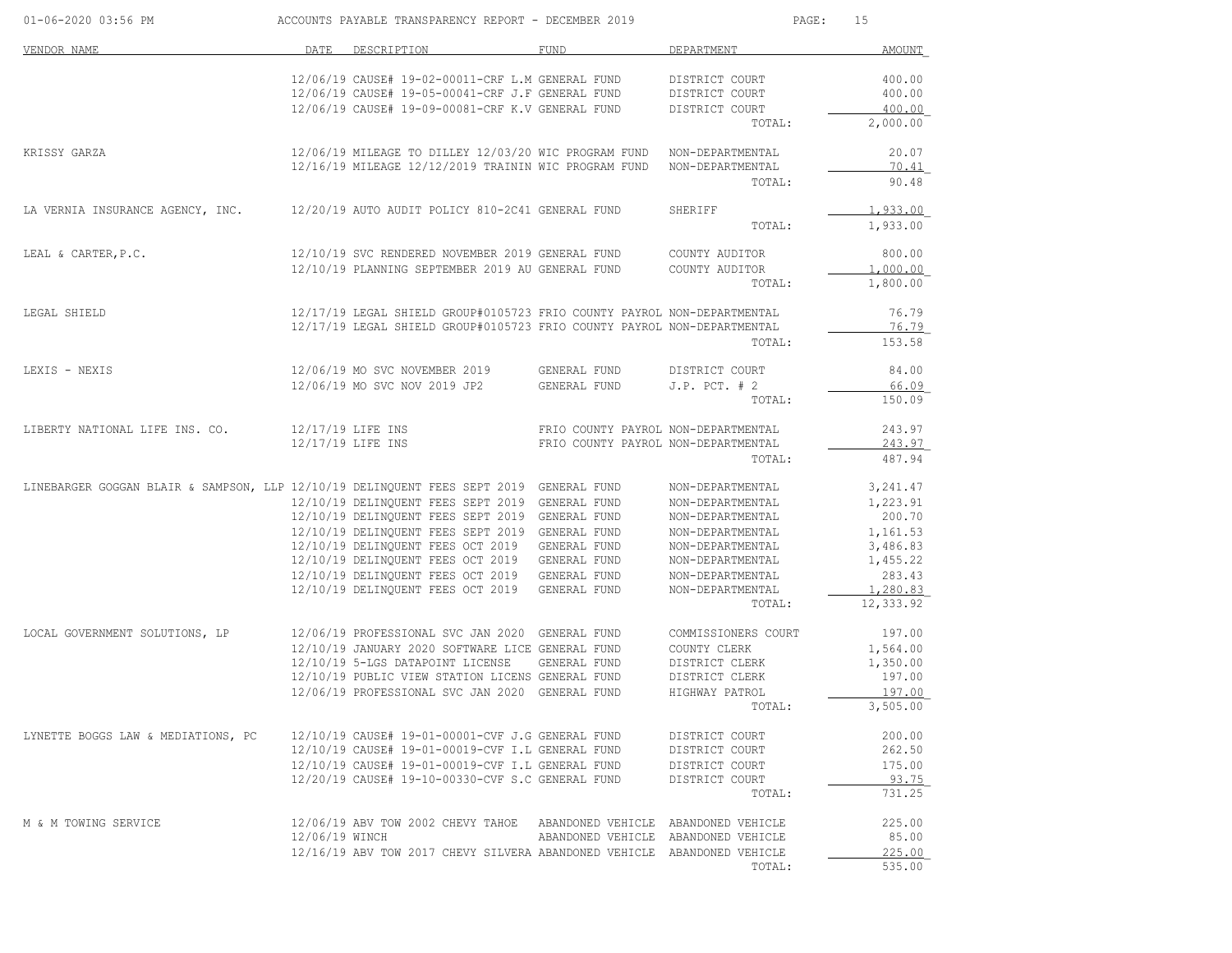| 01-06-2020 03:56 PM                                                                    |                | ACCOUNTS PAYABLE TRANSPARENCY REPORT - DECEMBER 2019                                                 |                                     | PAGE:                                | 15                   |
|----------------------------------------------------------------------------------------|----------------|------------------------------------------------------------------------------------------------------|-------------------------------------|--------------------------------------|----------------------|
| VENDOR NAME                                                                            | DATE           | DESCRIPTION                                                                                          | FUND                                | DEPARTMENT                           | <b>AMOUNT</b>        |
|                                                                                        |                | 12/06/19 CAUSE# 19-02-00011-CRF L.M GENERAL FUND                                                     |                                     | DISTRICT COURT                       | 400.00               |
|                                                                                        |                | 12/06/19 CAUSE# 19-05-00041-CRF J.F GENERAL FUND                                                     |                                     | DISTRICT COURT                       | 400.00               |
|                                                                                        |                | 12/06/19 CAUSE# 19-09-00081-CRF K.V GENERAL FUND                                                     |                                     | DISTRICT COURT                       | 400.00               |
|                                                                                        |                |                                                                                                      |                                     | TOTAL:                               | 2,000.00             |
| KRISSY GARZA                                                                           |                | 12/06/19 MILEAGE TO DILLEY 12/03/20 WIC PROGRAM FUND NON-DEPARTMENTAL                                |                                     |                                      | 20.07                |
|                                                                                        |                | 12/16/19 MILEAGE 12/12/2019 TRAININ WIC PROGRAM FUND                                                 |                                     | NON-DEPARTMENTAL                     | 70.41                |
|                                                                                        |                |                                                                                                      |                                     | TOTAL:                               | 90.48                |
| LA VERNIA INSURANCE AGENCY, INC.                                                       |                | 12/20/19 AUTO AUDIT POLICY 810-2C41 GENERAL FUND                                                     |                                     | SHERIFF                              | 1,933.00             |
|                                                                                        |                |                                                                                                      |                                     | TOTAL:                               | 1,933.00             |
| LEAL & CARTER, P.C.                                                                    |                | 12/10/19 SVC RENDERED NOVEMBER 2019 GENERAL FUND                                                     |                                     | COUNTY AUDITOR                       | 800.00               |
|                                                                                        |                | 12/10/19 PLANNING SEPTEMBER 2019 AU GENERAL FUND                                                     |                                     | COUNTY AUDITOR                       | 1,000.00             |
|                                                                                        |                |                                                                                                      |                                     | TOTAL:                               | 1,800.00             |
| LEGAL SHIELD                                                                           |                | 12/17/19 LEGAL SHIELD GROUP#0105723 FRIO COUNTY PAYROL NON-DEPARTMENTAL                              |                                     |                                      | 76.79                |
|                                                                                        |                | 12/17/19 LEGAL SHIELD GROUP#0105723 FRIO COUNTY PAYROL NON-DEPARTMENTAL                              |                                     |                                      | 76.79                |
|                                                                                        |                |                                                                                                      |                                     | TOTAL:                               | 153.58               |
| LEXIS - NEXIS                                                                          |                | 12/06/19 MO SVC NOVEMBER 2019 GENERAL FUND                                                           |                                     | DISTRICT COURT                       | 84.00                |
|                                                                                        |                | 12/06/19 MO SVC NOV 2019 JP2                                                                         | GENERAL FUND                        | $J.P.$ PCT. $# 2$                    | 66.09                |
|                                                                                        |                |                                                                                                      |                                     | TOTAL:                               | 150.09               |
| LIBERTY NATIONAL LIFE INS. CO.                                                         |                | 12/17/19 LIFE INS                                                                                    | FRIO COUNTY PAYROL NON-DEPARTMENTAL |                                      | 243.97               |
|                                                                                        |                | 12/17/19 LIFE INS                                                                                    | FRIO COUNTY PAYROL NON-DEPARTMENTAL |                                      | 243.97               |
|                                                                                        |                |                                                                                                      |                                     | TOTAL:                               | 487.94               |
| LINEBARGER GOGGAN BLAIR & SAMPSON, LLP 12/10/19 DELINQUENT FEES SEPT 2019 GENERAL FUND |                |                                                                                                      |                                     | NON-DEPARTMENTAL                     | 3, 241.47            |
|                                                                                        |                | 12/10/19 DELINQUENT FEES SEPT 2019 GENERAL FUND                                                      |                                     | NON-DEPARTMENTAL                     | 1,223.91             |
|                                                                                        |                | 12/10/19 DELINQUENT FEES SEPT 2019 GENERAL FUND                                                      |                                     | NON-DEPARTMENTAL                     | 200.70               |
|                                                                                        |                | 12/10/19 DELINQUENT FEES SEPT 2019 GENERAL FUND                                                      | GENERAL FUND                        | NON-DEPARTMENTAL                     | 1,161.53             |
|                                                                                        |                | 12/10/19 DELINQUENT FEES OCT 2019<br>12/10/19 DELINQUENT FEES OCT 2019 GENERAL FUND                  |                                     | NON-DEPARTMENTAL<br>NON-DEPARTMENTAL | 3,486.83<br>1,455.22 |
|                                                                                        |                | 12/10/19 DELINQUENT FEES OCT 2019 GENERAL FUND                                                       |                                     | NON-DEPARTMENTAL                     | 283.43               |
|                                                                                        |                | 12/10/19 DELINQUENT FEES OCT 2019                                                                    | GENERAL FUND                        | NON-DEPARTMENTAL                     | 1,280.83             |
|                                                                                        |                |                                                                                                      |                                     | TOTAL:                               | 12,333.92            |
| LOCAL GOVERNMENT SOLUTIONS, LP                                                         |                | 12/06/19 PROFESSIONAL SVC JAN 2020 GENERAL FUND                                                      |                                     | COMMISSIONERS COURT                  | 197.00               |
|                                                                                        |                | 12/10/19 JANUARY 2020 SOFTWARE LICE GENERAL FUND                                                     |                                     | COUNTY CLERK                         | 1,564.00             |
|                                                                                        |                | 12/10/19 5-LGS DATAPOINT LICENSE                                                                     | GENERAL FUND                        | DISTRICT CLERK                       | 1,350.00             |
|                                                                                        |                | 12/10/19 PUBLIC VIEW STATION LICENS GENERAL FUND                                                     |                                     | DISTRICT CLERK                       | 197.00               |
|                                                                                        |                | 12/06/19 PROFESSIONAL SVC JAN 2020 GENERAL FUND                                                      |                                     | HIGHWAY PATROL                       | 197.00               |
|                                                                                        |                |                                                                                                      |                                     | TOTAL:                               | 3,505.00             |
| LYNETTE BOGGS LAW & MEDIATIONS, PC                                                     |                | 12/10/19 CAUSE# 19-01-00001-CVF J.G GENERAL FUND                                                     |                                     | DISTRICT COURT                       | 200.00               |
|                                                                                        |                | 12/10/19 CAUSE# 19-01-00019-CVF I.L GENERAL FUND                                                     |                                     | DISTRICT COURT                       | 262.50               |
|                                                                                        |                | 12/10/19 CAUSE# 19-01-00019-CVF I.L GENERAL FUND<br>12/20/19 CAUSE# 19-10-00330-CVF S.C GENERAL FUND |                                     | DISTRICT COURT<br>DISTRICT COURT     | 175.00<br>93.75      |
|                                                                                        |                |                                                                                                      |                                     | TOTAL:                               | 731.25               |
| M & M TOWING SERVICE                                                                   |                | 12/06/19 ABV TOW 2002 CHEVY TAHOE ABANDONED VEHICLE ABANDONED VEHICLE                                |                                     |                                      | 225.00               |
|                                                                                        | 12/06/19 WINCH |                                                                                                      | ABANDONED VEHICLE ABANDONED VEHICLE |                                      | 85.00                |
|                                                                                        |                | 12/16/19 ABV TOW 2017 CHEVY SILVERA ABANDONED VEHICLE ABANDONED VEHICLE                              |                                     |                                      | 225.00               |
|                                                                                        |                |                                                                                                      |                                     | TOTAL:                               | 535.00               |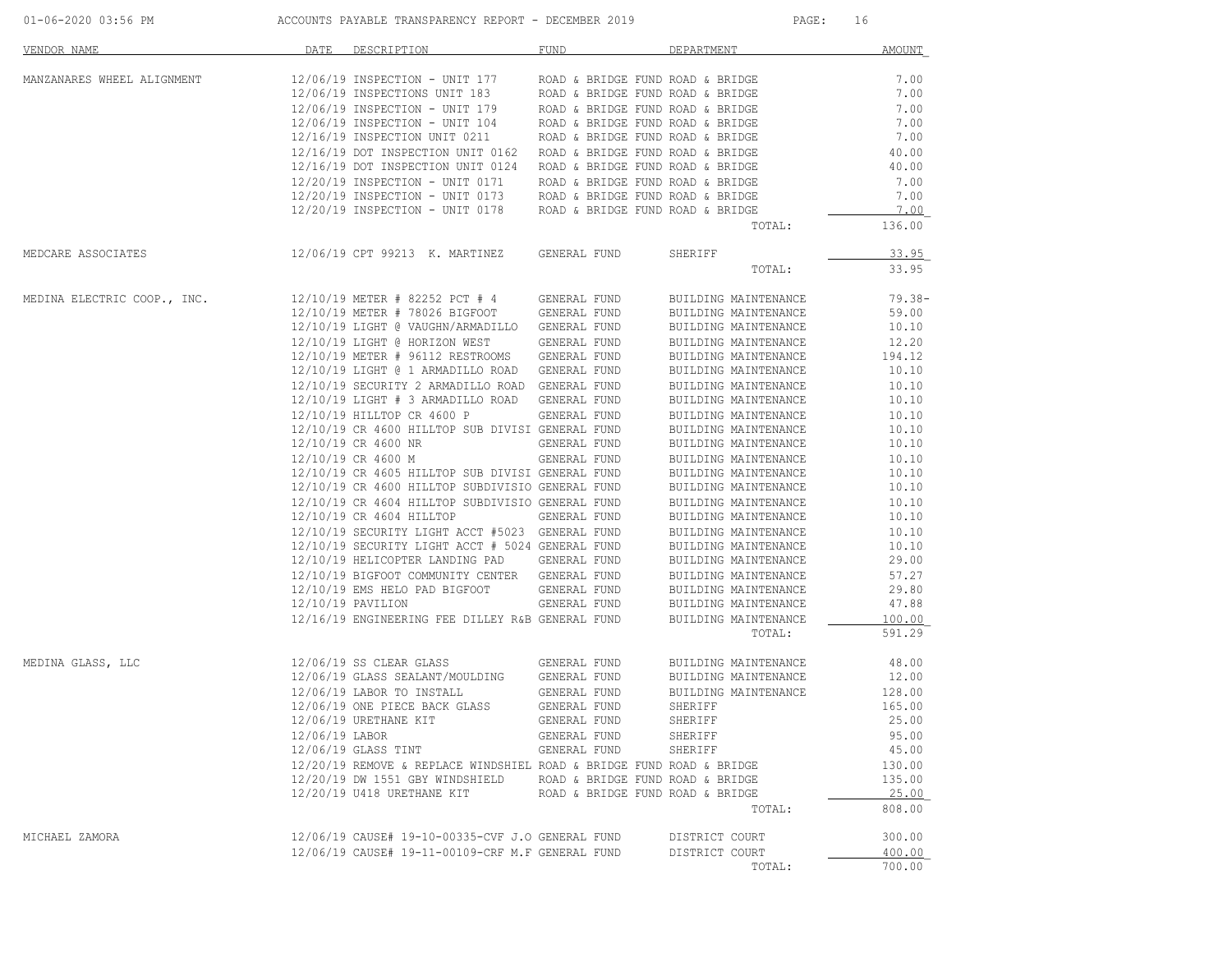| 01-06-2020 03:56 PM |  |
|---------------------|--|
|                     |  |

ACCOUNTS PAYABLE TRANSPARENCY REPORT - DECEMBER 2019 PAGE: 16

| <b>VENDOR NAME</b>          | DATE | DESCRIPTION                                                                                      | <b>FUND</b>                      | DEPARTMENT                                   | <b>AMOUNT</b>  |
|-----------------------------|------|--------------------------------------------------------------------------------------------------|----------------------------------|----------------------------------------------|----------------|
| MANZANARES WHEEL ALIGNMENT  |      | 12/06/19 INSPECTION - UNIT 177                                                                   | ROAD & BRIDGE FUND ROAD & BRIDGE |                                              | 7.00           |
|                             |      | 12/06/19 INSPECTIONS UNIT 183<br>12/06/19 INSPECTION - UNIT 179                                  | ROAD & BRIDGE FUND ROAD & BRIDGE |                                              | 7.00           |
|                             |      |                                                                                                  | ROAD & BRIDGE FUND ROAD & BRIDGE |                                              | 7.00           |
|                             |      | 12/06/19 INSPECTION - UNIT 104                                                                   | ROAD & BRIDGE FUND ROAD & BRIDGE |                                              | 7.00           |
|                             |      | 12/16/19 INSPECTION UNIT 0211                                                                    | ROAD & BRIDGE FUND ROAD & BRIDGE |                                              | 7.00           |
|                             |      | 12/16/19 DOT INSPECTION UNIT 0162                                                                | ROAD & BRIDGE FUND ROAD & BRIDGE |                                              | 40.00          |
|                             |      | 12/16/19 DOT INSPECTION UNIT 0124                                                                | ROAD & BRIDGE FUND ROAD & BRIDGE |                                              | 40.00          |
|                             |      | 12/20/19 INSPECTION - UNIT 0171                                                                  | ROAD & BRIDGE FUND ROAD & BRIDGE |                                              | 7.00           |
|                             |      | 12/20/19 INSPECTION - UNIT 0173                                                                  | ROAD & BRIDGE FUND ROAD & BRIDGE |                                              | 7.00           |
|                             |      | 12/20/19 INSPECTION - UNIT 0178                                                                  | ROAD & BRIDGE FUND ROAD & BRIDGE | TOTAL:                                       | 7.00<br>136.00 |
|                             |      |                                                                                                  |                                  |                                              |                |
| MEDCARE ASSOCIATES          |      | 12/06/19 CPT 99213 K. MARTINEZ                                                                   | GENERAL FUND                     | SHERIFF                                      | 33.95          |
|                             |      |                                                                                                  |                                  | TOTAL:                                       | 33.95          |
| MEDINA ELECTRIC COOP., INC. |      | 12/10/19 METER # 82252 PCT # 4                                                                   | GENERAL FUND                     | BUILDING MAINTENANCE                         | $79.38 -$      |
|                             |      | 12/10/19 METER # 78026 BIGFOOT                                                                   | GENERAL FUND                     | BUILDING MAINTENANCE                         | 59.00          |
|                             |      | 12/10/19 LIGHT @ VAUGHN/ARMADILLO GENERAL FUND                                                   |                                  | BUILDING MAINTENANCE                         | 10.10          |
|                             |      | 12/10/19 LIGHT @ HORIZON WEST                                                                    | GENERAL FUND                     | BUILDING MAINTENANCE                         | 12.20          |
|                             |      | 12/10/19 METER # 96112 RESTROOMS                                                                 | GENERAL FUND                     | BUILDING MAINTENANCE                         | 194.12         |
|                             |      | 12/10/19 LIGHT @ 1 ARMADILLO ROAD GENERAL FUND                                                   |                                  | BUILDING MAINTENANCE                         | 10.10          |
|                             |      | 12/10/19 SECURITY 2 ARMADILLO ROAD GENERAL FUND                                                  |                                  | BUILDING MAINTENANCE                         | 10.10          |
|                             |      | 12/10/19 LIGHT # 3 ARMADILLO ROAD GENERAL FUND                                                   |                                  | BUILDING MAINTENANCE                         | 10.10          |
|                             |      | 12/10/19 HILLTOP CR 4600 P                                                                       | GENERAL FUND                     | BUILDING MAINTENANCE                         | 10.10          |
|                             |      | 12/10/19 CR 4600 HILLTOP SUB DIVISI GENERAL FUND                                                 |                                  | BUILDING MAINTENANCE                         | 10.10          |
|                             |      | 12/10/19 CR 4600 NR                                                                              | GENERAL FUND                     | BUILDING MAINTENANCE                         | 10.10          |
|                             |      | 12/10/19 CR 4600 M                                                                               | GENERAL FUND                     | BUILDING MAINTENANCE                         | 10.10          |
|                             |      | 12/10/19 CR 4605 HILLTOP SUB DIVISI GENERAL FUND                                                 |                                  | BUILDING MAINTENANCE                         | 10.10          |
|                             |      | 12/10/19 CR 4600 HILLTOP SUBDIVISIO GENERAL FUND                                                 |                                  | BUILDING MAINTENANCE                         | 10.10          |
|                             |      | 12/10/19 CR 4604 HILLTOP SUBDIVISIO GENERAL FUND                                                 |                                  | BUILDING MAINTENANCE                         | 10.10          |
|                             |      | 12/10/19 CR 4604 HILLTOP                                                                         | GENERAL FUND                     | BUILDING MAINTENANCE                         | 10.10          |
|                             |      | 12/10/19 SECURITY LIGHT ACCT #5023 GENERAL FUND                                                  |                                  | BUILDING MAINTENANCE                         | 10.10          |
|                             |      | 12/10/19 SECURITY LIGHT ACCT # 5024 GENERAL FUND<br>12/10/19 HELICOPTER LANDING PAD GENERAL FUND |                                  | BUILDING MAINTENANCE                         | 10.10<br>29.00 |
|                             |      | 12/10/19 BIGFOOT COMMUNITY CENTER GENERAL FUND                                                   |                                  | BUILDING MAINTENANCE                         | 57.27          |
|                             |      | 12/10/19 EMS HELO PAD BIGFOOT                                                                    |                                  | BUILDING MAINTENANCE                         | 29.80          |
|                             |      | $12/10/19$ PAVILION                                                                              | GENERAL FUND<br>GENERAL FUND     | BUILDING MAINTENANCE<br>BUILDING MAINTENANCE | 47.88          |
|                             |      | 12/16/19 ENGINEERING FEE DILLEY R&B GENERAL FUND                                                 |                                  | BUILDING MAINTENANCE                         | 100.00         |
|                             |      |                                                                                                  |                                  | TOTAL:                                       | 591.29         |
| MEDINA GLASS, LLC           |      | $12/06/19$ SS CLEAR GLASS                                                                        | GENERAL FUND                     | BUILDING MAINTENANCE                         | 48.00          |
|                             |      | 12/06/19 GLASS SEALANT/MOULDING                                                                  | GENERAL FUND                     | BUILDING MAINTENANCE                         | 12.00          |
|                             |      | 12/06/19 LABOR TO INSTALL                                                                        | GENERAL FUND                     | BUILDING MAINTENANCE                         | 128.00         |
|                             |      | 12/06/19 ONE PIECE BACK GLASS                                                                    | GENERAL FUND                     | SHERIFF                                      | 165.00         |
|                             |      | 12/06/19 URETHANE KIT                                                                            | GENERAL FUND                     | SHERIFF                                      | 25.00          |
|                             |      | 12/06/19 LABOR                                                                                   | GENERAL FUND                     | SHERIFF                                      | 95.00          |
|                             |      | 12/06/19 GLASS TINT                                                                              | GENERAL FUND                     | SHERIFF                                      | 45.00          |
|                             |      | 12/20/19 REMOVE & REPLACE WINDSHIEL ROAD & BRIDGE FUND ROAD & BRIDGE                             |                                  |                                              | 130.00         |
|                             |      | 12/20/19 DW 1551 GBY WINDSHIELD ROAD & BRIDGE FUND ROAD & BRIDGE                                 |                                  |                                              | 135.00         |
|                             |      | 12/20/19 U418 URETHANE KIT ROAD & BRIDGE FUND ROAD & BRIDGE                                      |                                  |                                              | 25.00          |
|                             |      |                                                                                                  |                                  | TOTAL:                                       | 808.00         |
| MICHAEL ZAMORA              |      | 12/06/19 CAUSE# 19-10-00335-CVF J.O GENERAL FUND                                                 |                                  | DISTRICT COURT                               | 300.00         |
|                             |      | 12/06/19 CAUSE# 19-11-00109-CRF M.F GENERAL FUND                                                 |                                  | DISTRICT COURT                               | 400.00         |
|                             |      |                                                                                                  |                                  | TOTAL:                                       | 700.00         |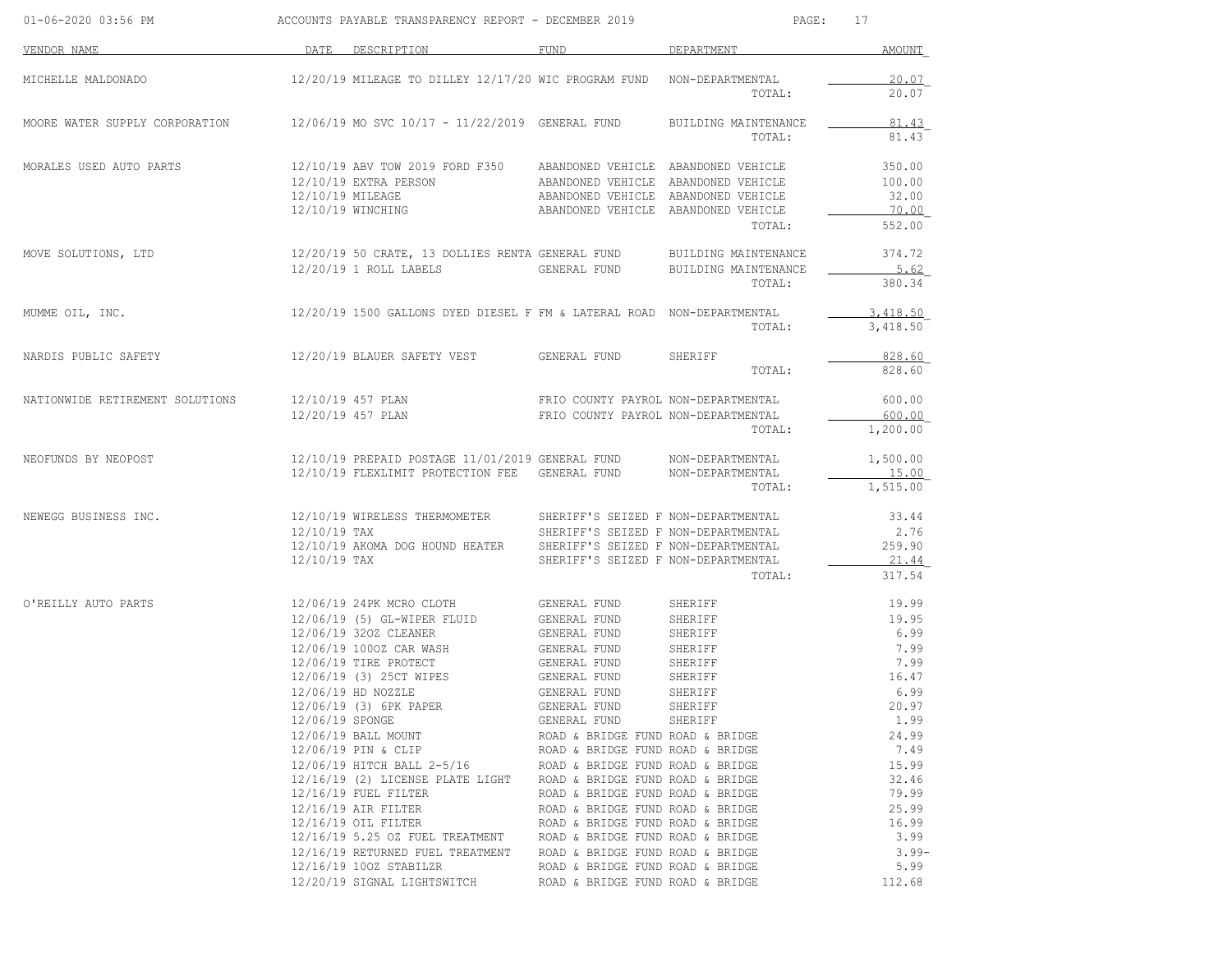| 01-06-2020 03:56 PM             | ACCOUNTS PAYABLE TRANSPARENCY REPORT - DECEMBER 2019 |                                                                                                                                                                                                                                                                                                                                                                                                                                                                                                          |                                                                                                                                                                                                                                                                                                                                                                                                                                                                                                                             | PAGE:<br>17                                                                                     |                                                                                                                                                                              |  |
|---------------------------------|------------------------------------------------------|----------------------------------------------------------------------------------------------------------------------------------------------------------------------------------------------------------------------------------------------------------------------------------------------------------------------------------------------------------------------------------------------------------------------------------------------------------------------------------------------------------|-----------------------------------------------------------------------------------------------------------------------------------------------------------------------------------------------------------------------------------------------------------------------------------------------------------------------------------------------------------------------------------------------------------------------------------------------------------------------------------------------------------------------------|-------------------------------------------------------------------------------------------------|------------------------------------------------------------------------------------------------------------------------------------------------------------------------------|--|
| VENDOR NAME                     |                                                      | DATE DESCRIPTION                                                                                                                                                                                                                                                                                                                                                                                                                                                                                         | FUND                                                                                                                                                                                                                                                                                                                                                                                                                                                                                                                        | DEPARTMENT                                                                                      | <b>AMOUNT</b>                                                                                                                                                                |  |
| MICHELLE MALDONADO              |                                                      | 12/20/19 MILEAGE TO DILLEY 12/17/20 WIC PROGRAM FUND NON-DEPARTMENTAL                                                                                                                                                                                                                                                                                                                                                                                                                                    |                                                                                                                                                                                                                                                                                                                                                                                                                                                                                                                             | TOTAL:                                                                                          | 20.07<br>20.07                                                                                                                                                               |  |
| MOORE WATER SUPPLY CORPORATION  |                                                      | 12/06/19 MO SVC 10/17 - 11/22/2019 GENERAL FUND                                                                                                                                                                                                                                                                                                                                                                                                                                                          |                                                                                                                                                                                                                                                                                                                                                                                                                                                                                                                             | BUILDING MAINTENANCE<br>TOTAL:                                                                  | 81.43<br>81.43                                                                                                                                                               |  |
| MORALES USED AUTO PARTS         | 12/10/19 MILEAGE                                     | 12/10/19 ABV TOW 2019 FORD F350<br>12/10/19 EXTRA PERSON<br>12/10/19 WINCHING                                                                                                                                                                                                                                                                                                                                                                                                                            | ABANDONED VEHICLE ABANDONED VEHICLE<br>ABANDONED VEHICLE ABANDONED VEHICLE<br>ABANDONED VEHICLE ABANDONED VEHICLE<br>ABANDONED VEHICLE ABANDONED VEHICLE                                                                                                                                                                                                                                                                                                                                                                    | TOTAL:                                                                                          | 350.00<br>100.00<br>32.00<br>70.00<br>552.00                                                                                                                                 |  |
| MOVE SOLUTIONS, LTD             |                                                      | 12/20/19 50 CRATE, 13 DOLLIES RENTA GENERAL FUND<br>12/20/19 1 ROLL LABELS                                                                                                                                                                                                                                                                                                                                                                                                                               | GENERAL FUND                                                                                                                                                                                                                                                                                                                                                                                                                                                                                                                | BUILDING MAINTENANCE<br>BUILDING MAINTENANCE<br>TOTAL:                                          | 374.72<br>5.62<br>380.34                                                                                                                                                     |  |
| MUMME OIL, INC.                 |                                                      | 12/20/19 1500 GALLONS DYED DIESEL F FM & LATERAL ROAD NON-DEPARTMENTAL                                                                                                                                                                                                                                                                                                                                                                                                                                   |                                                                                                                                                                                                                                                                                                                                                                                                                                                                                                                             | TOTAL:                                                                                          | 3,418.50<br>3,418.50                                                                                                                                                         |  |
| NARDIS PUBLIC SAFETY            |                                                      | 12/20/19 BLAUER SAFETY VEST                                                                                                                                                                                                                                                                                                                                                                                                                                                                              | GENERAL FUND                                                                                                                                                                                                                                                                                                                                                                                                                                                                                                                | SHERIFF<br>TOTAL:                                                                               | 828.60<br>828.60                                                                                                                                                             |  |
| NATIONWIDE RETIREMENT SOLUTIONS |                                                      | 12/10/19 457 PLAN<br>12/20/19 457 PLAN                                                                                                                                                                                                                                                                                                                                                                                                                                                                   | FRIO COUNTY PAYROL NON-DEPARTMENTAL<br>FRIO COUNTY PAYROL NON-DEPARTMENTAL                                                                                                                                                                                                                                                                                                                                                                                                                                                  | TOTAL:                                                                                          | 600.00<br>600.00<br>1,200.00                                                                                                                                                 |  |
| NEOFUNDS BY NEOPOST             |                                                      | 12/10/19 PREPAID POSTAGE 11/01/2019 GENERAL FUND<br>12/10/19 FLEXLIMIT PROTECTION FEE GENERAL FUND                                                                                                                                                                                                                                                                                                                                                                                                       |                                                                                                                                                                                                                                                                                                                                                                                                                                                                                                                             | NON-DEPARTMENTAL<br>NON-DEPARTMENTAL<br>TOTAL:                                                  | 1,500.00<br>15.00<br>1,515.00                                                                                                                                                |  |
| NEWEGG BUSINESS INC.            | $12/10/19$ TAX<br>12/10/19 TAX                       | 12/10/19 WIRELESS THERMOMETER<br>12/10/19 AKOMA DOG HOUND HEATER                                                                                                                                                                                                                                                                                                                                                                                                                                         | SHERIFF'S SEIZED F NON-DEPARTMENTAL<br>SHERIFF'S SEIZED F NON-DEPARTMENTAL<br>SHERIFF'S SEIZED F NON-DEPARTMENTAL<br>SHERIFF'S SEIZED F NON-DEPARTMENTAL                                                                                                                                                                                                                                                                                                                                                                    | TOTAL:                                                                                          | 33.44<br>2.76<br>259.90<br>21.44<br>317.54                                                                                                                                   |  |
| O'REILLY AUTO PARTS             | 12/06/19 SPONGE                                      | 12/06/19 24PK MCRO CLOTH<br>12/06/19 (5) GL-WIPER FLUID<br>12/06/19 320Z CLEANER<br>12/06/19 1000Z CAR WASH<br>12/06/19 TIRE PROTECT<br>12/06/19 (3) 25CT WIPES<br>12/06/19 HD NOZZLE<br>12/06/19 (3) 6PK PAPER<br>12/06/19 BALL MOUNT<br>12/06/19 PIN & CLIP<br>12/06/19 HITCH BALL 2-5/16<br>12/16/19 (2) LICENSE PLATE LIGHT<br>$12/16/19$ FUEL FILTER<br>12/16/19 AIR FILTER<br>12/16/19 OIL FILTER<br>12/16/19 5.25 OZ FUEL TREATMENT<br>12/16/19 RETURNED FUEL TREATMENT<br>12/16/19 100Z STABILZR | GENERAL FUND<br>GENERAL FUND<br>GENERAL FUND<br><b>GENERAL FUND</b><br>GENERAL FUND<br>GENERAL FUND<br>GENERAL FUND<br>GENERAL FUND<br>GENERAL FUND<br>ROAD & BRIDGE FUND ROAD & BRIDGE<br>ROAD & BRIDGE FUND ROAD & BRIDGE<br>ROAD & BRIDGE FUND ROAD & BRIDGE<br>ROAD & BRIDGE FUND ROAD & BRIDGE<br>ROAD & BRIDGE FUND ROAD & BRIDGE<br>ROAD & BRIDGE FUND ROAD & BRIDGE<br>ROAD & BRIDGE FUND ROAD & BRIDGE<br>ROAD & BRIDGE FUND ROAD & BRIDGE<br>ROAD & BRIDGE FUND ROAD & BRIDGE<br>ROAD & BRIDGE FUND ROAD & BRIDGE | SHERIFF<br>SHERIFF<br>SHERIFF<br>SHERIFF<br>SHERIFF<br>SHERIFF<br>SHERIFF<br>SHERIFF<br>SHERIFF | 19.99<br>19.95<br>6.99<br>7.99<br>7.99<br>16.47<br>6.99<br>20.97<br>1.99<br>24.99<br>7.49<br>15.99<br>32.46<br>79.99<br>25.99<br>16.99<br>3.99<br>$3.99 -$<br>5.99<br>112.68 |  |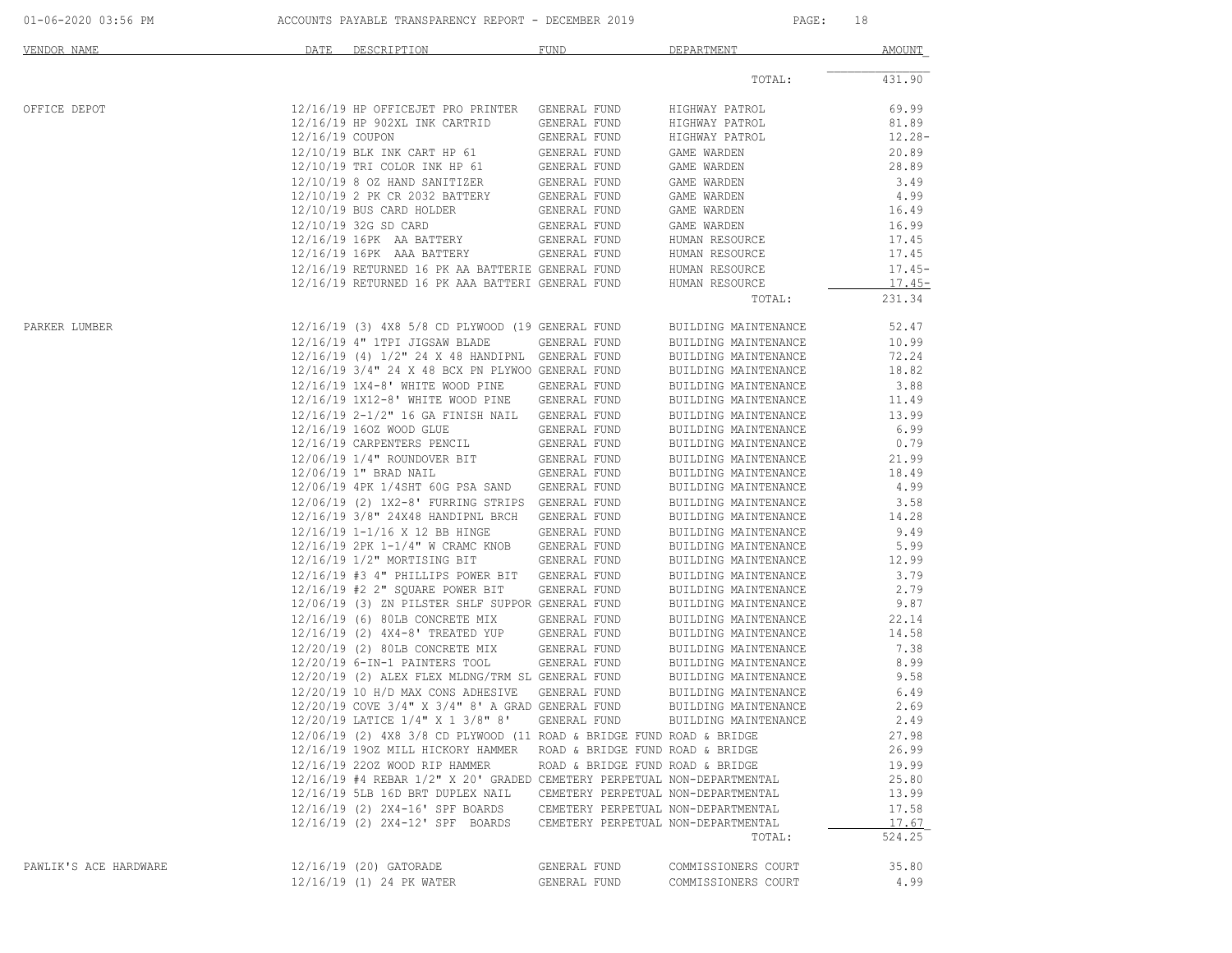|  | 01-06-2020 03:56 PM |  |
|--|---------------------|--|
|  |                     |  |

ACCOUNTS PAYABLE TRANSPARENCY REPORT - DECEMBER 2019 PAGE: 18

| VENDOR NAME           | DATE                      | DESCRIPTION                                                                                                   | FUND                                | DEPARTMENT                                   | AMOUNT          |
|-----------------------|---------------------------|---------------------------------------------------------------------------------------------------------------|-------------------------------------|----------------------------------------------|-----------------|
|                       |                           |                                                                                                               |                                     | TOTAL:                                       | 431.90          |
| OFFICE DEPOT          |                           | 12/16/19 HP OFFICEJET PRO PRINTER                                                                             | GENERAL FUND                        | HIGHWAY PATROL                               | 69.99           |
|                       |                           | 12/16/19 HP 902XL INK CARTRID                                                                                 | GENERAL FUND                        | HIGHWAY PATROL                               | 81.89           |
|                       | 12/16/19 COUPON           |                                                                                                               | GENERAL FUND                        | HIGHWAY PATROL                               | $12.28 -$       |
|                       |                           | 12/10/19 BLK INK CART HP 61                                                                                   | GENERAL FUND                        | GAME WARDEN                                  | 20.89           |
|                       |                           | 12/10/19 TRI COLOR INK HP 61                                                                                  | GENERAL FUND                        | GAME WARDEN                                  | 28.89           |
|                       |                           | 12/10/19 8 OZ HAND SANITIZER                                                                                  | GENERAL FUND                        | GAME WARDEN                                  | 3.49            |
|                       |                           | 12/10/19 2 PK CR 2032 BATTERY                                                                                 | GENERAL FUND                        | GAME WARDEN                                  | 4.99            |
|                       | 12/10/19 BUS CARD HOLDER  |                                                                                                               | GENERAL FUND                        | GAME WARDEN                                  | 16.49           |
|                       | 12/10/19 32G SD CARD      |                                                                                                               | GENERAL FUND                        | GAME WARDEN                                  | 16.99           |
|                       | 12/16/19 16PK AA BATTERY  |                                                                                                               | GENERAL FUND                        | HUMAN RESOURCE                               | 17.45           |
|                       | 12/16/19 16PK AAA BATTERY |                                                                                                               | GENERAL FUND                        | HUMAN RESOURCE                               | 17.45           |
|                       |                           | 12/16/19 RETURNED 16 PK AA BATTERIE GENERAL FUND                                                              |                                     | HUMAN RESOURCE                               | $17.45-$        |
|                       |                           | 12/16/19 RETURNED 16 PK AAA BATTERI GENERAL FUND                                                              |                                     | HUMAN RESOURCE                               | $17.45-$        |
|                       |                           |                                                                                                               |                                     | TOTAL:                                       | 231.34          |
| PARKER LUMBER         |                           | 12/16/19 (3) 4X8 5/8 CD PLYWOOD (19 GENERAL FUND                                                              |                                     | BUILDING MAINTENANCE                         | 52.47           |
|                       |                           | 12/16/19 4" 1TPI JIGSAW BLADE                                                                                 | GENERAL FUND                        | BUILDING MAINTENANCE                         | 10.99           |
|                       |                           | 12/16/19 (4) 1/2" 24 X 48 HANDIPNL GENERAL FUND                                                               |                                     | BUILDING MAINTENANCE                         | 72.24           |
|                       |                           | 12/16/19 3/4" 24 X 48 BCX PN PLYWOO GENERAL FUND                                                              |                                     | BUILDING MAINTENANCE                         | 18.82           |
|                       |                           | 12/16/19 1X4-8' WHITE WOOD PINE                                                                               | GENERAL FUND                        | BUILDING MAINTENANCE                         | 3.88            |
|                       |                           | 12/16/19 1X12-8' WHITE WOOD PINE                                                                              | GENERAL FUND                        | BUILDING MAINTENANCE                         | 11.49           |
|                       |                           | 12/16/19 2-1/2" 16 GA FINISH NAIL                                                                             | GENERAL FUND                        | BUILDING MAINTENANCE                         | 13.99           |
|                       | 12/16/19 160Z WOOD GLUE   |                                                                                                               | GENERAL FUND                        | BUILDING MAINTENANCE                         | 6.99            |
|                       |                           | 12/16/19 CARPENTERS PENCIL                                                                                    | GENERAL FUND                        | BUILDING MAINTENANCE                         | 0.79            |
|                       |                           | 12/06/19 1/4" ROUNDOVER BIT                                                                                   | GENERAL FUND                        | BUILDING MAINTENANCE                         | 21.99           |
|                       | 12/06/19 1" BRAD NAIL     |                                                                                                               | GENERAL FUND                        | BUILDING MAINTENANCE                         | 18.49           |
|                       |                           | 12/06/19 4PK 1/4SHT 60G PSA SAND                                                                              | GENERAL FUND                        | BUILDING MAINTENANCE                         | 4.99            |
|                       |                           | 12/06/19 (2) 1X2-8' FURRING STRIPS                                                                            | GENERAL FUND                        | BUILDING MAINTENANCE                         | 3.58            |
|                       |                           | 12/16/19 3/8" 24X48 HANDIPNL BRCH                                                                             | GENERAL FUND                        | BUILDING MAINTENANCE                         | 14.28           |
|                       |                           | 12/16/19 1-1/16 X 12 BB HINGE                                                                                 | GENERAL FUND                        | BUILDING MAINTENANCE                         | 9.49            |
|                       |                           | 12/16/19 2PK 1-1/4" W CRAMC KNOB                                                                              | GENERAL FUND                        | BUILDING MAINTENANCE                         | 5.99            |
|                       |                           | 12/16/19 1/2" MORTISING BIT                                                                                   | GENERAL FUND                        |                                              | 12.99           |
|                       |                           |                                                                                                               |                                     | BUILDING MAINTENANCE                         |                 |
|                       |                           | 12/16/19 #3 4" PHILLIPS POWER BIT                                                                             | GENERAL FUND                        | BUILDING MAINTENANCE                         | 3.79            |
|                       |                           | 12/16/19 #2 2" SQUARE POWER BIT<br>12/06/19 (3) ZN PILSTER SHLF SUPPOR GENERAL FUND                           | GENERAL FUND                        | BUILDING MAINTENANCE                         | 2.79<br>9.87    |
|                       |                           |                                                                                                               |                                     | BUILDING MAINTENANCE                         |                 |
|                       |                           | 12/16/19 (6) 80LB CONCRETE MIX                                                                                | GENERAL FUND                        | BUILDING MAINTENANCE                         | 22.14           |
|                       |                           | 12/16/19 (2) 4X4-8' TREATED YUP                                                                               | GENERAL FUND                        | BUILDING MAINTENANCE                         | 14.58           |
|                       |                           | 12/20/19 (2) 80LB CONCRETE MIX                                                                                | GENERAL FUND                        | BUILDING MAINTENANCE                         | 7.38            |
|                       |                           | 12/20/19 6-IN-1 PAINTERS TOOL                                                                                 | GENERAL FUND                        | BUILDING MAINTENANCE<br>BUILDING MAINTENANCE | 8.99<br>9.58    |
|                       |                           | 12/20/19 (2) ALEX FLEX MLDNG/TRM SL GENERAL FUND                                                              |                                     |                                              |                 |
|                       |                           | 12/20/19 10 H/D MAX CONS ADHESIVE                                                                             | GENERAL FUND                        | BUILDING MAINTENANCE                         | 6.49            |
|                       |                           | 12/20/19 COVE 3/4" X 3/4" 8' A GRAD GENERAL FUND<br>12/20/19 LATICE 1/4" X 1 3/8" 8'                          |                                     | BUILDING MAINTENANCE                         | 2.69<br>2.49    |
|                       |                           |                                                                                                               | GENERAL FUND                        | BUILDING MAINTENANCE                         |                 |
|                       |                           | $12/06/19$ (2) $4X8$ 3/8 CD PLYWOOD (11 ROAD & BRIDGE FUND ROAD & BRIDGE<br>12/16/19 190Z MILL HICKORY HAMMER |                                     |                                              | 27.98           |
|                       |                           |                                                                                                               | ROAD & BRIDGE FUND ROAD & BRIDGE    |                                              | 26.99           |
|                       |                           | 12/16/19 220Z WOOD RIP HAMMER                                                                                 | ROAD & BRIDGE FUND ROAD & BRIDGE    |                                              | 19.99           |
|                       |                           | 12/16/19 #4 REBAR 1/2" X 20' GRADED CEMETERY PERPETUAL NON-DEPARTMENTAL                                       |                                     |                                              | 25.80           |
|                       |                           | 12/16/19 5LB 16D BRT DUPLEX NAIL                                                                              | CEMETERY PERPETUAL NON-DEPARTMENTAL |                                              | 13.99           |
|                       |                           | 12/16/19 (2) 2X4-16' SPF BOARDS                                                                               | CEMETERY PERPETUAL NON-DEPARTMENTAL |                                              | 17.58           |
|                       |                           | 12/16/19 (2) 2X4-12' SPF BOARDS                                                                               | CEMETERY PERPETUAL NON-DEPARTMENTAL | TOTAL:                                       | 17.67<br>524.25 |
|                       |                           |                                                                                                               |                                     |                                              |                 |
| PAWLIK'S ACE HARDWARE | 12/16/19 (20) GATORADE    |                                                                                                               | GENERAL FUND                        | COMMISSIONERS COURT                          | 35.80           |
|                       | 12/16/19 (1) 24 PK WATER  |                                                                                                               | GENERAL FUND                        | COMMISSIONERS COURT                          | 4.99            |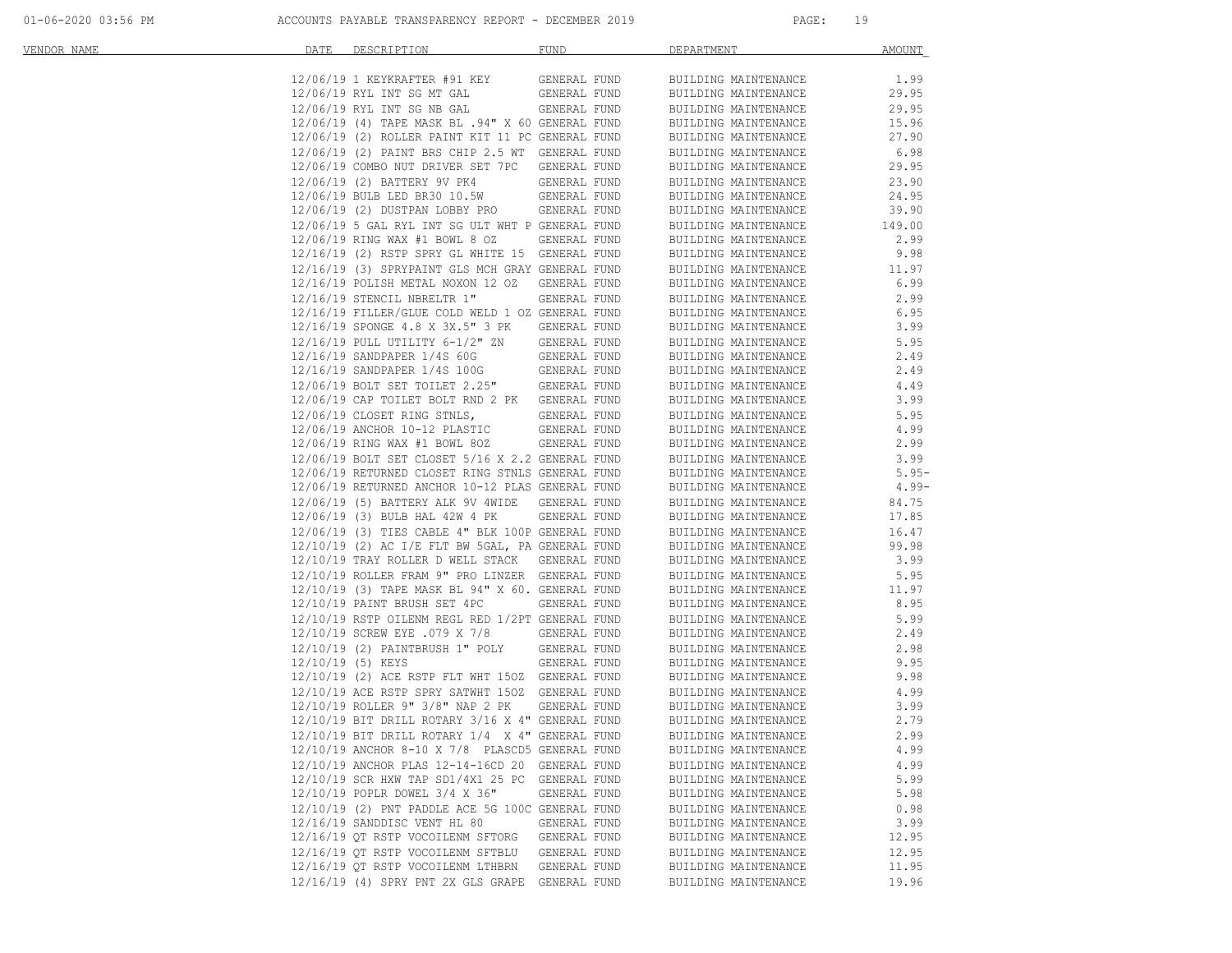| VENDOR NAME | DATE              | DESCRIPTION                                                            | <b>FUND</b>  | DEPARTMENT           | <b>AMOUNT</b> |
|-------------|-------------------|------------------------------------------------------------------------|--------------|----------------------|---------------|
|             |                   | 12/06/19 1 KEYKRAFTER #91 KEY                                          | GENERAL FUND | BUILDING MAINTENANCE | 1.99          |
|             |                   | 12/06/19 RYL INT SG MT GAL                                             | GENERAL FUND | BUILDING MAINTENANCE | 29.95         |
|             |                   | 12/06/19 RYL INT SG NB GAL                                             | GENERAL FUND | BUILDING MAINTENANCE | 29.95         |
|             |                   | 12/06/19 (4) TAPE MASK BL .94" X 60 GENERAL FUND                       |              | BUILDING MAINTENANCE | 15.96         |
|             |                   | 12/06/19 (2) ROLLER PAINT KIT 11 PC GENERAL FUND                       |              | BUILDING MAINTENANCE | 27.90         |
|             |                   | 12/06/19 (2) PAINT BRS CHIP 2.5 WT GENERAL FUND                        |              | BUILDING MAINTENANCE | 6.98          |
|             |                   | 12/06/19 COMBO NUT DRIVER SET 7PC GENERAL FUND                         |              | BUILDING MAINTENANCE | 29.95         |
|             |                   | 12/06/19 (2) BATTERY 9V PK4                                            | GENERAL FUND | BUILDING MAINTENANCE | 23.90         |
|             |                   |                                                                        | GENERAL FUND | BUILDING MAINTENANCE | 24.95         |
|             |                   | 12/06/19 BULB LED BR30 10.5W<br>12/06/19 (2) DUSTPAN LOBBY PRO         | GENERAL FUND | BUILDING MAINTENANCE | 39.90         |
|             |                   | 12/06/19 5 GAL RYL INT SG ULT WHT P GENERAL FUND                       |              | BUILDING MAINTENANCE | 149.00        |
|             |                   | 12/06/19 RING WAX #1 BOWL 8 OZ                                         | GENERAL FUND | BUILDING MAINTENANCE | 2.99          |
|             |                   | 12/16/19 (2) RSTP SPRY GL WHITE 15 GENERAL FUND                        |              | BUILDING MAINTENANCE | 9.98          |
|             |                   | 12/16/19 (3) SPRYPAINT GLS MCH GRAY GENERAL FUND                       |              | BUILDING MAINTENANCE | 11.97         |
|             |                   | 12/16/19 POLISH METAL NOXON 12 OZ                                      | GENERAL FUND | BUILDING MAINTENANCE | 6.99          |
|             |                   | 12/16/19 STENCIL NBRELTR 1"                                            | GENERAL FUND | BUILDING MAINTENANCE | 2.99          |
|             |                   | 12/16/19 FILLER/GLUE COLD WELD 1 OZ GENERAL FUND                       |              | BUILDING MAINTENANCE | 6.95          |
|             |                   | 12/16/19 SPONGE 4.8 X 3X.5" 3 PK                                       | GENERAL FUND | BUILDING MAINTENANCE | 3.99          |
|             |                   | 12/16/19 PULL UTILITY 6-1/2" ZN                                        | GENERAL FUND | BUILDING MAINTENANCE | 5.95          |
|             |                   | 12/16/19 SANDPAPER 1/4S 60G                                            | GENERAL FUND | BUILDING MAINTENANCE | 2.49          |
|             |                   | 12/16/19 SANDPAPER 1/4S 100G                                           | GENERAL FUND | BUILDING MAINTENANCE | 2.49          |
|             |                   | 12/06/19 BOLT SET TOILET 2.25"                                         | GENERAL FUND | BUILDING MAINTENANCE | 4.49          |
|             |                   | 12/06/19 CAP TOILET BOLT RND 2 PK GENERAL FUND                         |              | BUILDING MAINTENANCE | 3.99          |
|             |                   | 12/06/19 CLOSET RING STNLS,                                            | GENERAL FUND | BUILDING MAINTENANCE | 5.95          |
|             |                   | 12/06/19 ANCHOR 10-12 PLASTIC<br>12/06/19 RING WAX #1 BOWL 80Z         | GENERAL FUND | BUILDING MAINTENANCE | 4.99          |
|             |                   |                                                                        | GENERAL FUND | BUILDING MAINTENANCE | 2.99          |
|             |                   | 12/06/19 BOLT SET CLOSET 5/16 X 2.2 GENERAL FUND                       |              | BUILDING MAINTENANCE | 3.99          |
|             |                   | 12/06/19 RETURNED CLOSET RING STNLS GENERAL FUND                       |              | BUILDING MAINTENANCE | $5.95 -$      |
|             |                   | 12/06/19 RETURNED ANCHOR 10-12 PLAS GENERAL FUND                       |              | BUILDING MAINTENANCE | 4.99-         |
|             |                   | 12/06/19 (5) BATTERY ALK 9V 4WIDE GENERAL FUND                         |              | BUILDING MAINTENANCE | 84.75         |
|             |                   | 12/06/19 (3) BULB HAL 42W 4 PK                                         | GENERAL FUND | BUILDING MAINTENANCE | 17.85         |
|             |                   | 12/06/19 (3) TIES CABLE 4" BLK 100P GENERAL FUND                       |              | BUILDING MAINTENANCE | 16.47         |
|             |                   | 12/10/19 (2) AC I/E FLT BW 5GAL, PA GENERAL FUND                       |              | BUILDING MAINTENANCE | 99.98         |
|             |                   | 12/10/19 TRAY ROLLER D WELL STACK GENERAL FUND                         |              | BUILDING MAINTENANCE | 3.99          |
|             |                   | 12/10/19 ROLLER FRAM 9" PRO LINZER GENERAL FUND                        |              | BUILDING MAINTENANCE | 5.95          |
|             |                   | 12/10/19 (3) TAPE MASK BL 94" X 60. GENERAL FUND                       |              | BUILDING MAINTENANCE | 11.97         |
|             |                   | 12/10/19 PAINT BRUSH SET 4PC                                           | GENERAL FUND | BUILDING MAINTENANCE | 8.95          |
|             |                   | 12/10/19 RSTP OILENM REGL RED 1/2PT GENERAL FUND                       |              | BUILDING MAINTENANCE | 5.99          |
|             |                   | 12/10/19 SCREW EYE .079 X 7/8                                          | GENERAL FUND | BUILDING MAINTENANCE | 2.49          |
|             |                   | 12/10/19 (2) PAINTBRUSH 1" POLY                                        | GENERAL FUND | BUILDING MAINTENANCE | 2.98          |
|             | 12/10/19 (5) KEYS |                                                                        | GENERAL FUND | BUILDING MAINTENANCE | 9.95          |
|             |                   | 12/10/19 (2) ACE RSTP FLT WHT 150Z GENERAL FUND                        |              | BUILDING MAINTENANCE | 9.98          |
|             |                   | 12/10/19 ACE RSTP SPRY SATWHT 150Z GENERAL FUND                        |              | BUILDING MAINTENANCE | 4.99          |
|             |                   | 12/10/19 ROLLER 9" 3/8" NAP 2 PK                                       | GENERAL FUND | BUILDING MAINTENANCE | 3.99          |
|             |                   | 12/10/19 BIT DRILL ROTARY 3/16 X 4" GENERAL FUND                       |              | BUILDING MAINTENANCE | 2.79          |
|             |                   | 12/10/19 BIT DRILL ROTARY 1/4 X 4" GENERAL FUND                        |              | BUILDING MAINTENANCE | 2.99          |
|             |                   | 12/10/19 ANCHOR 8-10 X 7/8 PLASCD5 GENERAL FUND                        |              | BUILDING MAINTENANCE | 4.99          |
|             |                   | 12/10/19 ANCHOR PLAS 12-14-16CD 20 GENERAL FUND                        |              | BUILDING MAINTENANCE | 4.99          |
|             |                   | 12/10/19 SCR HXW TAP SD1/4X1 25 PC GENERAL FUND                        |              | BUILDING MAINTENANCE | 5.99          |
|             |                   | 12/10/19 POPLR DOWEL 3/4 X 36"                                         | GENERAL FUND | BUILDING MAINTENANCE | 5.98          |
|             |                   | 12/10/19 (2) PNT PADDLE ACE 5G 100C GENERAL FUND                       |              | BUILDING MAINTENANCE | 0.98          |
|             |                   | 12/16/19 SANDDISC VENT HL 80                                           | GENERAL FUND | BUILDING MAINTENANCE | 3.99          |
|             |                   | 12/16/19 QT RSTP VOCOILENM SFTORG                                      | GENERAL FUND | BUILDING MAINTENANCE | 12.95         |
|             |                   | 12/16/19 QT RSTP VOCOILENM SFTBLU<br>12/16/19 QT RSTP VOCOILENM LTHBRN | GENERAL FUND | BUILDING MAINTENANCE | 12.95         |
|             |                   |                                                                        | GENERAL FUND | BUILDING MAINTENANCE | 11.95         |
|             |                   | 12/16/19 (4) SPRY PNT 2X GLS GRAPE GENERAL FUND                        |              | BUILDING MAINTENANCE | 19.96         |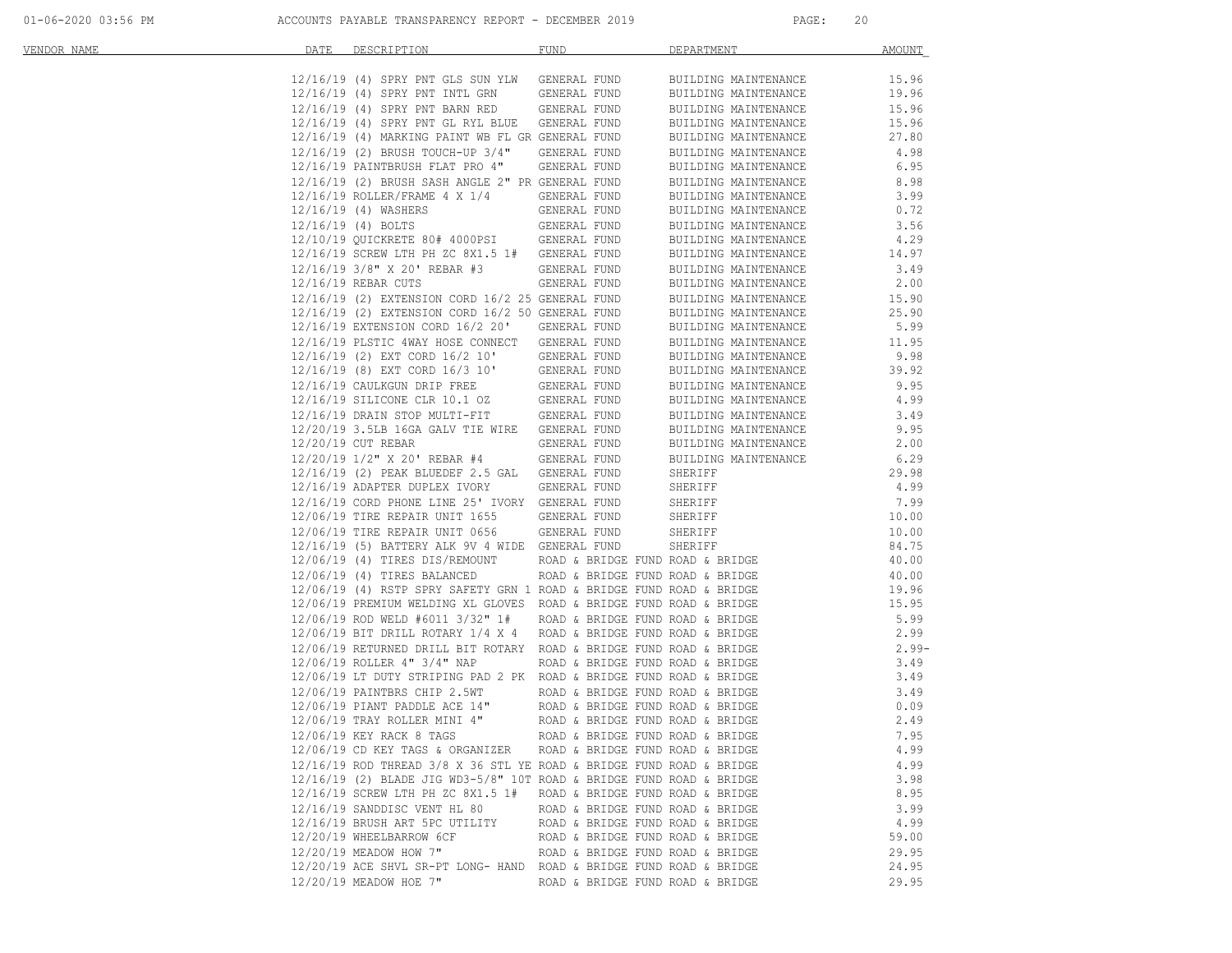| VENDOR NAME | DATE | DESCRIPTION                                                            | <b>FUND</b>                      | DEPARTMENT           | AMOUNT   |
|-------------|------|------------------------------------------------------------------------|----------------------------------|----------------------|----------|
|             |      |                                                                        |                                  |                      |          |
|             |      | 12/16/19 (4) SPRY PNT GLS SUN YLW                                      | GENERAL FUND                     | BUILDING MAINTENANCE | 15.96    |
|             |      | 12/16/19 (4) SPRY PNT INTL GRN                                         | GENERAL FUND                     | BUILDING MAINTENANCE | 19.96    |
|             |      | 12/16/19 (4) SPRY PNT BARN RED                                         | GENERAL FUND                     | BUILDING MAINTENANCE | 15.96    |
|             |      | 12/16/19 (4) SPRY PNT GL RYL BLUE GENERAL FUND                         |                                  | BUILDING MAINTENANCE | 15.96    |
|             |      | 12/16/19 (4) MARKING PAINT WB FL GR GENERAL FUND                       |                                  | BUILDING MAINTENANCE | 27.80    |
|             |      | 12/16/19 (2) BRUSH TOUCH-UP 3/4"                                       | GENERAL FUND                     | BUILDING MAINTENANCE | 4.98     |
|             |      | 12/16/19 PAINTBRUSH FLAT PRO 4"                                        | GENERAL FUND                     | BUILDING MAINTENANCE | 6.95     |
|             |      | 12/16/19 (2) BRUSH SASH ANGLE 2" PR GENERAL FUND                       |                                  | BUILDING MAINTENANCE | 8.98     |
|             |      | 12/16/19 ROLLER/FRAME 4 X 1/4                                          | GENERAL FUND                     | BUILDING MAINTENANCE | 3.99     |
|             |      | 12/16/19 (4) WASHERS                                                   | GENERAL FUND                     | BUILDING MAINTENANCE | 0.72     |
|             |      | 12/16/19 (4) BOLTS                                                     | GENERAL FUND                     | BUILDING MAINTENANCE | 3.56     |
|             |      | 12/10/19 QUICKRETE 80# 4000PSI GENERAL FUND                            |                                  | BUILDING MAINTENANCE | 4.29     |
|             |      | 12/16/19 SCREW LTH PH ZC 8X1.5 1# GENERAL FUND                         |                                  | BUILDING MAINTENANCE | 14.97    |
|             |      | 12/16/19 3/8" X 20' REBAR #3                                           | GENERAL FUND                     | BUILDING MAINTENANCE | 3.49     |
|             |      | 12/16/19 REBAR CUTS                                                    | GENERAL FUND                     | BUILDING MAINTENANCE | 2.00     |
|             |      | 12/16/19 (2) EXTENSION CORD 16/2 25 GENERAL FUND                       |                                  | BUILDING MAINTENANCE | 15.90    |
|             |      | 12/16/19 (2) EXTENSION CORD 16/2 50 GENERAL FUND                       |                                  | BUILDING MAINTENANCE | 25.90    |
|             |      | 12/16/19 EXTENSION CORD 16/2 20'                                       | GENERAL FUND                     | BUILDING MAINTENANCE | 5.99     |
|             |      | 12/16/19 PLSTIC 4WAY HOSE CONNECT                                      | GENERAL FUND                     | BUILDING MAINTENANCE | 11.95    |
|             |      | 12/16/19 (2) EXT CORD 16/2 10'                                         | GENERAL FUND                     | BUILDING MAINTENANCE | 9.98     |
|             |      | 12/16/19 (8) EXT CORD 16/3 10'                                         | GENERAL FUND                     | BUILDING MAINTENANCE | 39.92    |
|             |      | 12/16/19 CAULKGUN DRIP FREE<br>12/16/19 SILICONE CLR 10.1 OZ           | GENERAL FUND                     | BUILDING MAINTENANCE | 9.95     |
|             |      |                                                                        | GENERAL FUND                     | BUILDING MAINTENANCE | 4.99     |
|             |      | 12/16/19 DRAIN STOP MULTI-FIT                                          | GENERAL FUND                     | BUILDING MAINTENANCE | 3.49     |
|             |      | 12/20/19 3.5LB 16GA GALV TIE WIRE                                      | GENERAL FUND                     | BUILDING MAINTENANCE | 9.95     |
|             |      | 12/20/19 CUT REBAR                                                     | GENERAL FUND                     | BUILDING MAINTENANCE | 2.00     |
|             |      | 12/20/19 1/2" X 20' REBAR #4                                           | GENERAL FUND                     | BUILDING MAINTENANCE | 6.29     |
|             |      | 12/16/19 (2) PEAK BLUEDEF 2.5 GAL                                      | GENERAL FUND                     | SHERIFF              | 29.98    |
|             |      | 12/16/19 ADAPTER DUPLEX IVORY                                          | GENERAL FUND                     | SHERIFF              | 4.99     |
|             |      | 12/16/19 CORD PHONE LINE 25' IVORY GENERAL FUND                        |                                  | SHERIFF              | 7.99     |
|             |      | 12/06/19 TIRE REPAIR UNIT 1655                                         | GENERAL FUND                     | SHERIFF              | 10.00    |
|             |      | 12/06/19 TIRE REPAIR UNIT 0656                                         | GENERAL FUND                     | SHERIFF              | 10.00    |
|             |      | 12/16/19 (5) BATTERY ALK 9V 4 WIDE GENERAL FUND                        |                                  | SHERIFF              | 84.75    |
|             |      | 12/06/19 (4) TIRES DIS/REMOUNT                                         | ROAD & BRIDGE FUND ROAD & BRIDGE |                      | 40.00    |
|             |      | 12/06/19 (4) TIRES BALANCED                                            | ROAD & BRIDGE FUND ROAD & BRIDGE |                      | 40.00    |
|             |      | 12/06/19 (4) RSTP SPRY SAFETY GRN 1 ROAD & BRIDGE FUND ROAD & BRIDGE   |                                  |                      | 19.96    |
|             |      | 12/06/19 PREMIUM WELDING XL GLOVES ROAD & BRIDGE FUND ROAD & BRIDGE    |                                  |                      | 15.95    |
|             |      | 12/06/19 ROD WELD #6011 3/32" 1#                                       | ROAD & BRIDGE FUND ROAD & BRIDGE |                      | 5.99     |
|             |      | $12/06/19$ BIT DRILL ROTARY $1/4$ X 4 ROAD & BRIDGE FUND ROAD & BRIDGE |                                  |                      | 2.99     |
|             |      | 12/06/19 RETURNED DRILL BIT ROTARY ROAD & BRIDGE FUND ROAD & BRIDGE    |                                  |                      | $2.99 -$ |
|             |      | 12/06/19 ROLLER 4" 3/4" NAP                                            | ROAD & BRIDGE FUND ROAD & BRIDGE |                      | 3.49     |
|             |      | 12/06/19 LT DUTY STRIPING PAD 2 PK ROAD & BRIDGE FUND ROAD & BRIDGE    |                                  |                      | 3.49     |
|             |      | 12/06/19 PAINTBRS CHIP 2.5WT                                           | ROAD & BRIDGE FUND ROAD & BRIDGE |                      | 3.49     |
|             |      | $12/06/19$ PIANT PADDLE ACE $14$ "                                     | ROAD & BRIDGE FUND ROAD & BRIDGE |                      | 0.09     |
|             |      | 12/06/19 TRAY ROLLER MINI 4"                                           | ROAD & BRIDGE FUND ROAD & BRIDGE |                      | 2.49     |
|             |      | 12/06/19 KEY RACK 8 TAGS                                               | ROAD & BRIDGE FUND ROAD & BRIDGE |                      | 7.95     |
|             |      | 12/06/19 CD KEY TAGS & ORGANIZER                                       | ROAD & BRIDGE FUND ROAD & BRIDGE |                      | 4.99     |
|             |      | 12/16/19 ROD THREAD 3/8 X 36 STL YE ROAD & BRIDGE FUND ROAD & BRIDGE   |                                  |                      | 4.99     |
|             |      | $12/16/19$ (2) BLADE JIG WD3-5/8" 10T ROAD & BRIDGE FUND ROAD & BRIDGE |                                  |                      | 3.98     |
|             |      | 12/16/19 SCREW LTH PH ZC 8X1.5 1# ROAD & BRIDGE FUND ROAD & BRIDGE     |                                  |                      | 8.95     |
|             |      | 12/16/19 SANDDISC VENT HL 80                                           | ROAD & BRIDGE FUND ROAD & BRIDGE |                      | 3.99     |
|             |      | 12/16/19 BRUSH ART 5PC UTILITY                                         | ROAD & BRIDGE FUND ROAD & BRIDGE |                      | 4.99     |
|             |      | 12/20/19 WHEELBARROW 6CF                                               | ROAD & BRIDGE FUND ROAD & BRIDGE |                      | 59.00    |
|             |      | 12/20/19 MEADOW HOW 7"                                                 | ROAD & BRIDGE FUND ROAD & BRIDGE |                      | 29.95    |
|             |      | 12/20/19 ACE SHVL SR-PT LONG- HAND ROAD & BRIDGE FUND ROAD & BRIDGE    |                                  |                      | 24.95    |
|             |      | 12/20/19 MEADOW HOE 7"                                                 | ROAD & BRIDGE FUND ROAD & BRIDGE |                      | 29.95    |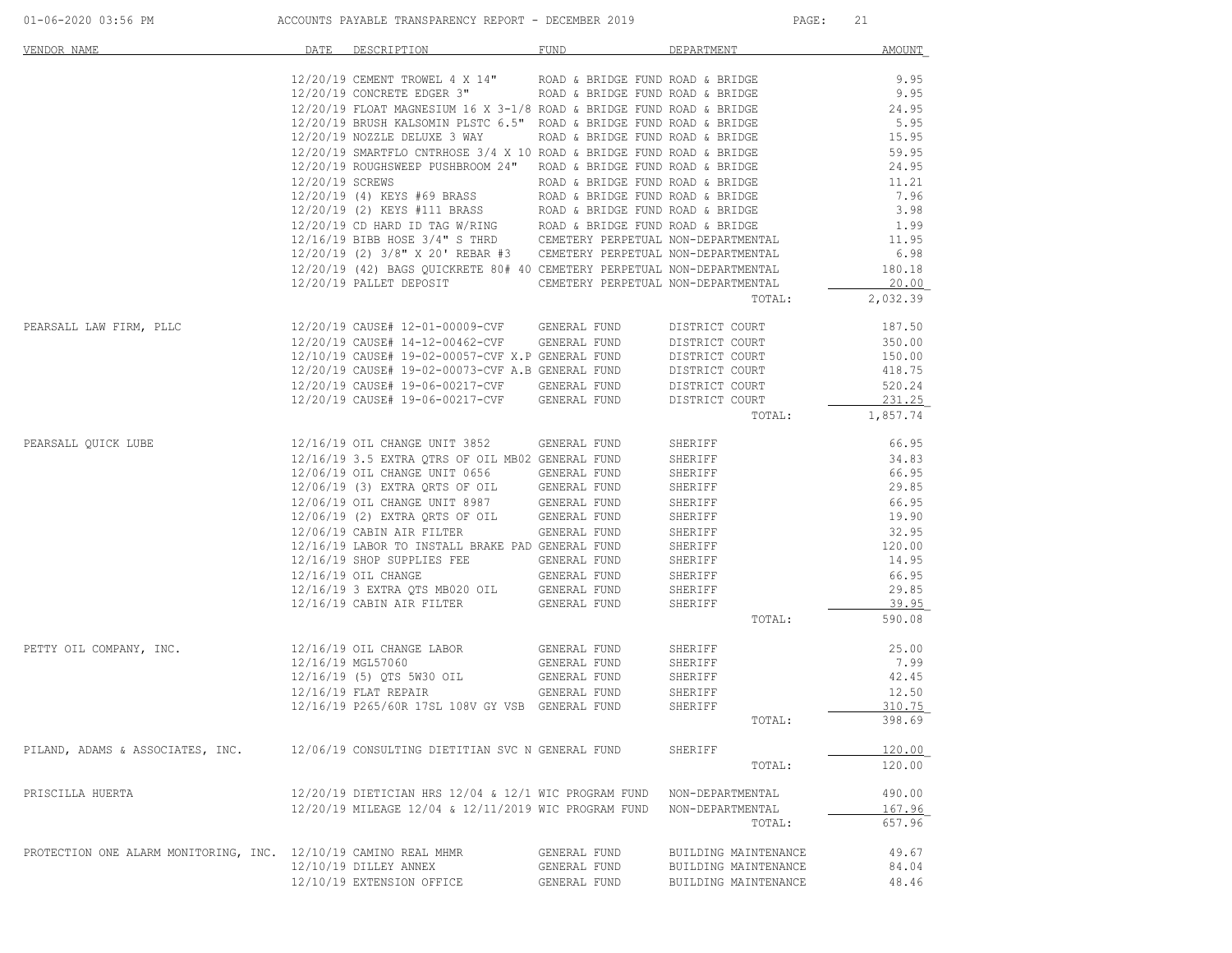| VENDOR NAME                                                     | DATE            | DESCRIPTION                                                                                                                                                                                                                     | <b>FUND</b>                      | DEPARTMENT                          | <b>AMOUNT</b> |
|-----------------------------------------------------------------|-----------------|---------------------------------------------------------------------------------------------------------------------------------------------------------------------------------------------------------------------------------|----------------------------------|-------------------------------------|---------------|
|                                                                 |                 |                                                                                                                                                                                                                                 |                                  |                                     |               |
|                                                                 |                 | $12/20/19 \text{ CEMENT TROWEL } 4 \times 14" \text{ ROAD & BRIDGE FUND ROAD & BRIDGE} \\ 12/20/19 \text{ CONCRETE EDGER } 3" \text{ ROAD & BRIDGE FUND ROAD & BRIDGE}$                                                         |                                  |                                     | 9.95          |
|                                                                 |                 |                                                                                                                                                                                                                                 |                                  |                                     | 9.95          |
|                                                                 |                 | 12/20/19 FLOAT MAGNESIUM 16 X 3-1/8 ROAD & BRIDGE FUND ROAD & BRIDGE                                                                                                                                                            |                                  |                                     | 24.95         |
|                                                                 |                 | 12/20/19 BRUSH KALSOMIN PLSTC 6.5" ROAD & BRIDGE FUND ROAD & BRIDGE                                                                                                                                                             |                                  |                                     | 5.95          |
|                                                                 |                 | 12/20/19 NOZZLE DELUXE 3 WAY ROAD & BRIDGE FUND ROAD & BRIDGE                                                                                                                                                                   |                                  |                                     | 15.95         |
|                                                                 |                 | $12/20/19$ SMARTFLO CNTRHOSE 3/4 X 10 ROAD & BRIDGE FUND ROAD & BRIDGE                                                                                                                                                          |                                  |                                     | 59.95         |
|                                                                 |                 | 12/20/19 ROUGHSWEEP PUSHBROOM 24" ROAD & BRIDGE FUND ROAD & BRIDGE                                                                                                                                                              |                                  |                                     | 24.95         |
|                                                                 | 12/20/19 SCREWS |                                                                                                                                                                                                                                 | ROAD & BRIDGE FUND ROAD & BRIDGE |                                     | 11.21         |
|                                                                 |                 | 12/20/19 (4) KEYS #69 BRASS                                                                                                                                                                                                     | ROAD & BRIDGE FUND ROAD & BRIDGE |                                     | 7.96          |
|                                                                 |                 | 12/20/19 (2) KEYS #111 BRASS<br>12/20/19 CD HARD ID TAG W/RING<br>12/16/19 BIBB HOSE 3/4" S THRD CEMETERY PERPETUAL NON-DEPARTMENTAL<br>12/16/19 BIBB HOSE 3/4" S THRD CEMETERY PERPETUAL NON-DEPARTMENTAL                      |                                  |                                     | 3.98          |
|                                                                 |                 |                                                                                                                                                                                                                                 |                                  |                                     | 1.99          |
|                                                                 |                 |                                                                                                                                                                                                                                 |                                  |                                     | 11.95         |
|                                                                 |                 | 12/20/19 (2) 3/8" X 20' REBAR #3 CEMETERY PERPETUAL NON-DEPARTMENTAL                                                                                                                                                            |                                  |                                     | 6.98          |
|                                                                 |                 | 12/20/19 (42) BAGS QUICKRETE 80# 40 CEMETERY PERPETUAL NON-DEPARTMENTAL                                                                                                                                                         |                                  |                                     | 180.18        |
|                                                                 |                 | 12/20/19 PALLET DEPOSIT                                                                                                                                                                                                         |                                  | CEMETERY PERPETUAL NON-DEPARTMENTAL | 20.00         |
|                                                                 |                 |                                                                                                                                                                                                                                 |                                  | TOTAL:                              | 2,032.39      |
| PEARSALL LAW FIRM, PLLC                                         |                 | 12/20/19 CAUSE# 12-01-00009-CVF GENERAL FUND                                                                                                                                                                                    |                                  | DISTRICT COURT                      | 187.50        |
|                                                                 |                 | 12/20/19 CAUSE# 14-12-00462-CVF GENERAL FUND                                                                                                                                                                                    |                                  | DISTRICT COURT                      | 350.00        |
|                                                                 |                 | 12/10/19 CAUSE# 19-02-00057-CVF X.P GENERAL FUND                                                                                                                                                                                |                                  | DISTRICT COURT                      | 150.00        |
|                                                                 |                 | 12/20/19 CAUSE# 19-02-00073-CVF A.B GENERAL FUND                                                                                                                                                                                |                                  | DISTRICT COURT                      | 418.75        |
|                                                                 |                 | 12/20/19 CAUSE# 19-06-00217-CVF GENERAL FUND                                                                                                                                                                                    |                                  | DISTRICT COURT                      | 520.24        |
|                                                                 |                 | 12/20/19 CAUSE# 19-06-00217-CVF GENERAL FUND                                                                                                                                                                                    |                                  | DISTRICT COURT                      | 231.25        |
|                                                                 |                 |                                                                                                                                                                                                                                 |                                  | TOTAL:                              | 1,857.74      |
| PEARSALL OUICK LUBE                                             |                 | 12/16/19 OIL CHANGE UNIT 3852 GENERAL FUND                                                                                                                                                                                      |                                  | SHERIFF                             | 66.95         |
|                                                                 |                 | 12/16/19 3.5 EXTRA OTRS OF OIL MB02 GENERAL FUND                                                                                                                                                                                |                                  | SHERIFF                             | 34.83         |
|                                                                 |                 |                                                                                                                                                                                                                                 |                                  | SHERIFF                             | 66.95         |
|                                                                 |                 | 12/06/19 OLL CHANGE UNIT 0656 GENERAL FUND<br>12/06/19 OLL CHANGE UNIT 0656 GENERAL FUND<br>12/06/19 OLL CHANGE UNIT 8987 GENERAL FUND<br>12/06/19 (2) EXTRA QRTS OF OLL GENERAL FUND<br>12/06/19 CABIN AIR FILTER GENERAL FUND |                                  | SHERIFF                             | 29.85         |
|                                                                 |                 |                                                                                                                                                                                                                                 |                                  | SHERIFF                             | 66.95         |
|                                                                 |                 |                                                                                                                                                                                                                                 |                                  | SHERIFF                             | 19.90         |
|                                                                 |                 | 12/06/19 CABIN AIR FILTER                                                                                                                                                                                                       | GENERAL FUND                     | SHERIFF                             | 32.95         |
|                                                                 |                 | 12/16/19 LABOR TO INSTALL BRAKE PAD GENERAL FUND                                                                                                                                                                                |                                  | SHERIFF                             | 120.00        |
|                                                                 |                 | 12/16/19 SHOP SUPPLIES FEE                                                                                                                                                                                                      | GENERAL FUND                     | SHERIFF                             | 14.95         |
|                                                                 |                 | 12/16/19 OIL CHANGE                                                                                                                                                                                                             | GENERAL FUND                     | SHERIFF                             | 66.95         |
|                                                                 |                 | 12/16/19 3 EXTRA QTS MB020 OIL                                                                                                                                                                                                  | GENERAL FUND                     | SHERIFF                             | 29.85         |
|                                                                 |                 | 12/16/19 CABIN AIR FILTER                                                                                                                                                                                                       | GENERAL FUND                     | SHERIFF                             | 39.95         |
|                                                                 |                 |                                                                                                                                                                                                                                 |                                  | TOTAL:                              | 590.08        |
|                                                                 |                 |                                                                                                                                                                                                                                 |                                  |                                     |               |
| PETTY OIL COMPANY, INC.                                         |                 | 12/16/19 OIL CHANGE LABOR                                                                                                                                                                                                       | GENERAL FUND                     | SHERIFF                             | 25.00         |
|                                                                 |                 | 12/16/19 MGL57060                                                                                                                                                                                                               | GENERAL FUND                     | SHERIFF                             | 7.99          |
|                                                                 |                 | 12/16/19 (5) QTS 5W30 OIL                                                                                                                                                                                                       | GENERAL FUND                     | SHERIFF                             | 42.45         |
|                                                                 |                 | $12/16/19$ FLAT REPAIR                                                                                                                                                                                                          | GENERAL FUND                     | SHERIFF                             | 12.50         |
|                                                                 |                 | 12/16/19 P265/60R 17SL 108V GY VSB GENERAL FUND                                                                                                                                                                                 |                                  | SHERIFF                             | 310.75        |
|                                                                 |                 |                                                                                                                                                                                                                                 |                                  | TOTAL:                              | 398.69        |
| PILAND, ADAMS & ASSOCIATES, INC.                                |                 | 12/06/19 CONSULTING DIETITIAN SVC N GENERAL FUND                                                                                                                                                                                |                                  | SHERIFF                             | 120.00        |
|                                                                 |                 |                                                                                                                                                                                                                                 |                                  | TOTAL:                              | 120.00        |
| PRISCILLA HUERTA                                                |                 | $12/20/19$ DIETICIAN HRS $12/04 \approx 12/1$ WIC PROGRAM FUND                                                                                                                                                                  |                                  | NON-DEPARTMENTAL                    | 490.00        |
|                                                                 |                 | 12/20/19 MILEAGE 12/04 & 12/11/2019 WIC PROGRAM FUND                                                                                                                                                                            |                                  | NON-DEPARTMENTAL                    | 167.96        |
|                                                                 |                 |                                                                                                                                                                                                                                 |                                  | TOTAL:                              | 657.96        |
| PROTECTION ONE ALARM MONITORING, INC. 12/10/19 CAMINO REAL MHMR |                 |                                                                                                                                                                                                                                 | GENERAL FUND                     | BUILDING MAINTENANCE                | 49.67         |
|                                                                 |                 | 12/10/19 DILLEY ANNEX                                                                                                                                                                                                           | GENERAL FUND                     | BUILDING MAINTENANCE                | 84.04         |
|                                                                 |                 | 12/10/19 EXTENSION OFFICE                                                                                                                                                                                                       | GENERAL FUND                     | BUILDING MAINTENANCE                | 48.46         |
|                                                                 |                 |                                                                                                                                                                                                                                 |                                  |                                     |               |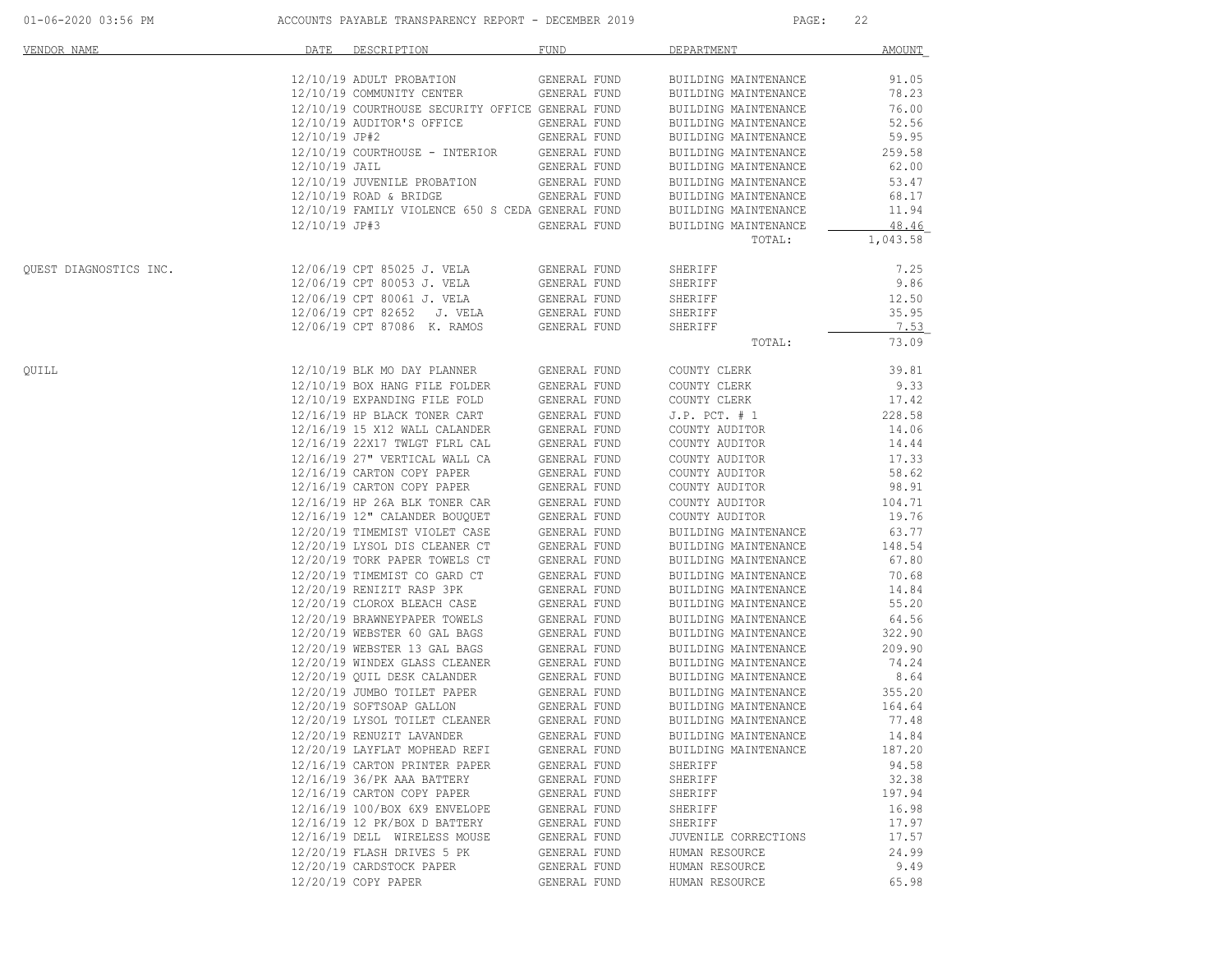| 01-06-2020 03:56 PM |  |  |  |  |  |  |
|---------------------|--|--|--|--|--|--|
|---------------------|--|--|--|--|--|--|

| VENDOR NAME            | DATE            | DESCRIPTION <b>Andrew Program</b>                            | <b>FUND</b>                  | DEPARTMENT                                   | <b>AMOUNT</b>  |
|------------------------|-----------------|--------------------------------------------------------------|------------------------------|----------------------------------------------|----------------|
|                        |                 | 12/10/19 ADULT PROBATION                                     | GENERAL FUND                 | BUILDING MAINTENANCE                         | 91.05          |
|                        |                 | 12/10/19 COMMUNITY CENTER                                    | GENERAL FUND                 | BUILDING MAINTENANCE                         | 78.23          |
|                        |                 | 12/10/19 COURTHOUSE SECURITY OFFICE GENERAL FUND             |                              | BUILDING MAINTENANCE                         | 76.00          |
|                        |                 | 12/10/19 AUDITOR'S OFFICE                                    | GENERAL FUND                 | BUILDING MAINTENANCE                         | 52.56          |
|                        | 12/10/19 JP#2   |                                                              | GENERAL FUND                 | BUILDING MAINTENANCE                         | 59.95          |
|                        |                 | 12/10/19 COURTHOUSE - INTERIOR                               | GENERAL FUND                 | BUILDING MAINTENANCE                         | 259.58         |
|                        | $12/10/19$ JAIL |                                                              | GENERAL FUND                 | BUILDING MAINTENANCE                         | 62.00          |
|                        |                 | 12/10/19 JUVENILE PROBATION                                  | GENERAL FUND                 | BUILDING MAINTENANCE                         | 53.47          |
|                        |                 | $12/10/19$ ROAD & BRIDGE                                     | GENERAL FUND                 | BUILDING MAINTENANCE                         | 68.17          |
|                        |                 | 12/10/19 FAMILY VIOLENCE 650 S CEDA GENERAL FUND             |                              | BUILDING MAINTENANCE                         | 11.94          |
|                        | 12/10/19 JP#3   |                                                              | GENERAL FUND                 | BUILDING MAINTENANCE                         | 48.46          |
|                        |                 |                                                              |                              | TOTAL:                                       | 1,043.58       |
| QUEST DIAGNOSTICS INC. |                 | 12/06/19 CPT 85025 J. VELA                                   | GENERAL FUND                 | SHERIFF                                      | 7.25           |
|                        |                 | 12/06/19 CPT 80053 J. VELA                                   | GENERAL FUND                 | SHERIFF                                      | 9.86           |
|                        |                 | 12/06/19 CPT 80061 J. VELA                                   | GENERAL FUND                 | SHERIFF                                      | 12.50          |
|                        |                 | 12/06/19 CPT 82652 J. VELA                                   | GENERAL FUND                 | SHERIFF                                      | 35.95          |
|                        |                 | 12/06/19 CPT 87086 K. RAMOS                                  | GENERAL FUND                 | SHERIFF                                      | 7.53           |
|                        |                 |                                                              |                              | TOTAL:                                       | 73.09          |
| QUILL                  |                 | 12/10/19 BLK MO DAY PLANNER                                  | GENERAL FUND                 | COUNTY CLERK                                 | 39.81          |
|                        |                 | 12/10/19 BOX HANG FILE FOLDER                                | GENERAL FUND                 | COUNTY CLERK                                 | 9.33           |
|                        |                 | 12/10/19 EXPANDING FILE FOLD                                 | GENERAL FUND                 | COUNTY CLERK                                 | 17.42          |
|                        |                 | 12/16/19 HP BLACK TONER CART                                 | GENERAL FUND                 | $J.P.$ PCT. $# 1$                            | 228.58         |
|                        |                 | 12/16/19 15 X12 WALL CALANDER                                | GENERAL FUND                 | COUNTY AUDITOR                               | 14.06          |
|                        |                 | 12/16/19 22X17 TWLGT FLRL CAL                                | GENERAL FUND                 | COUNTY AUDITOR                               | 14.44          |
|                        |                 | 12/16/19 27" VERTICAL WALL CA                                | GENERAL FUND                 | COUNTY AUDITOR                               | 17.33          |
|                        |                 | 12/16/19 CARTON COPY PAPER                                   | GENERAL FUND                 | COUNTY AUDITOR                               | 58.62          |
|                        |                 | 12/16/19 CARTON COPY PAPER                                   | GENERAL FUND                 | COUNTY AUDITOR                               | 98.91          |
|                        |                 | 12/16/19 HP 26A BLK TONER CAR                                | GENERAL FUND                 | COUNTY AUDITOR                               | 104.71         |
|                        |                 | 12/16/19 12" CALANDER BOUQUET                                | GENERAL FUND                 | COUNTY AUDITOR                               | 19.76          |
|                        |                 | 12/20/19 TIMEMIST VIOLET CASE                                |                              |                                              | 63.77          |
|                        |                 | 12/20/19 LYSOL DIS CLEANER CT                                | GENERAL FUND<br>GENERAL FUND | BUILDING MAINTENANCE<br>BUILDING MAINTENANCE | 148.54         |
|                        |                 | 12/20/19 TORK PAPER TOWELS CT                                | GENERAL FUND                 | BUILDING MAINTENANCE                         | 67.80          |
|                        |                 |                                                              |                              |                                              |                |
|                        |                 | 12/20/19 TIMEMIST CO GARD CT                                 | GENERAL FUND                 | BUILDING MAINTENANCE                         | 70.68          |
|                        |                 | 12/20/19 RENIZIT RASP 3PK                                    | GENERAL FUND                 | BUILDING MAINTENANCE                         | 14.84<br>55.20 |
|                        |                 | 12/20/19 CLOROX BLEACH CASE                                  | GENERAL FUND                 | BUILDING MAINTENANCE                         |                |
|                        |                 | 12/20/19 BRAWNEYPAPER TOWELS<br>12/20/19 WEBSTER 60 GAL BAGS | GENERAL FUND<br>GENERAL FUND | BUILDING MAINTENANCE                         | 64.56          |
|                        |                 |                                                              |                              | BUILDING MAINTENANCE                         | 322.90         |
|                        |                 | 12/20/19 WEBSTER 13 GAL BAGS                                 | GENERAL FUND                 | BUILDING MAINTENANCE                         | 209.90         |
|                        |                 | 12/20/19 WINDEX GLASS CLEANER<br>12/20/19 OUIL DESK CALANDER | GENERAL FUND<br>GENERAL FUND | BUILDING MAINTENANCE<br>BUILDING MAINTENANCE | 74.24<br>8.64  |
|                        |                 |                                                              |                              |                                              |                |
|                        |                 | 12/20/19 JUMBO TOILET PAPER                                  | GENERAL FUND                 | BUILDING MAINTENANCE                         | 355.20         |
|                        |                 | 12/20/19 SOFTSOAP GALLON                                     | GENERAL FUND<br>GENERAL FUND | BUILDING MAINTENANCE<br>BUILDING MAINTENANCE | 164.64         |
|                        |                 | 12/20/19 LYSOL TOILET CLEANER                                |                              |                                              | 77.48          |
|                        |                 | 12/20/19 RENUZIT LAVANDER<br>12/20/19 LAYFLAT MOPHEAD REFI   | GENERAL FUND                 | BUILDING MAINTENANCE                         | 14.84          |
|                        |                 |                                                              | GENERAL FUND                 | BUILDING MAINTENANCE                         | 187.20         |
|                        |                 | 12/16/19 CARTON PRINTER PAPER                                | GENERAL FUND                 | SHERIFF                                      | 94.58          |
|                        |                 | 12/16/19 36/PK AAA BATTERY                                   | GENERAL FUND                 | SHERIFF                                      | 32.38          |
|                        |                 | 12/16/19 CARTON COPY PAPER                                   | GENERAL FUND                 | SHERIFF                                      | 197.94         |
|                        |                 | 12/16/19 100/BOX 6X9 ENVELOPE                                | GENERAL FUND                 | SHERIFF                                      | 16.98          |
|                        |                 | 12/16/19 12 PK/BOX D BATTERY                                 | GENERAL FUND                 | SHERIFF                                      | 17.97          |
|                        |                 | 12/16/19 DELL WIRELESS MOUSE                                 | GENERAL FUND                 | JUVENILE CORRECTIONS                         | 17.57          |
|                        |                 | 12/20/19 FLASH DRIVES 5 PK                                   | GENERAL FUND                 | HUMAN RESOURCE                               | 24.99          |
|                        |                 | 12/20/19 CARDSTOCK PAPER                                     | GENERAL FUND                 | HUMAN RESOURCE                               | 9.49           |
|                        |                 | 12/20/19 COPY PAPER                                          | GENERAL FUND                 | HUMAN RESOURCE                               | 65.98          |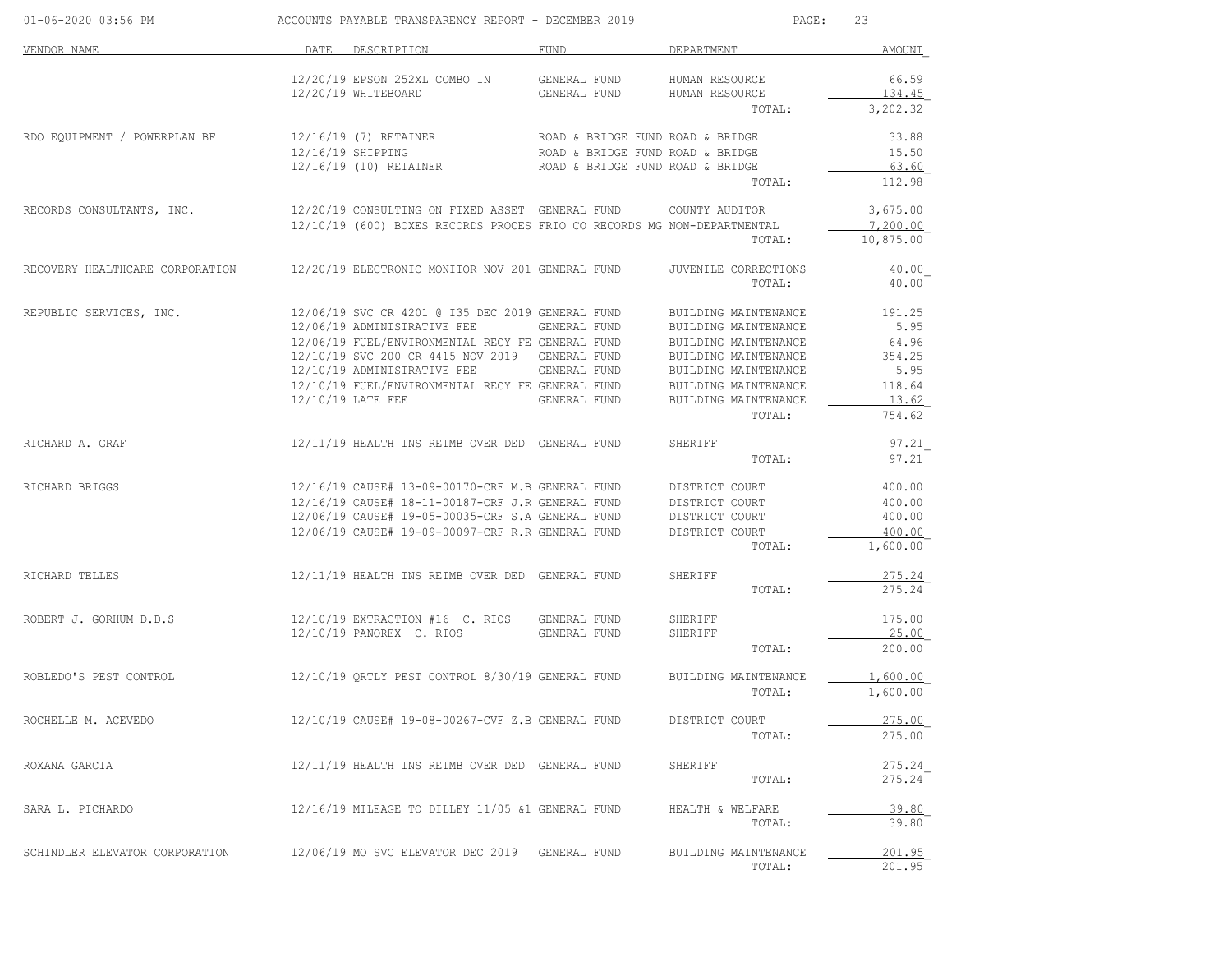| 01-06-2020 03:56 PM             |      | ACCOUNTS PAYABLE TRANSPARENCY REPORT - DECEMBER 2019                                               |                                  | PAGE:                                        | 23              |
|---------------------------------|------|----------------------------------------------------------------------------------------------------|----------------------------------|----------------------------------------------|-----------------|
| VENDOR NAME                     | DATE | DESCRIPTION                                                                                        | FUND                             | DEPARTMENT                                   | AMOUNT          |
|                                 |      | 12/20/19 EPSON 252XL COMBO IN<br>12/20/19 WHITEBOARD                                               | GENERAL FUND<br>GENERAL FUND     | HUMAN RESOURCE<br>HUMAN RESOURCE             | 66.59<br>134.45 |
|                                 |      |                                                                                                    |                                  | TOTAL:                                       | 3,202.32        |
| RDO EQUIPMENT / POWERPLAN BF    |      | 12/16/19 (7) RETAINER ROAD & BRIDGE FUND ROAD & BRIDGE                                             |                                  |                                              | 33.88           |
|                                 |      | 12/16/19 SHIPPING                                                                                  | ROAD & BRIDGE FUND ROAD & BRIDGE |                                              | 15.50           |
|                                 |      | 12/16/19 (10) RETAINER                                                                             | ROAD & BRIDGE FUND ROAD & BRIDGE | TOTAL:                                       | 63.60<br>112.98 |
| RECORDS CONSULTANTS, INC.       |      | 12/20/19 CONSULTING ON FIXED ASSET GENERAL FUND                                                    |                                  | COUNTY AUDITOR                               | 3,675.00        |
|                                 |      | 12/10/19 (600) BOXES RECORDS PROCES FRIO CO RECORDS MG NON-DEPARTMENTAL                            |                                  |                                              | 7,200.00        |
|                                 |      |                                                                                                    |                                  | TOTAL:                                       | 10,875.00       |
| RECOVERY HEALTHCARE CORPORATION |      | 12/20/19 ELECTRONIC MONITOR NOV 201 GENERAL FUND                                                   |                                  | JUVENILE CORRECTIONS                         | 40.00           |
|                                 |      |                                                                                                    |                                  | TOTAL:                                       | 40.00           |
| REPUBLIC SERVICES, INC.         |      | 12/06/19 SVC CR 4201 @ I35 DEC 2019 GENERAL FUND                                                   |                                  | BUILDING MAINTENANCE                         | 191.25          |
|                                 |      | 12/06/19 ADMINISTRATIVE FEE                                                                        | GENERAL FUND                     | BUILDING MAINTENANCE                         | 5.95            |
|                                 |      | 12/06/19 FUEL/ENVIRONMENTAL RECY FE GENERAL FUND<br>12/10/19 SVC 200 CR 4415 NOV 2019 GENERAL FUND |                                  | BUILDING MAINTENANCE<br>BUILDING MAINTENANCE | 64.96<br>354.25 |
|                                 |      | 12/10/19 ADMINISTRATIVE FEE                                                                        | GENERAL FUND                     | BUILDING MAINTENANCE                         | 5.95            |
|                                 |      | 12/10/19 FUEL/ENVIRONMENTAL RECY FE GENERAL FUND                                                   |                                  | BUILDING MAINTENANCE                         | 118.64          |
|                                 |      | 12/10/19 LATE FEE                                                                                  | GENERAL FUND                     | BUILDING MAINTENANCE                         | 13.62           |
|                                 |      |                                                                                                    |                                  | TOTAL:                                       | 754.62          |
| RICHARD A. GRAF                 |      | 12/11/19 HEALTH INS REIMB OVER DED GENERAL FUND                                                    |                                  | SHERIFF                                      | <u>97.21</u>    |
|                                 |      |                                                                                                    |                                  | TOTAL:                                       | 97.21           |
| RICHARD BRIGGS                  |      | 12/16/19 CAUSE# 13-09-00170-CRF M.B GENERAL FUND                                                   |                                  | DISTRICT COURT                               | 400.00          |
|                                 |      | 12/16/19 CAUSE# 18-11-00187-CRF J.R GENERAL FUND                                                   |                                  | DISTRICT COURT                               | 400.00          |
|                                 |      | 12/06/19 CAUSE# 19-05-00035-CRF S.A GENERAL FUND                                                   |                                  | DISTRICT COURT                               | 400.00          |
|                                 |      | 12/06/19 CAUSE# 19-09-00097-CRF R.R GENERAL FUND                                                   |                                  | DISTRICT COURT                               | 400.00          |
|                                 |      |                                                                                                    |                                  | TOTAL:                                       | 1,600.00        |
| RICHARD TELLES                  |      | 12/11/19 HEALTH INS REIMB OVER DED GENERAL FUND                                                    |                                  | SHERIFF                                      | 275.24          |
|                                 |      |                                                                                                    |                                  | TOTAL:                                       | 275.24          |
| ROBERT J. GORHUM D.D.S          |      | $12/10/19$ EXTRACTION #16 C. RIOS                                                                  | GENERAL FUND                     | SHERIFF                                      | 175.00          |
|                                 |      | 12/10/19 PANOREX C. RIOS                                                                           | GENERAL FUND                     | SHERIFF                                      | 25.00           |
|                                 |      |                                                                                                    |                                  | TOTAL:                                       | 200.00          |
| ROBLEDO'S PEST CONTROL          |      | 12/10/19 QRTLY PEST CONTROL 8/30/19 GENERAL FUND                                                   |                                  | BUILDING MAINTENANCE                         | 1,600.00        |
|                                 |      |                                                                                                    |                                  | TOTAL:                                       | 1,600.00        |
| ROCHELLE M. ACEVEDO             |      | 12/10/19 CAUSE# 19-08-00267-CVF Z.B GENERAL FUND                                                   |                                  | DISTRICT COURT                               | 275.00          |
|                                 |      |                                                                                                    |                                  | TOTAL:                                       | 275.00          |
| ROXANA GARCIA                   |      | 12/11/19 HEALTH INS REIMB OVER DED GENERAL FUND                                                    |                                  | SHERIFF                                      | 275.24          |
|                                 |      |                                                                                                    |                                  | TOTAL:                                       | 275.24          |
| SARA L. PICHARDO                |      | 12/16/19 MILEAGE TO DILLEY 11/05 &1 GENERAL FUND                                                   |                                  | HEALTH & WELFARE                             | 39.80           |
|                                 |      |                                                                                                    |                                  | TOTAL:                                       | 39.80           |
| SCHINDLER ELEVATOR CORPORATION  |      | 12/06/19 MO SVC ELEVATOR DEC 2019 GENERAL FUND                                                     |                                  | BUILDING MAINTENANCE                         | 201.95          |
|                                 |      |                                                                                                    |                                  | TOTAL:                                       | 201.95          |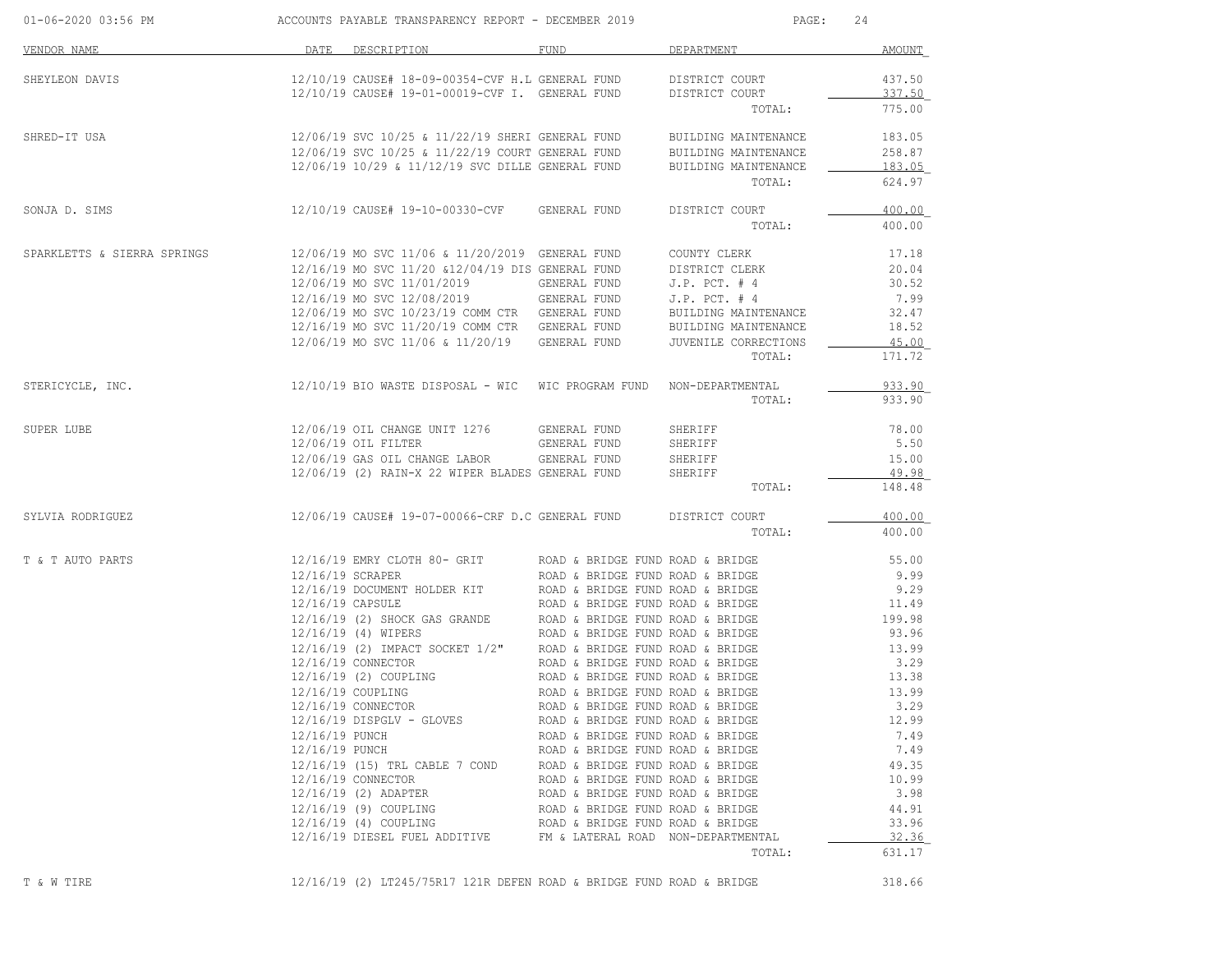| 01-06-2020 03:56 PM         |                  | ACCOUNTS PAYABLE TRANSPARENCY REPORT - DECEMBER 2019                                                                         |                                                                      | PAGE:                            | 24               |
|-----------------------------|------------------|------------------------------------------------------------------------------------------------------------------------------|----------------------------------------------------------------------|----------------------------------|------------------|
| VENDOR NAME                 | DATE             | DESCRIPTION                                                                                                                  | FUND                                                                 | DEPARTMENT                       | AMOUNT           |
| SHEYLEON DAVIS              |                  | 12/10/19 CAUSE# 18-09-00354-CVF H.L GENERAL FUND<br>12/10/19 CAUSE# 19-01-00019-CVF I. GENERAL FUND                          |                                                                      | DISTRICT COURT<br>DISTRICT COURT | 437.50<br>337.50 |
|                             |                  |                                                                                                                              |                                                                      | TOTAL:                           | 775.00           |
| SHRED-IT USA                |                  | 12/06/19 SVC 10/25 & 11/22/19 SHERI GENERAL FUND                                                                             |                                                                      | BUILDING MAINTENANCE             | 183.05           |
|                             |                  | 12/06/19 SVC 10/25 & 11/22/19 COURT GENERAL FUND                                                                             |                                                                      | BUILDING MAINTENANCE             | 258.87           |
|                             |                  | 12/06/19 10/29 & 11/12/19 SVC DILLE GENERAL FUND                                                                             |                                                                      | BUILDING MAINTENANCE<br>TOTAL:   | 183.05<br>624.97 |
| SONJA D. SIMS               |                  | 12/10/19 CAUSE# 19-10-00330-CVF                                                                                              | GENERAL FUND                                                         | DISTRICT COURT                   | 400.00           |
|                             |                  |                                                                                                                              |                                                                      | TOTAL:                           | 400.00           |
| SPARKLETTS & SIERRA SPRINGS |                  | 12/06/19 MO SVC 11/06 & 11/20/2019 GENERAL FUND                                                                              |                                                                      | COUNTY CLERK                     | 17.18            |
|                             |                  | 12/16/19 MO SVC 11/20 &12/04/19 DIS GENERAL FUND                                                                             |                                                                      | DISTRICT CLERK                   | 20.04            |
|                             |                  | 12/06/19 MO SVC 11/01/2019                                                                                                   | GENERAL FUND                                                         | $J.P.$ PCT. $#4$                 | 30.52            |
|                             |                  | 12/16/19 MO SVC 12/08/2019                                                                                                   | GENERAL FUND                                                         | $J.P.$ PCT. $#4$                 | 7.99             |
|                             |                  | 12/06/19 MO SVC 10/23/19 COMM CTR GENERAL FUND                                                                               |                                                                      | BUILDING MAINTENANCE             | 32.47            |
|                             |                  | 12/16/19 MO SVC 11/20/19 COMM CTR GENERAL FUND                                                                               |                                                                      | BUILDING MAINTENANCE             | 18.52            |
|                             |                  | 12/06/19 MO SVC 11/06 & 11/20/19                                                                                             | GENERAL FUND                                                         | JUVENILE CORRECTIONS             | 45.00            |
|                             |                  |                                                                                                                              |                                                                      | TOTAL:                           | 171.72           |
| STERICYCLE, INC.            |                  | 12/10/19 BIO WASTE DISPOSAL - WIC WIC PROGRAM FUND NON-DEPARTMENTAL                                                          |                                                                      |                                  | 933.90           |
|                             |                  |                                                                                                                              |                                                                      | TOTAL:                           | 933.90           |
| SUPER LUBE                  |                  | 12/06/19 OIL CHANGE UNIT 1276                                                                                                | GENERAL FUND                                                         | SHERIFF                          | 78.00            |
|                             |                  | 12/06/19 OIL FILTER                                                                                                          | GENERAL FUND                                                         | SHERIFF                          | 5.50             |
|                             |                  | 12/06/19 GAS OIL CHANGE LABOR                                                                                                | GENERAL FUND                                                         | SHERIFF                          | 15.00            |
|                             |                  | 12/06/19 (2) RAIN-X 22 WIPER BLADES GENERAL FUND                                                                             |                                                                      | SHERIFF<br>TOTAL:                | 49.98<br>148.48  |
| SYLVIA RODRIGUEZ            |                  | 12/06/19 CAUSE# 19-07-00066-CRF D.C GENERAL FUND                                                                             |                                                                      | DISTRICT COURT                   | 400.00           |
|                             |                  |                                                                                                                              |                                                                      | TOTAL:                           | 400.00           |
| T & T AUTO PARTS            |                  | 12/16/19 EMRY CLOTH 80- GRIT                                                                                                 | ROAD & BRIDGE FUND ROAD & BRIDGE                                     |                                  | 55.00            |
|                             | 12/16/19 SCRAPER |                                                                                                                              | ROAD & BRIDGE FUND ROAD & BRIDGE                                     |                                  | 9.99             |
|                             |                  | 12/16/19 DOCUMENT HOLDER KIT                                                                                                 | ROAD & BRIDGE FUND ROAD & BRIDGE                                     |                                  | 9.29             |
|                             | 12/16/19 CAPSULE |                                                                                                                              | ROAD & BRIDGE FUND ROAD & BRIDGE                                     |                                  | 11.49            |
|                             |                  | 12/16/19 (2) SHOCK GAS GRANDE                                                                                                | ROAD & BRIDGE FUND ROAD & BRIDGE                                     |                                  | 199.98           |
|                             |                  | 12/16/19 (4) WIPERS                                                                                                          | ROAD & BRIDGE FUND ROAD & BRIDGE                                     |                                  | 93.96            |
|                             |                  | $12/16/19$ (2) IMPACT SOCKET $1/2$ " ROAD & BRIDGE FUND ROAD & BRIDGE                                                        |                                                                      |                                  | 13.99            |
|                             |                  | 12/16/19 CONNECTOR                                                                                                           | ROAD & BRIDGE FUND ROAD & BRIDGE                                     |                                  | 3.29             |
|                             |                  | 12/16/19 (2) COUPLING                                                                                                        | ROAD & BRIDGE FUND ROAD & BRIDGE                                     |                                  | 13.38            |
|                             |                  | 12/16/19 COUPLING<br>12/16/19 CONNECTOR                                                                                      | ROAD & BRIDGE FUND ROAD & BRIDGE<br>ROAD & BRIDGE FUND ROAD & BRIDGE |                                  | 13.99<br>3.29    |
|                             |                  | $12/16/19$ DISPGLV - GLOVES                                                                                                  | ROAD & BRIDGE FUND ROAD & BRIDGE                                     |                                  | 12.99            |
|                             | 12/16/19 PUNCH   |                                                                                                                              | ROAD & BRIDGE FUND ROAD & BRIDGE                                     |                                  | 7.49             |
|                             | 12/16/19 PUNCH   |                                                                                                                              | ROAD & BRIDGE FUND ROAD & BRIDGE                                     |                                  | 7.49             |
|                             |                  | 12/16/19 (15) TRL CABLE 7 COND ROAD & BRIDGE FUND ROAD & BRIDGE                                                              |                                                                      |                                  | 49.35            |
|                             |                  | 12/16/19 CONNECTOR                                                                                                           | ROAD & BRIDGE FUND ROAD & BRIDGE                                     |                                  | 10.99            |
|                             |                  | 12/16/19 (2) ADAPTER                                                                                                         | ROAD & BRIDGE FUND ROAD & BRIDGE                                     |                                  | 3.98             |
|                             |                  | 12/16/19 (9) COUPLING                                                                                                        | ROAD & BRIDGE FUND ROAD & BRIDGE                                     |                                  | 44.91            |
|                             |                  | $12/16/19 (4) COUPLING$ ROAD & BRIDGE FUND ROAD & BRIDGE<br>12/16/19 DIESEL FUEL ADDITIVE FM & LATERAL ROAD NON-DEPARTMENTAL |                                                                      |                                  | 33.96            |
|                             |                  |                                                                                                                              |                                                                      |                                  | 32.36            |
|                             |                  |                                                                                                                              |                                                                      | TOTAL:                           | 631.17           |

T & W TIRE 12/16/19 (2) LT245/75R17 121R DEFEN ROAD & BRIDGE FUND ROAD & BRIDGE 318.66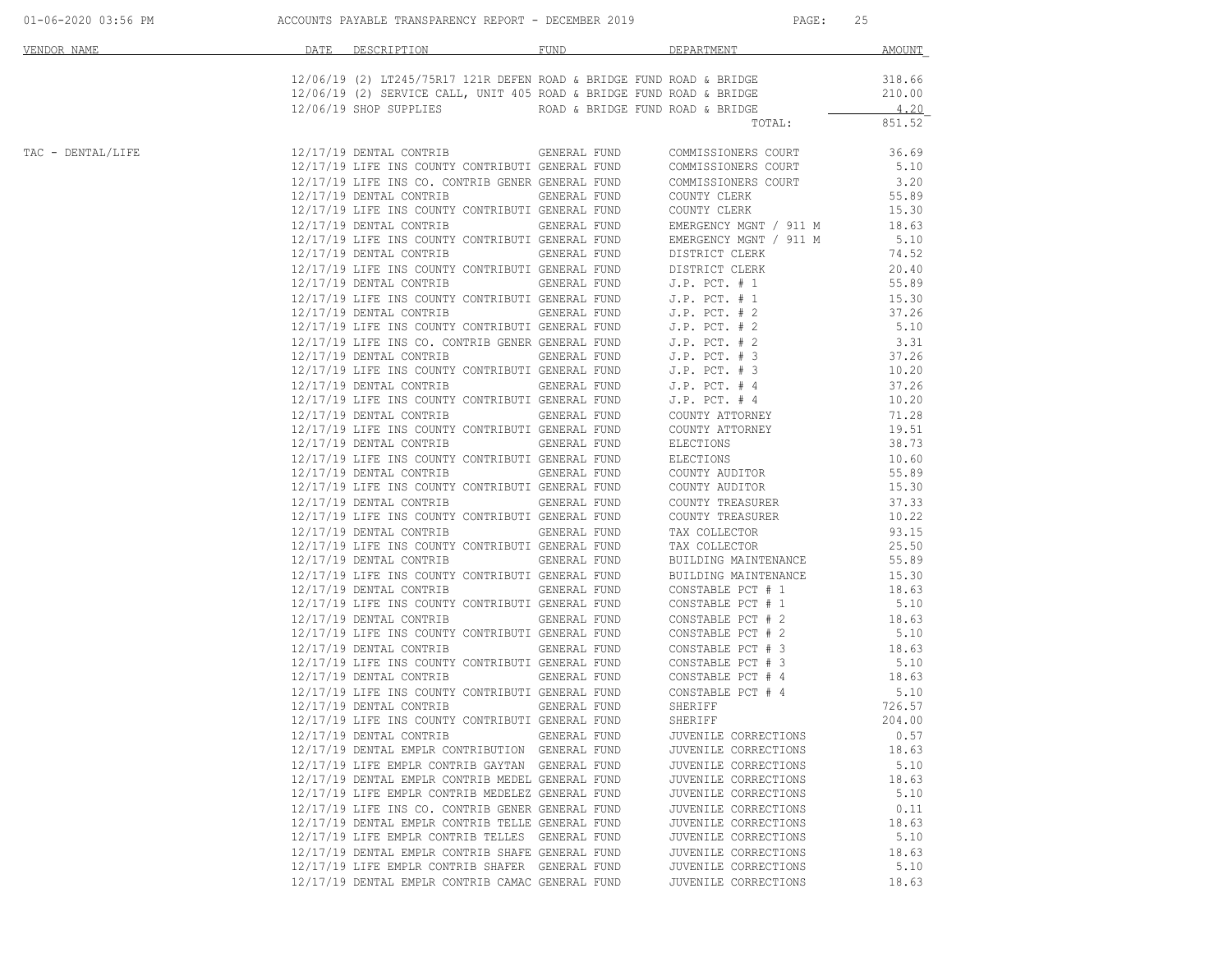| 01-06-2020 03:56 PM |  |  |  |  |  |  |  |  |  |  |  |  |  |  |  |  |  |  |  |
|---------------------|--|--|--|--|--|--|--|--|--|--|--|--|--|--|--|--|--|--|--|
|---------------------|--|--|--|--|--|--|--|--|--|--|--|--|--|--|--|--|--|--|--|

ACCOUNTS PAYABLE TRANSPARENCY REPORT - DECEMBER 2019 PAGE: 25

| VENDOR NAME       | DATE | DESCRIPTION <b>Andrew Program and American</b>                                                                                   | FUND                | DEPARTMENT                                                             | AMOUNT         |
|-------------------|------|----------------------------------------------------------------------------------------------------------------------------------|---------------------|------------------------------------------------------------------------|----------------|
|                   |      |                                                                                                                                  |                     | $12/06/19$ (2) LT245/75R17 121R DEFEN ROAD & BRIDGE FUND ROAD & BRIDGE | 318.66         |
|                   |      | 12/06/19 (2) SERVICE CALL, UNIT 405 ROAD & BRIDGE FUND ROAD & BRIDGE<br>12/06/19 SHOP SUPPLIES ROAD & BRIDGE FUND ROAD & BRIDGE  |                     |                                                                        | 210.00<br>4.20 |
|                   |      |                                                                                                                                  |                     | TOTAL:                                                                 | 851.52         |
| TAC - DENTAL/LIFE |      | 12/17/19 DENTAL CONTRIB GENERAL FUND                                                                                             |                     | COMMISSIONERS COURT                                                    | 36.69          |
|                   |      | 12/17/19 LIFE INS COUNTY CONTRIBUTI GENERAL FUND                                                                                 |                     | COMMISSIONERS COURT                                                    | 5.10           |
|                   |      | 12/17/19 LIFE INS CO. CONTRIB GENER GENERAL FUND COMMISSIONERS COURT                                                             |                     |                                                                        | 3.20           |
|                   |      | 12/17/19 DENTAL CONTRIB                                                                                                          | GENERAL FUND        | COUNTY CLERK                                                           | 55.89          |
|                   |      | 12/17/19 LIFE INS COUNTY CONTRIBUTI GENERAL FUND                                                                                 |                     | COUNTY CLERK                                                           | 15.30          |
|                   |      | 12/17/19 DENTAL CONTRIB                                                                                                          | <b>GENERAL FUND</b> | EMERGENCY MGNT / 911 M                                                 | 18.63          |
|                   |      | 12/17/19 LIFE INS COUNTY CONTRIBUTI GENERAL FUND                                                                                 |                     | EMERGENCY MGNT / 911 M                                                 | 5.10           |
|                   |      | 12/17/19 DENTAL CONTRIB                                                                                                          | <b>GENERAL FUND</b> | DISTRICT CLERK<br>DISTRICT CLERK                                       | 74.52          |
|                   |      | 12/17/19 LIFE INS COUNTY CONTRIBUTI GENERAL FUND                                                                                 |                     |                                                                        | 20.40          |
|                   |      | 12/17/19 DENTAL CONTRIB GENERAL FUND J.P. PCT. # 1                                                                               |                     |                                                                        | 55.89          |
|                   |      | 12/17/19 LIFE INS COUNTY CONTRIBUTI GENERAL FUND J.P. PCT. # 1<br>12/17/19 DENTAL CONTRIB GENERAL FUND J.P. PCT. # 2             |                     |                                                                        | 15.30          |
|                   |      |                                                                                                                                  |                     |                                                                        | 37.26          |
|                   |      | 12/17/19 LIFE INS COUNTY CONTRIBUTI GENERAL FUND J.P. PCT. # 2<br>12/17/19 LIFE INS CO. CONTRIB GENER GENERAL FUND J.P. PCT. # 2 |                     |                                                                        | 5.10           |
|                   |      |                                                                                                                                  |                     |                                                                        | 3.31           |
|                   |      | $12/17/19$ DENTAL CONTRIB GENERAL FUND J.P. PCT. #3<br>12/17/19 LIFE INS COUNTY CONTRIBUTI GENERAL FUND J.P. PCT. #3             |                     |                                                                        | 37.26<br>10.20 |
|                   |      | 12/17/19 DENTAL CONTRIB                                                                                                          |                     |                                                                        | 37.26          |
|                   |      | 12/17/19 LIFE INS COUNTY CONTRIBUTI GENERAL FUND                                                                                 |                     | GENERAL FUND J.P. PCT. # 4<br>GENERAL FUND J.P. PCT. # 4               | 10.20          |
|                   |      | 12/17/19 DENTAL CONTRIB                                                                                                          | <b>GENERAL FUND</b> | COUNTY ATTORNEY                                                        | 71.28          |
|                   |      | 12/17/19 LIFE INS COUNTY CONTRIBUTI GENERAL FUND                                                                                 |                     | COUNTY ATTORNEY                                                        | 19.51          |
|                   |      | 12/17/19 DENTAL CONTRIB GENERAL FUND                                                                                             |                     | ELECTIONS                                                              | 38.73          |
|                   |      | 12/17/19 LIFE INS COUNTY CONTRIBUTI GENERAL FUND                                                                                 |                     | ELECTIONS                                                              | 10.60          |
|                   |      | 12/17/19 DENTAL CONTRIB GENERAL FUND                                                                                             |                     | COUNTY AUDITOR                                                         | 55.89          |
|                   |      | 12/17/19 LIFE INS COUNTY CONTRIBUTI GENERAL FUND                                                                                 |                     | COUNTY AUDITOR                                                         | 15.30          |
|                   |      | 12/17/19 DENTAL CONTRIB GENERAL FUND                                                                                             |                     | COUNTY TREASURER                                                       | 37.33          |
|                   |      | 12/17/19 LIFE INS COUNTY CONTRIBUTI GENERAL FUND                                                                                 |                     | COUNTY TREASURER                                                       | 10.22          |
|                   |      | 12/17/19 DENTAL CONTRIB                                                                                                          | GENERAL FUND        | TAX COLLECTOR                                                          | 93.15          |
|                   |      | 12/17/19 LIFE INS COUNTY CONTRIBUTI GENERAL FUND                                                                                 |                     | TAX COLLECTOR                                                          | 25.50          |
|                   |      | 12/17/19 DENTAL CONTRIB GENERAL FUND                                                                                             |                     | BUILDING MAINTENANCE                                                   | 55.89          |
|                   |      | 12/17/19 LIFE INS COUNTY CONTRIBUTI GENERAL FUND                                                                                 |                     | BUILDING MAINTENANCE                                                   | 15.30          |
|                   |      | 12/17/19 DENTAL CONTRIB                                                                                                          | GENERAL FUND        | CONSTABLE PCT # 1                                                      | 18.63          |
|                   |      | 12/17/19 LIFE INS COUNTY CONTRIBUTI GENERAL FUND                                                                                 |                     | CONSTABLE PCT # 1                                                      | 5.10           |
|                   |      | 12/17/19 DENTAL CONTRIB                                                                                                          | GENERAL FUND        | CONSTABLE PCT # 2                                                      | 18.63          |
|                   |      | 12/17/19 LIFE INS COUNTY CONTRIBUTI GENERAL FUND                                                                                 |                     | CONSTABLE PCT # 2                                                      | 5.10           |
|                   |      | 12/17/19 DENTAL CONTRIB                                                                                                          | <b>GENERAL FUND</b> | CONSTABLE PCT # 3                                                      | 18.63          |
|                   |      | 12/17/19 LIFE INS COUNTY CONTRIBUTI GENERAL FUND                                                                                 |                     | CONSTABLE PCT # 3                                                      | 5.10           |
|                   |      | 12/17/19 DENTAL CONTRIB                                                                                                          | GENERAL FUND        | CONSTABLE PCT $# 4$                                                    | 18.63          |
|                   |      | 12/17/19 LIFE INS COUNTY CONTRIBUTI GENERAL FUND                                                                                 |                     | CONSTABLE PCT # 4<br>SHERIFF                                           | 5.10           |
|                   |      | 12/17/19 DENTAL CONTRIB                                                                                                          | <b>GENERAL FUND</b> |                                                                        | 726.57         |
|                   |      | 12/17/19 LIFE INS COUNTY CONTRIBUTI GENERAL FUND                                                                                 |                     | SHERIFF                                                                | 204.00         |
|                   |      | 12/17/19 DENTAL CONTRIB GENERAL FUND                                                                                             |                     | JUVENILE CORRECTIONS                                                   | 0.57           |
|                   |      | 12/17/19 DENTAL EMPLR CONTRIBUTION GENERAL FUND                                                                                  |                     | JUVENILE CORRECTIONS                                                   | 18.63          |
|                   |      | 12/17/19 LIFE EMPLR CONTRIB GAYTAN GENERAL FUND                                                                                  |                     | JUVENILE CORRECTIONS                                                   | 5.10           |
|                   |      | 12/17/19 DENTAL EMPLR CONTRIB MEDEL GENERAL FUND                                                                                 |                     | JUVENILE CORRECTIONS                                                   | 18.63          |
|                   |      | 12/17/19 LIFE EMPLR CONTRIB MEDELEZ GENERAL FUND<br>12/17/19 LIFE INS CO. CONTRIB GENER GENERAL FUND                             |                     | JUVENILE CORRECTIONS                                                   | 5.10           |
|                   |      | 12/17/19 DENTAL EMPLR CONTRIB TELLE GENERAL FUND                                                                                 |                     | JUVENILE CORRECTIONS<br>JUVENILE CORRECTIONS                           | 0.11<br>18.63  |
|                   |      | 12/17/19 LIFE EMPLR CONTRIB TELLES GENERAL FUND                                                                                  |                     | JUVENILE CORRECTIONS                                                   | 5.10           |
|                   |      | 12/17/19 DENTAL EMPLR CONTRIB SHAFE GENERAL FUND                                                                                 |                     | JUVENILE CORRECTIONS                                                   | 18.63          |
|                   |      | 12/17/19 LIFE EMPLR CONTRIB SHAFER GENERAL FUND                                                                                  |                     | JUVENILE CORRECTIONS                                                   | 5.10           |
|                   |      | 12/17/19 DENTAL EMPLR CONTRIB CAMAC GENERAL FUND                                                                                 |                     | JUVENILE CORRECTIONS                                                   | 18.63          |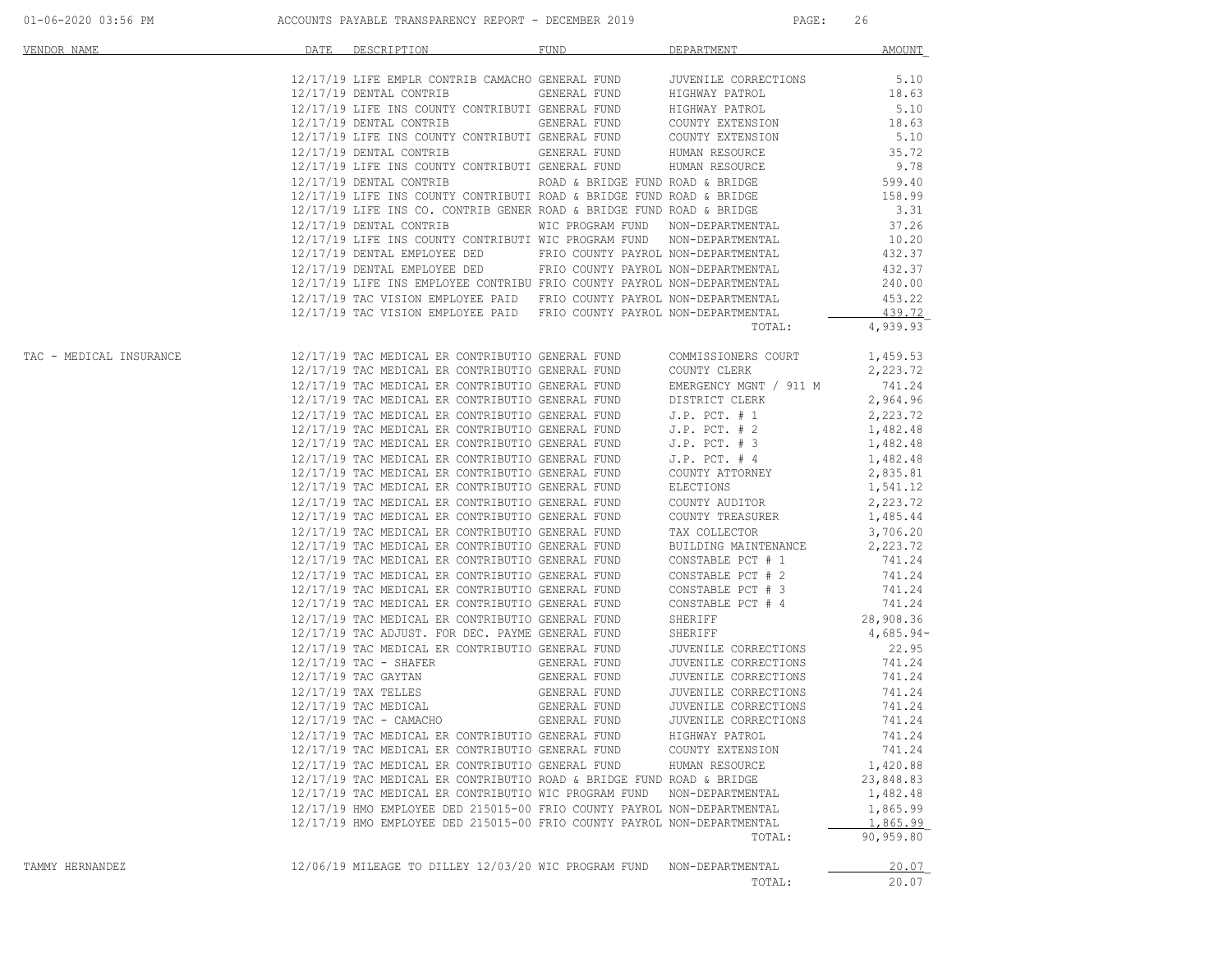| VENDOR NAME             | DATE | DESCRIPTION                                                                                                                                  | FUND                             | DEPARTMENT                                                 | AMOUNT               |
|-------------------------|------|----------------------------------------------------------------------------------------------------------------------------------------------|----------------------------------|------------------------------------------------------------|----------------------|
|                         |      | 12/17/19 LIFE EMPLR CONTRIB CAMACHO GENERAL FUND<br>חוזות בתסחותים                                                                           |                                  | JUVENILE CORRECTIONS                                       | 5.10                 |
|                         |      | 12/17/19 DENTAL CONTRIB                                                                                                                      | <b>GENERAL FUND</b>              | HIGHWAY PATROL                                             | 18.63                |
|                         |      | 12/17/19 LIFE INS COUNTY CONTRIBUTI GENERAL FUND                                                                                             |                                  | HIGHWAY PATROL<br>COUNTY EXTENSION<br>COUNTY EXTENSION     | 5.10                 |
|                         |      | 12/17/19 DENTAL CONTRIB                                                                                                                      | GENERAL FUND                     |                                                            | 18.63                |
|                         |      | 12/17/19 LIFE INS COUNTY CONTRIBUTI GENERAL FUND                                                                                             |                                  |                                                            | 5.10                 |
|                         |      | $12/17/19$ DENTAL CONTRIB GENERAL FUND HUMAN RESOURCE 12/17/19 LIFE INS COUNTY CONTRIBUTI GENERAL FUND HUMAN RESOURCE                        |                                  |                                                            | 35.72                |
|                         |      |                                                                                                                                              |                                  |                                                            | 9.78                 |
|                         |      | 12/17/19 DENTAL CONTRIB                                                                                                                      | ROAD & BRIDGE FUND ROAD & BRIDGE |                                                            | 599.40               |
|                         |      | 12/17/19 LIFE INS COUNTY CONTRIBUTI ROAD & BRIDGE FUND ROAD & BRIDGE<br>12/17/19 LIFE INS CO. CONTRIB GENER ROAD & BRIDGE FUND ROAD & BRIDGE |                                  |                                                            | 158.99<br>3.31       |
|                         |      | 12/17/19 DENTAL CONTRIB                                                                                                                      |                                  | WIC PROGRAM FUND NON-DEPARTMENTAL                          | 37.26                |
|                         |      | 12/17/19 LIFE INS COUNTY CONTRIBUTI WIC PROGRAM FUND NON-DEPARTMENTAL                                                                        |                                  |                                                            | 10.20                |
|                         |      | 12/17/19 DENTAL EMPLOYEE DED                                                                                                                 |                                  | FRIO COUNTY PAYROL NON-DEPARTMENTAL                        | 432.37               |
|                         |      | 12/17/19 DENTAL EMPLOYEE DED FRIO COUNTY PAYROL NON-DEPARTMENTAL                                                                             |                                  |                                                            | 432.37               |
|                         |      | 12/17/19 LIFE INS EMPLOYEE CONTRIBU FRIO COUNTY PAYROL NON-DEPARTMENTAL                                                                      |                                  |                                                            | 240.00               |
|                         |      | 12/17/19 TAC VISION EMPLOYEE PAID FRIO COUNTY PAYROL NON-DEPARTMENTAL                                                                        |                                  |                                                            | 453.22               |
|                         |      | 12/17/19 TAC VISION EMPLOYEE PAID FRIO COUNTY PAYROL NON-DEPARTMENTAL                                                                        |                                  |                                                            | 439.72               |
|                         |      |                                                                                                                                              |                                  | TOTAL:                                                     | 4,939.93             |
| TAC - MEDICAL INSURANCE |      | 12/17/19 TAC MEDICAL ER CONTRIBUTIO GENERAL FUND                                                                                             |                                  | COMMISSIONERS COURT                                        | 1,459.53             |
|                         |      | 12/17/19 TAC MEDICAL ER CONTRIBUTIO GENERAL FUND                                                                                             |                                  | COUNTY CLERK                                               | 2,223.72             |
|                         |      | 12/17/19 TAC MEDICAL ER CONTRIBUTIO GENERAL FUND                                                                                             |                                  | EMERGENCY MGNT<br>DISTRICT CLERK<br>EMERGENCY MGNT / 911 M | 741.24               |
|                         |      | 12/17/19 TAC MEDICAL ER CONTRIBUTIO GENERAL FUND                                                                                             |                                  |                                                            | 2,964.96             |
|                         |      | 12/17/19 TAC MEDICAL ER CONTRIBUTIO GENERAL FUND                                                                                             |                                  | J.P. PCT. # 1<br>J.P. PCT. # 2                             | 2,223.72             |
|                         |      | 12/17/19 TAC MEDICAL ER CONTRIBUTIO GENERAL FUND<br>12/17/19 TAC MEDICAL ER CONTRIBUTIO GENERAL FUND                                         |                                  | $J.P.$ PCT. $# 3$                                          | 1,482.48             |
|                         |      | 12/17/19 TAC MEDICAL ER CONTRIBUTIO GENERAL FUND                                                                                             |                                  | $J.P.$ PCT. $#4$                                           | 1,482.48<br>1,482.48 |
|                         |      | 12/17/19 TAC MEDICAL ER CONTRIBUTIO GENERAL FUND                                                                                             |                                  | COUNTY ATTORNEY                                            | 2,835.81             |
|                         |      | 12/17/19 TAC MEDICAL ER CONTRIBUTIO GENERAL FUND                                                                                             |                                  | ELECTIONS                                                  | 1,541.12             |
|                         |      | 12/17/19 TAC MEDICAL ER CONTRIBUTIO GENERAL FUND                                                                                             |                                  | COUNTY AUDITOR                                             | 2,223.72             |
|                         |      | 12/17/19 TAC MEDICAL ER CONTRIBUTIO GENERAL FUND                                                                                             |                                  | COUNTY TREASURER                                           | 1,485.44             |
|                         |      | 12/17/19 TAC MEDICAL ER CONTRIBUTIO GENERAL FUND                                                                                             |                                  | TAX COLLECTOR                                              | 3,706.20             |
|                         |      | 12/17/19 TAC MEDICAL ER CONTRIBUTIO GENERAL FUND                                                                                             |                                  | BUILDING MAINTENANCE                                       | 2,223.72             |
|                         |      | 12/17/19 TAC MEDICAL ER CONTRIBUTIO GENERAL FUND                                                                                             |                                  | CONSTABLE PCT # 1                                          | 741.24               |
|                         |      | 12/17/19 TAC MEDICAL ER CONTRIBUTIO GENERAL FUND                                                                                             |                                  | CONSTABLE PCT # 2                                          | 741.24               |
|                         |      | 12/17/19 TAC MEDICAL ER CONTRIBUTIO GENERAL FUND                                                                                             |                                  | CONSTABLE PCT # 3                                          | 741.24               |
|                         |      | 12/17/19 TAC MEDICAL ER CONTRIBUTIO GENERAL FUND                                                                                             |                                  | CONSTABLE PCT # 4                                          | 741.24               |
|                         |      | 12/17/19 TAC MEDICAL ER CONTRIBUTIO GENERAL FUND                                                                                             |                                  | SHERIFF                                                    | 28,908.36            |
|                         |      | 12/17/19 TAC ADJUST. FOR DEC. PAYME GENERAL FUND                                                                                             |                                  | SHERIFF                                                    | $4,685.94-$          |
|                         |      | 12/17/19 TAC MEDICAL ER CONTRIBUTIO GENERAL FUND<br>$12/17/19$ TAC - SHAFER                                                                  | GENERAL FUND                     | JUVENILE CORRECTIONS<br>JUVENILE CORRECTIONS               | 22.95<br>741.24      |
|                         |      | 12/17/19 TAC GAYTAN                                                                                                                          | GENERAL FUND                     | JUVENILE CORRECTIONS                                       | 741.24               |
|                         |      | 12/17/19 TAX TELLES                                                                                                                          | GENERAL FUND                     | JUVENILE CORRECTIONS                                       | 741.24               |
|                         |      | $12/17/19$ TAC MEDICAL                                                                                                                       | GENERAL FUND                     | JUVENILE CORRECTIONS                                       | 741.24               |
|                         |      | $12/17/19$ TAC - CAMACHO                                                                                                                     | GENERAL FUND                     | JUVENILE CORRECTIONS                                       | 741.24               |
|                         |      | 12/17/19 TAC MEDICAL ER CONTRIBUTIO GENERAL FUND                                                                                             |                                  | HIGHWAY PATROL                                             | 741.24               |
|                         |      | 12/17/19 TAC MEDICAL ER CONTRIBUTIO GENERAL FUND                                                                                             |                                  | COUNTY EXTENSION                                           | 741.24               |
|                         |      | 12/17/19 TAC MEDICAL ER CONTRIBUTIO GENERAL FUND                                                                                             |                                  | HUMAN RESOURCE                                             | 1,420.88             |
|                         |      | 12/17/19 TAC MEDICAL ER CONTRIBUTIO ROAD & BRIDGE FUND ROAD & BRIDGE                                                                         |                                  |                                                            | 23,848.83            |
|                         |      | 12/17/19 TAC MEDICAL ER CONTRIBUTIO WIC PROGRAM FUND                                                                                         |                                  | NON-DEPARTMENTAL                                           | 1,482.48             |
|                         |      | 12/17/19 HMO EMPLOYEE DED 215015-00 FRIO COUNTY PAYROL NON-DEPARTMENTAL                                                                      |                                  |                                                            | 1,865.99             |
|                         |      | 12/17/19 HMO EMPLOYEE DED 215015-00 FRIO COUNTY PAYROL NON-DEPARTMENTAL                                                                      |                                  |                                                            | 1,865.99             |
|                         |      |                                                                                                                                              |                                  | TOTAL:                                                     | 90,959.80            |
| TAMMY HERNANDEZ         |      | 12/06/19 MILEAGE TO DILLEY 12/03/20 WIC PROGRAM FUND                                                                                         |                                  | NON-DEPARTMENTAL                                           | 20.07                |
|                         |      |                                                                                                                                              |                                  | TOTAL:                                                     | 20.07                |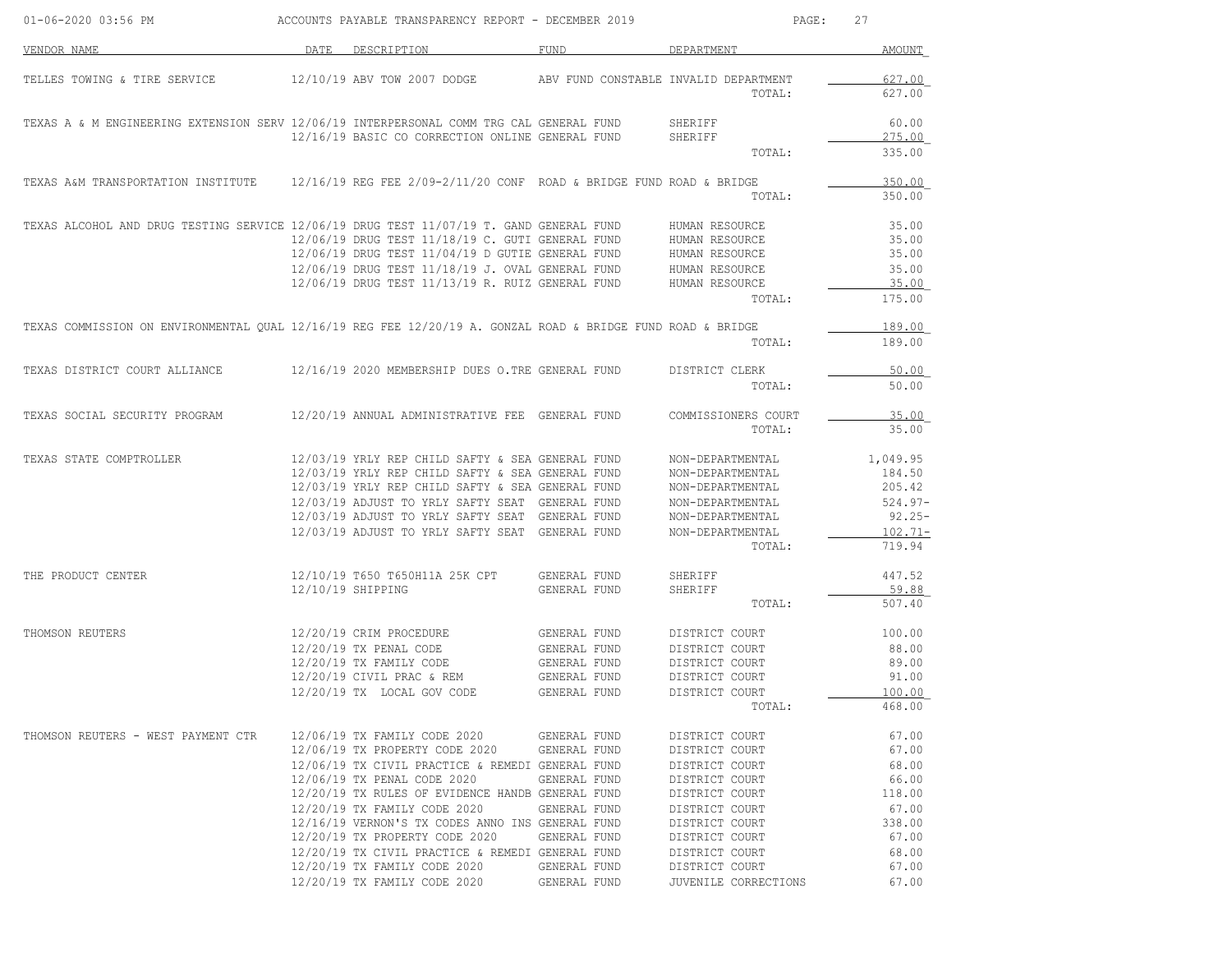| 01-06-2020 03:56 PM                                                                                         | ACCOUNTS PAYABLE TRANSPARENCY REPORT - DECEMBER 2019                    |              | PAGE:                                           | 27               |
|-------------------------------------------------------------------------------------------------------------|-------------------------------------------------------------------------|--------------|-------------------------------------------------|------------------|
| VENDOR NAME                                                                                                 | DATE DESCRIPTION                                                        | FUND         | DEPARTMENT                                      | AMOUNT           |
| TELLES TOWING & TIRE SERVICE                                                                                | 12/10/19 ABV TOW 2007 DODGE                                             |              | ABV FUND CONSTABLE INVALID DEPARTMENT<br>TOTAL: | 627.00<br>627.00 |
| TEXAS A & M ENGINEERING EXTENSION SERV 12/06/19 INTERPERSONAL COMM TRG CAL GENERAL FUND                     | 12/16/19 BASIC CO CORRECTION ONLINE GENERAL FUND                        |              | SHERIFF<br>SHERIFF                              | 60.00<br>275.00  |
|                                                                                                             |                                                                         |              | TOTAL:                                          | 335.00           |
| TEXAS A&M TRANSPORTATION INSTITUTE                                                                          | $12/16/19$ REG FEE $2/09-2/11/20$ CONF ROAD & BRIDGE FUND ROAD & BRIDGE |              | TOTAL:                                          | 350.00<br>350.00 |
| TEXAS ALCOHOL AND DRUG TESTING SERVICE 12/06/19 DRUG TEST 11/07/19 T. GAND GENERAL FUND                     |                                                                         |              | HUMAN RESOURCE                                  | 35.00            |
|                                                                                                             | 12/06/19 DRUG TEST 11/18/19 C. GUTI GENERAL FUND                        |              | HUMAN RESOURCE                                  | 35.00            |
|                                                                                                             | $12/06/19$ DRUG TEST $11/04/19$ D GUTIE GENERAL FUND                    |              | HUMAN RESOURCE                                  | 35.00            |
|                                                                                                             | 12/06/19 DRUG TEST 11/18/19 J. OVAL GENERAL FUND                        |              | HUMAN RESOURCE                                  | 35.00            |
|                                                                                                             | 12/06/19 DRUG TEST 11/13/19 R. RUIZ GENERAL FUND                        |              | HUMAN RESOURCE                                  | 35.00            |
|                                                                                                             |                                                                         |              | TOTAL:                                          | 175.00           |
| TEXAS COMMISSION ON ENVIRONMENTAL QUAL 12/16/19 REG FEE 12/20/19 A. GONZAL ROAD & BRIDGE FUND ROAD & BRIDGE |                                                                         |              |                                                 | 189.00           |
|                                                                                                             |                                                                         |              | TOTAL:                                          | 189.00           |
| TEXAS DISTRICT COURT ALLIANCE                                                                               | 12/16/19 2020 MEMBERSHIP DUES O.TRE GENERAL FUND                        |              | DISTRICT CLERK                                  | 50.00            |
|                                                                                                             |                                                                         |              | TOTAL:                                          | 50.00            |
| TEXAS SOCIAL SECURITY PROGRAM                                                                               | 12/20/19 ANNUAL ADMINISTRATIVE FEE GENERAL FUND                         |              | COMMISSIONERS COURT                             | 35.00            |
|                                                                                                             |                                                                         |              | TOTAL:                                          | 35.00            |
| TEXAS STATE COMPTROLLER                                                                                     | 12/03/19 YRLY REP CHILD SAFTY & SEA GENERAL FUND                        |              | NON-DEPARTMENTAL                                | 1,049.95         |
|                                                                                                             | 12/03/19 YRLY REP CHILD SAFTY & SEA GENERAL FUND                        |              | NON-DEPARTMENTAL                                | 184.50           |
|                                                                                                             | 12/03/19 YRLY REP CHILD SAFTY & SEA GENERAL FUND                        |              | NON-DEPARTMENTAL                                | 205.42           |
|                                                                                                             | 12/03/19 ADJUST TO YRLY SAFTY SEAT GENERAL FUND                         |              | NON-DEPARTMENTAL                                | $524.97 -$       |
|                                                                                                             | 12/03/19 ADJUST TO YRLY SAFTY SEAT GENERAL FUND                         |              | NON-DEPARTMENTAL                                | $92.25 -$        |
|                                                                                                             | 12/03/19 ADJUST TO YRLY SAFTY SEAT GENERAL FUND                         |              | NON-DEPARTMENTAL                                | $102.71 -$       |
|                                                                                                             |                                                                         |              | TOTAL:                                          | 719.94           |
| THE PRODUCT CENTER                                                                                          | 12/10/19 T650 T650H11A 25K CPT                                          | GENERAL FUND | SHERIFF                                         | 447.52           |
|                                                                                                             | 12/10/19 SHIPPING                                                       | GENERAL FUND | SHERIFF                                         | 59.88            |
|                                                                                                             |                                                                         |              | TOTAL:                                          | 507.40           |
| THOMSON REUTERS                                                                                             | 12/20/19 CRIM PROCEDURE                                                 | GENERAL FUND | DISTRICT COURT                                  | 100.00           |
|                                                                                                             | 12/20/19 TX PENAL CODE                                                  | GENERAL FUND | DISTRICT COURT                                  | 88.00            |
|                                                                                                             | 12/20/19 TX FAMILY CODE                                                 | GENERAL FUND | DISTRICT COURT                                  | 89.00            |
|                                                                                                             | $12/20/19$ CIVIL PRAC & REM                                             | GENERAL FUND | DISTRICT COURT                                  | 91.00            |
|                                                                                                             | 12/20/19 TX LOCAL GOV CODE                                              | GENERAL FUND | DISTRICT COURT                                  | 100.00           |
|                                                                                                             |                                                                         |              | TOTAL:                                          | 468.00           |
| THOMSON REUTERS - WEST PAYMENT CTR                                                                          | 12/06/19 TX FAMILY CODE 2020                                            | GENERAL FUND | DISTRICT COURT                                  | 67.00            |
|                                                                                                             | 12/06/19 TX PROPERTY CODE 2020                                          | GENERAL FUND | DISTRICT COURT                                  | 67.00            |
|                                                                                                             | 12/06/19 TX CIVIL PRACTICE & REMEDI GENERAL FUND                        |              | DISTRICT COURT                                  | 68.00            |
|                                                                                                             | 12/06/19 TX PENAL CODE 2020                                             | GENERAL FUND | DISTRICT COURT                                  | 66.00            |
|                                                                                                             | 12/20/19 TX RULES OF EVIDENCE HANDB GENERAL FUND                        |              | DISTRICT COURT                                  | 118.00           |
|                                                                                                             | 12/20/19 TX FAMILY CODE 2020                                            | GENERAL FUND | DISTRICT COURT                                  | 67.00            |
|                                                                                                             | 12/16/19 VERNON'S TX CODES ANNO INS GENERAL FUND                        |              | DISTRICT COURT                                  | 338.00           |
|                                                                                                             | 12/20/19 TX PROPERTY CODE 2020                                          | GENERAL FUND | DISTRICT COURT                                  | 67.00            |
|                                                                                                             | 12/20/19 TX CIVIL PRACTICE & REMEDI GENERAL FUND                        |              | DISTRICT COURT                                  | 68.00            |
|                                                                                                             | 12/20/19 TX FAMILY CODE 2020                                            | GENERAL FUND | DISTRICT COURT                                  | 67.00            |
|                                                                                                             | 12/20/19 TX FAMILY CODE 2020                                            | GENERAL FUND | JUVENILE CORRECTIONS                            | 67.00            |
|                                                                                                             |                                                                         |              |                                                 |                  |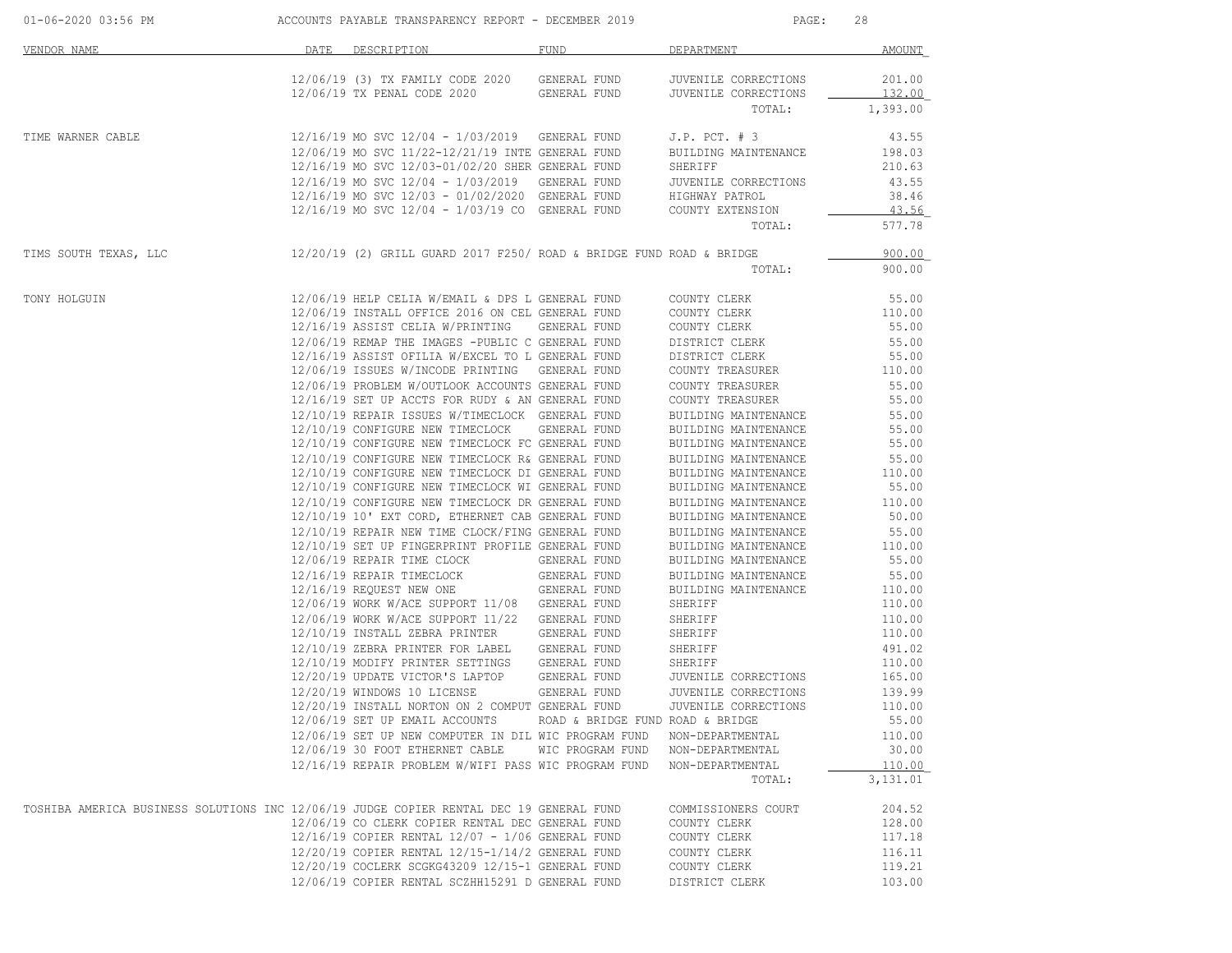| 01-06-2020 03:56 PM                                                                     | ACCOUNTS PAYABLE TRANSPARENCY REPORT - DECEMBER 2019                                          |                                  | PAGE:                                        | 28               |
|-----------------------------------------------------------------------------------------|-----------------------------------------------------------------------------------------------|----------------------------------|----------------------------------------------|------------------|
| VENDOR NAME                                                                             | DATE DESCRIPTION                                                                              | FUND                             | DEPARTMENT                                   | AMOUNT           |
|                                                                                         | 12/06/19 (3) TX FAMILY CODE 2020<br>12/06/19 TX PENAL CODE 2020 GENERAL FUND                  | GENERAL FUND                     | JUVENILE CORRECTIONS<br>JUVENILE CORRECTIONS | 201.00<br>132.00 |
|                                                                                         |                                                                                               |                                  | TOTAL:                                       | 1,393.00         |
| TIME WARNER CABLE                                                                       | 12/16/19 MO SVC 12/04 - 1/03/2019 GENERAL FUND                                                |                                  | J.P. $PCT. # 3$                              | 43.55            |
|                                                                                         | 12/06/19 MO SVC 11/22-12/21/19 INTE GENERAL FUND                                              |                                  | BUILDING MAINTENANCE                         | 198.03           |
|                                                                                         | 12/16/19 MO SVC 12/03-01/02/20 SHER GENERAL FUND                                              |                                  | SHERIFF                                      | 210.63           |
|                                                                                         | 12/16/19 MO SVC 12/04 - 1/03/2019 GENERAL FUND                                                |                                  | JUVENILE CORRECTIONS                         | 43.55            |
|                                                                                         | 12/16/19 MO SVC 12/03 - 01/02/2020 GENERAL FUND                                               |                                  | HIGHWAY PATROL                               | 38.46            |
|                                                                                         | $12/16/19$ MO SVC $12/04 - 1/03/19$ CO GENERAL FUND                                           |                                  | COUNTY EXTENSION<br>TOTAL:                   | 43.56<br>577.78  |
|                                                                                         |                                                                                               |                                  |                                              |                  |
| TIMS SOUTH TEXAS, LLC                                                                   | $12/20/19$ (2) GRILL GUARD 2017 F250/ ROAD & BRIDGE FUND ROAD & BRIDGE                        |                                  | TOTAL:                                       | 900.00<br>900.00 |
| TONY HOLGUIN                                                                            | 12/06/19 HELP CELIA W/EMAIL & DPS L GENERAL FUND                                              |                                  | COUNTY CLERK                                 | 55.00            |
|                                                                                         | 12/06/19 INSTALL OFFICE 2016 ON CEL GENERAL FUND                                              |                                  | COUNTY CLERK                                 | 110.00           |
|                                                                                         | 12/16/19 ASSIST CELIA W/PRINTING GENERAL FUND                                                 |                                  | COUNTY CLERK                                 | 55.00            |
|                                                                                         | 12/06/19 REMAP THE IMAGES -PUBLIC C GENERAL FUND                                              |                                  | DISTRICT CLERK                               | 55.00            |
|                                                                                         | 12/16/19 ASSIST OFILIA W/EXCEL TO L GENERAL FUND                                              |                                  | DISTRICT CLERK                               | 55.00            |
|                                                                                         | 12/06/19 ISSUES W/INCODE PRINTING GENERAL FUND                                                |                                  | COUNTY TREASURER                             | 110.00           |
|                                                                                         | 12/06/19 PROBLEM W/OUTLOOK ACCOUNTS GENERAL FUND                                              |                                  | COUNTY TREASURER                             | 55.00            |
|                                                                                         | 12/16/19 SET UP ACCTS FOR RUDY & AN GENERAL FUND                                              |                                  | COUNTY TREASURER                             | 55.00            |
|                                                                                         | 12/10/19 REPAIR ISSUES W/TIMECLOCK GENERAL FUND                                               |                                  | BUILDING MAINTENANCE                         | 55.00            |
|                                                                                         | 12/10/19 CONFIGURE NEW TIMECLOCK GENERAL FUND                                                 |                                  | BUILDING MAINTENANCE                         | 55.00            |
|                                                                                         | 12/10/19 CONFIGURE NEW TIMECLOCK FC GENERAL FUND                                              |                                  | BUILDING MAINTENANCE                         | 55.00            |
|                                                                                         | 12/10/19 CONFIGURE NEW TIMECLOCK R& GENERAL FUND                                              |                                  | BUILDING MAINTENANCE                         | 55.00            |
|                                                                                         | 12/10/19 CONFIGURE NEW TIMECLOCK DI GENERAL FUND                                              |                                  | BUILDING MAINTENANCE                         | 110.00           |
|                                                                                         | 12/10/19 CONFIGURE NEW TIMECLOCK WI GENERAL FUND                                              |                                  | BUILDING MAINTENANCE                         | 55.00            |
|                                                                                         | 12/10/19 CONFIGURE NEW TIMECLOCK DR GENERAL FUND                                              |                                  | BUILDING MAINTENANCE                         | 110.00           |
|                                                                                         | 12/10/19 10' EXT CORD, ETHERNET CAB GENERAL FUND                                              |                                  | BUILDING MAINTENANCE                         | 50.00            |
|                                                                                         | 12/10/19 REPAIR NEW TIME CLOCK/FING GENERAL FUND                                              |                                  | BUILDING MAINTENANCE                         | 55.00            |
|                                                                                         | 12/10/19 SET UP FINGERPRINT PROFILE GENERAL FUND                                              |                                  | BUILDING MAINTENANCE                         | 110.00           |
|                                                                                         | 12/06/19 REPAIR TIME CLOCK GENERAL FUND                                                       |                                  | BUILDING MAINTENANCE                         | 55.00            |
|                                                                                         | 12/16/19 REPAIR TIMECLOCK                                                                     | GENERAL FUND                     | BUILDING MAINTENANCE                         | 55.00            |
|                                                                                         | 12/16/19 REQUEST NEW ONE GENERAL FUND                                                         |                                  | BUILDING MAINTENANCE                         | 110.00           |
|                                                                                         | 12/06/19 WORK W/ACE SUPPORT 11/08 GENERAL FUND                                                |                                  | SHERIFF                                      | 110.00           |
|                                                                                         | 12/06/19 WORK W/ACE SUPPORT 11/22 GENERAL FUND<br>12/10/19 INSTALL ZEBRA PRINTER GENERAL FUND |                                  | SHERIFF                                      | 110.00           |
|                                                                                         |                                                                                               |                                  | SHERIFF                                      | 110.00           |
|                                                                                         | 12/10/19 ZEBRA PRINTER FOR LABEL<br>12/10/19 MODIFY PRINTER SETTINGS GENERAL FUND             | GENERAL FUND                     | SHERIFF                                      | 491.02<br>110.00 |
|                                                                                         | 12/20/19 UPDATE VICTOR'S LAPTOP GENERAL FUND                                                  |                                  | SHERIFF<br>JUVENILE CORRECTIONS              | 165.00           |
|                                                                                         | 12/20/19 WINDOWS 10 LICENSE                                                                   | GENERAL FUND                     | JUVENILE CORRECTIONS                         | 139.99           |
|                                                                                         | 12/20/19 INSTALL NORTON ON 2 COMPUT GENERAL FUND                                              |                                  | JUVENILE CORRECTIONS                         | 110.00           |
|                                                                                         | 12/06/19 SET UP EMAIL ACCOUNTS                                                                | ROAD & BRIDGE FUND ROAD & BRIDGE |                                              | 55.00            |
|                                                                                         | 12/06/19 SET UP NEW COMPUTER IN DIL WIC PROGRAM FUND                                          |                                  | NON-DEPARTMENTAL                             | 110.00           |
|                                                                                         | 12/06/19 30 FOOT ETHERNET CABLE                                                               | WIC PROGRAM FUND                 | NON-DEPARTMENTAL                             | 30.00            |
|                                                                                         | 12/16/19 REPAIR PROBLEM W/WIFI PASS WIC PROGRAM FUND                                          |                                  | NON-DEPARTMENTAL                             | 110.00           |
|                                                                                         |                                                                                               |                                  | TOTAL:                                       | 3,131.01         |
| TOSHIBA AMERICA BUSINESS SOLUTIONS INC 12/06/19 JUDGE COPIER RENTAL DEC 19 GENERAL FUND |                                                                                               |                                  | COMMISSIONERS COURT                          | 204.52           |
|                                                                                         | 12/06/19 CO CLERK COPIER RENTAL DEC GENERAL FUND                                              |                                  | COUNTY CLERK                                 | 128.00           |
|                                                                                         | $12/16/19$ COPIER RENTAL $12/07 - 1/06$ GENERAL FUND                                          |                                  | COUNTY CLERK                                 | 117.18           |
|                                                                                         | 12/20/19 COPIER RENTAL 12/15-1/14/2 GENERAL FUND                                              |                                  | COUNTY CLERK                                 | 116.11           |
|                                                                                         | 12/20/19 COCLERK SCGKG43209 12/15-1 GENERAL FUND                                              |                                  | COUNTY CLERK                                 | 119.21           |
|                                                                                         | 12/06/19 COPIER RENTAL SCZHH15291 D GENERAL FUND                                              |                                  | DISTRICT CLERK                               | 103.00           |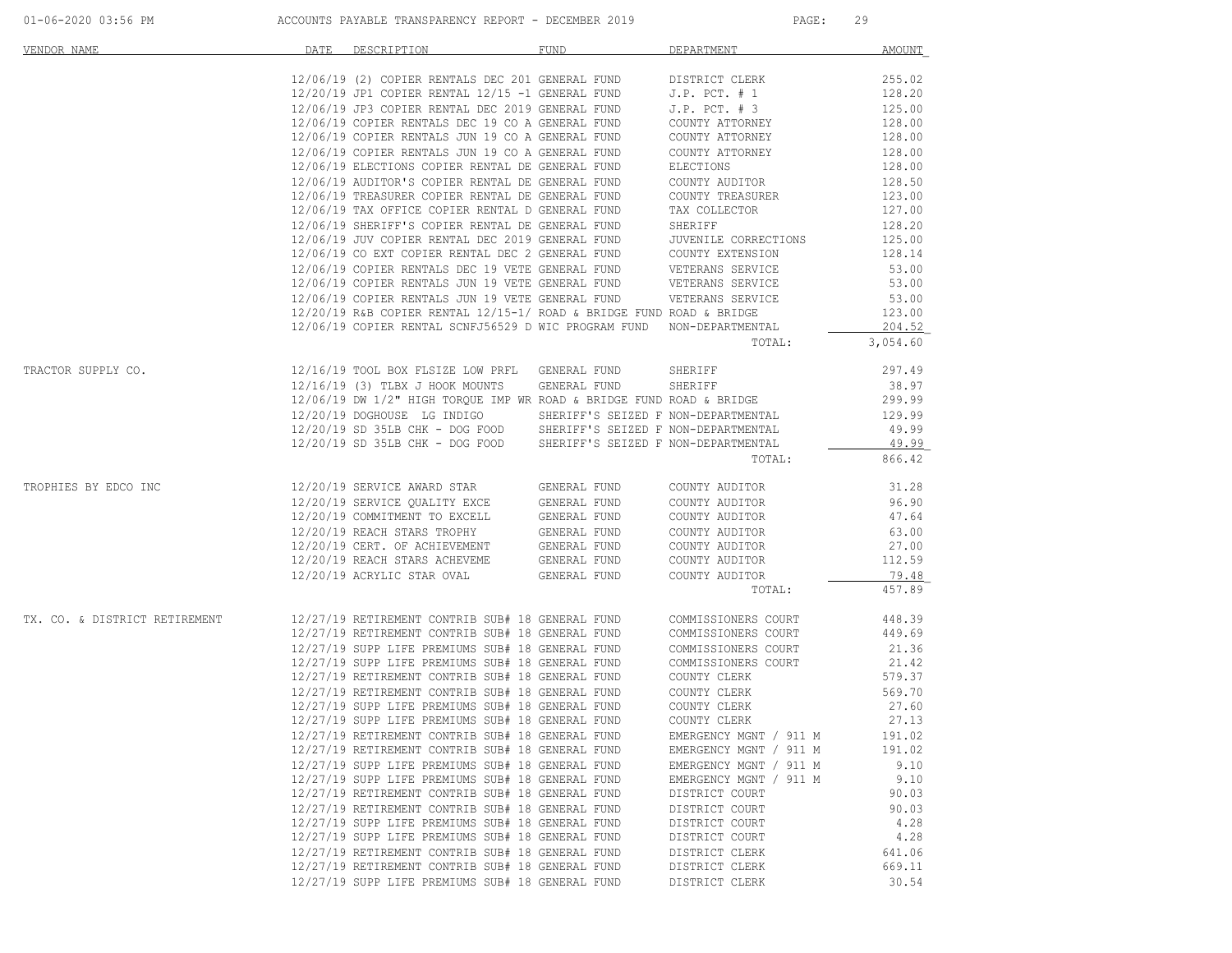| VENDOR NAME                   | DATE | DESCRIPTION                                                                                                                                                                                                                      | FUND         | DEPARTMENT                                       | AMOUNT           |
|-------------------------------|------|----------------------------------------------------------------------------------------------------------------------------------------------------------------------------------------------------------------------------------|--------------|--------------------------------------------------|------------------|
|                               |      | 12/06/19 (2) COPIER RENTALS DEC 201 GENERAL FUND DISTRICT CLERK                                                                                                                                                                  |              |                                                  | 255.02           |
|                               |      | $12/20/19$ JP1 COPIER RENTAL $12/15$ -1 GENERAL FUND                                                                                                                                                                             |              | J.P. $PCT.  # 1$                                 | 128.20           |
|                               |      | 12/06/19 JP3 COPIER RENTAL DEC 2019 GENERAL FUND                                                                                                                                                                                 |              | $J.P.$ PCT. $# 3$                                | 125.00           |
|                               |      | 12/06/19 COPIER RENTALS DEC 19 CO A GENERAL FUND                                                                                                                                                                                 |              | COUNTY ATTORNEY                                  | 128.00           |
|                               |      | 12/06/19 COPIER RENTALS JUN 19 CO A GENERAL FUND                                                                                                                                                                                 |              | COUNTY ATTORNEY                                  | 128.00           |
|                               |      | 12/06/19 COPIER RENTALS JUN 19 CO A GENERAL FUND                                                                                                                                                                                 |              | COUNTY ATTORNEY                                  | 128.00           |
|                               |      | 12/06/19 ELECTIONS COPIER RENTAL DE GENERAL FUND                                                                                                                                                                                 |              | ELECTIONS                                        | 128.00           |
|                               |      | 12/06/19 AUDITOR'S COPIER RENTAL DE GENERAL FUND                                                                                                                                                                                 |              | COUNTY AUDITOR                                   | 128.50           |
|                               |      | 12/06/19 TREASURER COPIER RENTAL DE GENERAL FUND                                                                                                                                                                                 |              | COUNTY TREASURER                                 | 123.00           |
|                               |      | 12/06/19 TAX OFFICE COPIER RENTAL D GENERAL FUND<br>12/06/19 SHERIFF'S COPIER RENTAL DE GENERAL FUND                                                                                                                             |              | TAX COLLECTOR<br>SHERIFF                         | 127.00<br>128.20 |
|                               |      | 12/06/19 JUV COPIER RENTAL DEC 2019 GENERAL FUND                                                                                                                                                                                 |              | JUVENILE CORRECTIONS                             | 125.00           |
|                               |      | 12/06/19 CO EXT COPIER RENTAL DEC 2 GENERAL FUND                                                                                                                                                                                 |              | COUNTY EXTENSION                                 | 128.14           |
|                               |      | 12/06/19 COPIER RENTALS DEC 19 VETE GENERAL FUND                                                                                                                                                                                 |              | VETERANS SERVICE                                 | 53.00            |
|                               |      | 12/06/19 COPIER RENTALS JUN 19 VETE GENERAL FUND                                                                                                                                                                                 |              | VETERANS SERVICE                                 | 53.00            |
|                               |      | 12/06/19 COPIER RENTALS JUN 19 VETE GENERAL FUND                                                                                                                                                                                 |              | VETERANS SERVICE                                 | 53.00            |
|                               |      | $12/20/19$ R&B COPIER RENTAL $12/15-1/$ ROAD & BRIDGE FUND ROAD & BRIDGE                                                                                                                                                         |              |                                                  | 123.00           |
|                               |      | 12/06/19 COPIER RENTAL SCNFJ56529 D WIC PROGRAM FUND NON-DEPARTMENTAL                                                                                                                                                            |              |                                                  | 204.52           |
|                               |      |                                                                                                                                                                                                                                  |              | TOTAL:                                           | 3,054.60         |
| TRACTOR SUPPLY CO.            |      | 12/16/19 TOOL BOX FLSIZE LOW PRFL GENERAL FUND                                                                                                                                                                                   |              | SHERIFF                                          | 297.49           |
|                               |      | 12/16/19 (3) TLBX J HOOK MOUNTS GENERAL FUND                                                                                                                                                                                     |              | SHERIFF                                          | 38.97            |
|                               |      | $12/06/19$ DW $1/2$ " HIGH TORQUE IMP WR ROAD & BRIDGE FUND ROAD & BRIDGE                                                                                                                                                        |              |                                                  | 299.99           |
|                               |      | 12/20/19 DOGHOUSE LG INDIGO SHERIFF'S SEIZED F NON-DEPARTMENTAL                                                                                                                                                                  |              |                                                  | 129.99           |
|                               |      | 12/20/19 SD 35LB CHK - DOG FOOD SHERIFF'S SEIZED F NON-DEPARTMENTAL                                                                                                                                                              |              |                                                  | 49.99            |
|                               |      | 12/20/19 SD 35LB CHK - DOG FOOD SHERIFF'S SEIZED F NON-DEPARTMENTAL                                                                                                                                                              |              |                                                  | 49.99            |
|                               |      |                                                                                                                                                                                                                                  |              | TOTAL:                                           | 866.42           |
| TROPHIES BY EDCO INC          |      | 12/20/19 SERVICE AWARD STAR GENERAL FUND                                                                                                                                                                                         |              | COUNTY AUDITOR                                   | 31.28            |
|                               |      | $12/20/19$ SERVICE QUALITY EXCE GENERAL FUND<br>$12/20/19$ COMMITMENT TO EXCELL GENERAL FUND                                                                                                                                     |              | COUNTY AUDITOR                                   | 96.90            |
|                               |      |                                                                                                                                                                                                                                  |              | COUNTY AUDITOR                                   | 47.64            |
|                               |      | $12/20/19 \text{ REACH STARS TROPHY} \hspace{1.3cm} \text{GENERAL FUND} \\ 12/20/19 \text{ CERT. OF ACHIEVEMENT} \hspace{1.3cm} \text{GENERAL FUND} \\ 12/20/19 \text{ REACH STARS ACHEVEME} \hspace{1.3cm} \text{GENERAL FUND}$ |              | COUNTY AUDITOR                                   | 63.00            |
|                               |      |                                                                                                                                                                                                                                  |              | COUNTY AUDITOR                                   | 27.00            |
|                               |      |                                                                                                                                                                                                                                  |              | COUNTY AUDITOR                                   | 112.59           |
|                               |      | 12/20/19 ACRYLIC STAR OVAL                                                                                                                                                                                                       | GENERAL FUND | COUNTY AUDITOR                                   | 79.48            |
|                               |      |                                                                                                                                                                                                                                  |              | TOTAL:                                           | 457.89           |
| TX. CO. & DISTRICT RETIREMENT |      | 12/27/19 RETIREMENT CONTRIB SUB# 18 GENERAL FUND                                                                                                                                                                                 |              | COMMISSIONERS COURT                              | 448.39           |
|                               |      | 12/27/19 RETIREMENT CONTRIB SUB# 18 GENERAL FUND                                                                                                                                                                                 |              | COMMISSIONERS COURT                              | 449.69           |
|                               |      | 12/27/19 SUPP LIFE PREMIUMS SUB# 18 GENERAL FUND                                                                                                                                                                                 |              | COMMISSIONERS COURT                              | 21.36            |
|                               |      | 12/27/19 SUPP LIFE PREMIUMS SUB# 18 GENERAL FUND                                                                                                                                                                                 |              | COMMISSIONERS COURT                              | 21.42            |
|                               |      | 12/27/19 RETIREMENT CONTRIB SUB# 18 GENERAL FUND                                                                                                                                                                                 |              | COUNTY CLERK                                     | 579.37           |
|                               |      | 12/27/19 RETIREMENT CONTRIB SUB# 18 GENERAL FUND                                                                                                                                                                                 |              | COUNTY CLERK                                     | 569.70           |
|                               |      | 12/27/19 SUPP LIFE PREMIUMS SUB# 18 GENERAL FUND                                                                                                                                                                                 |              | COUNTY CLERK                                     | 27.60            |
|                               |      | 12/27/19 SUPP LIFE PREMIUMS SUB# 18 GENERAL FUND                                                                                                                                                                                 |              | COUNTY CLERK                                     | 27.13            |
|                               |      | 12/27/19 RETIREMENT CONTRIB SUB# 18 GENERAL FUND                                                                                                                                                                                 |              | EMERGENCY MGNT / 911 M                           | 191.02           |
|                               |      | 12/27/19 RETIREMENT CONTRIB SUB# 18 GENERAL FUND                                                                                                                                                                                 |              | EMERGENCY MGNT / 911 M                           | 191.02           |
|                               |      | 12/27/19 SUPP LIFE PREMIUMS SUB# 18 GENERAL FUND<br>12/27/19 SUPP LIFE PREMIUMS SUB# 18 GENERAL FUND                                                                                                                             |              | EMERGENCY MGNT / 911 M<br>EMERGENCY MGNT / 911 M | 9.10<br>9.10     |
|                               |      | 12/27/19 RETIREMENT CONTRIB SUB# 18 GENERAL FUND                                                                                                                                                                                 |              | DISTRICT COURT                                   | 90.03            |
|                               |      | 12/27/19 RETIREMENT CONTRIB SUB# 18 GENERAL FUND                                                                                                                                                                                 |              | DISTRICT COURT                                   | 90.03            |
|                               |      | 12/27/19 SUPP LIFE PREMIUMS SUB# 18 GENERAL FUND                                                                                                                                                                                 |              | DISTRICT COURT                                   | 4.28             |
|                               |      | 12/27/19 SUPP LIFE PREMIUMS SUB# 18 GENERAL FUND                                                                                                                                                                                 |              | DISTRICT COURT                                   | 4.28             |
|                               |      | 12/27/19 RETIREMENT CONTRIB SUB# 18 GENERAL FUND                                                                                                                                                                                 |              | DISTRICT CLERK                                   | 641.06           |
|                               |      | 12/27/19 RETIREMENT CONTRIB SUB# 18 GENERAL FUND                                                                                                                                                                                 |              | DISTRICT CLERK                                   | 669.11           |
|                               |      | 12/27/19 SUPP LIFE PREMIUMS SUB# 18 GENERAL FUND                                                                                                                                                                                 |              | DISTRICT CLERK                                   | 30.54            |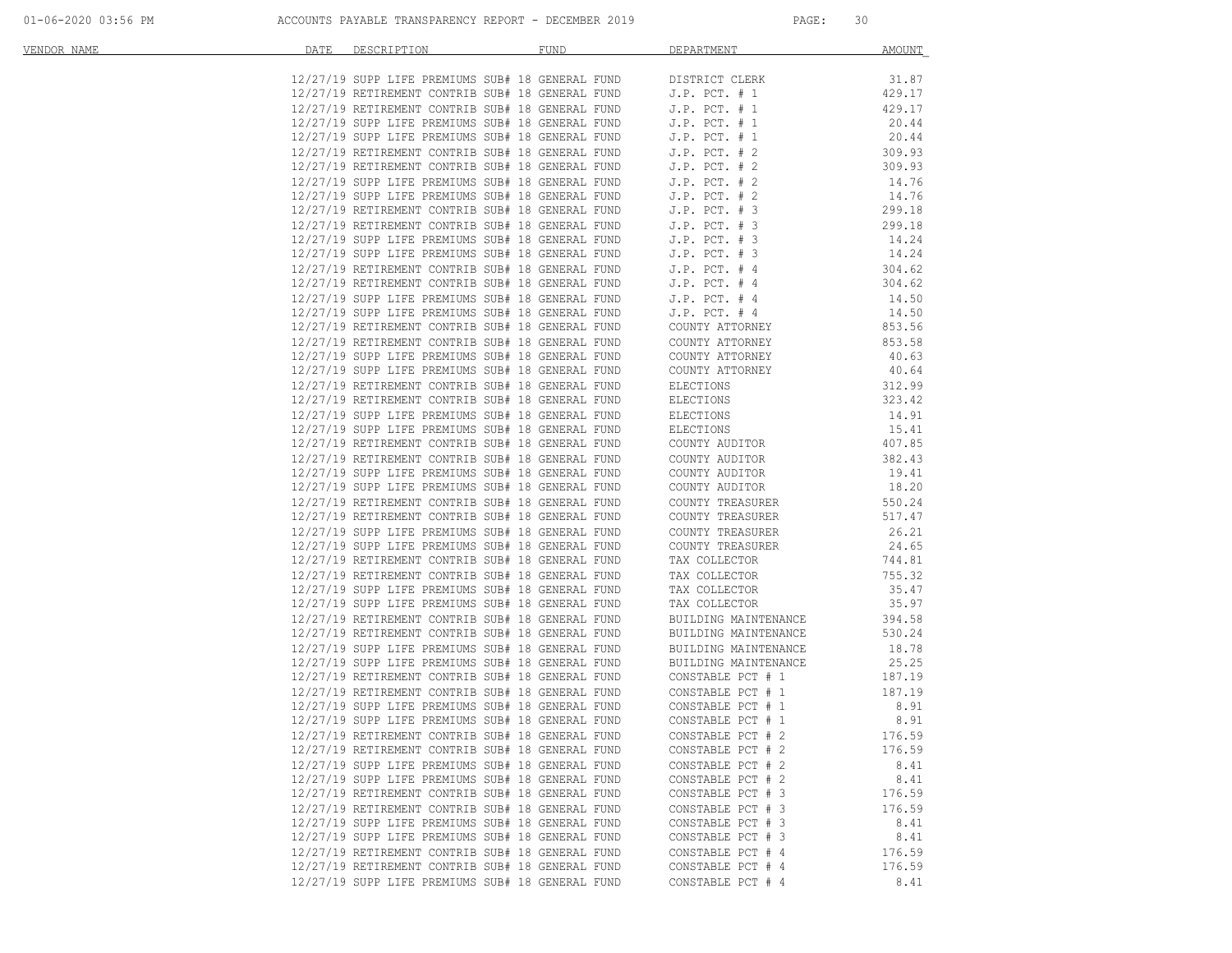| DATE<br>VENDOR NAME | DESCRIPTION                                                                                                                        | <b>FUND</b> | DEPARTMENT                                | AMOUNT          |
|---------------------|------------------------------------------------------------------------------------------------------------------------------------|-------------|-------------------------------------------|-----------------|
|                     |                                                                                                                                    |             |                                           | 31.87           |
|                     | $12/27/19$ SUPP LIFE PREMIUMS SUB# 18 GENERAL FUND DISTRICT CLERK $12/27/19$ RETIREMENT CONTRIB SUB# 18 GENERAL FUND J.P. PCT. # 1 |             |                                           | 429.17          |
|                     | 12/27/19 RETIREMENT CONTRIB SUB# 18 GENERAL FUND                                                                                   |             | $J.P.$ PCT. $# 1$                         | 429.17          |
|                     | 12/27/19 SUPP LIFE PREMIUMS SUB# 18 GENERAL FUND                                                                                   |             | $J.P.$ PCT. $# 1$                         | 20.44           |
|                     | 12/27/19 SUPP LIFE PREMIUMS SUB# 18 GENERAL FUND                                                                                   |             | $J.P.$ PCT. $# 1$                         | 20.44           |
|                     | 12/27/19 RETIREMENT CONTRIB SUB# 18 GENERAL FUND                                                                                   |             | $J.P.$ PCT. $# 2$                         | 309.93          |
|                     | 12/27/19 RETIREMENT CONTRIB SUB# 18 GENERAL FUND                                                                                   |             | $J.P.$ PCT. $# 2$                         | 309.93          |
|                     | 12/27/19 SUPP LIFE PREMIUMS SUB# 18 GENERAL FUND                                                                                   |             | $J.P.$ PCT. $# 2$                         | 14.76           |
|                     | 12/27/19 SUPP LIFE PREMIUMS SUB# 18 GENERAL FUND                                                                                   |             | $J.P.$ PCT. $# 2$                         | 14.76           |
|                     | 12/27/19 RETIREMENT CONTRIB SUB# 18 GENERAL FUND                                                                                   |             | $J.P.$ PCT. $# 3$                         | 299.18          |
|                     | 12/27/19 RETIREMENT CONTRIB SUB# 18 GENERAL FUND                                                                                   |             | $J.P.$ PCT. $# 3$                         | 299.18          |
|                     | 12/27/19 SUPP LIFE PREMIUMS SUB# 18 GENERAL FUND                                                                                   |             | $J.P.$ PCT. $# 3$                         | 14.24           |
|                     | 12/27/19 SUPP LIFE PREMIUMS SUB# 18 GENERAL FUND                                                                                   |             | $J.P.$ PCT. $# 3$                         | 14.24           |
|                     | 12/27/19 RETIREMENT CONTRIB SUB# 18 GENERAL FUND                                                                                   |             | $J.P.$ PCT. $#4$                          | 304.62          |
|                     | 12/27/19 RETIREMENT CONTRIB SUB# 18 GENERAL FUND                                                                                   |             | $J.P.$ PCT. $#4$                          | 304.62          |
|                     | 12/27/19 SUPP LIFE PREMIUMS SUB# 18 GENERAL FUND<br>12/27/19 SUPP LIFE PREMIUMS SUB# 18 GENERAL FUND                               |             | $J.P.$ PCT. $#4$                          | 14.50<br>14.50  |
|                     | 12/27/19 RETIREMENT CONTRIB SUB# 18 GENERAL FUND                                                                                   |             | $J.P.$ PCT. $#4$<br>COUNTY ATTORNEY       | 853.56          |
|                     | 12/27/19 RETIREMENT CONTRIB SUB# 18 GENERAL FUND                                                                                   |             | COUNTY ATTORNEY                           | 853.58          |
|                     | 12/27/19 SUPP LIFE PREMIUMS SUB# 18 GENERAL FUND                                                                                   |             | COUNTY ATTORNEY                           | 40.63           |
|                     | 12/27/19 SUPP LIFE PREMIUMS SUB# 18 GENERAL FUND                                                                                   |             | COUNTY ATTORNEY                           | 40.64           |
|                     | 12/27/19 RETIREMENT CONTRIB SUB# 18 GENERAL FUND                                                                                   |             | ELECTIONS                                 | 312.99          |
|                     | 12/27/19 RETIREMENT CONTRIB SUB# 18 GENERAL FUND                                                                                   |             | ELECTIONS                                 | 323.42          |
|                     | 12/27/19 SUPP LIFE PREMIUMS SUB# 18 GENERAL FUND                                                                                   |             | ELECTIONS                                 | 14.91           |
|                     | 12/27/19 SUPP LIFE PREMIUMS SUB# 18 GENERAL FUND                                                                                   |             | ELECTIONS                                 | 15.41           |
|                     | 12/27/19 RETIREMENT CONTRIB SUB# 18 GENERAL FUND                                                                                   |             | COUNTY AUDITOR                            | 407.85          |
|                     | 12/27/19 RETIREMENT CONTRIB SUB# 18 GENERAL FUND                                                                                   |             | COUNTY AUDITOR                            | 382.43          |
|                     | 12/27/19 SUPP LIFE PREMIUMS SUB# 18 GENERAL FUND                                                                                   |             | COUNTY AUDITOR                            | 19.41           |
|                     | 12/27/19 SUPP LIFE PREMIUMS SUB# 18 GENERAL FUND                                                                                   |             | COUNTY AUDITOR                            | 18.20           |
|                     | 12/27/19 RETIREMENT CONTRIB SUB# 18 GENERAL FUND                                                                                   |             | COUNTY TREASURER                          | 550.24          |
|                     | 12/27/19 RETIREMENT CONTRIB SUB# 18 GENERAL FUND                                                                                   |             | COUNTY TREASURER                          | 517.47          |
|                     | 12/27/19 SUPP LIFE PREMIUMS SUB# 18 GENERAL FUND                                                                                   |             | COUNTY TREASURER                          | 26.21           |
|                     | 12/27/19 SUPP LIFE PREMIUMS SUB# 18 GENERAL FUND                                                                                   |             | COUNTY TREASURER                          | 24.65           |
|                     | 12/27/19 RETIREMENT CONTRIB SUB# 18 GENERAL FUND                                                                                   |             | TAX COLLECTOR                             | 744.81          |
|                     | 12/27/19 RETIREMENT CONTRIB SUB# 18 GENERAL FUND                                                                                   |             | TAX COLLECTOR                             | 755.32          |
|                     | 12/27/19 SUPP LIFE PREMIUMS SUB# 18 GENERAL FUND                                                                                   |             | TAX COLLECTOR                             | 35.47           |
|                     | 12/27/19 SUPP LIFE PREMIUMS SUB# 18 GENERAL FUND                                                                                   |             | TAX COLLECTOR                             | 35.97           |
|                     | 12/27/19 RETIREMENT CONTRIB SUB# 18 GENERAL FUND                                                                                   |             | BUILDING MAINTENANCE                      | 394.58          |
|                     | 12/27/19 RETIREMENT CONTRIB SUB# 18 GENERAL FUND                                                                                   |             | BUILDING MAINTENANCE                      | 530.24          |
|                     | 12/27/19 SUPP LIFE PREMIUMS SUB# 18 GENERAL FUND                                                                                   |             | BUILDING MAINTENANCE                      | 18.78           |
|                     | 12/27/19 SUPP LIFE PREMIUMS SUB# 18 GENERAL FUND<br>12/27/19 RETIREMENT CONTRIB SUB# 18 GENERAL FUND                               |             | BUILDING MAINTENANCE<br>CONSTABLE PCT # 1 | 25.25<br>187.19 |
|                     | 12/27/19 RETIREMENT CONTRIB SUB# 18 GENERAL FUND                                                                                   |             | CONSTABLE PCT # 1                         | 187.19          |
|                     | 12/27/19 SUPP LIFE PREMIUMS SUB# 18 GENERAL FUND                                                                                   |             | CONSTABLE PCT # 1                         | 8.91            |
|                     | 12/27/19 SUPP LIFE PREMIUMS SUB# 18 GENERAL FUND                                                                                   |             | CONSTABLE PCT # 1                         | 8.91            |
|                     | 12/27/19 RETIREMENT CONTRIB SUB# 18 GENERAL FUND                                                                                   |             | CONSTABLE PCT # 2                         | 176.59          |
|                     | 12/27/19 RETIREMENT CONTRIB SUB# 18 GENERAL FUND                                                                                   |             | CONSTABLE PCT # 2                         | 176.59          |
|                     | 12/27/19 SUPP LIFE PREMIUMS SUB# 18 GENERAL FUND                                                                                   |             | CONSTABLE PCT # 2                         | 8.41            |
|                     | 12/27/19 SUPP LIFE PREMIUMS SUB# 18 GENERAL FUND                                                                                   |             | CONSTABLE PCT # 2                         | 8.41            |
|                     | 12/27/19 RETIREMENT CONTRIB SUB# 18 GENERAL FUND                                                                                   |             | CONSTABLE PCT # 3                         | 176.59          |
|                     | 12/27/19 RETIREMENT CONTRIB SUB# 18 GENERAL FUND                                                                                   |             | CONSTABLE PCT # 3                         | 176.59          |
|                     | 12/27/19 SUPP LIFE PREMIUMS SUB# 18 GENERAL FUND                                                                                   |             | CONSTABLE PCT # 3                         | 8.41            |
|                     | 12/27/19 SUPP LIFE PREMIUMS SUB# 18 GENERAL FUND                                                                                   |             | CONSTABLE PCT # 3                         | 8.41            |
|                     | 12/27/19 RETIREMENT CONTRIB SUB# 18 GENERAL FUND                                                                                   |             | CONSTABLE PCT # 4                         | 176.59          |
|                     | 12/27/19 RETIREMENT CONTRIB SUB# 18 GENERAL FUND                                                                                   |             | CONSTABLE PCT # 4                         | 176.59          |
|                     | 12/27/19 SUPP LIFE PREMIUMS SUB# 18 GENERAL FUND                                                                                   |             | CONSTABLE PCT # 4                         | 8.41            |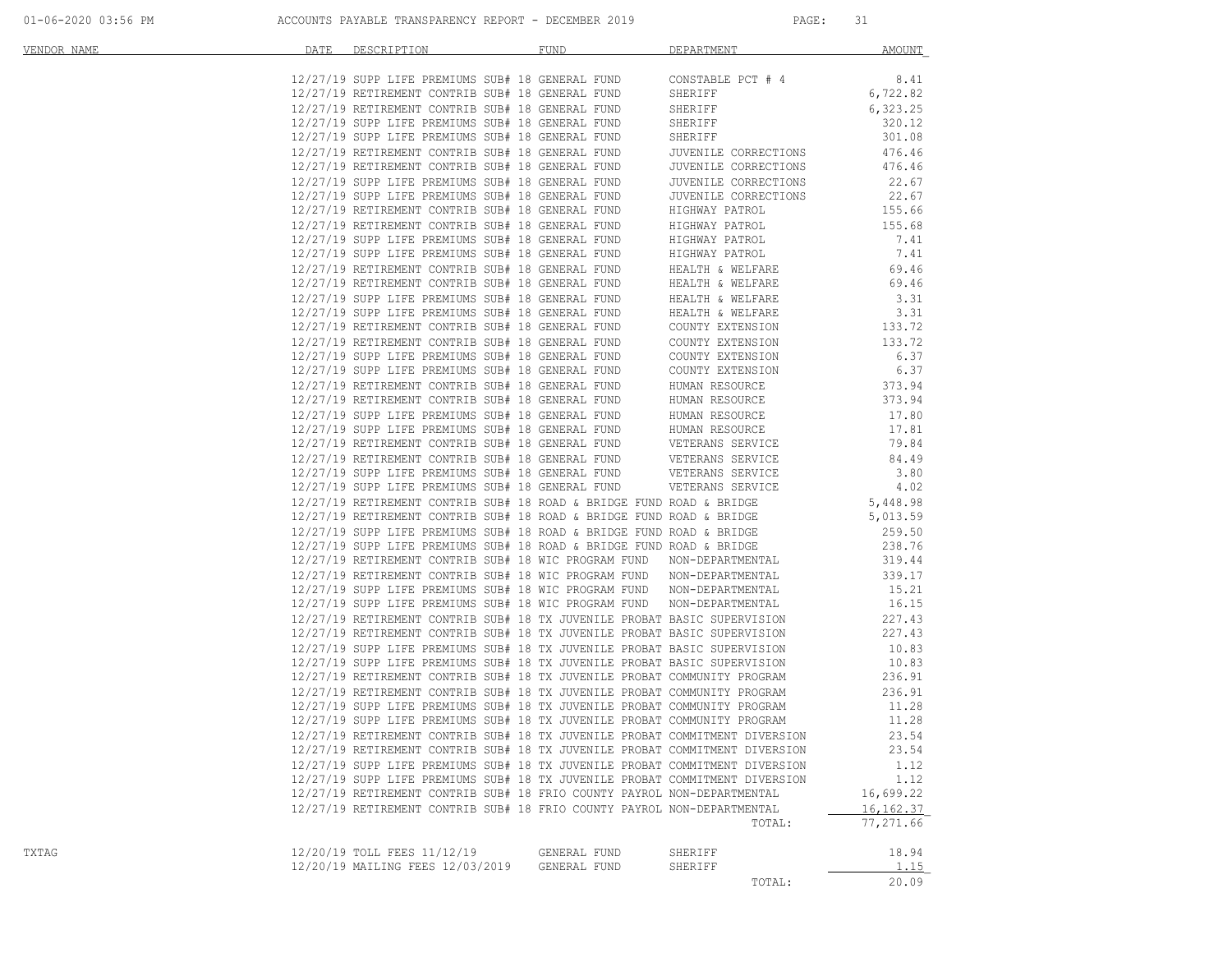| VENDOR NAME | DATE | DESCRIPTION                                                                                                                                  | FUND         | DEPARTMENT                                                                                                                                     | AMOUNT      |
|-------------|------|----------------------------------------------------------------------------------------------------------------------------------------------|--------------|------------------------------------------------------------------------------------------------------------------------------------------------|-------------|
|             |      | 12/27/19 SUPP LIFE PREMIUMS SUB# 18 GENERAL FUND                                                                                             |              | CONSTABLE PCT # 4                                                                                                                              | 8.41        |
|             |      | 12/27/19 RETIREMENT CONTRIB SUB# 18 GENERAL FUND                                                                                             |              | SHERIFF                                                                                                                                        | 6,722.82    |
|             |      | 12/27/19 RETIREMENT CONTRIB SUB# 18 GENERAL FUND                                                                                             |              | SHERIFF                                                                                                                                        | 6,323.25    |
|             |      | 12/27/19 SUPP LIFE PREMIUMS SUB# 18 GENERAL FUND                                                                                             |              | SHERIFF                                                                                                                                        | 320.12      |
|             |      | 12/27/19 SUPP LIFE PREMIUMS SUB# 18 GENERAL FUND                                                                                             |              | SHERIFF                                                                                                                                        | 301.08      |
|             |      | 12/27/19 RETIREMENT CONTRIB SUB# 18 GENERAL FUND                                                                                             |              | JUVENILE CORRECTIONS                                                                                                                           | 476.46      |
|             |      | 12/27/19 RETIREMENT CONTRIB SUB# 18 GENERAL FUND                                                                                             |              | JUVENILE CORRECTIONS                                                                                                                           | 476.46      |
|             |      | 12/27/19 SUPP LIFE PREMIUMS SUB# 18 GENERAL FUND                                                                                             |              | JUVENILE CORRECTIONS                                                                                                                           | 22.67       |
|             |      | 12/27/19 SUPP LIFE PREMIUMS SUB# 18 GENERAL FUND                                                                                             |              | JUVENILE CORRECTIONS                                                                                                                           | 22.67       |
|             |      | 12/27/19 RETIREMENT CONTRIB SUB# 18 GENERAL FUND                                                                                             |              | HIGHWAY PATROL                                                                                                                                 | 155.66      |
|             |      | 12/27/19 RETIREMENT CONTRIB SUB# 18 GENERAL FUND                                                                                             |              | HIGHWAY PATROL                                                                                                                                 | 155.68      |
|             |      | 12/27/19 SUPP LIFE PREMIUMS SUB# 18 GENERAL FUND                                                                                             |              | HIGHWAY PATROL                                                                                                                                 | 7.41        |
|             |      | 12/27/19 SUPP LIFE PREMIUMS SUB# 18 GENERAL FUND                                                                                             |              | HIGHWAY PATROL<br>HIGHWAY PATROL                                                                                                               | 7.41        |
|             |      | 12/27/19 RETIREMENT CONTRIB SUB# 18 GENERAL FUND                                                                                             |              | HEALTH & WELFARE                                                                                                                               | 69.46       |
|             |      | 12/27/19 RETIREMENT CONTRIB SUB# 18 GENERAL FUND                                                                                             |              | HEALTH & WELFARE                                                                                                                               | 69.46       |
|             |      | 12/27/19 SUPP LIFE PREMIUMS SUB# 18 GENERAL FUND                                                                                             |              | HEALTH & WELFARE                                                                                                                               | 3.31        |
|             |      | 12/27/19 SUPP LIFE PREMIUMS SUB# 18 GENERAL FUND                                                                                             |              | HEALTH & WELFARE                                                                                                                               | 3.31        |
|             |      | 12/27/19 RETIREMENT CONTRIB SUB# 18 GENERAL FUND                                                                                             |              | COUNTY EXTENSION                                                                                                                               | 133.72      |
|             |      | 12/27/19 RETIREMENT CONTRIB SUB# 18 GENERAL FUND                                                                                             |              | COUNTY EXTENSION                                                                                                                               | 133.72      |
|             |      | 12/27/19 SUPP LIFE PREMIUMS SUB# 18 GENERAL FUND                                                                                             |              | COUNTY EXTENSION                                                                                                                               | 6.37        |
|             |      | 12/27/19 SUPP LIFE PREMIUMS SUB# 18 GENERAL FUND                                                                                             |              | COUNTY EXTENSION                                                                                                                               | 6.37        |
|             |      | 12/27/19 RETIREMENT CONTRIB SUB# 18 GENERAL FUND                                                                                             |              | HUMAN RESOURCE                                                                                                                                 | 373.94      |
|             |      | 12/27/19 RETIREMENT CONTRIB SUB# 18 GENERAL FUND                                                                                             |              | HUMAN RESOURCE                                                                                                                                 | 373.94      |
|             |      | 12/27/19 SUPP LIFE PREMIUMS SUB# 18 GENERAL FUND                                                                                             |              | HUMAN RESOURCE                                                                                                                                 | 17.80       |
|             |      | 12/27/19 SUPP LIFE PREMIUMS SUB# 18 GENERAL FUND                                                                                             |              | HUMAN RESOURCE                                                                                                                                 | 17.81       |
|             |      | 12/27/19 RETIREMENT CONTRIB SUB# 18 GENERAL FUND                                                                                             |              | HUMAN RESOURCE<br>VETERANS SERVICE                                                                                                             | 79.84       |
|             |      |                                                                                                                                              |              |                                                                                                                                                | 84.49       |
|             |      |                                                                                                                                              |              |                                                                                                                                                | 3.80        |
|             |      |                                                                                                                                              |              |                                                                                                                                                | 4.02        |
|             |      | 12/27/19 RETIREMENT CONTRIB SUB# 18 ROAD & BRIDGE FUND ROAD & BRIDGE                                                                         |              |                                                                                                                                                | 5,448.98    |
|             |      | 12/27/19 RETIREMENT CONTRIB SUB# 18 ROAD & BRIDGE FUND ROAD & BRIDGE                                                                         |              |                                                                                                                                                | 5,013.59    |
|             |      | 12/27/19 SUPP LIFE PREMIUMS SUB# 18 ROAD & BRIDGE FUND ROAD & BRIDGE<br>12/27/19 SUPP LIFE PREMIUMS SUB# 18 ROAD & BRIDGE FUND ROAD & BRIDGE |              |                                                                                                                                                | 259.50      |
|             |      | 12/27/19 SUPP LIFE PREMIUMS SUB# 18 ROAD & BRIDGE FUND ROAD & BRIDGE                                                                         |              |                                                                                                                                                | 238.76      |
|             |      |                                                                                                                                              |              | 12/27/19 RETIREMENT CONTRIB SUB# 18 WIC PROGRAM FUND NON-DEPARTMENTAL                                                                          | 319.44      |
|             |      |                                                                                                                                              |              |                                                                                                                                                | 339.17      |
|             |      |                                                                                                                                              |              | 12/27/19 RETIREMENT CONTRIB SUB# 18 WIC PROGRAM FUND NON-DEPARTMENTAL<br>12/27/19 SUPP LIFE PREMIUMS SUB# 18 WIC PROGRAM FUND NON-DEPARTMENTAL | 15.21       |
|             |      | 12/27/19 SUPP LIFE PREMIUMS SUB# 18 WIC PROGRAM FUND NON-DEPARTMENTAL                                                                        |              |                                                                                                                                                | 16.15       |
|             |      |                                                                                                                                              |              | 12/27/19 RETIREMENT CONTRIB SUB# 18 TX JUVENILE PROBAT BASIC SUPERVISION                                                                       | 227.43      |
|             |      |                                                                                                                                              |              | 12/27/19 RETIREMENT CONTRIB SUB# 18 TX JUVENILE PROBAT BASIC SUPERVISION                                                                       | 227.43      |
|             |      | 12/27/19 SUPP LIFE PREMIUMS SUB# 18 TX JUVENILE PROBAT BASIC SUPERVISION                                                                     |              |                                                                                                                                                | 10.83       |
|             |      | 12/27/19 SUPP LIFE PREMIUMS SUB# 18 TX JUVENILE PROBAT BASIC SUPERVISION                                                                     |              |                                                                                                                                                | 10.83       |
|             |      | 12/27/19 RETIREMENT CONTRIB SUB# 18 TX JUVENILE PROBAT COMMUNITY PROGRAM                                                                     |              |                                                                                                                                                | 236.91      |
|             |      |                                                                                                                                              |              | 12/27/19 RETIREMENT CONTRIB SUB# 18 TX JUVENILE PROBAT COMMUNITY PROGRAM                                                                       | 236.91      |
|             |      | 12/27/19 SUPP LIFE PREMIUMS SUB# 18 TX JUVENILE PROBAT COMMUNITY PROGRAM                                                                     |              |                                                                                                                                                | 11.28       |
|             |      | 12/27/19 SUPP LIFE PREMIUMS SUB# 18 TX JUVENILE PROBAT COMMUNITY PROGRAM                                                                     |              |                                                                                                                                                | 11.28       |
|             |      |                                                                                                                                              |              | 12/27/19 RETIREMENT CONTRIB SUB# 18 TX JUVENILE PROBAT COMMITMENT DIVERSION                                                                    | 23.54       |
|             |      | 12/27/19 RETIREMENT CONTRIB SUB# 18 TX JUVENILE PROBAT COMMITMENT DIVERSION                                                                  |              |                                                                                                                                                | 23.54       |
|             |      | 12/27/19 SUPP LIFE PREMIUMS SUB# 18 TX JUVENILE PROBAT COMMITMENT DIVERSION                                                                  |              |                                                                                                                                                | 1.12        |
|             |      | 12/27/19 SUPP LIFE PREMIUMS SUB# 18 TX JUVENILE PROBAT COMMITMENT DIVERSION                                                                  |              |                                                                                                                                                | 1.12        |
|             |      | 12/27/19 RETIREMENT CONTRIB SUB# 18 FRIO COUNTY PAYROL NON-DEPARTMENTAL                                                                      |              |                                                                                                                                                | 16,699.22   |
|             |      | 12/27/19 RETIREMENT CONTRIB SUB# 18 FRIO COUNTY PAYROL NON-DEPARTMENTAL                                                                      |              |                                                                                                                                                | 16, 162. 37 |
|             |      |                                                                                                                                              |              | TOTAL:                                                                                                                                         | 77,271.66   |
|             |      |                                                                                                                                              |              |                                                                                                                                                |             |
| TXTAG       |      | 12/20/19 TOLL FEES 11/12/19                                                                                                                  | GENERAL FUND | SHERIFF                                                                                                                                        | 18.94       |
|             |      | 12/20/19 MAILING FEES 12/03/2019                                                                                                             | GENERAL FUND | SHERIFF                                                                                                                                        | <u>1.15</u> |
|             |      |                                                                                                                                              |              | TOTAL:                                                                                                                                         | 20.09       |
|             |      |                                                                                                                                              |              |                                                                                                                                                |             |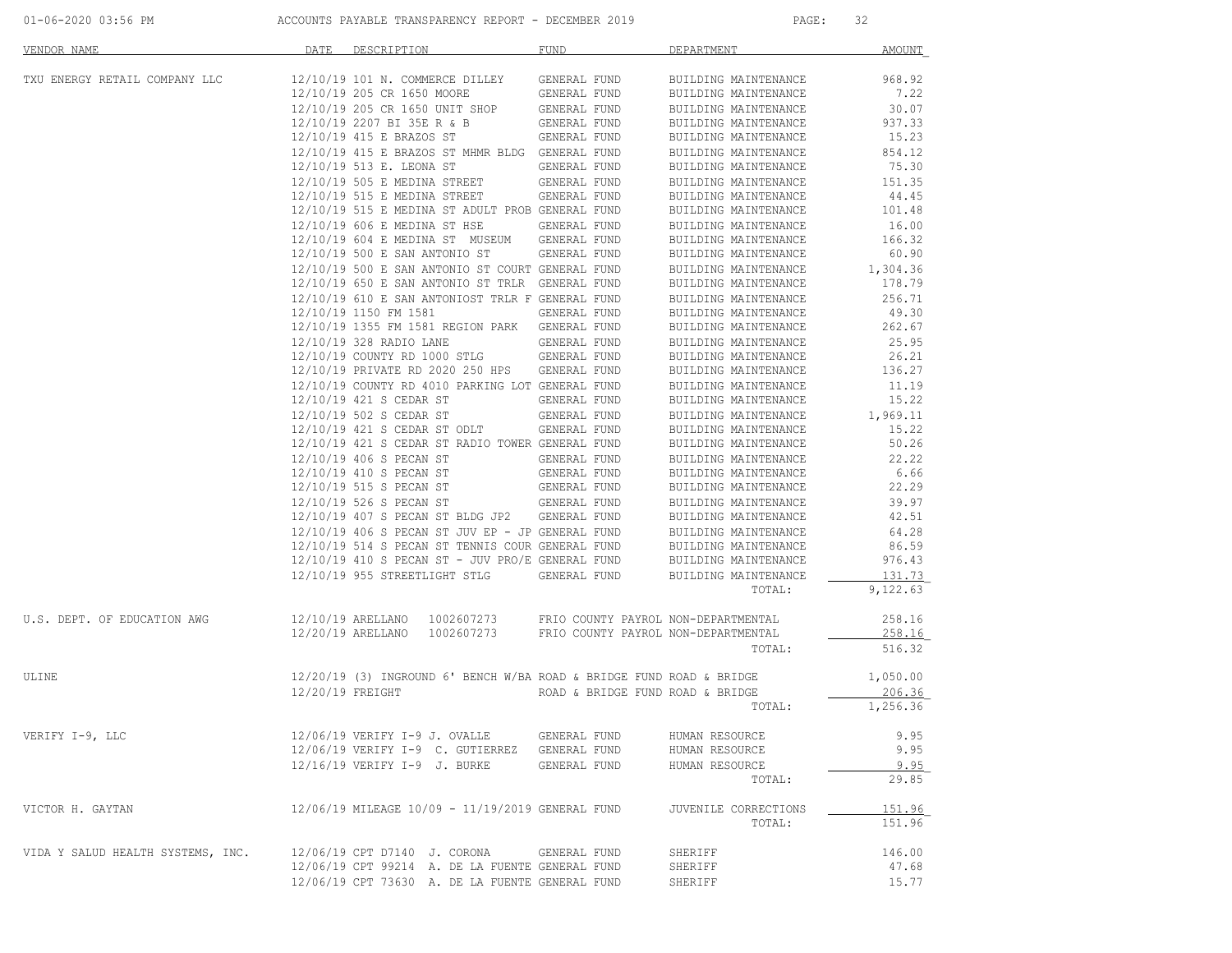|  |  |  |  | 01-06-2020 03:56 PM |  |
|--|--|--|--|---------------------|--|
|--|--|--|--|---------------------|--|

| VENDOR NAME                       | DATE             | DESCRIPTION                                                                                          | FUND                             | DEPARTMENT                                   | <b>AMOUNT</b>   |
|-----------------------------------|------------------|------------------------------------------------------------------------------------------------------|----------------------------------|----------------------------------------------|-----------------|
| TXU ENERGY RETAIL COMPANY LLC     |                  | 12/10/19 101 N. COMMERCE DILLEY GENERAL FUND                                                         |                                  | BUILDING MAINTENANCE                         | 968.92          |
|                                   |                  | 12/10/19  205  CR  1650  MOORE   GENERAL FUND<br>12/10/19  205  CR  1650  UNIT   SHOP   GENERAL FUND |                                  | BUILDING MAINTENANCE                         | 7.22            |
|                                   |                  |                                                                                                      |                                  | BUILDING MAINTENANCE                         | 30.07           |
|                                   |                  | 12/10/19 2207 BI 35E R & B                                                                           | GENERAL FUND                     | BUILDING MAINTENANCE                         | 937.33          |
|                                   |                  | 12/10/19 415 E BRAZOS ST                                                                             | GENERAL FUND                     | BUILDING MAINTENANCE                         | 15.23<br>854.12 |
|                                   |                  | 12/10/19 415 E BRAZOS ST MHMR BLDG GENERAL FUND<br>12/10/19 513 E. LEONA ST                          | GENERAL FUND                     | BUILDING MAINTENANCE<br>BUILDING MAINTENANCE | 75.30           |
|                                   |                  | 12/10/19 505 E MEDINA STREET                                                                         | GENERAL FUND                     | BUILDING MAINTENANCE                         | 151.35          |
|                                   |                  | 12/10/19 515 E MEDINA STREET                                                                         | GENERAL FUND                     | BUILDING MAINTENANCE                         | 44.45           |
|                                   |                  | 12/10/19 515 E MEDINA ST ADULT PROB GENERAL FUND                                                     |                                  | BUILDING MAINTENANCE                         | 101.48          |
|                                   |                  | 12/10/19 606 E MEDINA ST HSE                                                                         | GENERAL FUND                     | BUILDING MAINTENANCE                         | 16.00           |
|                                   |                  | 12/10/19 604 E MEDINA ST MUSEUM GENERAL FUND                                                         |                                  | BUILDING MAINTENANCE                         | 166.32          |
|                                   |                  | 12/10/19 500 E SAN ANTONIO ST GENERAL FUND                                                           |                                  | BUILDING MAINTENANCE                         | 60.90           |
|                                   |                  | 12/10/19 500 E SAN ANTONIO ST COURT GENERAL FUND                                                     |                                  | BUILDING MAINTENANCE                         | 1,304.36        |
|                                   |                  | 12/10/19 650 E SAN ANTONIO ST TRLR GENERAL FUND                                                      |                                  | BUILDING MAINTENANCE                         | 178.79          |
|                                   |                  | 12/10/19 610 E SAN ANTONIOST TRLR F GENERAL FUND                                                     |                                  | BUILDING MAINTENANCE                         | 256.71          |
|                                   |                  | 12/10/19 1150 FM 1581                                                                                | GENERAL FUND                     | BUILDING MAINTENANCE                         | 49.30           |
|                                   |                  | 12/10/19 1355 FM 1581 REGION PARK GENERAL FUND                                                       |                                  | BUILDING MAINTENANCE                         | 262.67          |
|                                   |                  | 12/10/19 328 RADIO LANE                                                                              | GENERAL FUND                     | BUILDING MAINTENANCE                         | 25.95           |
|                                   |                  | 12/10/19 COUNTY RD 1000 STLG GENERAL FUND                                                            |                                  | BUILDING MAINTENANCE                         | 26.21           |
|                                   |                  | 12/10/19 PRIVATE RD 2020 250 HPS GENERAL FUND                                                        |                                  | BUILDING MAINTENANCE                         | 136.27          |
|                                   |                  | 12/10/19 COUNTY RD 4010 PARKING LOT GENERAL FUND                                                     |                                  | BUILDING MAINTENANCE                         | 11.19           |
|                                   |                  | 12/10/19 421 S CEDAR ST                                                                              | GENERAL FUND                     | BUILDING MAINTENANCE                         | 15.22           |
|                                   |                  | 12/10/19 502 S CEDAR ST                                                                              | GENERAL FUND                     | BUILDING MAINTENANCE                         | 1,969.11        |
|                                   |                  | 12/10/19 421 S CEDAR ST ODLT                                                                         | GENERAL FUND                     | BUILDING MAINTENANCE                         | 15.22           |
|                                   |                  | 12/10/19 421 S CEDAR ST RADIO TOWER GENERAL FUND                                                     |                                  | BUILDING MAINTENANCE                         | 50.26           |
|                                   |                  | 12/10/19 406 S PECAN ST                                                                              | GENERAL FUND                     | BUILDING MAINTENANCE                         | 22.22           |
|                                   |                  | 12/10/19 410 S PECAN ST<br>12/10/19 515 S PECAN ST                                                   | GENERAL FUND<br>GENERAL FUND     | BUILDING MAINTENANCE                         | 6.66<br>22.29   |
|                                   |                  |                                                                                                      |                                  | BUILDING MAINTENANCE                         | 39.97           |
|                                   |                  | 12/10/19 526 S PECAN ST<br>12/10/19 407 S PECAN ST BLDG JP2 GENERAL FUND                             | GENERAL FUND                     | BUILDING MAINTENANCE<br>BUILDING MAINTENANCE | 42.51           |
|                                   |                  | 12/10/19 406 S PECAN ST JUV EP - JP GENERAL FUND                                                     |                                  | BUILDING MAINTENANCE                         | 64.28           |
|                                   |                  | 12/10/19 514 S PECAN ST TENNIS COUR GENERAL FUND                                                     |                                  | BUILDING MAINTENANCE                         | 86.59           |
|                                   |                  | $12/10/19$ 410 S PECAN ST - JUV PRO/E GENERAL FUND                                                   |                                  | BUILDING MAINTENANCE                         | 976.43          |
|                                   |                  | 12/10/19 955 STREETLIGHT STLG GENERAL FUND                                                           |                                  | BUILDING MAINTENANCE                         | 131.73          |
|                                   |                  |                                                                                                      |                                  | TOTAL:                                       | 9,122.63        |
| U.S. DEPT. OF EDUCATION AWG       |                  | 12/10/19 ARELLANO 1002607273 FRIO COUNTY PAYROL NON-DEPARTMENTAL                                     |                                  |                                              | 258.16          |
|                                   |                  | 12/20/19 ARELLANO  1002607273  FRIO COUNTY PAYROL NON-DEPARTMENTAL                                   |                                  |                                              | 258.16          |
|                                   |                  |                                                                                                      |                                  | TOTAL:                                       | 516.32          |
| ULINE                             |                  | $12/20/19$ (3) INGROUND 6' BENCH W/BA ROAD & BRIDGE FUND ROAD & BRIDGE                               |                                  |                                              | 1,050.00        |
|                                   | 12/20/19 FREIGHT |                                                                                                      | ROAD & BRIDGE FUND ROAD & BRIDGE |                                              | 206.36          |
|                                   |                  |                                                                                                      |                                  | TOTAL:                                       | 1,256.36        |
| VERIFY I-9, LLC                   |                  | 12/06/19 VERIFY I-9 J. OVALLE GENERAL FUND                                                           |                                  | HUMAN RESOURCE                               | 9.95            |
|                                   |                  | 12/06/19 VERIFY I-9 C. GUTIERREZ GENERAL FUND                                                        |                                  | HUMAN RESOURCE                               | 9.95            |
|                                   |                  | 12/16/19 VERIFY I-9 J. BURKE                                                                         | GENERAL FUND                     | HUMAN RESOURCE                               | 9.95            |
|                                   |                  |                                                                                                      |                                  | TOTAL:                                       | 29.85           |
| VICTOR H. GAYTAN                  |                  | 12/06/19 MILEAGE 10/09 - 11/19/2019 GENERAL FUND                                                     |                                  | JUVENILE CORRECTIONS                         | 151.96          |
|                                   |                  |                                                                                                      |                                  | TOTAL:                                       | 151.96          |
| VIDA Y SALUD HEALTH SYSTEMS, INC. |                  | 12/06/19 CPT D7140 J. CORONA GENERAL FUND                                                            |                                  | SHERIFF                                      | 146.00          |
|                                   |                  | 12/06/19 CPT 99214 A. DE LA FUENTE GENERAL FUND                                                      |                                  | SHERIFF                                      | 47.68           |
|                                   |                  | 12/06/19 CPT 73630 A. DE LA FUENTE GENERAL FUND                                                      |                                  | SHERIFF                                      | 15.77           |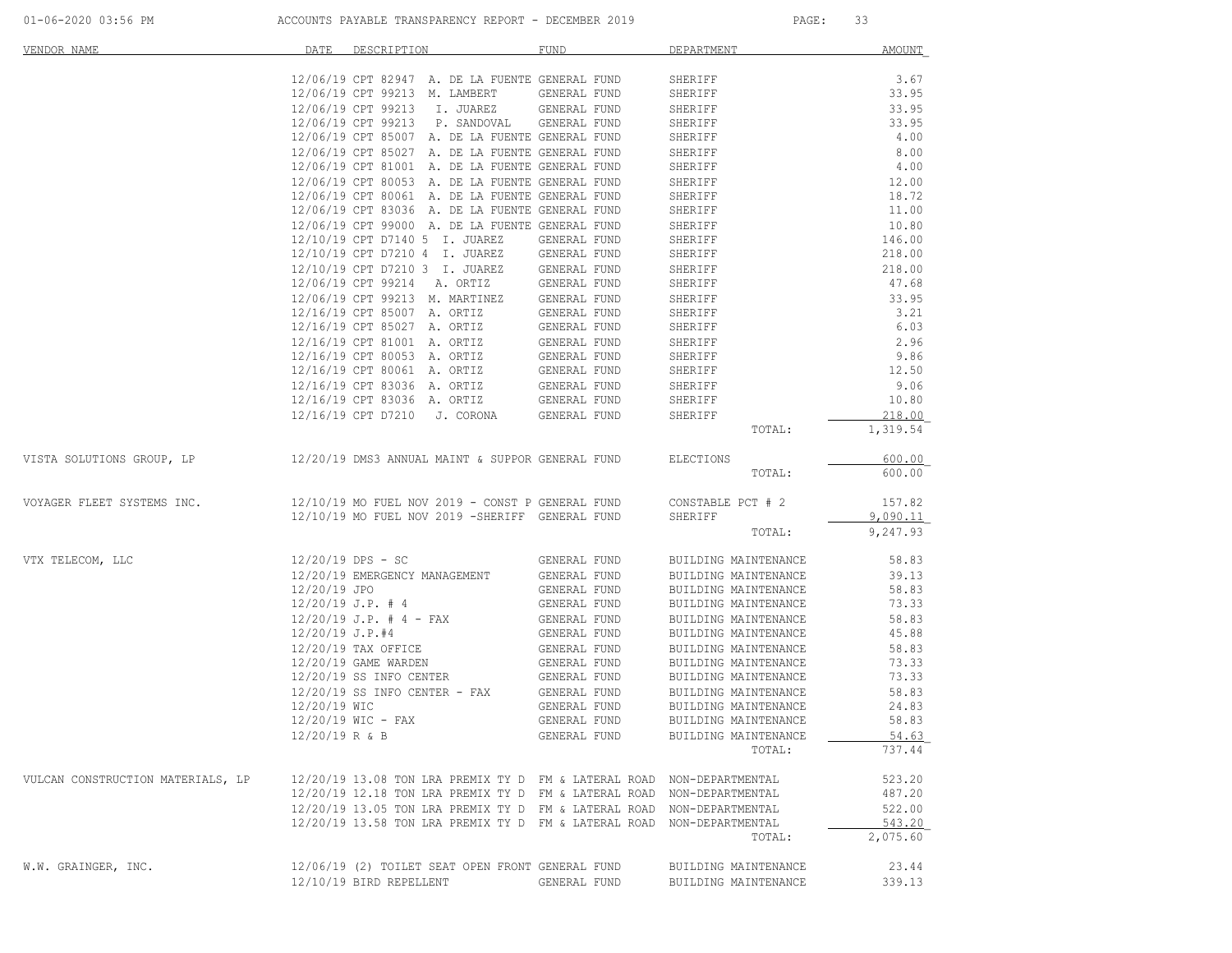| VENDOR NAME                       | DATE              | DESCRIPTION                                                           | FUND                         | DEPARTMENT           | <b>AMOUNT</b> |
|-----------------------------------|-------------------|-----------------------------------------------------------------------|------------------------------|----------------------|---------------|
|                                   |                   | 12/06/19 CPT 82947 A. DE LA FUENTE GENERAL FUND                       |                              | SHERIFF              | 3.67          |
|                                   |                   | 12/06/19 CPT 99213 M. LAMBERT                                         | GENERAL FUND                 | SHERIFF              | 33.95         |
|                                   |                   | 12/06/19 CPT 99213 I. JUAREZ                                          | GENERAL FUND                 | SHERIFF              | 33.95         |
|                                   |                   | 12/06/19 CPT 99213 P. SANDOVAL                                        | GENERAL FUND                 | SHERIFF              | 33.95         |
|                                   |                   | 12/06/19 CPT 85007 A. DE LA FUENTE GENERAL FUND                       |                              | SHERIFF              | 4.00          |
|                                   |                   | 12/06/19 CPT 85027 A. DE LA FUENTE GENERAL FUND                       |                              | SHERIFF              | 8.00          |
|                                   |                   | 12/06/19 CPT 81001 A. DE LA FUENTE GENERAL FUND                       |                              | SHERIFF              | 4.00          |
|                                   |                   | 12/06/19 CPT 80053 A. DE LA FUENTE GENERAL FUND                       |                              | SHERIFF              | 12.00         |
|                                   |                   | 12/06/19 CPT 80061 A. DE LA FUENTE GENERAL FUND                       |                              | SHERIFF              | 18.72         |
|                                   |                   | 12/06/19 CPT 83036 A. DE LA FUENTE GENERAL FUND                       |                              | SHERIFF              | 11.00         |
|                                   |                   | 12/06/19 CPT 99000 A. DE LA FUENTE GENERAL FUND                       |                              | SHERIFF              | 10.80         |
|                                   |                   | 12/10/19 CPT D7140 5 I. JUAREZ                                        | GENERAL FUND                 | SHERIFF              | 146.00        |
|                                   |                   | 12/10/19 CPT D7210 4 I. JUAREZ                                        | GENERAL FUND                 | SHERIFF              | 218.00        |
|                                   |                   | 12/10/19 CPT D7210 3 I. JUAREZ                                        | GENERAL FUND                 | SHERIFF              | 218.00        |
|                                   |                   | 12/06/19 CPT 99214 A. ORTIZ                                           | GENERAL FUND                 | SHERIFF              | 47.68         |
|                                   |                   | 12/06/19 CPT 99213 M. MARTINEZ                                        | GENERAL FUND                 | SHERIFF              | 33.95         |
|                                   |                   | 12/16/19 CPT 85007 A. ORTIZ                                           | GENERAL FUND                 | SHERIFF              | 3.21          |
|                                   |                   | 12/16/19 CPT 85027 A. ORTIZ                                           | GENERAL FUND                 | SHERIFF              | 6.03          |
|                                   |                   | 12/16/19 CPT 81001 A. ORTIZ                                           | GENERAL FUND                 | SHERIFF              | 2.96          |
|                                   |                   | 12/16/19 CPT 80053 A. ORTIZ                                           | GENERAL FUND                 | SHERIFF              | 9.86          |
|                                   |                   | 12/16/19 CPT 80061 A. ORTIZ                                           | GENERAL FUND                 | SHERIFF              | 12.50         |
|                                   |                   | 12/16/19 CPT 83036 A. ORTIZ<br>12/16/19 CPT 83036 A. ORTIZ            | GENERAL FUND                 | SHERIFF              | 9.06<br>10.80 |
|                                   |                   |                                                                       | GENERAL FUND<br>GENERAL FUND | SHERIFF<br>SHERIFF   | 218.00        |
|                                   |                   | 12/16/19 CPT D7210 J. CORONA                                          |                              | TOTAL:               | 1,319.54      |
|                                   |                   |                                                                       |                              |                      |               |
| VISTA SOLUTIONS GROUP, LP         |                   | 12/20/19 DMS3 ANNUAL MAINT & SUPPOR GENERAL FUND                      |                              | ELECTIONS            | 600.00        |
|                                   |                   |                                                                       |                              | TOTAL:               | 600.00        |
| VOYAGER FLEET SYSTEMS INC.        |                   | $12/10/19$ MO FUEL NOV 2019 - CONST P GENERAL FUND                    |                              | CONSTABLE PCT # 2    | 157.82        |
|                                   |                   | 12/10/19 MO FUEL NOV 2019 -SHERIFF GENERAL FUND                       |                              | SHERIFF              | 9,090.11      |
|                                   |                   |                                                                       |                              | TOTAL:               | 9,247.93      |
| VTX TELECOM, LLC                  |                   | $12/20/19$ DPS - SC                                                   | GENERAL FUND                 | BUILDING MAINTENANCE | 58.83         |
|                                   |                   | 12/20/19 EMERGENCY MANAGEMENT                                         | GENERAL FUND                 | BUILDING MAINTENANCE | 39.13         |
|                                   | 12/20/19 JPO      |                                                                       | GENERAL FUND                 | BUILDING MAINTENANCE | 58.83         |
|                                   |                   | $12/20/19$ J.P. # 4                                                   | GENERAL FUND                 | BUILDING MAINTENANCE | 73.33         |
|                                   |                   | $12/20/19$ J.P. # 4 - FAX                                             | GENERAL FUND                 | BUILDING MAINTENANCE | 58.83         |
|                                   | $12/20/19$ J.P.#4 |                                                                       | GENERAL FUND                 | BUILDING MAINTENANCE | 45.88         |
|                                   |                   | 12/20/19 TAX OFFICE                                                   | GENERAL FUND                 | BUILDING MAINTENANCE | 58.83         |
|                                   |                   | 12/20/19 GAME WARDEN                                                  | GENERAL FUND                 | BUILDING MAINTENANCE | 73.33         |
|                                   |                   | 12/20/19 SS INFO CENTER                                               | GENERAL FUND                 | BUILDING MAINTENANCE | 73.33         |
|                                   |                   | $12/20/19$ SS INFO CENTER - FAX                                       | GENERAL FUND                 | BUILDING MAINTENANCE | 58.83         |
|                                   | 12/20/19 WIC      |                                                                       | GENERAL FUND                 | BUILDING MAINTENANCE | 24.83         |
|                                   |                   | $12/20/19$ WIC - FAX                                                  | GENERAL FUND                 | BUILDING MAINTENANCE | 58.83         |
|                                   |                   | 12/20/19 R & B                                                        | GENERAL FUND                 | BUILDING MAINTENANCE | 54.63         |
|                                   |                   |                                                                       |                              | TOTAL:               | 737.44        |
| VULCAN CONSTRUCTION MATERIALS, LP |                   | 12/20/19 13.08 TON LRA PREMIX TY D FM & LATERAL ROAD NON-DEPARTMENTAL |                              |                      | 523.20        |
|                                   |                   | 12/20/19 12.18 TON LRA PREMIX TY D FM & LATERAL ROAD NON-DEPARTMENTAL |                              |                      | 487.20        |
|                                   |                   | 12/20/19 13.05 TON LRA PREMIX TY D FM & LATERAL ROAD NON-DEPARTMENTAL |                              |                      | 522.00        |
|                                   |                   | 12/20/19 13.58 TON LRA PREMIX TY D FM & LATERAL ROAD NON-DEPARTMENTAL |                              |                      | 543.20        |
|                                   |                   |                                                                       |                              | TOTAL:               | 2,075.60      |
| W.W. GRAINGER, INC.               |                   | 12/06/19 (2) TOILET SEAT OPEN FRONT GENERAL FUND                      |                              | BUILDING MAINTENANCE | 23.44         |
|                                   |                   | 12/10/19 BIRD REPELLENT                                               | GENERAL FUND                 | BUILDING MAINTENANCE | 339.13        |
|                                   |                   |                                                                       |                              |                      |               |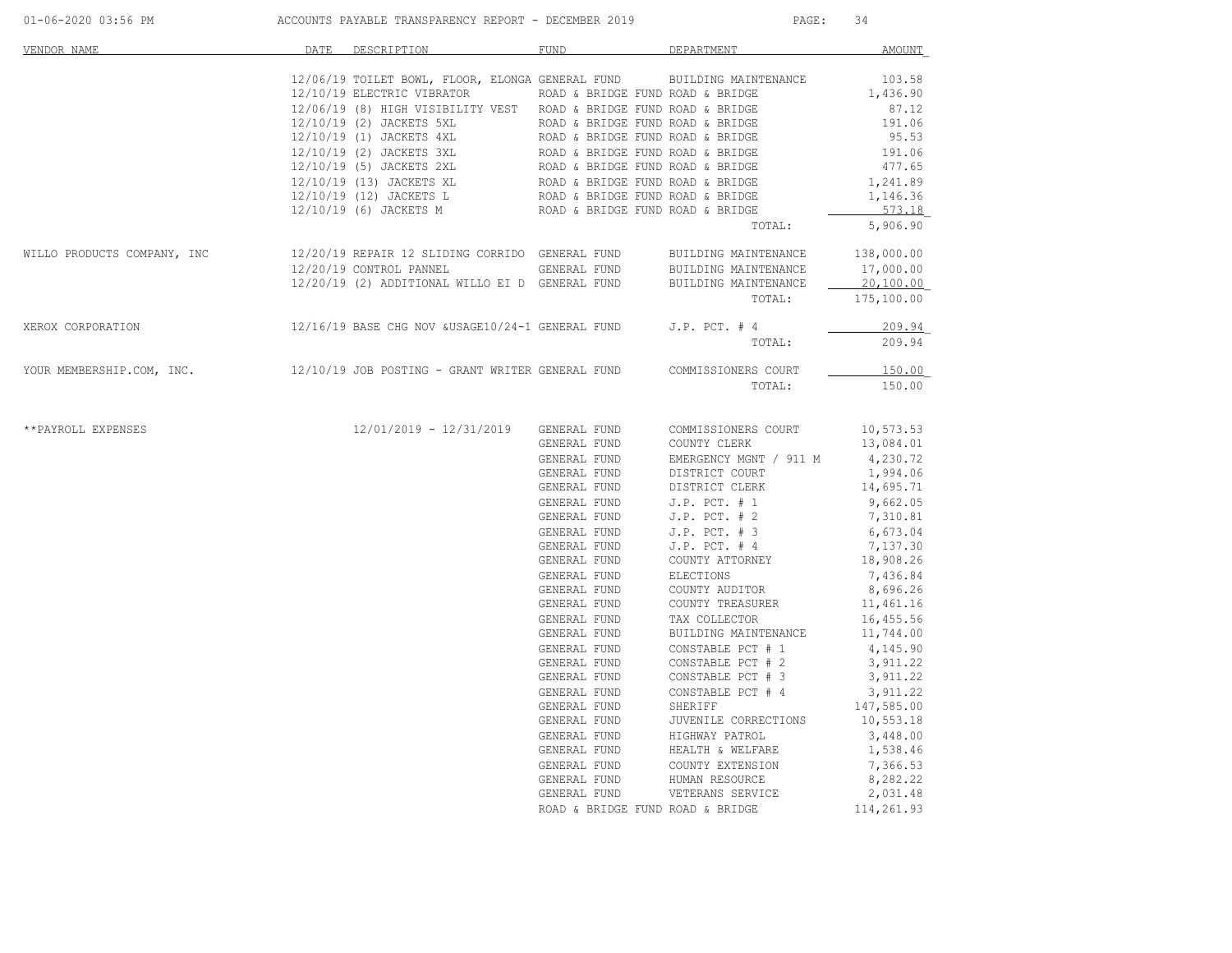| VENDOR NAME                                                                                    | DATE DESCRIPTION                                                                                                                                                                                                                                                                                                                                                                                                                                  | <b>FUND</b>                  | DEPARTMENT                                                                                                                                                                                                                                                   | <b>AMOUNT</b>        |
|------------------------------------------------------------------------------------------------|---------------------------------------------------------------------------------------------------------------------------------------------------------------------------------------------------------------------------------------------------------------------------------------------------------------------------------------------------------------------------------------------------------------------------------------------------|------------------------------|--------------------------------------------------------------------------------------------------------------------------------------------------------------------------------------------------------------------------------------------------------------|----------------------|
|                                                                                                | 12/06/19 TOILET BOWL, FLOOR, ELONGA GENERAL FUND BUILDING MAINTENANCE                                                                                                                                                                                                                                                                                                                                                                             |                              |                                                                                                                                                                                                                                                              | 103.58               |
|                                                                                                | $12/10/19$ ELECTRIC VIBRATOR ROAD & BRIDGE FUND ROAD & BRIDGE                                                                                                                                                                                                                                                                                                                                                                                     |                              |                                                                                                                                                                                                                                                              | 1,436.90             |
|                                                                                                | 12/06/19 (8) HIGH VISIBILITY VEST ROAD & BRIDGE FUND ROAD & BRIDGE                                                                                                                                                                                                                                                                                                                                                                                |                              |                                                                                                                                                                                                                                                              | 87.12                |
|                                                                                                |                                                                                                                                                                                                                                                                                                                                                                                                                                                   |                              |                                                                                                                                                                                                                                                              | 191.06               |
|                                                                                                |                                                                                                                                                                                                                                                                                                                                                                                                                                                   |                              |                                                                                                                                                                                                                                                              | 95.53                |
|                                                                                                | $12/10/19 (2) JACKETS SLROD & BRIDGE FUND ROD & BRIDGE FUND ROD & BRIDGE FUND ROD & BRIDGE FUND ROD & BRIDGE FUND ROD & BRIDGE FUND ROD & BRIDGE FUND ROD & BRIDGE FUND ROD & BRIDGE FUND ROD & BRIDGE FUND ROD & BRIDGE FUND ROD & BRIDGE FUND ROD & BRIDGE FUND ROD & BRIDGE FUND ROD & BRIDGE FUND ROD & BRIDGE FUND ROD & BRIDGE FUND ROD & BRIDGE FUND ROD & BRIDGE FUND ROD & BRIDGE FUND ROD & BRIDGE FUND ROD & BRIDGE FUND ROD & BRIDGE$ |                              |                                                                                                                                                                                                                                                              | 191.06               |
|                                                                                                |                                                                                                                                                                                                                                                                                                                                                                                                                                                   |                              |                                                                                                                                                                                                                                                              | 477.65               |
|                                                                                                |                                                                                                                                                                                                                                                                                                                                                                                                                                                   |                              |                                                                                                                                                                                                                                                              | 1,241.89             |
|                                                                                                |                                                                                                                                                                                                                                                                                                                                                                                                                                                   |                              |                                                                                                                                                                                                                                                              | 1,146.36             |
|                                                                                                |                                                                                                                                                                                                                                                                                                                                                                                                                                                   |                              |                                                                                                                                                                                                                                                              | 573.18               |
|                                                                                                |                                                                                                                                                                                                                                                                                                                                                                                                                                                   |                              | TOTAL:                                                                                                                                                                                                                                                       | 5,906.90             |
|                                                                                                |                                                                                                                                                                                                                                                                                                                                                                                                                                                   |                              |                                                                                                                                                                                                                                                              |                      |
|                                                                                                | $12/20/19 \quad \text{CONTROL PANNEL} \qquad \qquad \text{GENERAL FUND} \qquad \text{BULIDING MATIENANCE} \\ 12/20/19 \quad (2) \quad \text{ADDITIONAL WILLO EL} \quad D \quad \text{GENERAL FUND} \qquad \text{BULIDING MATIENANCE}$                                                                                                                                                                                                             |                              |                                                                                                                                                                                                                                                              | 17,000.00            |
|                                                                                                |                                                                                                                                                                                                                                                                                                                                                                                                                                                   |                              |                                                                                                                                                                                                                                                              | 20,100.00            |
|                                                                                                |                                                                                                                                                                                                                                                                                                                                                                                                                                                   |                              | TOTAL:                                                                                                                                                                                                                                                       | 175,100.00           |
| XEROX CORPORATION                                                                              | 12/16/19 BASE CHG NOV &USAGE10/24-1 GENERAL FUND J.P. PCT. # 4                                                                                                                                                                                                                                                                                                                                                                                    |                              |                                                                                                                                                                                                                                                              | 209.94               |
|                                                                                                |                                                                                                                                                                                                                                                                                                                                                                                                                                                   |                              | TOTAL:                                                                                                                                                                                                                                                       | 209.94               |
| YOUR MEMBERSHIP.COM, INC. 12/10/19 JOB POSTING - GRANT WRITER GENERAL FUND COMMISSIONERS COURT |                                                                                                                                                                                                                                                                                                                                                                                                                                                   |                              |                                                                                                                                                                                                                                                              |                      |
|                                                                                                |                                                                                                                                                                                                                                                                                                                                                                                                                                                   |                              |                                                                                                                                                                                                                                                              | 150.00               |
|                                                                                                |                                                                                                                                                                                                                                                                                                                                                                                                                                                   |                              | TOTAL:                                                                                                                                                                                                                                                       | 150.00               |
|                                                                                                |                                                                                                                                                                                                                                                                                                                                                                                                                                                   |                              |                                                                                                                                                                                                                                                              |                      |
| **PAYROLL EXPENSES                                                                             | $12/01/2019$ - $12/31/2019$ GENERAL FUND COMMISSIONERS COURT 10,573.53<br>GENERAL FUND COUNTY CLERK 13,084.01                                                                                                                                                                                                                                                                                                                                     |                              |                                                                                                                                                                                                                                                              |                      |
|                                                                                                |                                                                                                                                                                                                                                                                                                                                                                                                                                                   |                              |                                                                                                                                                                                                                                                              |                      |
|                                                                                                |                                                                                                                                                                                                                                                                                                                                                                                                                                                   |                              |                                                                                                                                                                                                                                                              | 4,230.72<br>1,994.06 |
|                                                                                                |                                                                                                                                                                                                                                                                                                                                                                                                                                                   |                              |                                                                                                                                                                                                                                                              | 14,695.71            |
|                                                                                                |                                                                                                                                                                                                                                                                                                                                                                                                                                                   |                              |                                                                                                                                                                                                                                                              | 9,662.05             |
|                                                                                                |                                                                                                                                                                                                                                                                                                                                                                                                                                                   |                              |                                                                                                                                                                                                                                                              | 7,310.81             |
|                                                                                                |                                                                                                                                                                                                                                                                                                                                                                                                                                                   |                              | GENERAL FUND<br>COUNTY CLERK<br>GENERAL FUND<br>DISTRICT COURT<br>GENERAL FUND<br>DISTRICT COURT<br>GENERAL FUND<br>DISTRICT CLERK<br>GENERAL FUND<br>J.P. PCT. # 2<br>GENERAL FUND<br>J.P. PCT. # 3<br>GENERAL FUND<br>J.P. PCT. # 4<br>GENERAL FUND<br>COU | 6,673.04             |
|                                                                                                |                                                                                                                                                                                                                                                                                                                                                                                                                                                   |                              |                                                                                                                                                                                                                                                              | 7,137.30             |
|                                                                                                |                                                                                                                                                                                                                                                                                                                                                                                                                                                   |                              |                                                                                                                                                                                                                                                              | 18,908.26            |
|                                                                                                |                                                                                                                                                                                                                                                                                                                                                                                                                                                   |                              |                                                                                                                                                                                                                                                              | 7,436.84             |
|                                                                                                |                                                                                                                                                                                                                                                                                                                                                                                                                                                   |                              |                                                                                                                                                                                                                                                              | 8,696.26             |
|                                                                                                |                                                                                                                                                                                                                                                                                                                                                                                                                                                   |                              |                                                                                                                                                                                                                                                              | 11,461.16            |
|                                                                                                |                                                                                                                                                                                                                                                                                                                                                                                                                                                   |                              |                                                                                                                                                                                                                                                              | 16,455.56            |
|                                                                                                |                                                                                                                                                                                                                                                                                                                                                                                                                                                   |                              | BUILDING MAINTENANCE 11,744.00                                                                                                                                                                                                                               |                      |
|                                                                                                |                                                                                                                                                                                                                                                                                                                                                                                                                                                   |                              |                                                                                                                                                                                                                                                              | 4,145.90             |
|                                                                                                |                                                                                                                                                                                                                                                                                                                                                                                                                                                   |                              |                                                                                                                                                                                                                                                              | 3,911.22             |
|                                                                                                |                                                                                                                                                                                                                                                                                                                                                                                                                                                   | GENERAL FUND<br>GENERAL FUND | CONSTABLE PCT # 3                                                                                                                                                                                                                                            | 3,911.22             |
|                                                                                                |                                                                                                                                                                                                                                                                                                                                                                                                                                                   |                              | CONSTABLE PCT # 3<br>GENERAL FUND CONSTABLE PCT # 4<br>GENERAL FUND SHERIFF CORRECTIONS<br>GENERAL FUND UVENILE CORRECTIONS<br>GENERAL FUND HEALTH & WELFARE<br>GENERAL FUND HEALTH & WELFARE<br>GENERAL FUND HUMAN RESOURCE<br>GENERAL FUND                 | 3,911.22             |
|                                                                                                |                                                                                                                                                                                                                                                                                                                                                                                                                                                   |                              |                                                                                                                                                                                                                                                              | 147,585.00           |
|                                                                                                |                                                                                                                                                                                                                                                                                                                                                                                                                                                   |                              |                                                                                                                                                                                                                                                              | 10,553.18            |
|                                                                                                |                                                                                                                                                                                                                                                                                                                                                                                                                                                   |                              |                                                                                                                                                                                                                                                              | 3,448.00             |
|                                                                                                |                                                                                                                                                                                                                                                                                                                                                                                                                                                   |                              |                                                                                                                                                                                                                                                              | 1,538.46             |
|                                                                                                |                                                                                                                                                                                                                                                                                                                                                                                                                                                   |                              |                                                                                                                                                                                                                                                              | 7,366.53             |
|                                                                                                |                                                                                                                                                                                                                                                                                                                                                                                                                                                   |                              |                                                                                                                                                                                                                                                              | 8,282.22<br>2,031.48 |
|                                                                                                |                                                                                                                                                                                                                                                                                                                                                                                                                                                   |                              | ROAD & BRIDGE FUND ROAD & BRIDGE                                                                                                                                                                                                                             | 114,261.93           |
|                                                                                                |                                                                                                                                                                                                                                                                                                                                                                                                                                                   |                              |                                                                                                                                                                                                                                                              |                      |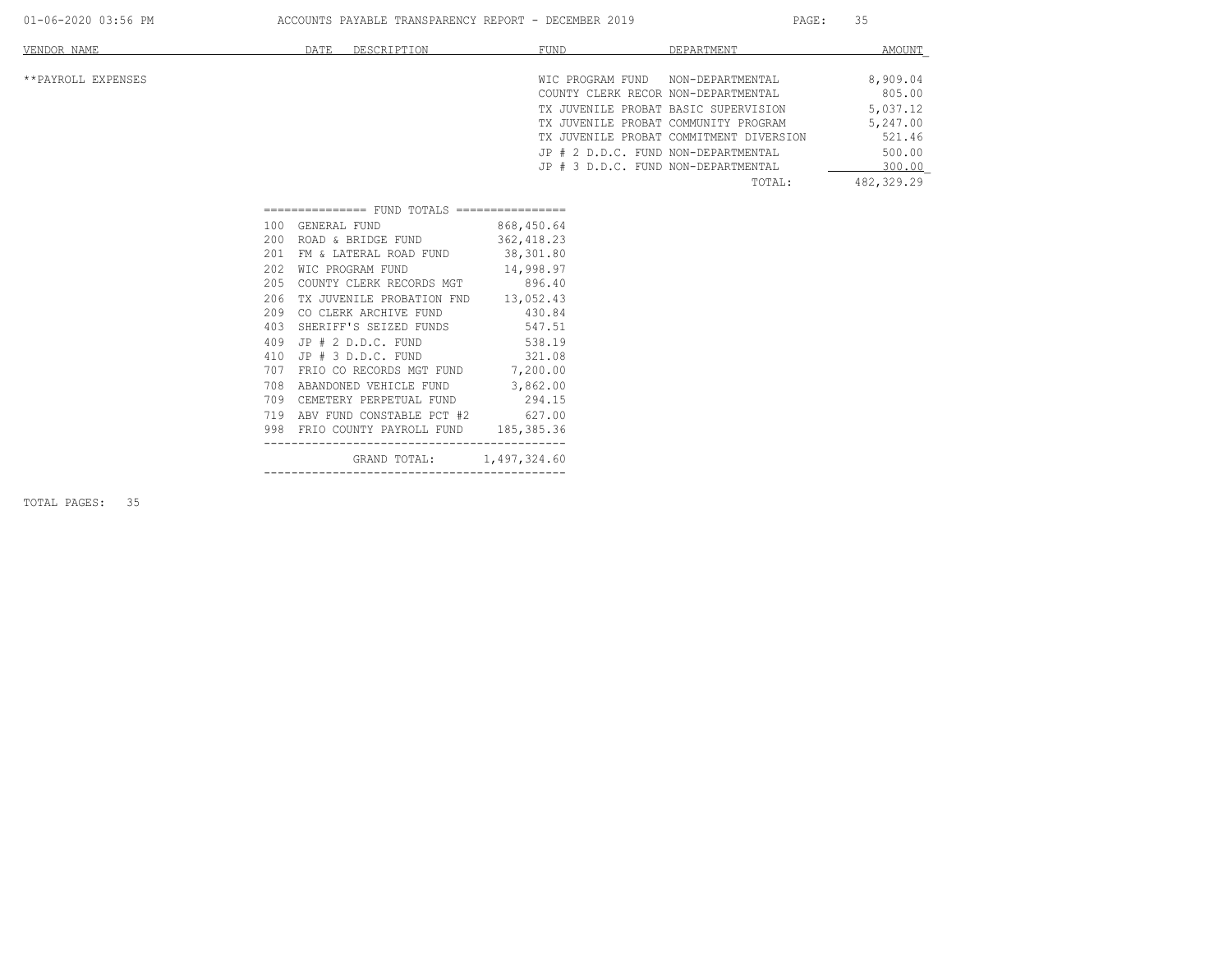| VENDOR NAME        | DESCRIPTION<br>DATE | FUND                                    | DEPARTMENT       | AMOUNT     |
|--------------------|---------------------|-----------------------------------------|------------------|------------|
| **PAYROLL EXPENSES |                     | WIC PROGRAM FUND                        | NON-DEPARTMENTAL | 8,909.04   |
|                    |                     | COUNTY CLERK RECOR NON-DEPARTMENTAL     |                  | 805.00     |
|                    |                     | TX JUVENILE PROBAT BASIC SUPERVISION    |                  | 5,037.12   |
|                    |                     | TX JUVENILE PROBAT COMMUNITY PROGRAM    |                  | 5,247.00   |
|                    |                     | TX JUVENILE PROBAT COMMITMENT DIVERSION |                  | 521.46     |
|                    |                     | JP # 2 D.D.C. FUND NON-DEPARTMENTAL     |                  | 500.00     |
|                    |                     | JP # 3 D.D.C. FUND NON-DEPARTMENTAL     |                  | 300.00     |
|                    |                     |                                         | TOTAL:           | 482,329.29 |

| 100   | GENERAL FUND                            | 868,450.64 |  |
|-------|-----------------------------------------|------------|--|
| 200   | ROAD & BRIDGE FUND 362,418.23           |            |  |
| 201   | FM & LATERAL ROAD FUND 38,301.80        |            |  |
| 2.02. | WIC PROGRAM FUND 14,998.97              |            |  |
| 205   | COUNTY CLERK RECORDS MGT 896.40         |            |  |
| 206   | TX JUVENILE PROBATION FND 13,052.43     |            |  |
| 209   | CO CLERK ARCHIVE FUND 430.84            |            |  |
| 403   | SHERIFF'S SEIZED FUNDS                  | 547.51     |  |
| 409   | $JP$ $#$ $2$ $D.D.C.$ $FUND$            | 538.19     |  |
| 410   | JP # 3 D.D.C. FUND 321.08               |            |  |
| 707   | FRIO CO RECORDS MGT FUND 7,200.00       |            |  |
| 708   | ABANDONED VEHICLE FUND 3,862.00         |            |  |
| 709   | CEMETERY PERPETUAL FUND 294.15          |            |  |
|       | 719 ABV FUND CONSTABLE PCT #2 627.00    |            |  |
|       | 998 FRIO COUNTY PAYROLL FUND 185,385.36 |            |  |
|       | GRAND TOTAL: 1,497,324.60               |            |  |
|       |                                         |            |  |

TOTAL PAGES: 35